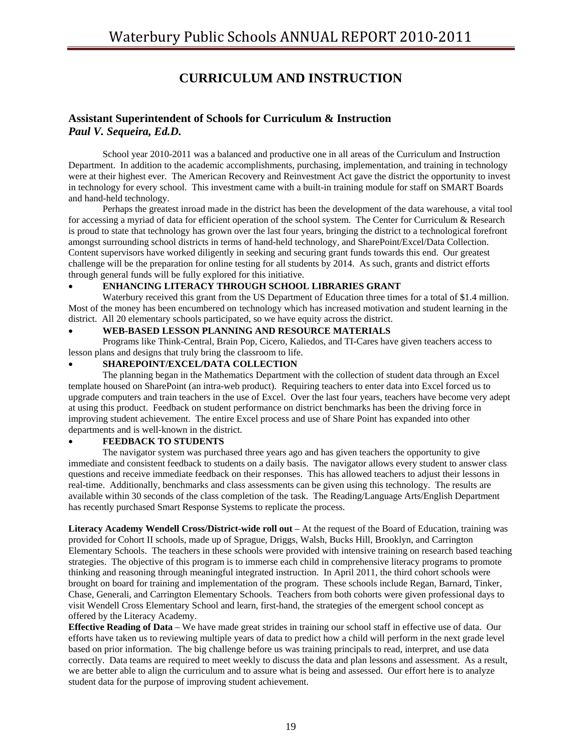# **CURRICULUM AND INSTRUCTION**

# **Assistant Superintendent of Schools for Curriculum & Instruction**  *Paul V. Sequeira, Ed.D.*

 School year 2010-2011 was a balanced and productive one in all areas of the Curriculum and Instruction Department. In addition to the academic accomplishments, purchasing, implementation, and training in technology were at their highest ever. The American Recovery and Reinvestment Act gave the district the opportunity to invest in technology for every school. This investment came with a built-in training module for staff on SMART Boards and hand-held technology.

 Perhaps the greatest inroad made in the district has been the development of the data warehouse, a vital tool for accessing a myriad of data for efficient operation of the school system. The Center for Curriculum & Research is proud to state that technology has grown over the last four years, bringing the district to a technological forefront amongst surrounding school districts in terms of hand-held technology, and SharePoint/Excel/Data Collection. Content supervisors have worked diligently in seeking and securing grant funds towards this end. Our greatest challenge will be the preparation for online testing for all students by 2014. As such, grants and district efforts through general funds will be fully explored for this initiative.

### • **ENHANCING LITERACY THROUGH SCHOOL LIBRARIES GRANT**

 Waterbury received this grant from the US Department of Education three times for a total of \$1.4 million. Most of the money has been encumbered on technology which has increased motivation and student learning in the district. All 20 elementary schools participated, so we have equity across the district.

## • **WEB-BASED LESSON PLANNING AND RESOURCE MATERIALS**

 Programs like Think-Central, Brain Pop, Cicero, Kaliedos, and TI-Cares have given teachers access to lesson plans and designs that truly bring the classroom to life.

### • **SHAREPOINT/EXCEL/DATA COLLECTION**

 The planning began in the Mathematics Department with the collection of student data through an Excel template housed on SharePoint (an intra-web product). Requiring teachers to enter data into Excel forced us to upgrade computers and train teachers in the use of Excel. Over the last four years, teachers have become very adept at using this product. Feedback on student performance on district benchmarks has been the driving force in improving student achievement. The entire Excel process and use of Share Point has expanded into other departments and is well-known in the district.

### • **FEEDBACK TO STUDENTS**

 The navigator system was purchased three years ago and has given teachers the opportunity to give immediate and consistent feedback to students on a daily basis. The navigator allows every student to answer class questions and receive immediate feedback on their responses. This has allowed teachers to adjust their lessons in real-time. Additionally, benchmarks and class assessments can be given using this technology. The results are available within 30 seconds of the class completion of the task. The Reading/Language Arts/English Department has recently purchased Smart Response Systems to replicate the process.

**Literacy Academy Wendell Cross/District-wide roll out** – At the request of the Board of Education, training was provided for Cohort II schools, made up of Sprague, Driggs, Walsh, Bucks Hill, Brooklyn, and Carrington Elementary Schools. The teachers in these schools were provided with intensive training on research based teaching strategies. The objective of this program is to immerse each child in comprehensive literacy programs to promote thinking and reasoning through meaningful integrated instruction. In April 2011, the third cohort schools were brought on board for training and implementation of the program. These schools include Regan, Barnard, Tinker, Chase, Generali, and Carrington Elementary Schools. Teachers from both cohorts were given professional days to visit Wendell Cross Elementary School and learn, first-hand, the strategies of the emergent school concept as offered by the Literacy Academy.

**Effective Reading of Data** – We have made great strides in training our school staff in effective use of data. Our efforts have taken us to reviewing multiple years of data to predict how a child will perform in the next grade level based on prior information. The big challenge before us was training principals to read, interpret, and use data correctly. Data teams are required to meet weekly to discuss the data and plan lessons and assessment. As a result, we are better able to align the curriculum and to assure what is being and assessed. Our effort here is to analyze student data for the purpose of improving student achievement.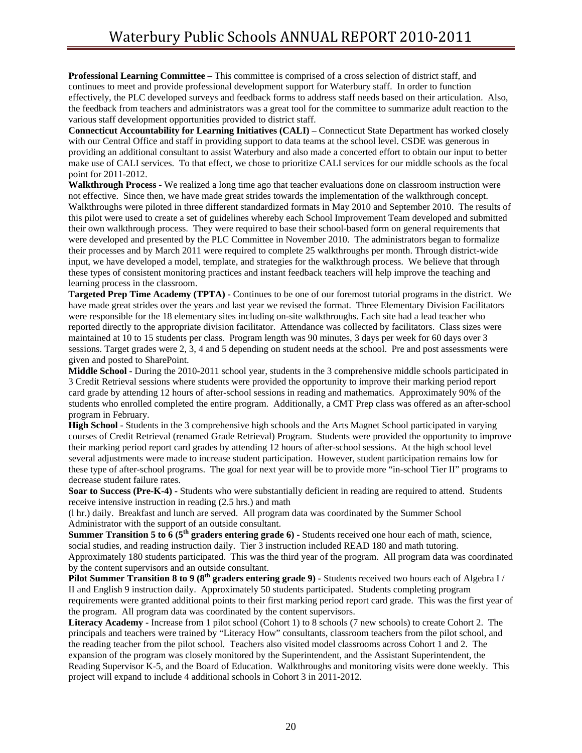**Professional Learning Committee** – This committee is comprised of a cross selection of district staff, and continues to meet and provide professional development support for Waterbury staff. In order to function effectively, the PLC developed surveys and feedback forms to address staff needs based on their articulation. Also, the feedback from teachers and administrators was a great tool for the committee to summarize adult reaction to the various staff development opportunities provided to district staff.

**Connecticut Accountability for Learning Initiatives (CALI)** – Connecticut State Department has worked closely with our Central Office and staff in providing support to data teams at the school level. CSDE was generous in providing an additional consultant to assist Waterbury and also made a concerted effort to obtain our input to better make use of CALI services. To that effect, we chose to prioritize CALI services for our middle schools as the focal point for 2011-2012.

**Walkthrough Process -** We realized a long time ago that teacher evaluations done on classroom instruction were not effective. Since then, we have made great strides towards the implementation of the walkthrough concept. Walkthroughs were piloted in three different standardized formats in May 2010 and September 2010. The results of this pilot were used to create a set of guidelines whereby each School Improvement Team developed and submitted their own walkthrough process. They were required to base their school-based form on general requirements that were developed and presented by the PLC Committee in November 2010. The administrators began to formalize their processes and by March 2011 were required to complete 25 walkthroughs per month. Through district-wide input, we have developed a model, template, and strategies for the walkthrough process. We believe that through these types of consistent monitoring practices and instant feedback teachers will help improve the teaching and learning process in the classroom.

**Targeted Prep Time Academy (TPTA) -** Continues to be one of our foremost tutorial programs in the district. We have made great strides over the years and last year we revised the format. Three Elementary Division Facilitators were responsible for the 18 elementary sites including on-site walkthroughs. Each site had a lead teacher who reported directly to the appropriate division facilitator. Attendance was collected by facilitators. Class sizes were maintained at 10 to 15 students per class. Program length was 90 minutes, 3 days per week for 60 days over 3 sessions. Target grades were 2, 3, 4 and 5 depending on student needs at the school. Pre and post assessments were given and posted to SharePoint.

**Middle School -** During the 2010-2011 school year, students in the 3 comprehensive middle schools participated in 3 Credit Retrieval sessions where students were provided the opportunity to improve their marking period report card grade by attending 12 hours of after-school sessions in reading and mathematics. Approximately 90% of the students who enrolled completed the entire program. Additionally, a CMT Prep class was offered as an after-school program in February.

**High School -** Students in the 3 comprehensive high schools and the Arts Magnet School participated in varying courses of Credit Retrieval (renamed Grade Retrieval) Program. Students were provided the opportunity to improve their marking period report card grades by attending 12 hours of after-school sessions. At the high school level several adjustments were made to increase student participation. However, student participation remains low for these type of after-school programs. The goal for next year will be to provide more "in-school Tier II" programs to decrease student failure rates.

**Soar to Success (Pre-K-4) -** Students who were substantially deficient in reading are required to attend. Students receive intensive instruction in reading (2.5 hrs.) and math

(l hr.) daily. Breakfast and lunch are served. All program data was coordinated by the Summer School Administrator with the support of an outside consultant.

**Summer Transition 5 to 6 (5<sup>th</sup> graders entering grade 6)** - Students received one hour each of math, science, social studies, and reading instruction daily. Tier 3 instruction included READ 180 and math tutoring. Approximately 180 students participated. This was the third year of the program. All program data was coordinated by the content supervisors and an outside consultant.

**Pilot Summer Transition 8 to 9 (8<sup>th</sup> graders entering grade 9) -** Students received two hours each of Algebra I/ II and English 9 instruction daily. Approximately 50 students participated. Students completing program requirements were granted additional points to their first marking period report card grade. This was the first year of the program. All program data was coordinated by the content supervisors.

**Literacy Academy -** Increase from 1 pilot school (Cohort 1) to 8 schools (7 new schools) to create Cohort 2. The principals and teachers were trained by "Literacy How" consultants, classroom teachers from the pilot school, and the reading teacher from the pilot school. Teachers also visited model classrooms across Cohort 1 and 2. The expansion of the program was closely monitored by the Superintendent, and the Assistant Superintendent, the Reading Supervisor K-5, and the Board of Education. Walkthroughs and monitoring visits were done weekly. This project will expand to include 4 additional schools in Cohort 3 in 2011-2012.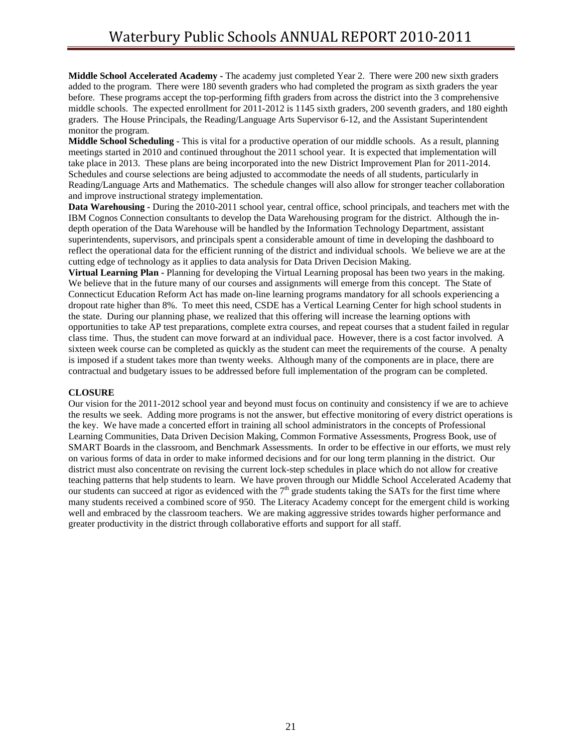**Middle School Accelerated Academy -** The academy just completed Year 2. There were 200 new sixth graders added to the program. There were 180 seventh graders who had completed the program as sixth graders the year before. These programs accept the top-performing fifth graders from across the district into the 3 comprehensive middle schools. The expected enrollment for 2011-2012 is 1145 sixth graders, 200 seventh graders, and 180 eighth graders. The House Principals, the Reading/Language Arts Supervisor 6-12, and the Assistant Superintendent monitor the program.

**Middle School Scheduling** - This is vital for a productive operation of our middle schools. As a result, planning meetings started in 2010 and continued throughout the 2011 school year. It is expected that implementation will take place in 2013. These plans are being incorporated into the new District Improvement Plan for 2011-2014. Schedules and course selections are being adjusted to accommodate the needs of all students, particularly in Reading/Language Arts and Mathematics. The schedule changes will also allow for stronger teacher collaboration and improve instructional strategy implementation.

**Data Warehousing -** During the 2010-2011 school year, central office, school principals, and teachers met with the IBM Cognos Connection consultants to develop the Data Warehousing program for the district. Although the indepth operation of the Data Warehouse will be handled by the Information Technology Department, assistant superintendents, supervisors, and principals spent a considerable amount of time in developing the dashboard to reflect the operational data for the efficient running of the district and individual schools. We believe we are at the cutting edge of technology as it applies to data analysis for Data Driven Decision Making.

**Virtual Learning Plan -** Planning for developing the Virtual Learning proposal has been two years in the making. We believe that in the future many of our courses and assignments will emerge from this concept. The State of Connecticut Education Reform Act has made on-line learning programs mandatory for all schools experiencing a dropout rate higher than 8%. To meet this need, CSDE has a Vertical Learning Center for high school students in the state. During our planning phase, we realized that this offering will increase the learning options with opportunities to take AP test preparations, complete extra courses, and repeat courses that a student failed in regular class time. Thus, the student can move forward at an individual pace. However, there is a cost factor involved. A sixteen week course can be completed as quickly as the student can meet the requirements of the course. A penalty is imposed if a student takes more than twenty weeks. Although many of the components are in place, there are contractual and budgetary issues to be addressed before full implementation of the program can be completed.

### **CLOSURE**

Our vision for the 2011-2012 school year and beyond must focus on continuity and consistency if we are to achieve the results we seek. Adding more programs is not the answer, but effective monitoring of every district operations is the key. We have made a concerted effort in training all school administrators in the concepts of Professional Learning Communities, Data Driven Decision Making, Common Formative Assessments, Progress Book, use of SMART Boards in the classroom, and Benchmark Assessments. In order to be effective in our efforts, we must rely on various forms of data in order to make informed decisions and for our long term planning in the district. Our district must also concentrate on revising the current lock-step schedules in place which do not allow for creative teaching patterns that help students to learn. We have proven through our Middle School Accelerated Academy that our students can succeed at rigor as evidenced with the  $7<sup>th</sup>$  grade students taking the SATs for the first time where many students received a combined score of 950. The Literacy Academy concept for the emergent child is working well and embraced by the classroom teachers. We are making aggressive strides towards higher performance and greater productivity in the district through collaborative efforts and support for all staff.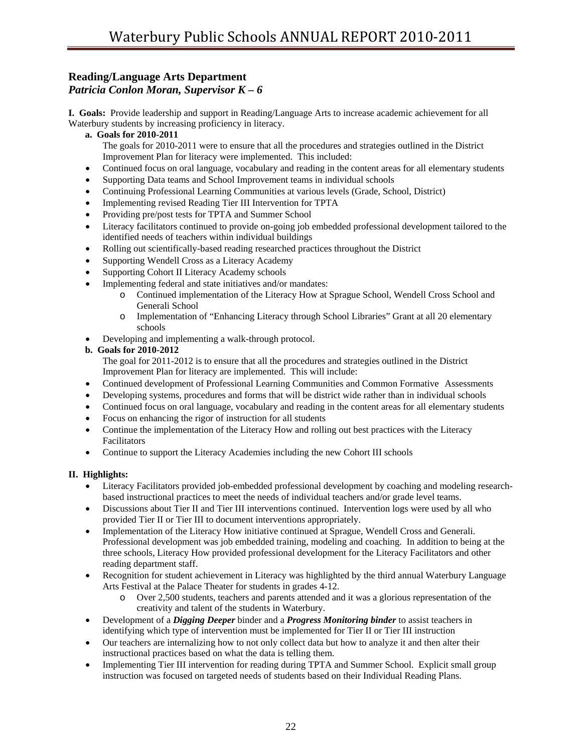# **Reading/Language Arts Department**  *Patricia Conlon Moran, Supervisor K – 6*

**I. Goals:** Provide leadership and support in Reading/Language Arts to increase academic achievement for all Waterbury students by increasing proficiency in literacy.

 **a. Goals for 2010-2011** 

 The goals for 2010-2011 were to ensure that all the procedures and strategies outlined in the District Improvement Plan for literacy were implemented. This included:

- Continued focus on oral language, vocabulary and reading in the content areas for all elementary students
- Supporting Data teams and School Improvement teams in individual schools
- Continuing Professional Learning Communities at various levels (Grade, School, District)
- Implementing revised Reading Tier III Intervention for TPTA
- Providing pre/post tests for TPTA and Summer School
- Literacy facilitators continued to provide on-going job embedded professional development tailored to the identified needs of teachers within individual buildings
- Rolling out scientifically-based reading researched practices throughout the District
- Supporting Wendell Cross as a Literacy Academy
- Supporting Cohort II Literacy Academy schools
- Implementing federal and state initiatives and/or mandates:
	- o Continued implementation of the Literacy How at Sprague School, Wendell Cross School and Generali School
	- o Implementation of "Enhancing Literacy through School Libraries" Grant at all 20 elementary schools
- Developing and implementing a walk-through protocol.

### **b. Goals for 2010-2012**

 The goal for 2011-2012 is to ensure that all the procedures and strategies outlined in the District Improvement Plan for literacy are implemented. This will include:

- Continued development of Professional Learning Communities and Common Formative Assessments
- Developing systems, procedures and forms that will be district wide rather than in individual schools
- Continued focus on oral language, vocabulary and reading in the content areas for all elementary students
- Focus on enhancing the rigor of instruction for all students
- Continue the implementation of the Literacy How and rolling out best practices with the Literacy Facilitators
- Continue to support the Literacy Academies including the new Cohort III schools

### **II. Highlights:**

- Literacy Facilitators provided job-embedded professional development by coaching and modeling researchbased instructional practices to meet the needs of individual teachers and/or grade level teams.
- Discussions about Tier II and Tier III interventions continued. Intervention logs were used by all who provided Tier II or Tier III to document interventions appropriately.
- Implementation of the Literacy How initiative continued at Sprague, Wendell Cross and Generali. Professional development was job embedded training, modeling and coaching. In addition to being at the three schools, Literacy How provided professional development for the Literacy Facilitators and other reading department staff.
- Recognition for student achievement in Literacy was highlighted by the third annual Waterbury Language Arts Festival at the Palace Theater for students in grades 4-12.
	- o Over 2,500 students, teachers and parents attended and it was a glorious representation of the creativity and talent of the students in Waterbury.
- Development of a *Digging Deeper* binder and a *Progress Monitoring binder* to assist teachers in identifying which type of intervention must be implemented for Tier II or Tier III instruction
- Our teachers are internalizing how to not only collect data but how to analyze it and then alter their instructional practices based on what the data is telling them.
- Implementing Tier III intervention for reading during TPTA and Summer School. Explicit small group instruction was focused on targeted needs of students based on their Individual Reading Plans.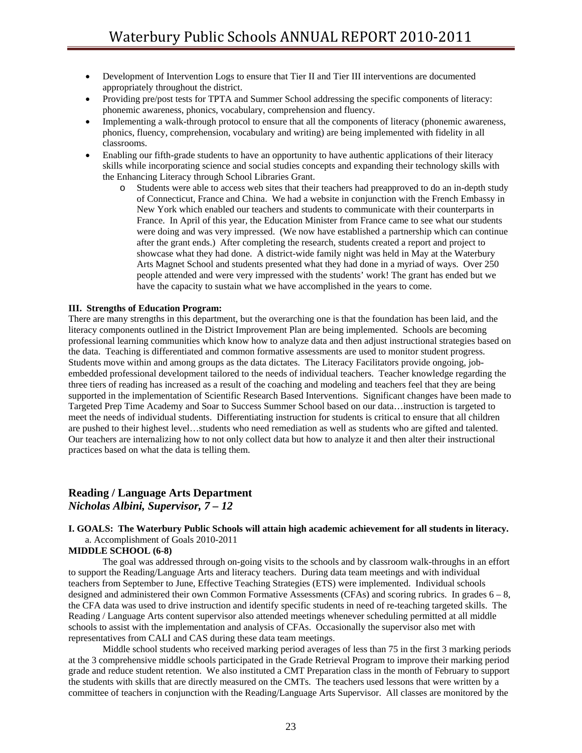- Development of Intervention Logs to ensure that Tier II and Tier III interventions are documented appropriately throughout the district.
- Providing pre/post tests for TPTA and Summer School addressing the specific components of literacy: phonemic awareness, phonics, vocabulary, comprehension and fluency.
- Implementing a walk-through protocol to ensure that all the components of literacy (phonemic awareness, phonics, fluency, comprehension, vocabulary and writing) are being implemented with fidelity in all classrooms.
- Enabling our fifth-grade students to have an opportunity to have authentic applications of their literacy skills while incorporating science and social studies concepts and expanding their technology skills with the Enhancing Literacy through School Libraries Grant.
	- o Students were able to access web sites that their teachers had preapproved to do an in-depth study of Connecticut, France and China. We had a website in conjunction with the French Embassy in New York which enabled our teachers and students to communicate with their counterparts in France. In April of this year, the Education Minister from France came to see what our students were doing and was very impressed. (We now have established a partnership which can continue after the grant ends.) After completing the research, students created a report and project to showcase what they had done. A district-wide family night was held in May at the Waterbury Arts Magnet School and students presented what they had done in a myriad of ways. Over 250 people attended and were very impressed with the students' work! The grant has ended but we have the capacity to sustain what we have accomplished in the years to come.

#### **III. Strengths of Education Program:**

There are many strengths in this department, but the overarching one is that the foundation has been laid, and the literacy components outlined in the District Improvement Plan are being implemented. Schools are becoming professional learning communities which know how to analyze data and then adjust instructional strategies based on the data. Teaching is differentiated and common formative assessments are used to monitor student progress. Students move within and among groups as the data dictates. The Literacy Facilitators provide ongoing, jobembedded professional development tailored to the needs of individual teachers. Teacher knowledge regarding the three tiers of reading has increased as a result of the coaching and modeling and teachers feel that they are being supported in the implementation of Scientific Research Based Interventions. Significant changes have been made to Targeted Prep Time Academy and Soar to Success Summer School based on our data…instruction is targeted to meet the needs of individual students. Differentiating instruction for students is critical to ensure that all children are pushed to their highest level…students who need remediation as well as students who are gifted and talented. Our teachers are internalizing how to not only collect data but how to analyze it and then alter their instructional practices based on what the data is telling them.

# **Reading / Language Arts Department**  *Nicholas Albini, Supervisor, 7 – 12*

### **I. GOALS: The Waterbury Public Schools will attain high academic achievement for all students in literacy.**  a. Accomplishment of Goals 2010-2011

#### **MIDDLE SCHOOL (6-8)**

 The goal was addressed through on-going visits to the schools and by classroom walk-throughs in an effort to support the Reading/Language Arts and literacy teachers. During data team meetings and with individual teachers from September to June, Effective Teaching Strategies (ETS) were implemented. Individual schools designed and administered their own Common Formative Assessments (CFAs) and scoring rubrics. In grades  $6 - 8$ , the CFA data was used to drive instruction and identify specific students in need of re-teaching targeted skills. The Reading / Language Arts content supervisor also attended meetings whenever scheduling permitted at all middle schools to assist with the implementation and analysis of CFAs. Occasionally the supervisor also met with representatives from CALI and CAS during these data team meetings.

 Middle school students who received marking period averages of less than 75 in the first 3 marking periods at the 3 comprehensive middle schools participated in the Grade Retrieval Program to improve their marking period grade and reduce student retention. We also instituted a CMT Preparation class in the month of February to support the students with skills that are directly measured on the CMTs. The teachers used lessons that were written by a committee of teachers in conjunction with the Reading/Language Arts Supervisor. All classes are monitored by the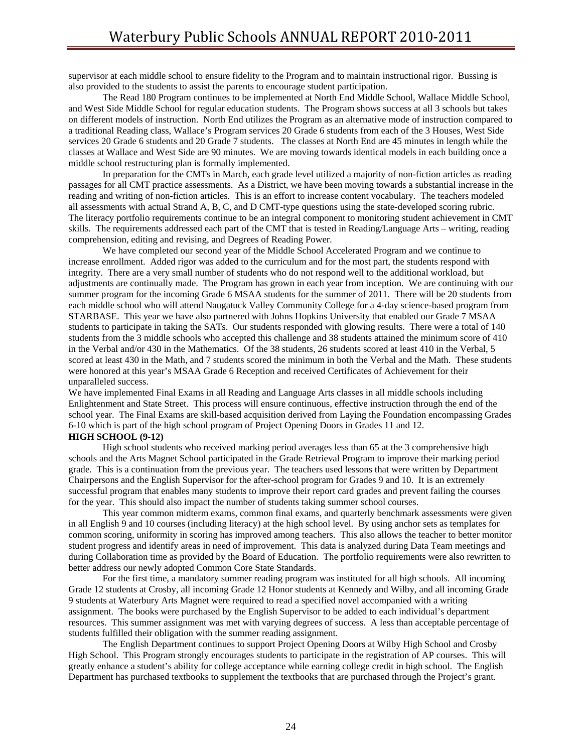supervisor at each middle school to ensure fidelity to the Program and to maintain instructional rigor. Bussing is also provided to the students to assist the parents to encourage student participation.

 The Read 180 Program continues to be implemented at North End Middle School, Wallace Middle School, and West Side Middle School for regular education students. The Program shows success at all 3 schools but takes on different models of instruction. North End utilizes the Program as an alternative mode of instruction compared to a traditional Reading class, Wallace's Program services 20 Grade 6 students from each of the 3 Houses, West Side services 20 Grade 6 students and 20 Grade 7 students. The classes at North End are 45 minutes in length while the classes at Wallace and West Side are 90 minutes. We are moving towards identical models in each building once a middle school restructuring plan is formally implemented.

 In preparation for the CMTs in March, each grade level utilized a majority of non-fiction articles as reading passages for all CMT practice assessments. As a District, we have been moving towards a substantial increase in the reading and writing of non-fiction articles. This is an effort to increase content vocabulary. The teachers modeled all assessments with actual Strand A, B, C, and D CMT-type questions using the state-developed scoring rubric. The literacy portfolio requirements continue to be an integral component to monitoring student achievement in CMT skills. The requirements addressed each part of the CMT that is tested in Reading/Language Arts – writing, reading comprehension, editing and revising, and Degrees of Reading Power.

 We have completed our second year of the Middle School Accelerated Program and we continue to increase enrollment. Added rigor was added to the curriculum and for the most part, the students respond with integrity. There are a very small number of students who do not respond well to the additional workload, but adjustments are continually made. The Program has grown in each year from inception. We are continuing with our summer program for the incoming Grade 6 MSAA students for the summer of 2011. There will be 20 students from each middle school who will attend Naugatuck Valley Community College for a 4-day science-based program from STARBASE. This year we have also partnered with Johns Hopkins University that enabled our Grade 7 MSAA students to participate in taking the SATs. Our students responded with glowing results. There were a total of 140 students from the 3 middle schools who accepted this challenge and 38 students attained the minimum score of 410 in the Verbal and/or 430 in the Mathematics. Of the 38 students, 26 students scored at least 410 in the Verbal, 5 scored at least 430 in the Math, and 7 students scored the minimum in both the Verbal and the Math. These students were honored at this year's MSAA Grade 6 Reception and received Certificates of Achievement for their unparalleled success.

We have implemented Final Exams in all Reading and Language Arts classes in all middle schools including Enlightenment and State Street. This process will ensure continuous, effective instruction through the end of the school year. The Final Exams are skill-based acquisition derived from Laying the Foundation encompassing Grades 6-10 which is part of the high school program of Project Opening Doors in Grades 11 and 12.

#### **HIGH SCHOOL (9-12)**

 High school students who received marking period averages less than 65 at the 3 comprehensive high schools and the Arts Magnet School participated in the Grade Retrieval Program to improve their marking period grade. This is a continuation from the previous year. The teachers used lessons that were written by Department Chairpersons and the English Supervisor for the after-school program for Grades 9 and 10. It is an extremely successful program that enables many students to improve their report card grades and prevent failing the courses for the year. This should also impact the number of students taking summer school courses.

 This year common midterm exams, common final exams, and quarterly benchmark assessments were given in all English 9 and 10 courses (including literacy) at the high school level. By using anchor sets as templates for common scoring, uniformity in scoring has improved among teachers. This also allows the teacher to better monitor student progress and identify areas in need of improvement. This data is analyzed during Data Team meetings and during Collaboration time as provided by the Board of Education. The portfolio requirements were also rewritten to better address our newly adopted Common Core State Standards.

 For the first time, a mandatory summer reading program was instituted for all high schools. All incoming Grade 12 students at Crosby, all incoming Grade 12 Honor students at Kennedy and Wilby, and all incoming Grade 9 students at Waterbury Arts Magnet were required to read a specified novel accompanied with a writing assignment. The books were purchased by the English Supervisor to be added to each individual's department resources. This summer assignment was met with varying degrees of success. A less than acceptable percentage of students fulfilled their obligation with the summer reading assignment.

 The English Department continues to support Project Opening Doors at Wilby High School and Crosby High School. This Program strongly encourages students to participate in the registration of AP courses. This will greatly enhance a student's ability for college acceptance while earning college credit in high school. The English Department has purchased textbooks to supplement the textbooks that are purchased through the Project's grant.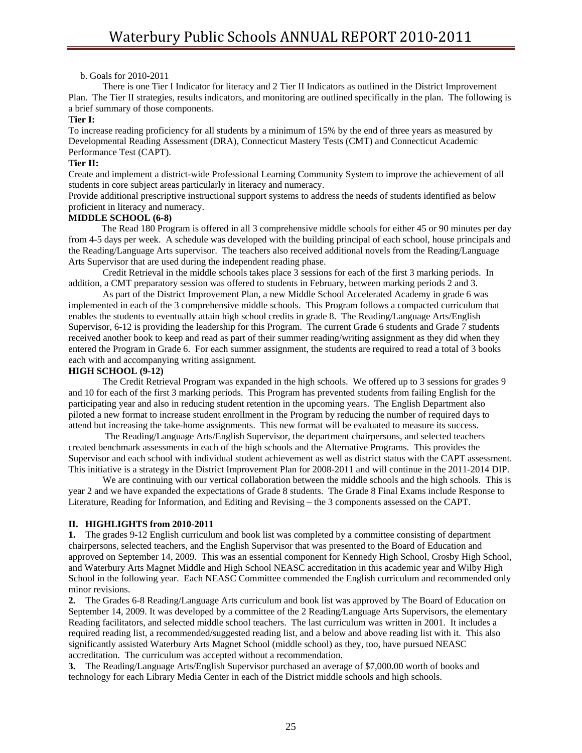### b. Goals for 2010-2011

 There is one Tier I Indicator for literacy and 2 Tier II Indicators as outlined in the District Improvement Plan. The Tier II strategies, results indicators, and monitoring are outlined specifically in the plan. The following is a brief summary of those components.

#### **Tier I:**

To increase reading proficiency for all students by a minimum of 15% by the end of three years as measured by Developmental Reading Assessment (DRA), Connecticut Mastery Tests (CMT) and Connecticut Academic Performance Test (CAPT).

### **Tier II:**

Create and implement a district-wide Professional Learning Community System to improve the achievement of all students in core subject areas particularly in literacy and numeracy.

Provide additional prescriptive instructional support systems to address the needs of students identified as below proficient in literacy and numeracy.

#### **MIDDLE SCHOOL (6-8)**

 The Read 180 Program is offered in all 3 comprehensive middle schools for either 45 or 90 minutes per day from 4-5 days per week. A schedule was developed with the building principal of each school, house principals and the Reading/Language Arts supervisor. The teachers also received additional novels from the Reading/Language Arts Supervisor that are used during the independent reading phase.

 Credit Retrieval in the middle schools takes place 3 sessions for each of the first 3 marking periods. In addition, a CMT preparatory session was offered to students in February, between marking periods 2 and 3.

 As part of the District Improvement Plan, a new Middle School Accelerated Academy in grade 6 was implemented in each of the 3 comprehensive middle schools. This Program follows a compacted curriculum that enables the students to eventually attain high school credits in grade 8. The Reading/Language Arts/English Supervisor, 6-12 is providing the leadership for this Program. The current Grade 6 students and Grade 7 students received another book to keep and read as part of their summer reading/writing assignment as they did when they entered the Program in Grade 6. For each summer assignment, the students are required to read a total of 3 books each with and accompanying writing assignment.

### **HIGH SCHOOL (9-12)**

The Credit Retrieval Program was expanded in the high schools. We offered up to 3 sessions for grades 9 and 10 for each of the first 3 marking periods. This Program has prevented students from failing English for the participating year and also in reducing student retention in the upcoming years. The English Department also piloted a new format to increase student enrollment in the Program by reducing the number of required days to attend but increasing the take-home assignments. This new format will be evaluated to measure its success.

 The Reading/Language Arts/English Supervisor, the department chairpersons, and selected teachers created benchmark assessments in each of the high schools and the Alternative Programs. This provides the Supervisor and each school with individual student achievement as well as district status with the CAPT assessment. This initiative is a strategy in the District Improvement Plan for 2008-2011 and will continue in the 2011-2014 DIP.

 We are continuing with our vertical collaboration between the middle schools and the high schools. This is year 2 and we have expanded the expectations of Grade 8 students. The Grade 8 Final Exams include Response to Literature, Reading for Information, and Editing and Revising – the 3 components assessed on the CAPT.

### **II. HIGHLIGHTS from 2010-2011**

**1.** The grades 9-12 English curriculum and book list was completed by a committee consisting of department chairpersons, selected teachers, and the English Supervisor that was presented to the Board of Education and approved on September 14, 2009. This was an essential component for Kennedy High School, Crosby High School, and Waterbury Arts Magnet Middle and High School NEASC accreditation in this academic year and Wilby High School in the following year. Each NEASC Committee commended the English curriculum and recommended only minor revisions.

**2.** The Grades 6-8 Reading/Language Arts curriculum and book list was approved by The Board of Education on September 14, 2009. It was developed by a committee of the 2 Reading/Language Arts Supervisors, the elementary Reading facilitators, and selected middle school teachers. The last curriculum was written in 2001. It includes a required reading list, a recommended/suggested reading list, and a below and above reading list with it. This also significantly assisted Waterbury Arts Magnet School (middle school) as they, too, have pursued NEASC accreditation. The curriculum was accepted without a recommendation.

**3.** The Reading/Language Arts/English Supervisor purchased an average of \$7,000.00 worth of books and technology for each Library Media Center in each of the District middle schools and high schools.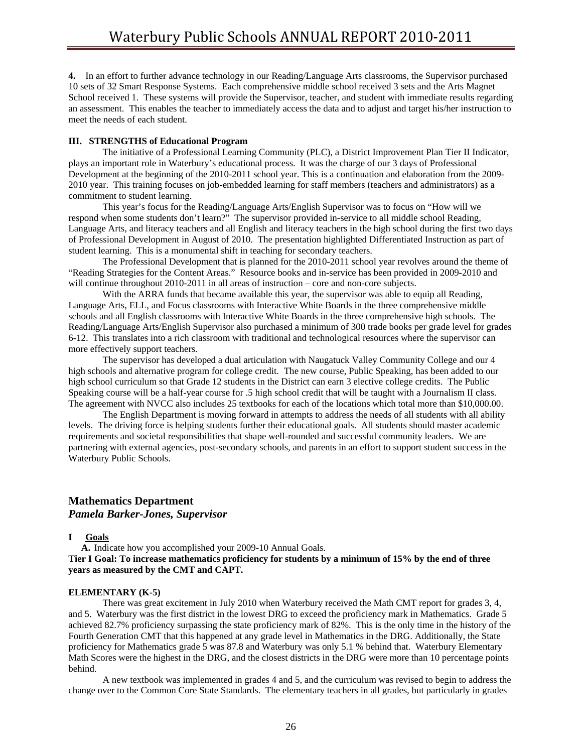**4.** In an effort to further advance technology in our Reading/Language Arts classrooms, the Supervisor purchased 10 sets of 32 Smart Response Systems. Each comprehensive middle school received 3 sets and the Arts Magnet School received 1. These systems will provide the Supervisor, teacher, and student with immediate results regarding an assessment. This enables the teacher to immediately access the data and to adjust and target his/her instruction to meet the needs of each student.

### **III. STRENGTHS of Educational Program**

 The initiative of a Professional Learning Community (PLC), a District Improvement Plan Tier II Indicator, plays an important role in Waterbury's educational process. It was the charge of our 3 days of Professional Development at the beginning of the 2010-2011 school year. This is a continuation and elaboration from the 2009- 2010 year. This training focuses on job-embedded learning for staff members (teachers and administrators) as a commitment to student learning.

 This year's focus for the Reading/Language Arts/English Supervisor was to focus on "How will we respond when some students don't learn?" The supervisor provided in-service to all middle school Reading, Language Arts, and literacy teachers and all English and literacy teachers in the high school during the first two days of Professional Development in August of 2010. The presentation highlighted Differentiated Instruction as part of student learning. This is a monumental shift in teaching for secondary teachers.

 The Professional Development that is planned for the 2010-2011 school year revolves around the theme of "Reading Strategies for the Content Areas." Resource books and in-service has been provided in 2009-2010 and will continue throughout 2010-2011 in all areas of instruction – core and non-core subjects.

With the ARRA funds that became available this year, the supervisor was able to equip all Reading, Language Arts, ELL, and Focus classrooms with Interactive White Boards in the three comprehensive middle schools and all English classrooms with Interactive White Boards in the three comprehensive high schools. The Reading/Language Arts/English Supervisor also purchased a minimum of 300 trade books per grade level for grades 6-12. This translates into a rich classroom with traditional and technological resources where the supervisor can more effectively support teachers.

 The supervisor has developed a dual articulation with Naugatuck Valley Community College and our 4 high schools and alternative program for college credit. The new course, Public Speaking, has been added to our high school curriculum so that Grade 12 students in the District can earn 3 elective college credits. The Public Speaking course will be a half-year course for .5 high school credit that will be taught with a Journalism II class. The agreement with NVCC also includes 25 textbooks for each of the locations which total more than \$10,000.00.

 The English Department is moving forward in attempts to address the needs of all students with all ability levels. The driving force is helping students further their educational goals. All students should master academic requirements and societal responsibilities that shape well-rounded and successful community leaders. We are partnering with external agencies, post-secondary schools, and parents in an effort to support student success in the Waterbury Public Schools.

# **Mathematics Department**  *Pamela Barker-Jones, Supervisor*

### **I Goals**

**A.** Indicate how you accomplished your 2009-10 Annual Goals. **Tier I Goal: To increase mathematics proficiency for students by a minimum of 15% by the end of three years as measured by the CMT and CAPT.** 

#### **ELEMENTARY (K-5)**

There was great excitement in July 2010 when Waterbury received the Math CMT report for grades 3, 4, and 5. Waterbury was the first district in the lowest DRG to exceed the proficiency mark in Mathematics. Grade 5 achieved 82.7% proficiency surpassing the state proficiency mark of 82%. This is the only time in the history of the Fourth Generation CMT that this happened at any grade level in Mathematics in the DRG. Additionally, the State proficiency for Mathematics grade 5 was 87.8 and Waterbury was only 5.1 % behind that. Waterbury Elementary Math Scores were the highest in the DRG, and the closest districts in the DRG were more than 10 percentage points behind.

A new textbook was implemented in grades 4 and 5, and the curriculum was revised to begin to address the change over to the Common Core State Standards. The elementary teachers in all grades, but particularly in grades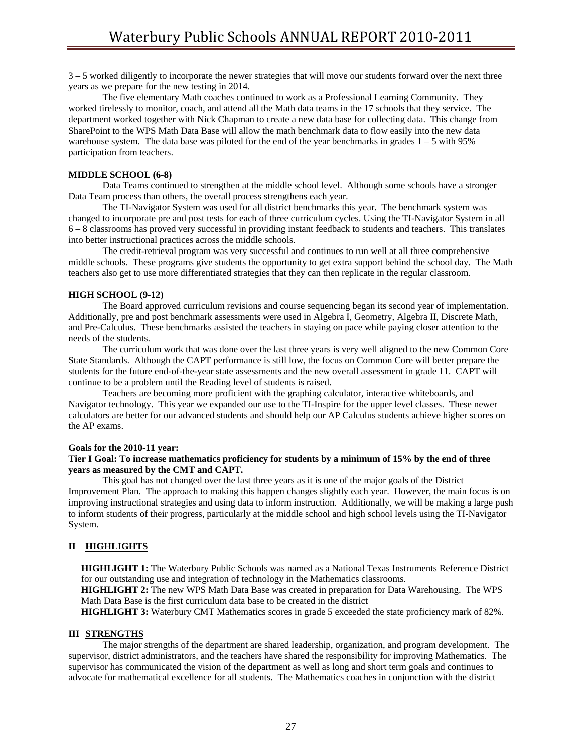3 – 5 worked diligently to incorporate the newer strategies that will move our students forward over the next three years as we prepare for the new testing in 2014.

The five elementary Math coaches continued to work as a Professional Learning Community. They worked tirelessly to monitor, coach, and attend all the Math data teams in the 17 schools that they service. The department worked together with Nick Chapman to create a new data base for collecting data. This change from SharePoint to the WPS Math Data Base will allow the math benchmark data to flow easily into the new data warehouse system. The data base was piloted for the end of the year benchmarks in grades  $1 - 5$  with 95% participation from teachers.

#### **MIDDLE SCHOOL (6-8)**

 Data Teams continued to strengthen at the middle school level. Although some schools have a stronger Data Team process than others, the overall process strengthens each year.

 The TI-Navigator System was used for all district benchmarks this year. The benchmark system was changed to incorporate pre and post tests for each of three curriculum cycles. Using the TI-Navigator System in all 6 – 8 classrooms has proved very successful in providing instant feedback to students and teachers. This translates into better instructional practices across the middle schools.

 The credit-retrieval program was very successful and continues to run well at all three comprehensive middle schools. These programs give students the opportunity to get extra support behind the school day. The Math teachers also get to use more differentiated strategies that they can then replicate in the regular classroom.

#### **HIGH SCHOOL (9-12)**

 The Board approved curriculum revisions and course sequencing began its second year of implementation. Additionally, pre and post benchmark assessments were used in Algebra I, Geometry, Algebra II, Discrete Math, and Pre-Calculus. These benchmarks assisted the teachers in staying on pace while paying closer attention to the needs of the students.

 The curriculum work that was done over the last three years is very well aligned to the new Common Core State Standards. Although the CAPT performance is still low, the focus on Common Core will better prepare the students for the future end-of-the-year state assessments and the new overall assessment in grade 11. CAPT will continue to be a problem until the Reading level of students is raised.

Teachers are becoming more proficient with the graphing calculator, interactive whiteboards, and Navigator technology. This year we expanded our use to the TI-Inspire for the upper level classes. These newer calculators are better for our advanced students and should help our AP Calculus students achieve higher scores on the AP exams.

#### **Goals for the 2010-11 year:**

### **Tier I Goal: To increase mathematics proficiency for students by a minimum of 15% by the end of three years as measured by the CMT and CAPT.**

 This goal has not changed over the last three years as it is one of the major goals of the District Improvement Plan. The approach to making this happen changes slightly each year. However, the main focus is on improving instructional strategies and using data to inform instruction. Additionally, we will be making a large push to inform students of their progress, particularly at the middle school and high school levels using the TI-Navigator System.

### **II HIGHLIGHTS**

**HIGHLIGHT 1:** The Waterbury Public Schools was named as a National Texas Instruments Reference District for our outstanding use and integration of technology in the Mathematics classrooms.

 **HIGHLIGHT 2:** The new WPS Math Data Base was created in preparation for Data Warehousing. The WPS Math Data Base is the first curriculum data base to be created in the district

**HIGHLIGHT 3:** Waterbury CMT Mathematics scores in grade 5 exceeded the state proficiency mark of 82%.

#### **III STRENGTHS**

 The major strengths of the department are shared leadership, organization, and program development. The supervisor, district administrators, and the teachers have shared the responsibility for improving Mathematics. The supervisor has communicated the vision of the department as well as long and short term goals and continues to advocate for mathematical excellence for all students. The Mathematics coaches in conjunction with the district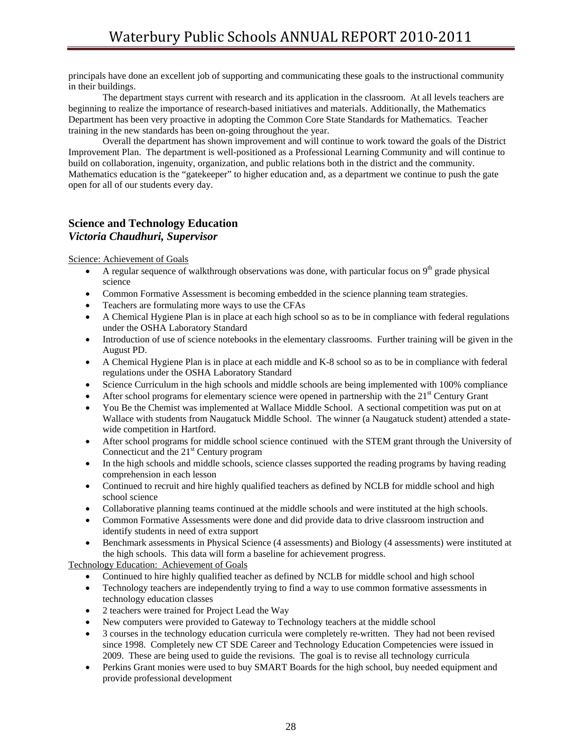principals have done an excellent job of supporting and communicating these goals to the instructional community in their buildings.

 The department stays current with research and its application in the classroom. At all levels teachers are beginning to realize the importance of research-based initiatives and materials. Additionally, the Mathematics Department has been very proactive in adopting the Common Core State Standards for Mathematics. Teacher training in the new standards has been on-going throughout the year.

 Overall the department has shown improvement and will continue to work toward the goals of the District Improvement Plan. The department is well-positioned as a Professional Learning Community and will continue to build on collaboration, ingenuity, organization, and public relations both in the district and the community. Mathematics education is the "gatekeeper" to higher education and, as a department we continue to push the gate open for all of our students every day.

# **Science and Technology Education**  *Victoria Chaudhuri, Supervisor*

Science: Achievement of Goals

- A regular sequence of walkthrough observations was done, with particular focus on  $9<sup>th</sup>$  grade physical science
- Common Formative Assessment is becoming embedded in the science planning team strategies.
- Teachers are formulating more ways to use the CFAs
- A Chemical Hygiene Plan is in place at each high school so as to be in compliance with federal regulations under the OSHA Laboratory Standard
- Introduction of use of science notebooks in the elementary classrooms. Further training will be given in the August PD.
- A Chemical Hygiene Plan is in place at each middle and K-8 school so as to be in compliance with federal regulations under the OSHA Laboratory Standard
- Science Curriculum in the high schools and middle schools are being implemented with 100% compliance
- After school programs for elementary science were opened in partnership with the  $21<sup>st</sup>$  Century Grant
- You Be the Chemist was implemented at Wallace Middle School. A sectional competition was put on at Wallace with students from Naugatuck Middle School. The winner (a Naugatuck student) attended a statewide competition in Hartford.
- After school programs for middle school science continued with the STEM grant through the University of Connecticut and the  $21<sup>st</sup>$  Century program
- In the high schools and middle schools, science classes supported the reading programs by having reading comprehension in each lesson
- Continued to recruit and hire highly qualified teachers as defined by NCLB for middle school and high school science
- Collaborative planning teams continued at the middle schools and were instituted at the high schools.
- Common Formative Assessments were done and did provide data to drive classroom instruction and identify students in need of extra support
- Benchmark assessments in Physical Science (4 assessments) and Biology (4 assessments) were instituted at the high schools. This data will form a baseline for achievement progress.

Technology Education: Achievement of Goals

- Continued to hire highly qualified teacher as defined by NCLB for middle school and high school
- Technology teachers are independently trying to find a way to use common formative assessments in technology education classes
- 2 teachers were trained for Project Lead the Way
- New computers were provided to Gateway to Technology teachers at the middle school
- 3 courses in the technology education curricula were completely re-written. They had not been revised since 1998. Completely new CT SDE Career and Technology Education Competencies were issued in 2009. These are being used to guide the revisions. The goal is to revise all technology curricula
- Perkins Grant monies were used to buy SMART Boards for the high school, buy needed equipment and provide professional development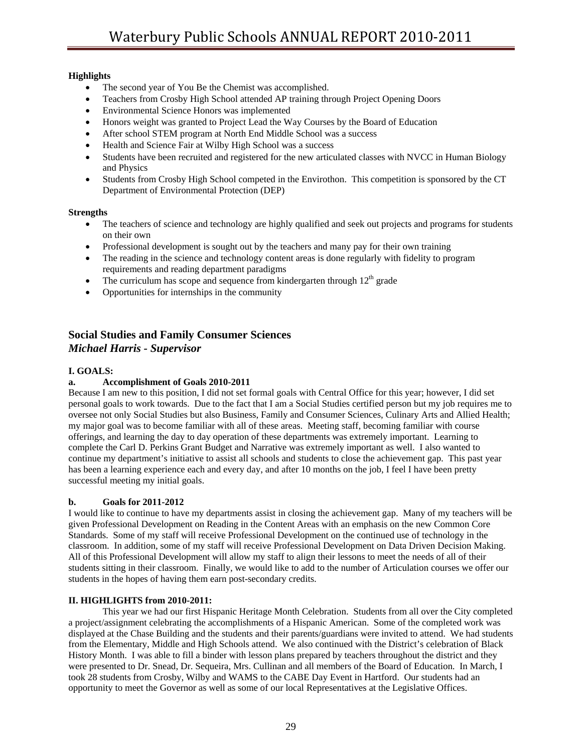# **Highlights**

- The second year of You Be the Chemist was accomplished.
- Teachers from Crosby High School attended AP training through Project Opening Doors
- Environmental Science Honors was implemented
- Honors weight was granted to Project Lead the Way Courses by the Board of Education
- After school STEM program at North End Middle School was a success
- Health and Science Fair at Wilby High School was a success
- Students have been recruited and registered for the new articulated classes with NVCC in Human Biology and Physics
- Students from Crosby High School competed in the Envirothon. This competition is sponsored by the CT Department of Environmental Protection (DEP)

# **Strengths**

- The teachers of science and technology are highly qualified and seek out projects and programs for students on their own
- Professional development is sought out by the teachers and many pay for their own training
- The reading in the science and technology content areas is done regularly with fidelity to program requirements and reading department paradigms
- The curriculum has scope and sequence from kindergarten through  $12<sup>th</sup>$  grade
- Opportunities for internships in the community

# **Social Studies and Family Consumer Sciences**  *Michael Harris - Supervisor*

# **I. GOALS:**

# **a. Accomplishment of Goals 2010-2011**

Because I am new to this position, I did not set formal goals with Central Office for this year; however, I did set personal goals to work towards. Due to the fact that I am a Social Studies certified person but my job requires me to oversee not only Social Studies but also Business, Family and Consumer Sciences, Culinary Arts and Allied Health; my major goal was to become familiar with all of these areas. Meeting staff, becoming familiar with course offerings, and learning the day to day operation of these departments was extremely important. Learning to complete the Carl D. Perkins Grant Budget and Narrative was extremely important as well. I also wanted to continue my department's initiative to assist all schools and students to close the achievement gap. This past year has been a learning experience each and every day, and after 10 months on the job, I feel I have been pretty successful meeting my initial goals.

# **b. Goals for 2011-2012**

I would like to continue to have my departments assist in closing the achievement gap. Many of my teachers will be given Professional Development on Reading in the Content Areas with an emphasis on the new Common Core Standards. Some of my staff will receive Professional Development on the continued use of technology in the classroom. In addition, some of my staff will receive Professional Development on Data Driven Decision Making. All of this Professional Development will allow my staff to align their lessons to meet the needs of all of their students sitting in their classroom. Finally, we would like to add to the number of Articulation courses we offer our students in the hopes of having them earn post-secondary credits.

# **II. HIGHLIGHTS from 2010-2011:**

 This year we had our first Hispanic Heritage Month Celebration. Students from all over the City completed a project/assignment celebrating the accomplishments of a Hispanic American. Some of the completed work was displayed at the Chase Building and the students and their parents/guardians were invited to attend. We had students from the Elementary, Middle and High Schools attend. We also continued with the District's celebration of Black History Month. I was able to fill a binder with lesson plans prepared by teachers throughout the district and they were presented to Dr. Snead, Dr. Sequeira, Mrs. Cullinan and all members of the Board of Education. In March, I took 28 students from Crosby, Wilby and WAMS to the CABE Day Event in Hartford. Our students had an opportunity to meet the Governor as well as some of our local Representatives at the Legislative Offices.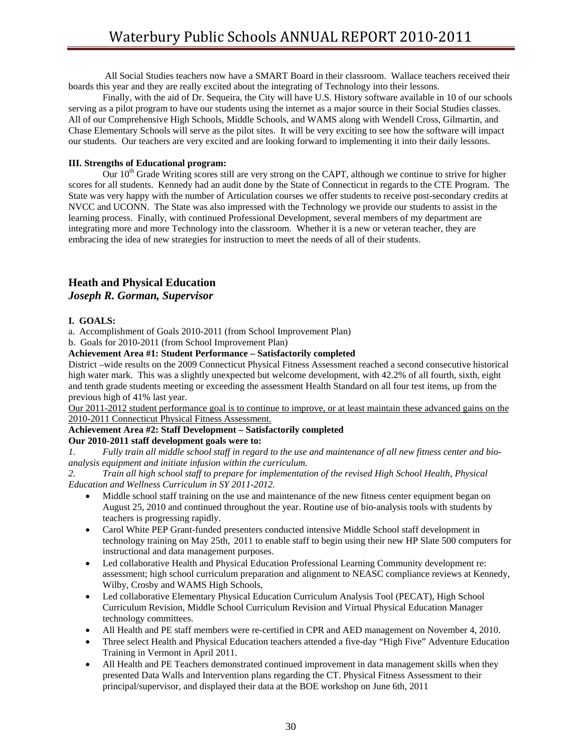All Social Studies teachers now have a SMART Board in their classroom. Wallace teachers received their boards this year and they are really excited about the integrating of Technology into their lessons.

 Finally, with the aid of Dr. Sequeira, the City will have U.S. History software available in 10 of our schools serving as a pilot program to have our students using the internet as a major source in their Social Studies classes. All of our Comprehensive High Schools, Middle Schools, and WAMS along with Wendell Cross, Gilmartin, and Chase Elementary Schools will serve as the pilot sites. It will be very exciting to see how the software will impact our students. Our teachers are very excited and are looking forward to implementing it into their daily lessons.

### **III. Strengths of Educational program:**

Our  $10<sup>th</sup>$  Grade Writing scores still are very strong on the CAPT, although we continue to strive for higher scores for all students. Kennedy had an audit done by the State of Connecticut in regards to the CTE Program. The State was very happy with the number of Articulation courses we offer students to receive post-secondary credits at NVCC and UCONN. The State was also impressed with the Technology we provide our students to assist in the learning process. Finally, with continued Professional Development, several members of my department are integrating more and more Technology into the classroom. Whether it is a new or veteran teacher, they are embracing the idea of new strategies for instruction to meet the needs of all of their students.

# **Heath and Physical Education**  *Joseph R. Gorman, Supervisor*

### **I. GOALS:**

a. Accomplishment of Goals 2010-2011 (from School Improvement Plan)

b. Goals for 2010-2011 (from School Improvement Plan)

#### **Achievement Area #1: Student Performance – Satisfactorily completed**

District –wide results on the 2009 Connecticut Physical Fitness Assessment reached a second consecutive historical high water mark. This was a slightly unexpected but welcome development, with 42.2% of all fourth, sixth, eight and tenth grade students meeting or exceeding the assessment Health Standard on all four test items, up from the previous high of 41% last year.

Our 2011-2012 student performance goal is to continue to improve, or at least maintain these advanced gains on the 2010-2011 Connecticut Physical Fitness Assessment.

# **Achievement Area #2: Staff Development – Satisfactorily completed**

**Our 2010-2011 staff development goals were to:** 

*1. Fully train all middle school staff in regard to the use and maintenance of all new fitness center and bioanalysis equipment and initiate infusion within the curriculum.* 

*2. Train all high school staff to prepare for implementation of the revised High School Health, Physical Education and Wellness Curriculum in SY 2011-2012.* 

- Middle school staff training on the use and maintenance of the new fitness center equipment began on August 25, 2010 and continued throughout the year. Routine use of bio-analysis tools with students by teachers is progressing rapidly.
- Carol White PEP Grant-funded presenters conducted intensive Middle School staff development in technology training on May 25th, 2011 to enable staff to begin using their new HP Slate 500 computers for instructional and data management purposes.
- Led collaborative Health and Physical Education Professional Learning Community development re: assessment; high school curriculum preparation and alignment to NEASC compliance reviews at Kennedy, Wilby, Crosby and WAMS High Schools,
- Led collaborative Elementary Physical Education Curriculum Analysis Tool (PECAT), High School Curriculum Revision, Middle School Curriculum Revision and Virtual Physical Education Manager technology committees.
- All Health and PE staff members were re-certified in CPR and AED management on November 4, 2010.
- Three select Health and Physical Education teachers attended a five-day "High Five" Adventure Education Training in Vermont in April 2011.
- All Health and PE Teachers demonstrated continued improvement in data management skills when they presented Data Walls and Intervention plans regarding the CT. Physical Fitness Assessment to their principal/supervisor, and displayed their data at the BOE workshop on June 6th, 2011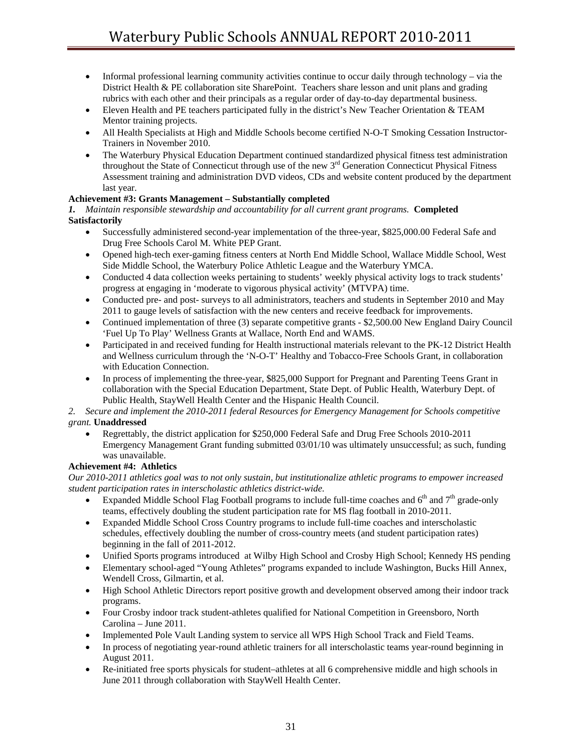- Informal professional learning community activities continue to occur daily through technology via the District Health & PE collaboration site SharePoint. Teachers share lesson and unit plans and grading rubrics with each other and their principals as a regular order of day-to-day departmental business.
- Eleven Health and PE teachers participated fully in the district's New Teacher Orientation & TEAM Mentor training projects.
- All Health Specialists at High and Middle Schools become certified N-O-T Smoking Cessation Instructor-Trainers in November 2010.
- The Waterbury Physical Education Department continued standardized physical fitness test administration throughout the State of Connecticut through use of the new  $3<sup>rd</sup>$  Generation Connecticut Physical Fitness Assessment training and administration DVD videos, CDs and website content produced by the department last year.

# **Achievement #3: Grants Management – Substantially completed**

*1. Maintain responsible stewardship and accountability for all current grant programs.* **Completed Satisfactorily**

- Successfully administered second-year implementation of the three-year, \$825,000.00 Federal Safe and Drug Free Schools Carol M. White PEP Grant.
- Opened high-tech exer-gaming fitness centers at North End Middle School, Wallace Middle School, West Side Middle School, the Waterbury Police Athletic League and the Waterbury YMCA.
- Conducted 4 data collection weeks pertaining to students' weekly physical activity logs to track students' progress at engaging in 'moderate to vigorous physical activity' (MTVPA) time.
- Conducted pre- and post- surveys to all administrators, teachers and students in September 2010 and May 2011 to gauge levels of satisfaction with the new centers and receive feedback for improvements.
- Continued implementation of three (3) separate competitive grants \$2,500.00 New England Dairy Council 'Fuel Up To Play' Wellness Grants at Wallace, North End and WAMS.
- Participated in and received funding for Health instructional materials relevant to the PK-12 District Health and Wellness curriculum through the 'N-O-T' Healthy and Tobacco-Free Schools Grant, in collaboration with Education Connection.
- In process of implementing the three-year, \$825,000 Support for Pregnant and Parenting Teens Grant in collaboration with the Special Education Department, State Dept. of Public Health, Waterbury Dept. of Public Health, StayWell Health Center and the Hispanic Health Council.

### *2. Secure and implement the 2010-2011 federal Resources for Emergency Management for Schools competitive grant.* **Unaddressed**

• Regrettably, the district application for \$250,000 Federal Safe and Drug Free Schools 2010-2011 Emergency Management Grant funding submitted 03/01/10 was ultimately unsuccessful; as such, funding was unavailable.

# **Achievement #4: Athletics**

*Our 2010-2011 athletics goal was to not only sustain, but institutionalize athletic programs to empower increased student participation rates in interscholastic athletics district-wide.* 

- Expanded Middle School Flag Football programs to include full-time coaches and  $6<sup>th</sup>$  and  $7<sup>th</sup>$  grade-only teams, effectively doubling the student participation rate for MS flag football in 2010-2011.
- Expanded Middle School Cross Country programs to include full-time coaches and interscholastic schedules, effectively doubling the number of cross-country meets (and student participation rates) beginning in the fall of 2011-2012.
- Unified Sports programs introduced at Wilby High School and Crosby High School; Kennedy HS pending
- Elementary school-aged "Young Athletes" programs expanded to include Washington, Bucks Hill Annex, Wendell Cross, Gilmartin, et al.
- High School Athletic Directors report positive growth and development observed among their indoor track programs.
- Four Crosby indoor track student-athletes qualified for National Competition in Greensboro, North Carolina – June 2011.
- Implemented Pole Vault Landing system to service all WPS High School Track and Field Teams.
- In process of negotiating year-round athletic trainers for all interscholastic teams year-round beginning in August 2011.
- Re-initiated free sports physicals for student–athletes at all 6 comprehensive middle and high schools in June 2011 through collaboration with StayWell Health Center.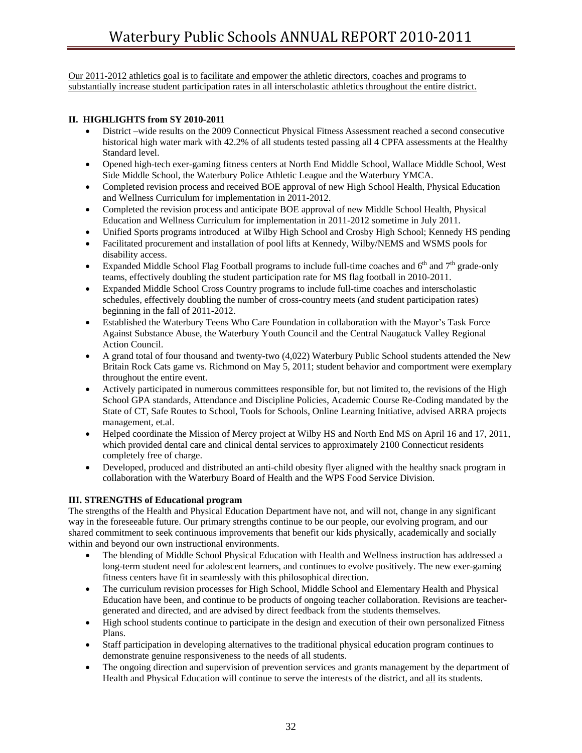Our 2011-2012 athletics goal is to facilitate and empower the athletic directors, coaches and programs to substantially increase student participation rates in all interscholastic athletics throughout the entire district.

# **II. HIGHLIGHTS from SY 2010-2011**

- District –wide results on the 2009 Connecticut Physical Fitness Assessment reached a second consecutive historical high water mark with 42.2% of all students tested passing all 4 CPFA assessments at the Healthy Standard level.
- Opened high-tech exer-gaming fitness centers at North End Middle School, Wallace Middle School, West Side Middle School, the Waterbury Police Athletic League and the Waterbury YMCA.
- Completed revision process and received BOE approval of new High School Health, Physical Education and Wellness Curriculum for implementation in 2011-2012.
- Completed the revision process and anticipate BOE approval of new Middle School Health, Physical Education and Wellness Curriculum for implementation in 2011-2012 sometime in July 2011.
- Unified Sports programs introduced at Wilby High School and Crosby High School; Kennedy HS pending
- Facilitated procurement and installation of pool lifts at Kennedy, Wilby/NEMS and WSMS pools for disability access.
- Expanded Middle School Flag Football programs to include full-time coaches and  $6<sup>th</sup>$  and  $7<sup>th</sup>$  grade-only teams, effectively doubling the student participation rate for MS flag football in 2010-2011.
- Expanded Middle School Cross Country programs to include full-time coaches and interscholastic schedules, effectively doubling the number of cross-country meets (and student participation rates) beginning in the fall of 2011-2012.
- Established the Waterbury Teens Who Care Foundation in collaboration with the Mayor's Task Force Against Substance Abuse, the Waterbury Youth Council and the Central Naugatuck Valley Regional Action Council.
- A grand total of four thousand and twenty-two (4,022) Waterbury Public School students attended the New Britain Rock Cats game vs. Richmond on May 5, 2011; student behavior and comportment were exemplary throughout the entire event.
- Actively participated in numerous committees responsible for, but not limited to, the revisions of the High School GPA standards, Attendance and Discipline Policies, Academic Course Re-Coding mandated by the State of CT, Safe Routes to School, Tools for Schools, Online Learning Initiative, advised ARRA projects management, et.al.
- Helped coordinate the Mission of Mercy project at Wilby HS and North End MS on April 16 and 17, 2011, which provided dental care and clinical dental services to approximately 2100 Connecticut residents completely free of charge.
- Developed, produced and distributed an anti-child obesity flyer aligned with the healthy snack program in collaboration with the Waterbury Board of Health and the WPS Food Service Division.

# **III. STRENGTHS of Educational program**

The strengths of the Health and Physical Education Department have not, and will not, change in any significant way in the foreseeable future. Our primary strengths continue to be our people, our evolving program, and our shared commitment to seek continuous improvements that benefit our kids physically, academically and socially within and beyond our own instructional environments.

- The blending of Middle School Physical Education with Health and Wellness instruction has addressed a long-term student need for adolescent learners, and continues to evolve positively. The new exer-gaming fitness centers have fit in seamlessly with this philosophical direction.
- The curriculum revision processes for High School, Middle School and Elementary Health and Physical Education have been, and continue to be products of ongoing teacher collaboration. Revisions are teachergenerated and directed, and are advised by direct feedback from the students themselves.
- High school students continue to participate in the design and execution of their own personalized Fitness Plans.
- Staff participation in developing alternatives to the traditional physical education program continues to demonstrate genuine responsiveness to the needs of all students.
- The ongoing direction and supervision of prevention services and grants management by the department of Health and Physical Education will continue to serve the interests of the district, and all its students.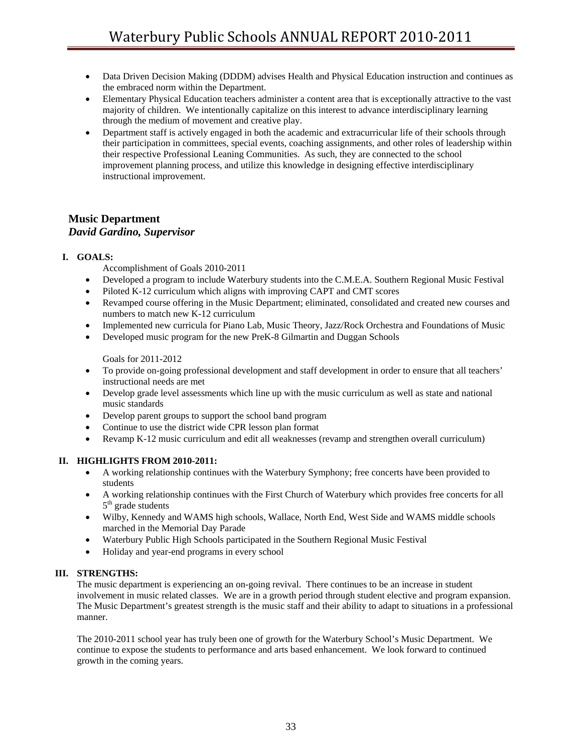- Data Driven Decision Making (DDDM) advises Health and Physical Education instruction and continues as the embraced norm within the Department.
- Elementary Physical Education teachers administer a content area that is exceptionally attractive to the vast majority of children. We intentionally capitalize on this interest to advance interdisciplinary learning through the medium of movement and creative play.
- Department staff is actively engaged in both the academic and extracurricular life of their schools through their participation in committees, special events, coaching assignments, and other roles of leadership within their respective Professional Leaning Communities. As such, they are connected to the school improvement planning process, and utilize this knowledge in designing effective interdisciplinary instructional improvement.

# **Music Department**  *David Gardino, Supervisor*

# **I. GOALS:**

Accomplishment of Goals 2010-2011

- Developed a program to include Waterbury students into the C.M.E.A. Southern Regional Music Festival
- Piloted K-12 curriculum which aligns with improving CAPT and CMT scores
- Revamped course offering in the Music Department; eliminated, consolidated and created new courses and numbers to match new K-12 curriculum
- Implemented new curricula for Piano Lab, Music Theory, Jazz/Rock Orchestra and Foundations of Music
- Developed music program for the new PreK-8 Gilmartin and Duggan Schools

Goals for 2011-2012

- To provide on-going professional development and staff development in order to ensure that all teachers' instructional needs are met
- Develop grade level assessments which line up with the music curriculum as well as state and national music standards
- Develop parent groups to support the school band program
- Continue to use the district wide CPR lesson plan format
- Revamp K-12 music curriculum and edit all weaknesses (revamp and strengthen overall curriculum)

# **II. HIGHLIGHTS FROM 2010-2011:**

- A working relationship continues with the Waterbury Symphony; free concerts have been provided to students
- A working relationship continues with the First Church of Waterbury which provides free concerts for all  $5<sup>th</sup>$  grade students
- Wilby, Kennedy and WAMS high schools, Wallace, North End, West Side and WAMS middle schools marched in the Memorial Day Parade
- Waterbury Public High Schools participated in the Southern Regional Music Festival
- Holiday and year-end programs in every school

# **III. STRENGTHS:**

The music department is experiencing an on-going revival. There continues to be an increase in student involvement in music related classes. We are in a growth period through student elective and program expansion. The Music Department's greatest strength is the music staff and their ability to adapt to situations in a professional manner.

The 2010-2011 school year has truly been one of growth for the Waterbury School's Music Department. We continue to expose the students to performance and arts based enhancement. We look forward to continued growth in the coming years.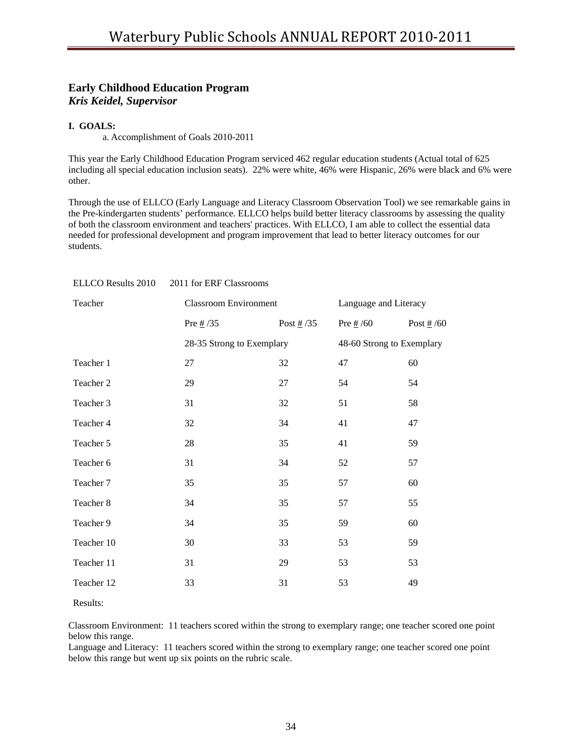# **Early Childhood Education Program**  *Kris Keidel, Supervisor*

### **I. GOALS:**

a. Accomplishment of Goals 2010-2011

This year the Early Childhood Education Program serviced 462 regular education students (Actual total of 625 including all special education inclusion seats). 22% were white, 46% were Hispanic, 26% were black and 6% were other.

Through the use of ELLCO (Early Language and Literacy Classroom Observation Tool) we see remarkable gains in the Pre-kindergarten students' performance. ELLCO helps build better literacy classrooms by assessing the quality of both the classroom environment and teachers' practices. With ELLCO, I am able to collect the essential data needed for professional development and program improvement that lead to better literacy outcomes for our students.

| <b>ELLCO</b> Results 2010 | 2011 for ERF Classrooms               |                      |                           |                      |
|---------------------------|---------------------------------------|----------------------|---------------------------|----------------------|
| Teacher                   | <b>Classroom Environment</b>          |                      | Language and Literacy     |                      |
|                           | Pre $\frac{\textit{#}}{\textit{135}}$ | Post $\frac{\#}{35}$ | Pre $\frac{\#}{60}$       | Post $\frac{\#}{60}$ |
|                           | 28-35 Strong to Exemplary             |                      | 48-60 Strong to Exemplary |                      |
| Teacher 1                 | 27                                    | 32                   | 47                        | 60                   |
| Teacher 2                 | 29                                    | 27                   | 54                        | 54                   |
| Teacher 3                 | 31                                    | 32                   | 51                        | 58                   |
| Teacher 4                 | 32                                    | 34                   | 41                        | 47                   |
| Teacher 5                 | 28                                    | 35                   | 41                        | 59                   |
| Teacher 6                 | 31                                    | 34                   | 52                        | 57                   |
| Teacher 7                 | 35                                    | 35                   | 57                        | 60                   |
| Teacher 8                 | 34                                    | 35                   | 57                        | 55                   |
| Teacher 9                 | 34                                    | 35                   | 59                        | 60                   |
| Teacher 10                | 30                                    | 33                   | 53                        | 59                   |
| Teacher 11                | 31                                    | 29                   | 53                        | 53                   |
| Teacher 12                | 33                                    | 31                   | 53                        | 49                   |

Results:

Classroom Environment: 11 teachers scored within the strong to exemplary range; one teacher scored one point below this range.

Language and Literacy: 11 teachers scored within the strong to exemplary range; one teacher scored one point below this range but went up six points on the rubric scale.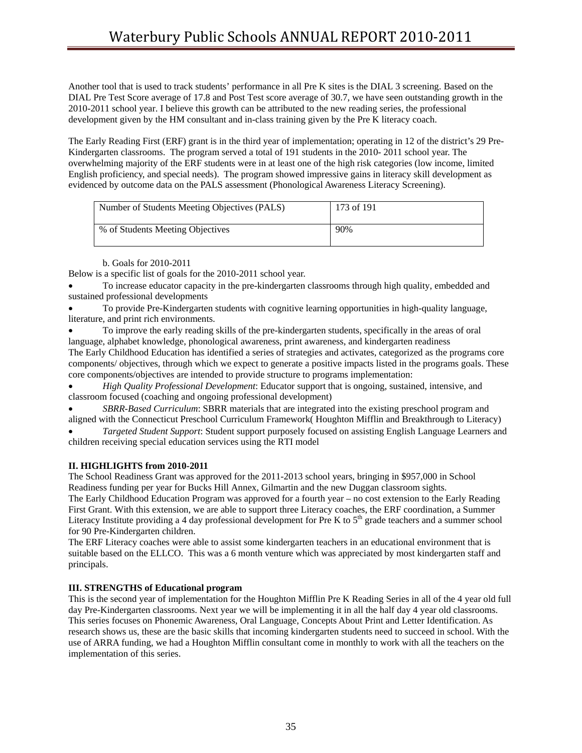Another tool that is used to track students' performance in all Pre K sites is the DIAL 3 screening. Based on the DIAL Pre Test Score average of 17.8 and Post Test score average of 30.7, we have seen outstanding growth in the 2010-2011 school year. I believe this growth can be attributed to the new reading series, the professional development given by the HM consultant and in-class training given by the Pre K literacy coach.

The Early Reading First (ERF) grant is in the third year of implementation; operating in 12 of the district's 29 Pre-Kindergarten classrooms. The program served a total of 191 students in the 2010- 2011 school year. The overwhelming majority of the ERF students were in at least one of the high risk categories (low income, limited English proficiency, and special needs). The program showed impressive gains in literacy skill development as evidenced by outcome data on the PALS assessment (Phonological Awareness Literacy Screening).

| Number of Students Meeting Objectives (PALS) | 173 of 191 |
|----------------------------------------------|------------|
| % of Students Meeting Objectives             | 90%        |

b. Goals for 2010-2011

Below is a specific list of goals for the 2010-2011 school year.

• To increase educator capacity in the pre-kindergarten classrooms through high quality, embedded and sustained professional developments

• To provide Pre-Kindergarten students with cognitive learning opportunities in high-quality language, literature, and print rich environments.

• To improve the early reading skills of the pre-kindergarten students, specifically in the areas of oral language, alphabet knowledge, phonological awareness, print awareness, and kindergarten readiness The Early Childhood Education has identified a series of strategies and activates, categorized as the programs core components/ objectives, through which we expect to generate a positive impacts listed in the programs goals. These core components/objectives are intended to provide structure to programs implementation:

• *High Quality Professional Development*: Educator support that is ongoing, sustained, intensive, and classroom focused (coaching and ongoing professional development)

• *SBRR-Based Curriculum*: SBRR materials that are integrated into the existing preschool program and aligned with the Connecticut Preschool Curriculum Framework( Houghton Mifflin and Breakthrough to Literacy)

• *Targeted Student Support*: Student support purposely focused on assisting English Language Learners and children receiving special education services using the RTI model

# **II. HIGHLIGHTS from 2010-2011**

The School Readiness Grant was approved for the 2011-2013 school years, bringing in \$957,000 in School Readiness funding per year for Bucks Hill Annex, Gilmartin and the new Duggan classroom sights.

The Early Childhood Education Program was approved for a fourth year – no cost extension to the Early Reading First Grant. With this extension, we are able to support three Literacy coaches, the ERF coordination, a Summer Literacy Institute providing a 4 day professional development for Pre K to  $5<sup>th</sup>$  grade teachers and a summer school for 90 Pre-Kindergarten children.

The ERF Literacy coaches were able to assist some kindergarten teachers in an educational environment that is suitable based on the ELLCO. This was a 6 month venture which was appreciated by most kindergarten staff and principals.

# **III. STRENGTHS of Educational program**

This is the second year of implementation for the Houghton Mifflin Pre K Reading Series in all of the 4 year old full day Pre-Kindergarten classrooms. Next year we will be implementing it in all the half day 4 year old classrooms. This series focuses on Phonemic Awareness, Oral Language, Concepts About Print and Letter Identification. As research shows us, these are the basic skills that incoming kindergarten students need to succeed in school. With the use of ARRA funding, we had a Houghton Mifflin consultant come in monthly to work with all the teachers on the implementation of this series.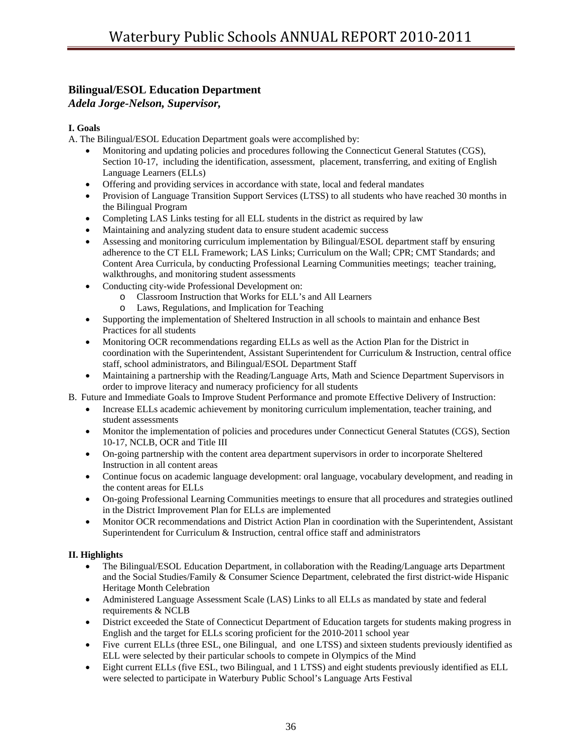# **Bilingual/ESOL Education Department**

*Adela Jorge-Nelson, Supervisor,* 

# **I. Goals**

A. The Bilingual/ESOL Education Department goals were accomplished by:

- Monitoring and updating policies and procedures following the Connecticut General Statutes (CGS), Section 10-17, including the identification, assessment, placement, transferring, and exiting of English Language Learners (ELLs)
- Offering and providing services in accordance with state, local and federal mandates
- Provision of Language Transition Support Services (LTSS) to all students who have reached 30 months in the Bilingual Program
- Completing LAS Links testing for all ELL students in the district as required by law
- Maintaining and analyzing student data to ensure student academic success
- Assessing and monitoring curriculum implementation by Bilingual/ESOL department staff by ensuring adherence to the CT ELL Framework; LAS Links; Curriculum on the Wall; CPR; CMT Standards; and Content Area Curricula, by conducting Professional Learning Communities meetings; teacher training, walkthroughs, and monitoring student assessments
- Conducting city-wide Professional Development on:
	- o Classroom Instruction that Works for ELL's and All Learners
	- o Laws, Regulations, and Implication for Teaching
- Supporting the implementation of Sheltered Instruction in all schools to maintain and enhance Best Practices for all students
- Monitoring OCR recommendations regarding ELLs as well as the Action Plan for the District in coordination with the Superintendent, Assistant Superintendent for Curriculum & Instruction, central office staff, school administrators, and Bilingual/ESOL Department Staff
- Maintaining a partnership with the Reading/Language Arts, Math and Science Department Supervisors in order to improve literacy and numeracy proficiency for all students
- B. Future and Immediate Goals to Improve Student Performance and promote Effective Delivery of Instruction:
	- Increase ELLs academic achievement by monitoring curriculum implementation, teacher training, and student assessments
	- Monitor the implementation of policies and procedures under Connecticut General Statutes (CGS), Section 10-17, NCLB, OCR and Title III
	- On-going partnership with the content area department supervisors in order to incorporate Sheltered Instruction in all content areas
	- Continue focus on academic language development: oral language, vocabulary development, and reading in the content areas for ELLs
	- On-going Professional Learning Communities meetings to ensure that all procedures and strategies outlined in the District Improvement Plan for ELLs are implemented
	- Monitor OCR recommendations and District Action Plan in coordination with the Superintendent, Assistant Superintendent for Curriculum & Instruction, central office staff and administrators

# **II. Highlights**

- The Bilingual/ESOL Education Department, in collaboration with the Reading/Language arts Department and the Social Studies/Family & Consumer Science Department, celebrated the first district-wide Hispanic Heritage Month Celebration
- Administered Language Assessment Scale (LAS) Links to all ELLs as mandated by state and federal requirements & NCLB
- District exceeded the State of Connecticut Department of Education targets for students making progress in English and the target for ELLs scoring proficient for the 2010-2011 school year
- Five current ELLs (three ESL, one Bilingual, and one LTSS) and sixteen students previously identified as ELL were selected by their particular schools to compete in Olympics of the Mind
- Eight current ELLs (five ESL, two Bilingual, and 1 LTSS) and eight students previously identified as ELL were selected to participate in Waterbury Public School's Language Arts Festival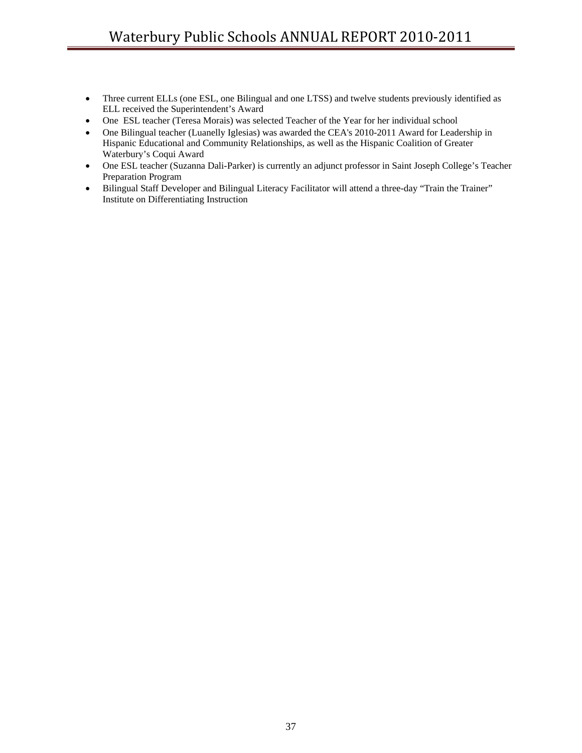- Three current ELLs (one ESL, one Bilingual and one LTSS) and twelve students previously identified as ELL received the Superintendent's Award
- One ESL teacher (Teresa Morais) was selected Teacher of the Year for her individual school
- One Bilingual teacher (Luanelly Iglesias) was awarded the CEA's 2010-2011 Award for Leadership in Hispanic Educational and Community Relationships, as well as the Hispanic Coalition of Greater Waterbury's Coqui Award
- One ESL teacher (Suzanna Dali-Parker) is currently an adjunct professor in Saint Joseph College's Teacher Preparation Program
- Bilingual Staff Developer and Bilingual Literacy Facilitator will attend a three-day "Train the Trainer" Institute on Differentiating Instruction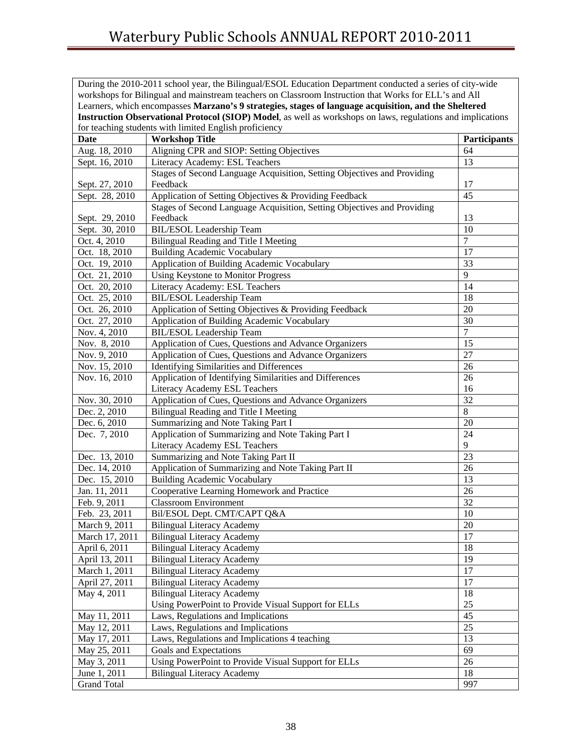During the 2010-2011 school year, the Bilingual/ESOL Education Department conducted a series of city-wide workshops for Bilingual and mainstream teachers on Classroom Instruction that Works for ELL's and All Learners, which encompasses **Marzano's 9 strategies, stages of language acquisition, and the Sheltered Instruction Observational Protocol (SIOP) Model**, as well as workshops on laws, regulations and implications for teaching students with limited English proficiency

| <b>Date</b>        | <b>Workshop Title</b>                                                   | <b>Participants</b> |
|--------------------|-------------------------------------------------------------------------|---------------------|
| Aug. 18, 2010      | Aligning CPR and SIOP: Setting Objectives                               | 64                  |
| Sept. 16, 2010     | Literacy Academy: ESL Teachers                                          | 13                  |
|                    | Stages of Second Language Acquisition, Setting Objectives and Providing |                     |
| Sept. 27, 2010     | Feedback                                                                | 17                  |
| Sept. 28, 2010     | Application of Setting Objectives & Providing Feedback                  | 45                  |
|                    | Stages of Second Language Acquisition, Setting Objectives and Providing |                     |
| Sept. 29, 2010     | Feedback                                                                | 13                  |
| Sept. 30, 2010     | <b>BIL/ESOL</b> Leadership Team                                         | 10                  |
| Oct. 4, 2010       | Bilingual Reading and Title I Meeting                                   | $\overline{7}$      |
| Oct. 18, 2010      | <b>Building Academic Vocabulary</b>                                     | 17                  |
| Oct. 19, 2010      | Application of Building Academic Vocabulary                             | 33                  |
| Oct. 21, 2010      | Using Keystone to Monitor Progress                                      | 9                   |
| Oct. 20, 2010      | Literacy Academy: ESL Teachers                                          | 14                  |
| Oct. 25, 2010      | <b>BIL/ESOL</b> Leadership Team                                         | 18                  |
| Oct. 26, 2010      | Application of Setting Objectives & Providing Feedback                  | 20                  |
| Oct. 27, 2010      | Application of Building Academic Vocabulary                             | 30                  |
| Nov. 4, 2010       | <b>BIL/ESOL</b> Leadership Team                                         | $\overline{7}$      |
| Nov. 8, 2010       | Application of Cues, Questions and Advance Organizers                   | 15                  |
| Nov. 9, 2010       | Application of Cues, Questions and Advance Organizers                   | 27                  |
| Nov. 15, 2010      | <b>Identifying Similarities and Differences</b>                         | 26                  |
| Nov. 16, 2010      | Application of Identifying Similarities and Differences                 | 26                  |
|                    | Literacy Academy ESL Teachers                                           | 16                  |
| Nov. 30, 2010      | Application of Cues, Questions and Advance Organizers                   | 32                  |
| Dec. 2, 2010       | Bilingual Reading and Title I Meeting                                   | 8                   |
| Dec. 6, 2010       | Summarizing and Note Taking Part I                                      | 20                  |
| Dec. 7, 2010       | Application of Summarizing and Note Taking Part I                       | 24                  |
|                    | Literacy Academy ESL Teachers                                           | 9                   |
| Dec. 13, 2010      | Summarizing and Note Taking Part II                                     | 23                  |
| Dec. 14, 2010      | Application of Summarizing and Note Taking Part II                      | 26                  |
| Dec. 15, 2010      | <b>Building Academic Vocabulary</b>                                     | 13                  |
| Jan. 11, 2011      | Cooperative Learning Homework and Practice                              | 26                  |
| Feb. 9, 2011       | <b>Classroom Environment</b>                                            | 32                  |
| Feb. 23, 2011      | Bil/ESOL Dept. CMT/CAPT Q&A                                             | 10                  |
| March 9, 2011      | <b>Bilingual Literacy Academy</b>                                       | 20                  |
| March 17, 2011     | <b>Bilingual Literacy Academy</b>                                       | 17                  |
| April 6, 2011      | <b>Bilingual Literacy Academy</b>                                       | 18                  |
| April 13, 2011     | <b>Bilingual Literacy Academy</b>                                       | 19                  |
| March 1, 2011      | <b>Bilingual Literacy Academy</b>                                       | 17                  |
| April 27, 2011     | <b>Bilingual Literacy Academy</b>                                       | 17                  |
| May 4, 2011        | <b>Bilingual Literacy Academy</b>                                       | 18                  |
|                    | Using PowerPoint to Provide Visual Support for ELLs                     | $25\,$              |
| May 11, 2011       | Laws, Regulations and Implications                                      | 45                  |
| May 12, 2011       | Laws, Regulations and Implications                                      | 25                  |
| May 17, 2011       | Laws, Regulations and Implications 4 teaching                           | 13                  |
| May 25, 2011       | Goals and Expectations                                                  | 69                  |
| May 3, 2011        | Using PowerPoint to Provide Visual Support for ELLs                     | 26                  |
| June 1, 2011       | <b>Bilingual Literacy Academy</b>                                       | 18                  |
| <b>Grand Total</b> |                                                                         | 997                 |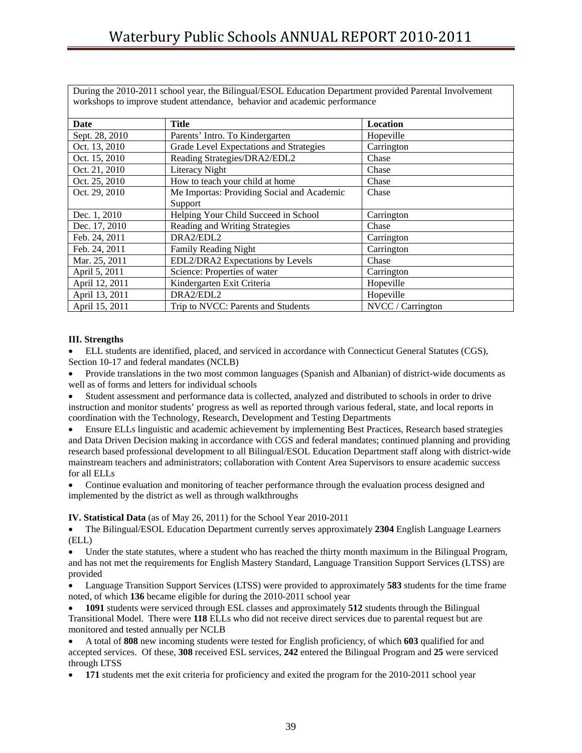| During the 2010-2011 school year, the Bilingual/ESOL Education Department provided Parental Involvement |                                            |                   |  |  |
|---------------------------------------------------------------------------------------------------------|--------------------------------------------|-------------------|--|--|
| workshops to improve student attendance, behavior and academic performance                              |                                            |                   |  |  |
|                                                                                                         |                                            |                   |  |  |
| Date                                                                                                    | Title                                      | Location          |  |  |
| Sept. 28, 2010                                                                                          | Parents' Intro. To Kindergarten            | Hopeville         |  |  |
| Oct. 13, 2010                                                                                           | Grade Level Expectations and Strategies    | Carrington        |  |  |
| Oct. 15, 2010                                                                                           | Reading Strategies/DRA2/EDL2               | Chase             |  |  |
| Oct. 21, 2010                                                                                           | Literacy Night                             | Chase             |  |  |
| Oct. 25, 2010                                                                                           | How to teach your child at home            | Chase             |  |  |
| Oct. 29, 2010                                                                                           | Me Importas: Providing Social and Academic | Chase             |  |  |
|                                                                                                         | Support                                    |                   |  |  |
| Dec. 1, 2010                                                                                            | Helping Your Child Succeed in School       | Carrington        |  |  |
| Dec. 17, 2010                                                                                           | Reading and Writing Strategies             | Chase             |  |  |
| Feb. 24, 2011                                                                                           | DRA2/EDL2                                  | Carrington        |  |  |
| Feb. 24, 2011                                                                                           | Family Reading Night                       | Carrington        |  |  |
| Mar. 25, 2011                                                                                           | EDL2/DRA2 Expectations by Levels           | Chase             |  |  |
| April 5, 2011                                                                                           | Science: Properties of water               | Carrington        |  |  |
| April 12, 2011                                                                                          | Kindergarten Exit Criteria                 | Hopeville         |  |  |
| April 13, 2011                                                                                          | DRA2/EDL2                                  | Hopeville         |  |  |
| April 15, 2011                                                                                          | Trip to NVCC: Parents and Students         | NVCC / Carrington |  |  |

### **III. Strengths**

• ELL students are identified, placed, and serviced in accordance with Connecticut General Statutes (CGS), Section 10-17 and federal mandates (NCLB)

• Provide translations in the two most common languages (Spanish and Albanian) of district-wide documents as well as of forms and letters for individual schools

• Student assessment and performance data is collected, analyzed and distributed to schools in order to drive instruction and monitor students' progress as well as reported through various federal, state, and local reports in coordination with the Technology, Research, Development and Testing Departments

• Ensure ELLs linguistic and academic achievement by implementing Best Practices, Research based strategies and Data Driven Decision making in accordance with CGS and federal mandates; continued planning and providing research based professional development to all Bilingual/ESOL Education Department staff along with district-wide mainstream teachers and administrators; collaboration with Content Area Supervisors to ensure academic success for all ELLs

• Continue evaluation and monitoring of teacher performance through the evaluation process designed and implemented by the district as well as through walkthroughs

### **IV. Statistical Data** (as of May 26, 2011) for the School Year 2010-2011

• The Bilingual/ESOL Education Department currently serves approximately **2304** English Language Learners (ELL)

• Under the state statutes, where a student who has reached the thirty month maximum in the Bilingual Program, and has not met the requirements for English Mastery Standard, Language Transition Support Services (LTSS) are provided

• Language Transition Support Services (LTSS) were provided to approximately **583** students for the time frame noted, of which **136** became eligible for during the 2010-2011 school year

• **1091** students were serviced through ESL classes and approximately 512 students through the Bilingual Transitional Model. There were **118** ELLs who did not receive direct services due to parental request but are monitored and tested annually per NCLB

• A total of **808** new incoming students were tested for English proficiency, of which **603** qualified for and accepted services. Of these, **308** received ESL services, **242** entered the Bilingual Program and **25** were serviced through LTSS

171 students met the exit criteria for proficiency and exited the program for the 2010-2011 school year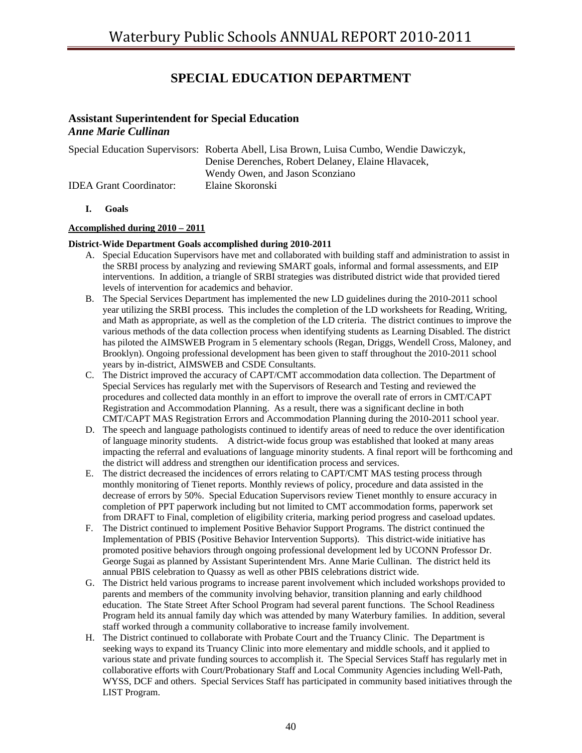# **SPECIAL EDUCATION DEPARTMENT**

### **Assistant Superintendent for Special Education**  *Anne Marie Cullinan*

|                                | Special Education Supervisors: Roberta Abell, Lisa Brown, Luisa Cumbo, Wendie Dawiczyk, |
|--------------------------------|-----------------------------------------------------------------------------------------|
|                                | Denise Derenches, Robert Delaney, Elaine Hlavacek,                                      |
|                                | Wendy Owen, and Jason Sconziano                                                         |
| <b>IDEA Grant Coordinator:</b> | Elaine Skoronski                                                                        |

**I. Goals** 

### **Accomplished during 2010 – 2011**

### **District-Wide Department Goals accomplished during 2010-2011**

- A. Special Education Supervisors have met and collaborated with building staff and administration to assist in the SRBI process by analyzing and reviewing SMART goals, informal and formal assessments, and EIP interventions. In addition, a triangle of SRBI strategies was distributed district wide that provided tiered levels of intervention for academics and behavior.
- B. The Special Services Department has implemented the new LD guidelines during the 2010-2011 school year utilizing the SRBI process. This includes the completion of the LD worksheets for Reading, Writing, and Math as appropriate, as well as the completion of the LD criteria. The district continues to improve the various methods of the data collection process when identifying students as Learning Disabled. The district has piloted the AIMSWEB Program in 5 elementary schools (Regan, Driggs, Wendell Cross, Maloney, and Brooklyn). Ongoing professional development has been given to staff throughout the 2010-2011 school years by in-district, AIMSWEB and CSDE Consultants.
- C. The District improved the accuracy of CAPT/CMT accommodation data collection. The Department of Special Services has regularly met with the Supervisors of Research and Testing and reviewed the procedures and collected data monthly in an effort to improve the overall rate of errors in CMT/CAPT Registration and Accommodation Planning. As a result, there was a significant decline in both CMT/CAPT MAS Registration Errors and Accommodation Planning during the 2010-2011 school year.
- D. The speech and language pathologists continued to identify areas of need to reduce the over identification of language minority students. A district-wide focus group was established that looked at many areas impacting the referral and evaluations of language minority students. A final report will be forthcoming and the district will address and strengthen our identification process and services.
- E. The district decreased the incidences of errors relating to CAPT/CMT MAS testing process through monthly monitoring of Tienet reports. Monthly reviews of policy, procedure and data assisted in the decrease of errors by 50%. Special Education Supervisors review Tienet monthly to ensure accuracy in completion of PPT paperwork including but not limited to CMT accommodation forms, paperwork set from DRAFT to Final, completion of eligibility criteria, marking period progress and caseload updates.
- F. The District continued to implement Positive Behavior Support Programs. The district continued the Implementation of PBIS (Positive Behavior Intervention Supports). This district-wide initiative has promoted positive behaviors through ongoing professional development led by UCONN Professor Dr. George Sugai as planned by Assistant Superintendent Mrs. Anne Marie Cullinan. The district held its annual PBIS celebration to Quassy as well as other PBIS celebrations district wide.
- G. The District held various programs to increase parent involvement which included workshops provided to parents and members of the community involving behavior, transition planning and early childhood education. The State Street After School Program had several parent functions. The School Readiness Program held its annual family day which was attended by many Waterbury families. In addition, several staff worked through a community collaborative to increase family involvement.
- H. The District continued to collaborate with Probate Court and the Truancy Clinic. The Department is seeking ways to expand its Truancy Clinic into more elementary and middle schools, and it applied to various state and private funding sources to accomplish it. The Special Services Staff has regularly met in collaborative efforts with Court/Probationary Staff and Local Community Agencies including Well-Path, WYSS, DCF and others. Special Services Staff has participated in community based initiatives through the LIST Program.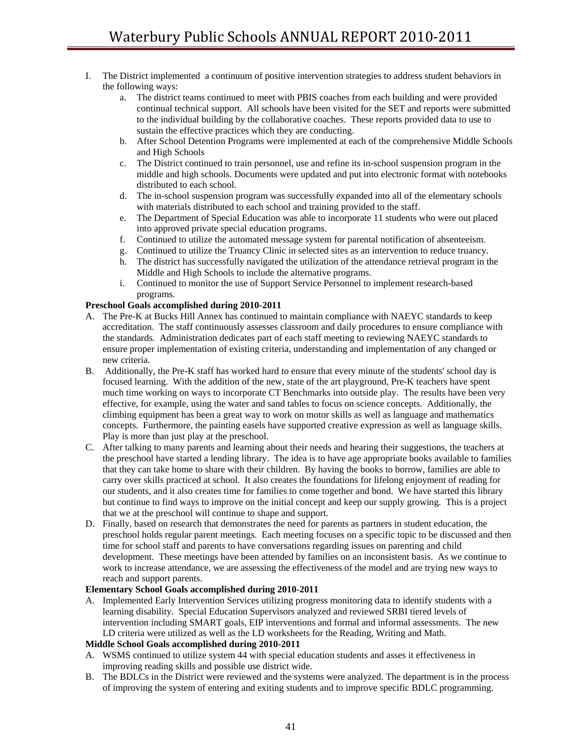- I. The District implemented a continuum of positive intervention strategies to address student behaviors in the following ways:
	- a. The district teams continued to meet with PBIS coaches from each building and were provided continual technical support. All schools have been visited for the SET and reports were submitted to the individual building by the collaborative coaches. These reports provided data to use to sustain the effective practices which they are conducting.
	- b. After School Detention Programs were implemented at each of the comprehensive Middle Schools and High Schools
	- c. The District continued to train personnel, use and refine its in-school suspension program in the middle and high schools. Documents were updated and put into electronic format with notebooks distributed to each school.
	- d. The in-school suspension program was successfully expanded into all of the elementary schools with materials distributed to each school and training provided to the staff.
	- e. The Department of Special Education was able to incorporate 11 students who were out placed into approved private special education programs.
	- f. Continued to utilize the automated message system for parental notification of absenteeism.
	- g. Continued to utilize the Truancy Clinic in selected sites as an intervention to reduce truancy.
	- h. The district has successfully navigated the utilization of the attendance retrieval program in the Middle and High Schools to include the alternative programs.
	- i. Continued to monitor the use of Support Service Personnel to implement research-based programs.

### **Preschool Goals accomplished during 2010-2011**

- A. The Pre-K at Bucks Hill Annex has continued to maintain compliance with NAEYC standards to keep accreditation. The staff continuously assesses classroom and daily procedures to ensure compliance with the standards. Administration dedicates part of each staff meeting to reviewing NAEYC standards to ensure proper implementation of existing criteria, understanding and implementation of any changed or new criteria.
- B. Additionally, the Pre-K staff has worked hard to ensure that every minute of the students' school day is focused learning. With the addition of the new, state of the art playground, Pre-K teachers have spent much time working on ways to incorporate CT Benchmarks into outside play. The results have been very effective, for example, using the water and sand tables to focus on science concepts. Additionally, the climbing equipment has been a great way to work on motor skills as well as language and mathematics concepts. Furthermore, the painting easels have supported creative expression as well as language skills. Play is more than just play at the preschool.
- C. After talking to many parents and learning about their needs and hearing their suggestions, the teachers at the preschool have started a lending library. The idea is to have age appropriate books available to families that they can take home to share with their children. By having the books to borrow, families are able to carry over skills practiced at school. It also creates the foundations for lifelong enjoyment of reading for our students, and it also creates time for families to come together and bond. We have started this library but continue to find ways to improve on the initial concept and keep our supply growing. This is a project that we at the preschool will continue to shape and support.
- D. Finally, based on research that demonstrates the need for parents as partners in student education, the preschool holds regular parent meetings. Each meeting focuses on a specific topic to be discussed and then time for school staff and parents to have conversations regarding issues on parenting and child development. These meetings have been attended by families on an inconsistent basis. As we continue to work to increase attendance, we are assessing the effectiveness of the model and are trying new ways to reach and support parents.

### **Elementary School Goals accomplished during 2010-2011**

A. Implemented Early Intervention Services utilizing progress monitoring data to identify students with a learning disability. Special Education Supervisors analyzed and reviewed SRBI tiered levels of intervention including SMART goals, EIP interventions and formal and informal assessments. The new LD criteria were utilized as well as the LD worksheets for the Reading, Writing and Math.

### **Middle School Goals accomplished during 2010-2011**

- A. WSMS continued to utilize system 44 with special education students and asses it effectiveness in improving reading skills and possible use district wide.
- B. The BDLCs in the District were reviewed and the systems were analyzed. The department is in the process of improving the system of entering and exiting students and to improve specific BDLC programming.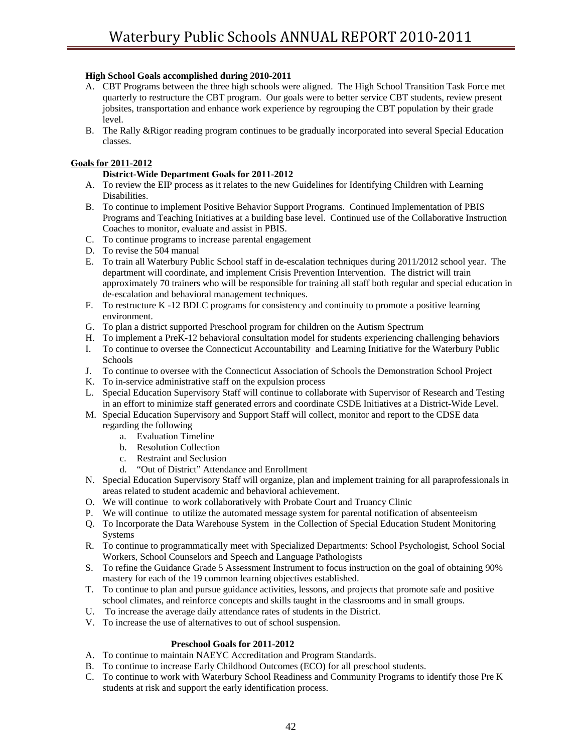# **High School Goals accomplished during 2010-2011**

- A. CBT Programs between the three high schools were aligned. The High School Transition Task Force met quarterly to restructure the CBT program. Our goals were to better service CBT students, review present jobsites, transportation and enhance work experience by regrouping the CBT population by their grade level.
- B. The Rally &Rigor reading program continues to be gradually incorporated into several Special Education classes.

### **Goals for 2011-2012**

### **District-Wide Department Goals for 2011-2012**

- A. To review the EIP process as it relates to the new Guidelines for Identifying Children with Learning Disabilities.
- B. To continue to implement Positive Behavior Support Programs. Continued Implementation of PBIS Programs and Teaching Initiatives at a building base level. Continued use of the Collaborative Instruction Coaches to monitor, evaluate and assist in PBIS.
- C. To continue programs to increase parental engagement
- D. To revise the 504 manual
- E. To train all Waterbury Public School staff in de-escalation techniques during 2011/2012 school year. The department will coordinate, and implement Crisis Prevention Intervention. The district will train approximately 70 trainers who will be responsible for training all staff both regular and special education in de-escalation and behavioral management techniques.
- F. To restructure K -12 BDLC programs for consistency and continuity to promote a positive learning environment.
- G. To plan a district supported Preschool program for children on the Autism Spectrum
- H. To implement a PreK-12 behavioral consultation model for students experiencing challenging behaviors
- I. To continue to oversee the Connecticut Accountability and Learning Initiative for the Waterbury Public Schools
- J. To continue to oversee with the Connecticut Association of Schools the Demonstration School Project
- K. To in-service administrative staff on the expulsion process
- L. Special Education Supervisory Staff will continue to collaborate with Supervisor of Research and Testing in an effort to minimize staff generated errors and coordinate CSDE Initiatives at a District-Wide Level.
- M. Special Education Supervisory and Support Staff will collect, monitor and report to the CDSE data regarding the following
	- a. Evaluation Timeline
	- b. Resolution Collection
	- c. Restraint and Seclusion
	- d. "Out of District" Attendance and Enrollment
- N. Special Education Supervisory Staff will organize, plan and implement training for all paraprofessionals in areas related to student academic and behavioral achievement.
- O. We will continue to work collaboratively with Probate Court and Truancy Clinic
- P. We will continue to utilize the automated message system for parental notification of absenteeism
- Q. To Incorporate the Data Warehouse System in the Collection of Special Education Student Monitoring Systems
- R. To continue to programmatically meet with Specialized Departments: School Psychologist, School Social Workers, School Counselors and Speech and Language Pathologists
- S. To refine the Guidance Grade 5 Assessment Instrument to focus instruction on the goal of obtaining 90% mastery for each of the 19 common learning objectives established.
- T. To continue to plan and pursue guidance activities, lessons, and projects that promote safe and positive school climates, and reinforce concepts and skills taught in the classrooms and in small groups.
- U. To increase the average daily attendance rates of students in the District.
- V. To increase the use of alternatives to out of school suspension.

### **Preschool Goals for 2011-2012**

- A. To continue to maintain NAEYC Accreditation and Program Standards.
- B. To continue to increase Early Childhood Outcomes (ECO) for all preschool students.
- C. To continue to work with Waterbury School Readiness and Community Programs to identify those Pre K students at risk and support the early identification process.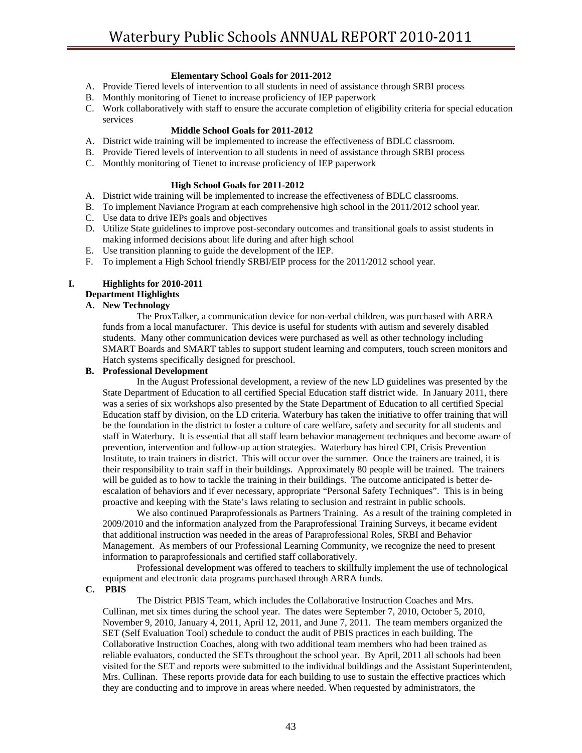### **Elementary School Goals for 2011-2012**

- A. Provide Tiered levels of intervention to all students in need of assistance through SRBI process
- B. Monthly monitoring of Tienet to increase proficiency of IEP paperwork
- C. Work collaboratively with staff to ensure the accurate completion of eligibility criteria for special education services

### **Middle School Goals for 2011-2012**

- A. District wide training will be implemented to increase the effectiveness of BDLC classroom.
- B. Provide Tiered levels of intervention to all students in need of assistance through SRBI process
- C. Monthly monitoring of Tienet to increase proficiency of IEP paperwork

### **High School Goals for 2011-2012**

- A. District wide training will be implemented to increase the effectiveness of BDLC classrooms.
- B. To implement Naviance Program at each comprehensive high school in the 2011/2012 school year.
- C. Use data to drive IEPs goals and objectives
- D. Utilize State guidelines to improve post-secondary outcomes and transitional goals to assist students in making informed decisions about life during and after high school
- E. Use transition planning to guide the development of the IEP.
- F. To implement a High School friendly SRBI/EIP process for the 2011/2012 school year.

### **I. Highlights for 2010-2011**

### **Department Highlights**

### **A. New Technology**

 The ProxTalker, a communication device for non-verbal children, was purchased with ARRA funds from a local manufacturer. This device is useful for students with autism and severely disabled students. Many other communication devices were purchased as well as other technology including SMART Boards and SMART tables to support student learning and computers, touch screen monitors and Hatch systems specifically designed for preschool.

#### **B. Professional Development**

In the August Professional development, a review of the new LD guidelines was presented by the State Department of Education to all certified Special Education staff district wide. In January 2011, there was a series of six workshops also presented by the State Department of Education to all certified Special Education staff by division, on the LD criteria. Waterbury has taken the initiative to offer training that will be the foundation in the district to foster a culture of care welfare, safety and security for all students and staff in Waterbury. It is essential that all staff learn behavior management techniques and become aware of prevention, intervention and follow-up action strategies. Waterbury has hired CPI, Crisis Prevention Institute, to train trainers in district. This will occur over the summer. Once the trainers are trained, it is their responsibility to train staff in their buildings. Approximately 80 people will be trained. The trainers will be guided as to how to tackle the training in their buildings. The outcome anticipated is better deescalation of behaviors and if ever necessary, appropriate "Personal Safety Techniques". This is in being proactive and keeping with the State's laws relating to seclusion and restraint in public schools.

We also continued Paraprofessionals as Partners Training. As a result of the training completed in 2009/2010 and the information analyzed from the Paraprofessional Training Surveys, it became evident that additional instruction was needed in the areas of Paraprofessional Roles, SRBI and Behavior Management. As members of our Professional Learning Community, we recognize the need to present information to paraprofessionals and certified staff collaboratively.

 Professional development was offered to teachers to skillfully implement the use of technological equipment and electronic data programs purchased through ARRA funds.

### **C. PBIS**

The District PBIS Team, which includes the Collaborative Instruction Coaches and Mrs. Cullinan, met six times during the school year. The dates were September 7, 2010, October 5, 2010, November 9, 2010, January 4, 2011, April 12, 2011, and June 7, 2011. The team members organized the SET (Self Evaluation Tool) schedule to conduct the audit of PBIS practices in each building. The Collaborative Instruction Coaches, along with two additional team members who had been trained as reliable evaluators, conducted the SETs throughout the school year. By April, 2011 all schools had been visited for the SET and reports were submitted to the individual buildings and the Assistant Superintendent, Mrs. Cullinan. These reports provide data for each building to use to sustain the effective practices which they are conducting and to improve in areas where needed. When requested by administrators, the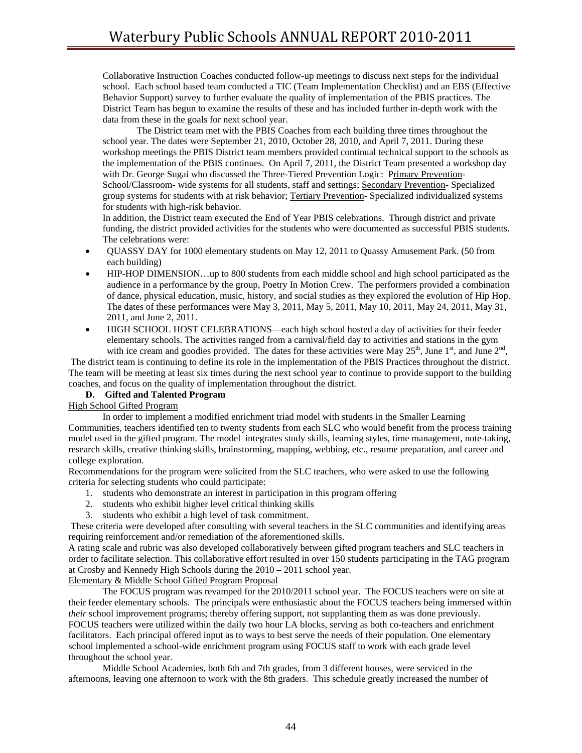Collaborative Instruction Coaches conducted follow-up meetings to discuss next steps for the individual school. Each school based team conducted a TIC (Team Implementation Checklist) and an EBS (Effective Behavior Support) survey to further evaluate the quality of implementation of the PBIS practices. The District Team has begun to examine the results of these and has included further in-depth work with the data from these in the goals for next school year.

The District team met with the PBIS Coaches from each building three times throughout the school year. The dates were September 21, 2010, October 28, 2010, and April 7, 2011. During these workshop meetings the PBIS District team members provided continual technical support to the schools as the implementation of the PBIS continues. On April 7, 2011, the District Team presented a workshop day with Dr. George Sugai who discussed the Three-Tiered Prevention Logic: Primary Prevention-School/Classroom- wide systems for all students, staff and settings; Secondary Prevention- Specialized group systems for students with at risk behavior; Tertiary Prevention- Specialized individualized systems for students with high-risk behavior.

In addition, the District team executed the End of Year PBIS celebrations. Through district and private funding, the district provided activities for the students who were documented as successful PBIS students. The celebrations were:

- QUASSY DAY for 1000 elementary students on May 12, 2011 to Quassy Amusement Park. (50 from each building)
- HIP-HOP DIMENSION…up to 800 students from each middle school and high school participated as the audience in a performance by the group, Poetry In Motion Crew. The performers provided a combination of dance, physical education, music, history, and social studies as they explored the evolution of Hip Hop. The dates of these performances were May 3, 2011, May 5, 2011, May 10, 2011, May 24, 2011, May 31, 2011, and June 2, 2011.
- HIGH SCHOOL HOST CELEBRATIONS—each high school hosted a day of activities for their feeder elementary schools. The activities ranged from a carnival/field day to activities and stations in the gym with ice cream and goodies provided. The dates for these activities were May  $25^{th}$ , June  $1^{st}$ , and June  $2^{nd}$ ,

 The district team is continuing to define its role in the implementation of the PBIS Practices throughout the district. The team will be meeting at least six times during the next school year to continue to provide support to the building coaches, and focus on the quality of implementation throughout the district.

### **D. Gifted and Talented Program**

### High School Gifted Program

 In order to implement a modified enrichment triad model with students in the Smaller Learning Communities, teachers identified ten to twenty students from each SLC who would benefit from the process training model used in the gifted program. The model integrates study skills, learning styles, time management, note-taking, research skills, creative thinking skills, brainstorming, mapping, webbing, etc., resume preparation, and career and college exploration.

Recommendations for the program were solicited from the SLC teachers, who were asked to use the following criteria for selecting students who could participate:

- 1. students who demonstrate an interest in participation in this program offering
- 2. students who exhibit higher level critical thinking skills
- 3. students who exhibit a high level of task commitment.

 These criteria were developed after consulting with several teachers in the SLC communities and identifying areas requiring reinforcement and/or remediation of the aforementioned skills.

A rating scale and rubric was also developed collaboratively between gifted program teachers and SLC teachers in order to facilitate selection. This collaborative effort resulted in over 150 students participating in the TAG program at Crosby and Kennedy High Schools during the 2010 – 2011 school year.

Elementary & Middle School Gifted Program Proposal

 The FOCUS program was revamped for the 2010/2011 school year. The FOCUS teachers were on site at their feeder elementary schools. The principals were enthusiastic about the FOCUS teachers being immersed within *their* school improvement programs; thereby offering support, not supplanting them as was done previously. FOCUS teachers were utilized within the daily two hour LA blocks, serving as both co-teachers and enrichment facilitators. Each principal offered input as to ways to best serve the needs of their population. One elementary school implemented a school-wide enrichment program using FOCUS staff to work with each grade level throughout the school year.

 Middle School Academies, both 6th and 7th grades, from 3 different houses, were serviced in the afternoons, leaving one afternoon to work with the 8th graders. This schedule greatly increased the number of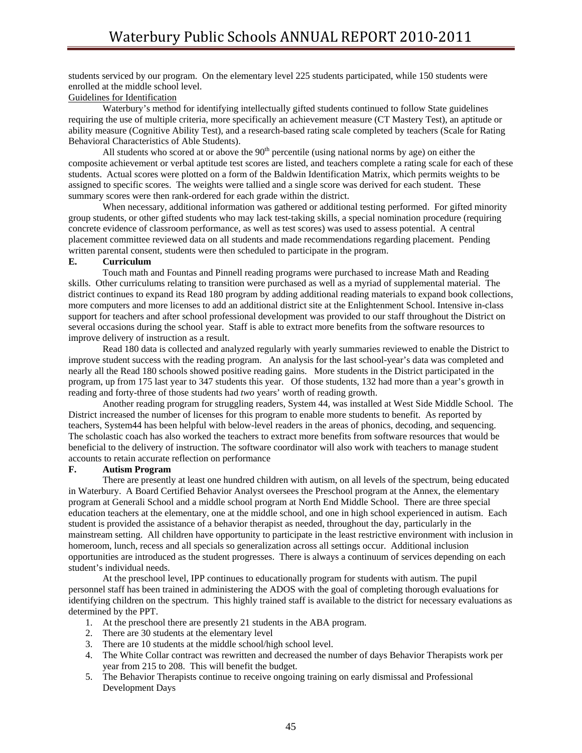students serviced by our program. On the elementary level 225 students participated, while 150 students were enrolled at the middle school level.

### Guidelines for Identification

 Waterbury's method for identifying intellectually gifted students continued to follow State guidelines requiring the use of multiple criteria, more specifically an achievement measure (CT Mastery Test), an aptitude or ability measure (Cognitive Ability Test), and a research-based rating scale completed by teachers (Scale for Rating Behavioral Characteristics of Able Students).

All students who scored at or above the  $90<sup>th</sup>$  percentile (using national norms by age) on either the composite achievement or verbal aptitude test scores are listed, and teachers complete a rating scale for each of these students. Actual scores were plotted on a form of the Baldwin Identification Matrix, which permits weights to be assigned to specific scores. The weights were tallied and a single score was derived for each student. These summary scores were then rank-ordered for each grade within the district.

 When necessary, additional information was gathered or additional testing performed. For gifted minority group students, or other gifted students who may lack test-taking skills, a special nomination procedure (requiring concrete evidence of classroom performance, as well as test scores) was used to assess potential. A central placement committee reviewed data on all students and made recommendations regarding placement. Pending written parental consent, students were then scheduled to participate in the program.

### **E. Curriculum**

 Touch math and Fountas and Pinnell reading programs were purchased to increase Math and Reading skills. Other curriculums relating to transition were purchased as well as a myriad of supplemental material. The district continues to expand its Read 180 program by adding additional reading materials to expand book collections, more computers and more licenses to add an additional district site at the Enlightenment School. Intensive in-class support for teachers and after school professional development was provided to our staff throughout the District on several occasions during the school year. Staff is able to extract more benefits from the software resources to improve delivery of instruction as a result.

 Read 180 data is collected and analyzed regularly with yearly summaries reviewed to enable the District to improve student success with the reading program. An analysis for the last school-year's data was completed and nearly all the Read 180 schools showed positive reading gains. More students in the District participated in the program, up from 175 last year to 347 students this year. Of those students, 132 had more than a year's growth in reading and forty-three of those students had *two* years' worth of reading growth.

 Another reading program for struggling readers, System 44, was installed at West Side Middle School. The District increased the number of licenses for this program to enable more students to benefit. As reported by teachers, System44 has been helpful with below-level readers in the areas of phonics, decoding, and sequencing. The scholastic coach has also worked the teachers to extract more benefits from software resources that would be beneficial to the delivery of instruction. The software coordinator will also work with teachers to manage student accounts to retain accurate reflection on performance

### **F. Autism Program**

 There are presently at least one hundred children with autism, on all levels of the spectrum, being educated in Waterbury. A Board Certified Behavior Analyst oversees the Preschool program at the Annex, the elementary program at Generali School and a middle school program at North End Middle School. There are three special education teachers at the elementary, one at the middle school, and one in high school experienced in autism. Each student is provided the assistance of a behavior therapist as needed, throughout the day, particularly in the mainstream setting. All children have opportunity to participate in the least restrictive environment with inclusion in homeroom, lunch, recess and all specials so generalization across all settings occur. Additional inclusion opportunities are introduced as the student progresses. There is always a continuum of services depending on each student's individual needs.

 At the preschool level, IPP continues to educationally program for students with autism. The pupil personnel staff has been trained in administering the ADOS with the goal of completing thorough evaluations for identifying children on the spectrum. This highly trained staff is available to the district for necessary evaluations as determined by the PPT.

- 1. At the preschool there are presently 21 students in the ABA program.
- 2. There are 30 students at the elementary level
- 3. There are 10 students at the middle school/high school level.
- 4. The White Collar contract was rewritten and decreased the number of days Behavior Therapists work per year from 215 to 208. This will benefit the budget.
- 5. The Behavior Therapists continue to receive ongoing training on early dismissal and Professional Development Days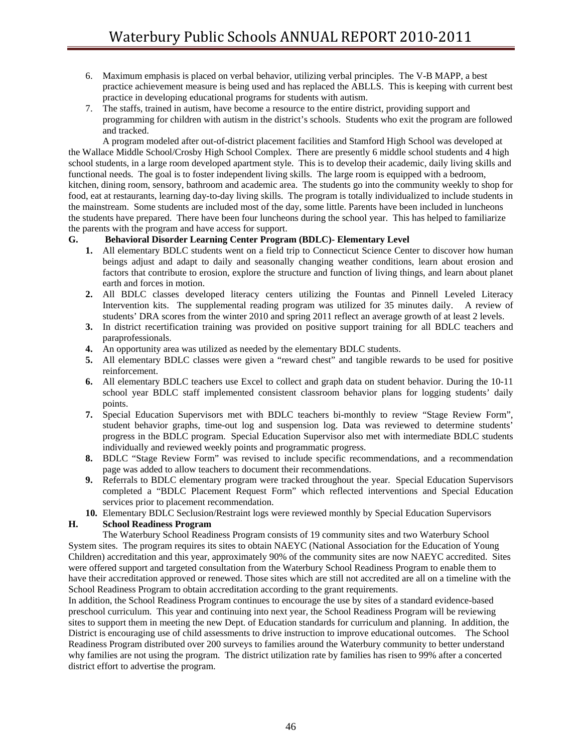- 6. Maximum emphasis is placed on verbal behavior, utilizing verbal principles. The V-B MAPP, a best practice achievement measure is being used and has replaced the ABLLS. This is keeping with current best practice in developing educational programs for students with autism.
- 7. The staffs, trained in autism, have become a resource to the entire district, providing support and programming for children with autism in the district's schools. Students who exit the program are followed and tracked.

 A program modeled after out-of-district placement facilities and Stamford High School was developed at the Wallace Middle School/Crosby High School Complex. There are presently 6 middle school students and 4 high school students, in a large room developed apartment style. This is to develop their academic, daily living skills and functional needs. The goal is to foster independent living skills. The large room is equipped with a bedroom, kitchen, dining room, sensory, bathroom and academic area. The students go into the community weekly to shop for food, eat at restaurants, learning day-to-day living skills. The program is totally individualized to include students in the mainstream. Some students are included most of the day, some little. Parents have been included in luncheons the students have prepared. There have been four luncheons during the school year. This has helped to familiarize the parents with the program and have access for support.

# **G. Behavioral Disorder Learning Center Program (BDLC)- Elementary Level**

- **1.** All elementary BDLC students went on a field trip to Connecticut Science Center to discover how human beings adjust and adapt to daily and seasonally changing weather conditions, learn about erosion and factors that contribute to erosion, explore the structure and function of living things, and learn about planet earth and forces in motion.
- **2.** All BDLC classes developed literacy centers utilizing the Fountas and Pinnell Leveled Literacy Intervention kits. The supplemental reading program was utilized for 35 minutes daily. A review of students' DRA scores from the winter 2010 and spring 2011 reflect an average growth of at least 2 levels.
- **3.** In district recertification training was provided on positive support training for all BDLC teachers and paraprofessionals.
- **4.** An opportunity area was utilized as needed by the elementary BDLC students.
- **5.** All elementary BDLC classes were given a "reward chest" and tangible rewards to be used for positive reinforcement.
- **6.** All elementary BDLC teachers use Excel to collect and graph data on student behavior. During the 10-11 school year BDLC staff implemented consistent classroom behavior plans for logging students' daily points.
- **7.** Special Education Supervisors met with BDLC teachers bi-monthly to review "Stage Review Form", student behavior graphs, time-out log and suspension log. Data was reviewed to determine students' progress in the BDLC program. Special Education Supervisor also met with intermediate BDLC students individually and reviewed weekly points and programmatic progress.
- **8.** BDLC "Stage Review Form" was revised to include specific recommendations, and a recommendation page was added to allow teachers to document their recommendations.
- **9.** Referrals to BDLC elementary program were tracked throughout the year. Special Education Supervisors completed a "BDLC Placement Request Form" which reflected interventions and Special Education services prior to placement recommendation.
- **10.** Elementary BDLC Seclusion/Restraint logs were reviewed monthly by Special Education Supervisors

### **H. School Readiness Program**

 The Waterbury School Readiness Program consists of 19 community sites and two Waterbury School System sites. The program requires its sites to obtain NAEYC (National Association for the Education of Young Children) accreditation and this year, approximately 90% of the community sites are now NAEYC accredited. Sites were offered support and targeted consultation from the Waterbury School Readiness Program to enable them to have their accreditation approved or renewed. Those sites which are still not accredited are all on a timeline with the School Readiness Program to obtain accreditation according to the grant requirements.

In addition, the School Readiness Program continues to encourage the use by sites of a standard evidence-based preschool curriculum. This year and continuing into next year, the School Readiness Program will be reviewing sites to support them in meeting the new Dept. of Education standards for curriculum and planning. In addition, the District is encouraging use of child assessments to drive instruction to improve educational outcomes. The School Readiness Program distributed over 200 surveys to families around the Waterbury community to better understand why families are not using the program. The district utilization rate by families has risen to 99% after a concerted district effort to advertise the program.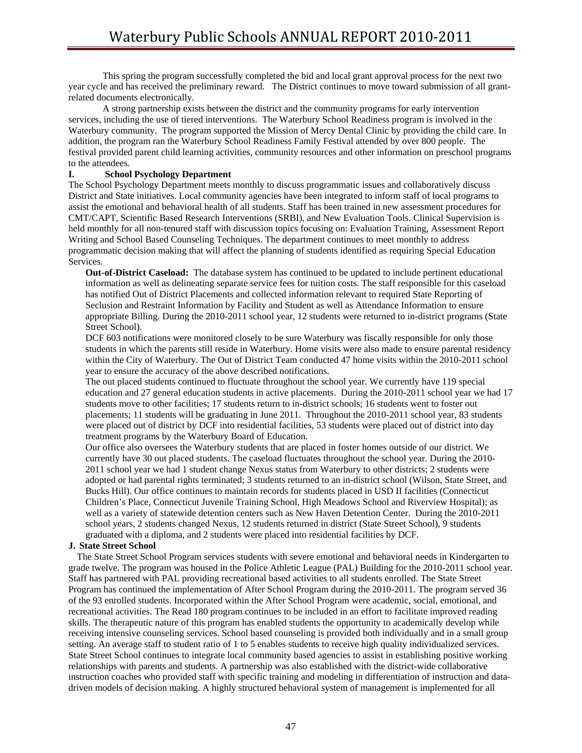This spring the program successfully completed the bid and local grant approval process for the next two year cycle and has received the preliminary reward. The District continues to move toward submission of all grantrelated documents electronically.

 A strong partnership exists between the district and the community programs for early intervention services, including the use of tiered interventions. The Waterbury School Readiness program is involved in the Waterbury community. The program supported the Mission of Mercy Dental Clinic by providing the child care. In addition, the program ran the Waterbury School Readiness Family Festival attended by over 800 people. The festival provided parent child learning activities, community resources and other information on preschool programs to the attendees.

### **I. School Psychology Department**

The School Psychology Department meets monthly to discuss programmatic issues and collaboratively discuss District and State initiatives. Local community agencies have been integrated to inform staff of local programs to assist the emotional and behavioral health of all students. Staff has been trained in new assessment procedures for CMT/CAPT, Scientific Based Research Interventions (SRBI), and New Evaluation Tools. Clinical Supervision is held monthly for all non-tenured staff with discussion topics focusing on: Evaluation Training, Assessment Report Writing and School Based Counseling Techniques. The department continues to meet monthly to address programmatic decision making that will affect the planning of students identified as requiring Special Education Services.

**Out-of-District Caseload:** The database system has continued to be updated to include pertinent educational information as well as delineating separate service fees for tuition costs. The staff responsible for this caseload has notified Out of District Placements and collected information relevant to required State Reporting of Seclusion and Restraint Information by Facility and Student as well as Attendance Information to ensure appropriate Billing. During the 2010-2011 school year, 12 students were returned to in-district programs (State Street School).

DCF 603 notifications were monitored closely to be sure Waterbury was fiscally responsible for only those students in which the parents still reside in Waterbury. Home visits were also made to ensure parental residency within the City of Waterbury. The Out of District Team conducted 47 home visits within the 2010-2011 school year to ensure the accuracy of the above described notifications.

The out placed students continued to fluctuate throughout the school year. We currently have 119 special education and 27 general education students in active placements. During the 2010-2011 school year we had 17 students move to other facilities; 17 students return to in-district schools; 16 students went to foster out placements; 11 students will be graduating in June 2011. Throughout the 2010-2011 school year, 83 students were placed out of district by DCF into residential facilities, 53 students were placed out of district into day treatment programs by the Waterbury Board of Education.

Our office also oversees the Waterbury students that are placed in foster homes outside of our district. We currently have 30 out placed students. The caseload fluctuates throughout the school year. During the 2010- 2011 school year we had 1 student change Nexus status from Waterbury to other districts; 2 students were adopted or had parental rights terminated; 3 students returned to an in-district school (Wilson, State Street, and Bucks Hill). Our office continues to maintain records for students placed in USD II facilities (Connecticut Children's Place, Connecticut Juvenile Training School, High Meadows School and Riverview Hospital); as well as a variety of statewide detention centers such as New Haven Detention Center. During the 2010-2011 school years, 2 students changed Nexus, 12 students returned in district (State Street School), 9 students graduated with a diploma, and 2 students were placed into residential facilities by DCF.

# **J. State Street School**

The State Street School Program services students with severe emotional and behavioral needs in Kindergarten to grade twelve. The program was housed in the Police Athletic League (PAL) Building for the 2010-2011 school year. Staff has partnered with PAL providing recreational based activities to all students enrolled. The State Street Program has continued the implementation of After School Program during the 2010-2011. The program served 36 of the 93 enrolled students. Incorporated within the After School Program were academic, social, emotional, and recreational activities. The Read 180 program continues to be included in an effort to facilitate improved reading skills. The therapeutic nature of this program has enabled students the opportunity to academically develop while receiving intensive counseling services. School based counseling is provided both individually and in a small group setting. An average staff to student ratio of 1 to 5 enables students to receive high quality individualized services. State Street School continues to integrate local community based agencies to assist in establishing positive working relationships with parents and students. A partnership was also established with the district-wide collaborative instruction coaches who provided staff with specific training and modeling in differentiation of instruction and datadriven models of decision making. A highly structured behavioral system of management is implemented for all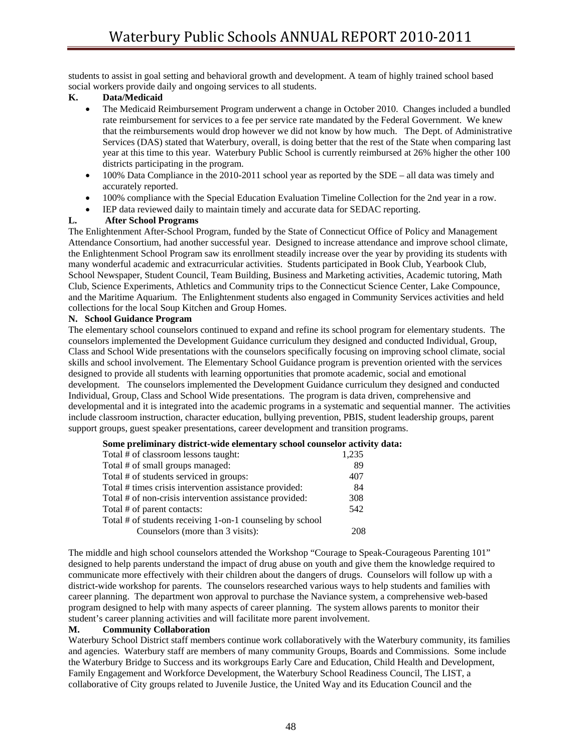students to assist in goal setting and behavioral growth and development. A team of highly trained school based social workers provide daily and ongoing services to all students.

### **K. Data/Medicaid**

- The Medicaid Reimbursement Program underwent a change in October 2010. Changes included a bundled rate reimbursement for services to a fee per service rate mandated by the Federal Government. We knew that the reimbursements would drop however we did not know by how much. The Dept. of Administrative Services (DAS) stated that Waterbury, overall, is doing better that the rest of the State when comparing last year at this time to this year. Waterbury Public School is currently reimbursed at 26% higher the other 100 districts participating in the program.
- 100% Data Compliance in the 2010-2011 school year as reported by the SDE all data was timely and accurately reported.
- 100% compliance with the Special Education Evaluation Timeline Collection for the 2nd year in a row.
- IEP data reviewed daily to maintain timely and accurate data for SEDAC reporting.

### **L. After School Programs**

The Enlightenment After-School Program, funded by the State of Connecticut Office of Policy and Management Attendance Consortium, had another successful year. Designed to increase attendance and improve school climate, the Enlightenment School Program saw its enrollment steadily increase over the year by providing its students with many wonderful academic and extracurricular activities. Students participated in Book Club, Yearbook Club, School Newspaper, Student Council, Team Building, Business and Marketing activities, Academic tutoring, Math Club, Science Experiments, Athletics and Community trips to the Connecticut Science Center, Lake Compounce, and the Maritime Aquarium. The Enlightenment students also engaged in Community Services activities and held collections for the local Soup Kitchen and Group Homes.

### **N. School Guidance Program**

The elementary school counselors continued to expand and refine its school program for elementary students. The counselors implemented the Development Guidance curriculum they designed and conducted Individual, Group, Class and School Wide presentations with the counselors specifically focusing on improving school climate, social skills and school involvement. The Elementary School Guidance program is prevention oriented with the services designed to provide all students with learning opportunities that promote academic, social and emotional development. The counselors implemented the Development Guidance curriculum they designed and conducted Individual, Group, Class and School Wide presentations. The program is data driven, comprehensive and developmental and it is integrated into the academic programs in a systematic and sequential manner. The activities include classroom instruction, character education, bullying prevention, PBIS, student leadership groups, parent support groups, guest speaker presentations, career development and transition programs.

| Some preliminary district-wide elementary school counselor activity data: |
|---------------------------------------------------------------------------|
|---------------------------------------------------------------------------|

| Total # of classroom lessons taught:                      | 1,235 |
|-----------------------------------------------------------|-------|
| Total # of small groups managed:                          | 89    |
| Total # of students serviced in groups:                   | 407   |
| Total # times crisis intervention assistance provided:    | 84    |
| Total # of non-crisis intervention assistance provided:   | 308   |
| Total # of parent contacts:                               | 542   |
| Total # of students receiving 1-on-1 counseling by school |       |
| Counselors (more than 3 visits):                          | 208   |
|                                                           |       |

The middle and high school counselors attended the Workshop "Courage to Speak-Courageous Parenting 101" designed to help parents understand the impact of drug abuse on youth and give them the knowledge required to communicate more effectively with their children about the dangers of drugs. Counselors will follow up with a district-wide workshop for parents. The counselors researched various ways to help students and families with career planning. The department won approval to purchase the Naviance system, a comprehensive web-based program designed to help with many aspects of career planning. The system allows parents to monitor their student's career planning activities and will facilitate more parent involvement.

### **M. Community Collaboration**

Waterbury School District staff members continue work collaboratively with the Waterbury community, its families and agencies. Waterbury staff are members of many community Groups, Boards and Commissions. Some include the Waterbury Bridge to Success and its workgroups Early Care and Education, Child Health and Development, Family Engagement and Workforce Development, the Waterbury School Readiness Council, The LIST, a collaborative of City groups related to Juvenile Justice, the United Way and its Education Council and the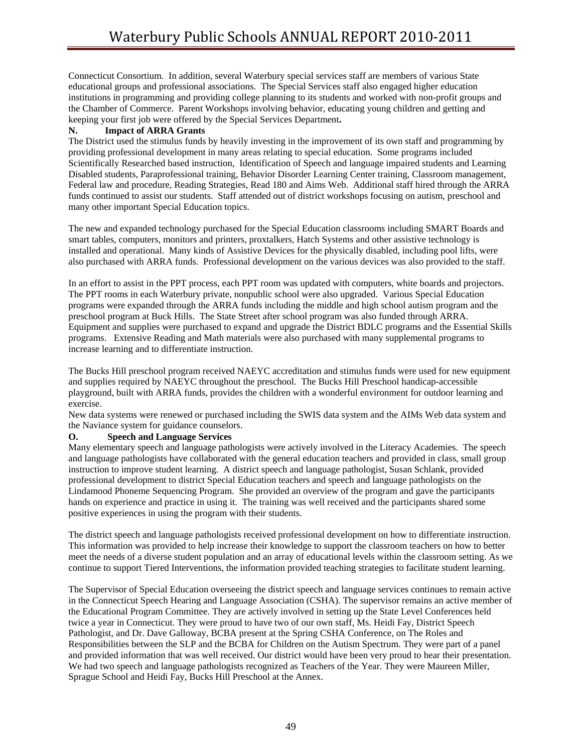Connecticut Consortium. In addition, several Waterbury special services staff are members of various State educational groups and professional associations. The Special Services staff also engaged higher education institutions in programming and providing college planning to its students and worked with non-profit groups and the Chamber of Commerce. Parent Workshops involving behavior, educating young children and getting and keeping your first job were offered by the Special Services Department**.** 

### **N. Impact of ARRA Grants**

The District used the stimulus funds by heavily investing in the improvement of its own staff and programming by providing professional development in many areas relating to special education. Some programs included Scientifically Researched based instruction, Identification of Speech and language impaired students and Learning Disabled students, Paraprofessional training, Behavior Disorder Learning Center training, Classroom management, Federal law and procedure, Reading Strategies, Read 180 and Aims Web. Additional staff hired through the ARRA funds continued to assist our students. Staff attended out of district workshops focusing on autism, preschool and many other important Special Education topics.

The new and expanded technology purchased for the Special Education classrooms including SMART Boards and smart tables, computers, monitors and printers, proxtalkers, Hatch Systems and other assistive technology is installed and operational. Many kinds of Assistive Devices for the physically disabled, including pool lifts, were also purchased with ARRA funds. Professional development on the various devices was also provided to the staff.

In an effort to assist in the PPT process, each PPT room was updated with computers, white boards and projectors. The PPT rooms in each Waterbury private, nonpublic school were also upgraded. Various Special Education programs were expanded through the ARRA funds including the middle and high school autism program and the preschool program at Buck Hills. The State Street after school program was also funded through ARRA. Equipment and supplies were purchased to expand and upgrade the District BDLC programs and the Essential Skills programs. Extensive Reading and Math materials were also purchased with many supplemental programs to increase learning and to differentiate instruction.

The Bucks Hill preschool program received NAEYC accreditation and stimulus funds were used for new equipment and supplies required by NAEYC throughout the preschool. The Bucks Hill Preschool handicap-accessible playground, built with ARRA funds, provides the children with a wonderful environment for outdoor learning and exercise.

New data systems were renewed or purchased including the SWIS data system and the AIMs Web data system and the Naviance system for guidance counselors.

### **O. Speech and Language Services**

Many elementary speech and language pathologists were actively involved in the Literacy Academies. The speech and language pathologists have collaborated with the general education teachers and provided in class, small group instruction to improve student learning. A district speech and language pathologist, Susan Schlank, provided professional development to district Special Education teachers and speech and language pathologists on the Lindamood Phoneme Sequencing Program. She provided an overview of the program and gave the participants hands on experience and practice in using it. The training was well received and the participants shared some positive experiences in using the program with their students.

The district speech and language pathologists received professional development on how to differentiate instruction. This information was provided to help increase their knowledge to support the classroom teachers on how to better meet the needs of a diverse student population and an array of educational levels within the classroom setting. As we continue to support Tiered Interventions, the information provided teaching strategies to facilitate student learning.

The Supervisor of Special Education overseeing the district speech and language services continues to remain active in the Connecticut Speech Hearing and Language Association (CSHA). The supervisor remains an active member of the Educational Program Committee. They are actively involved in setting up the State Level Conferences held twice a year in Connecticut. They were proud to have two of our own staff, Ms. Heidi Fay, District Speech Pathologist, and Dr. Dave Galloway, BCBA present at the Spring CSHA Conference, on The Roles and Responsibilities between the SLP and the BCBA for Children on the Autism Spectrum. They were part of a panel and provided information that was well received. Our district would have been very proud to hear their presentation. We had two speech and language pathologists recognized as Teachers of the Year. They were Maureen Miller, Sprague School and Heidi Fay, Bucks Hill Preschool at the Annex.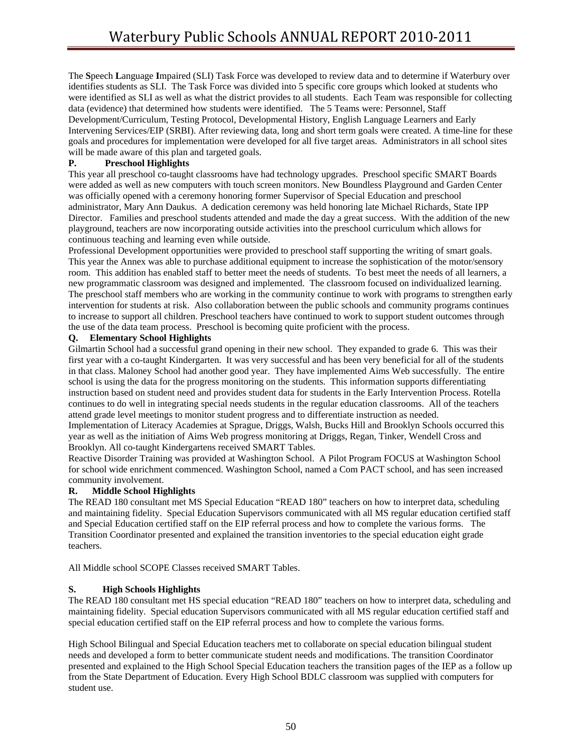The **S**peech **L**anguage **I**mpaired (SLI) Task Force was developed to review data and to determine if Waterbury over identifies students as SLI. The Task Force was divided into 5 specific core groups which looked at students who were identified as SLI as well as what the district provides to all students. Each Team was responsible for collecting data (evidence) that determined how students were identified. The 5 Teams were: Personnel, Staff Development/Curriculum, Testing Protocol, Developmental History, English Language Learners and Early Intervening Services/EIP (SRBI). After reviewing data, long and short term goals were created. A time-line for these goals and procedures for implementation were developed for all five target areas. Administrators in all school sites will be made aware of this plan and targeted goals.

# **P. Preschool Highlights**

This year all preschool co-taught classrooms have had technology upgrades. Preschool specific SMART Boards were added as well as new computers with touch screen monitors. New Boundless Playground and Garden Center was officially opened with a ceremony honoring former Supervisor of Special Education and preschool administrator, Mary Ann Daukus. A dedication ceremony was held honoring late Michael Richards, State IPP Director. Families and preschool students attended and made the day a great success. With the addition of the new playground, teachers are now incorporating outside activities into the preschool curriculum which allows for continuous teaching and learning even while outside.

Professional Development opportunities were provided to preschool staff supporting the writing of smart goals. This year the Annex was able to purchase additional equipment to increase the sophistication of the motor/sensory room. This addition has enabled staff to better meet the needs of students. To best meet the needs of all learners, a new programmatic classroom was designed and implemented. The classroom focused on individualized learning. The preschool staff members who are working in the community continue to work with programs to strengthen early intervention for students at risk. Also collaboration between the public schools and community programs continues to increase to support all children. Preschool teachers have continued to work to support student outcomes through the use of the data team process. Preschool is becoming quite proficient with the process.

# **Q. Elementary School Highlights**

Gilmartin School had a successful grand opening in their new school. They expanded to grade 6. This was their first year with a co-taught Kindergarten. It was very successful and has been very beneficial for all of the students in that class. Maloney School had another good year. They have implemented Aims Web successfully. The entire school is using the data for the progress monitoring on the students. This information supports differentiating instruction based on student need and provides student data for students in the Early Intervention Process. Rotella continues to do well in integrating special needs students in the regular education classrooms. All of the teachers attend grade level meetings to monitor student progress and to differentiate instruction as needed.

Implementation of Literacy Academies at Sprague, Driggs, Walsh, Bucks Hill and Brooklyn Schools occurred this year as well as the initiation of Aims Web progress monitoring at Driggs, Regan, Tinker, Wendell Cross and Brooklyn. All co-taught Kindergartens received SMART Tables.

Reactive Disorder Training was provided at Washington School. A Pilot Program FOCUS at Washington School for school wide enrichment commenced. Washington School, named a Com PACT school, and has seen increased community involvement.

# **R. Middle School Highlights**

The READ 180 consultant met MS Special Education "READ 180" teachers on how to interpret data, scheduling and maintaining fidelity. Special Education Supervisors communicated with all MS regular education certified staff and Special Education certified staff on the EIP referral process and how to complete the various forms. The Transition Coordinator presented and explained the transition inventories to the special education eight grade teachers.

All Middle school SCOPE Classes received SMART Tables.

# **S. High Schools Highlights**

The READ 180 consultant met HS special education "READ 180" teachers on how to interpret data, scheduling and maintaining fidelity. Special education Supervisors communicated with all MS regular education certified staff and special education certified staff on the EIP referral process and how to complete the various forms.

High School Bilingual and Special Education teachers met to collaborate on special education bilingual student needs and developed a form to better communicate student needs and modifications. The transition Coordinator presented and explained to the High School Special Education teachers the transition pages of the IEP as a follow up from the State Department of Education. Every High School BDLC classroom was supplied with computers for student use.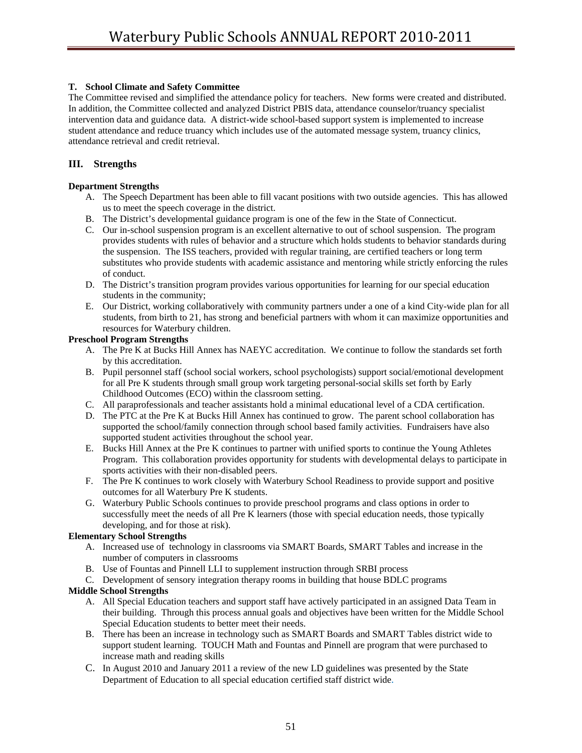# **T. School Climate and Safety Committee**

The Committee revised and simplified the attendance policy for teachers. New forms were created and distributed. In addition, the Committee collected and analyzed District PBIS data, attendance counselor/truancy specialist intervention data and guidance data. A district-wide school-based support system is implemented to increase student attendance and reduce truancy which includes use of the automated message system, truancy clinics, attendance retrieval and credit retrieval.

# **III. Strengths**

# **Department Strengths**

- A. The Speech Department has been able to fill vacant positions with two outside agencies. This has allowed us to meet the speech coverage in the district.
- B. The District's developmental guidance program is one of the few in the State of Connecticut.
- C. Our in-school suspension program is an excellent alternative to out of school suspension. The program provides students with rules of behavior and a structure which holds students to behavior standards during the suspension. The ISS teachers, provided with regular training, are certified teachers or long term substitutes who provide students with academic assistance and mentoring while strictly enforcing the rules of conduct.
- D. The District's transition program provides various opportunities for learning for our special education students in the community;
- E. Our District, working collaboratively with community partners under a one of a kind City-wide plan for all students, from birth to 21, has strong and beneficial partners with whom it can maximize opportunities and resources for Waterbury children.

# **Preschool Program Strengths**

- A. The Pre K at Bucks Hill Annex has NAEYC accreditation. We continue to follow the standards set forth by this accreditation.
- B. Pupil personnel staff (school social workers, school psychologists) support social/emotional development for all Pre K students through small group work targeting personal-social skills set forth by Early Childhood Outcomes (ECO) within the classroom setting.
- C. All paraprofessionals and teacher assistants hold a minimal educational level of a CDA certification.
- D. The PTC at the Pre K at Bucks Hill Annex has continued to grow. The parent school collaboration has supported the school/family connection through school based family activities. Fundraisers have also supported student activities throughout the school year.
- E. Bucks Hill Annex at the Pre K continues to partner with unified sports to continue the Young Athletes Program. This collaboration provides opportunity for students with developmental delays to participate in sports activities with their non-disabled peers.
- F. The Pre K continues to work closely with Waterbury School Readiness to provide support and positive outcomes for all Waterbury Pre K students.
- G. Waterbury Public Schools continues to provide preschool programs and class options in order to successfully meet the needs of all Pre K learners (those with special education needs, those typically developing, and for those at risk).

# **Elementary School Strengths**

- A. Increased use of technology in classrooms via SMART Boards, SMART Tables and increase in the number of computers in classrooms
- B. Use of Fountas and Pinnell LLI to supplement instruction through SRBI process
- C. Development of sensory integration therapy rooms in building that house BDLC programs

# **Middle School Strengths**

- A. All Special Education teachers and support staff have actively participated in an assigned Data Team in their building. Through this process annual goals and objectives have been written for the Middle School Special Education students to better meet their needs.
- B. There has been an increase in technology such as SMART Boards and SMART Tables district wide to support student learning. TOUCH Math and Fountas and Pinnell are program that were purchased to increase math and reading skills
- C. In August 2010 and January 2011 a review of the new LD guidelines was presented by the State Department of Education to all special education certified staff district wide.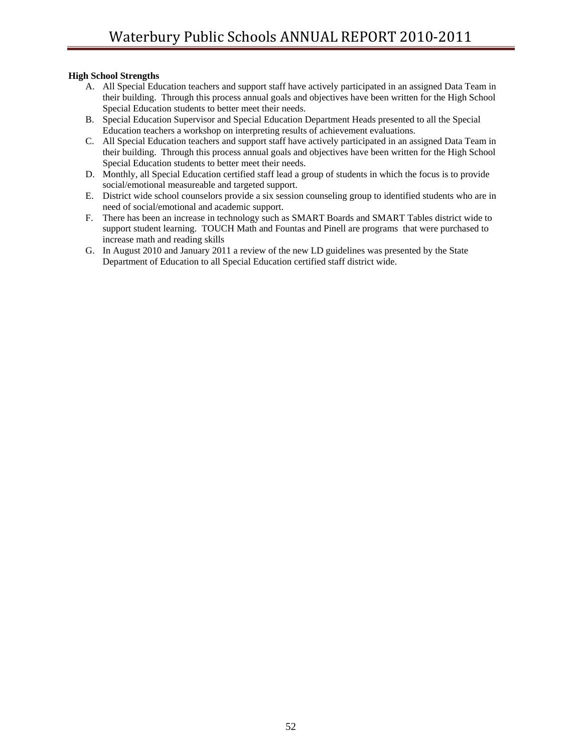# **High School Strengths**

- A. All Special Education teachers and support staff have actively participated in an assigned Data Team in their building. Through this process annual goals and objectives have been written for the High School Special Education students to better meet their needs.
- B. Special Education Supervisor and Special Education Department Heads presented to all the Special Education teachers a workshop on interpreting results of achievement evaluations.
- C. All Special Education teachers and support staff have actively participated in an assigned Data Team in their building. Through this process annual goals and objectives have been written for the High School Special Education students to better meet their needs.
- D. Monthly, all Special Education certified staff lead a group of students in which the focus is to provide social/emotional measureable and targeted support.
- E. District wide school counselors provide a six session counseling group to identified students who are in need of social/emotional and academic support.
- F. There has been an increase in technology such as SMART Boards and SMART Tables district wide to support student learning. TOUCH Math and Fountas and Pinell are programs that were purchased to increase math and reading skills
- G. In August 2010 and January 2011 a review of the new LD guidelines was presented by the State Department of Education to all Special Education certified staff district wide.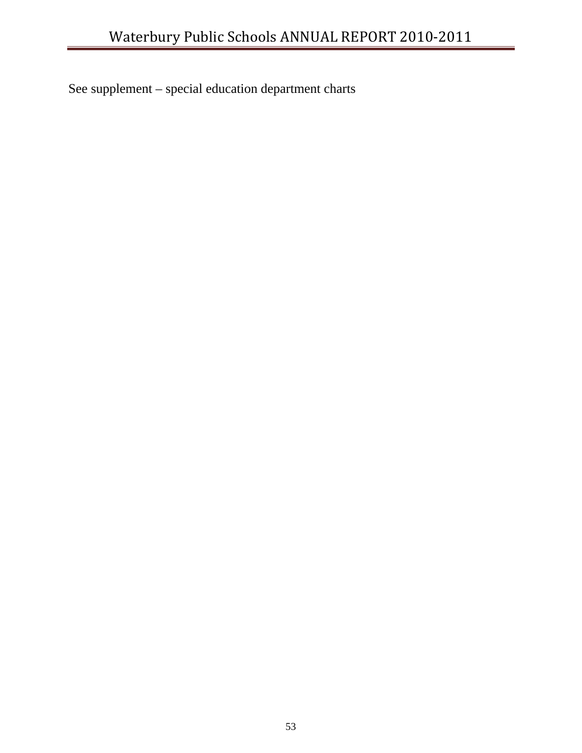See supplement – special education department charts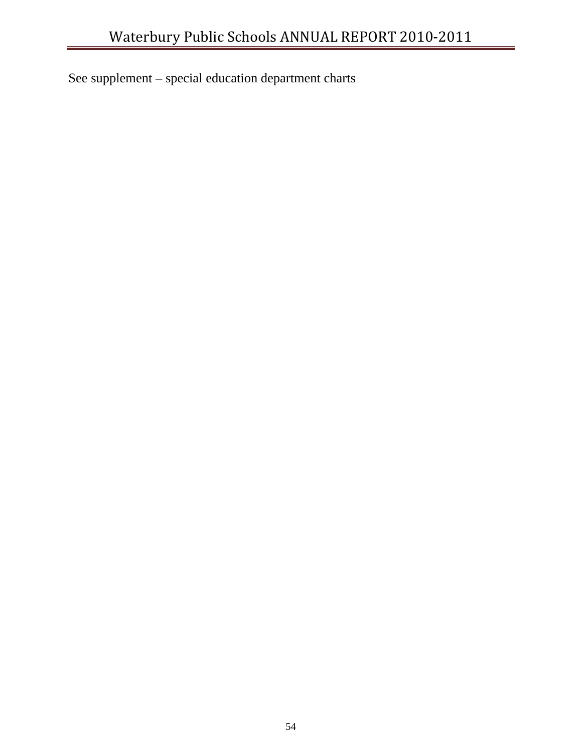See supplement – special education department charts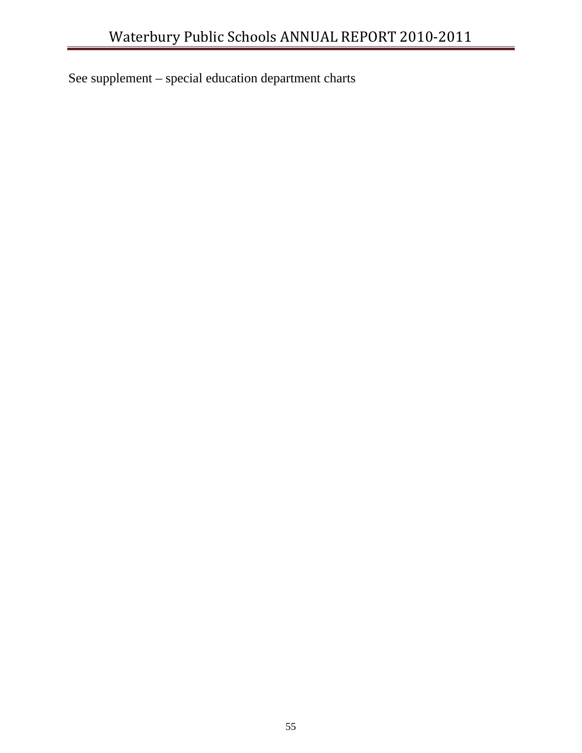See supplement – special education department charts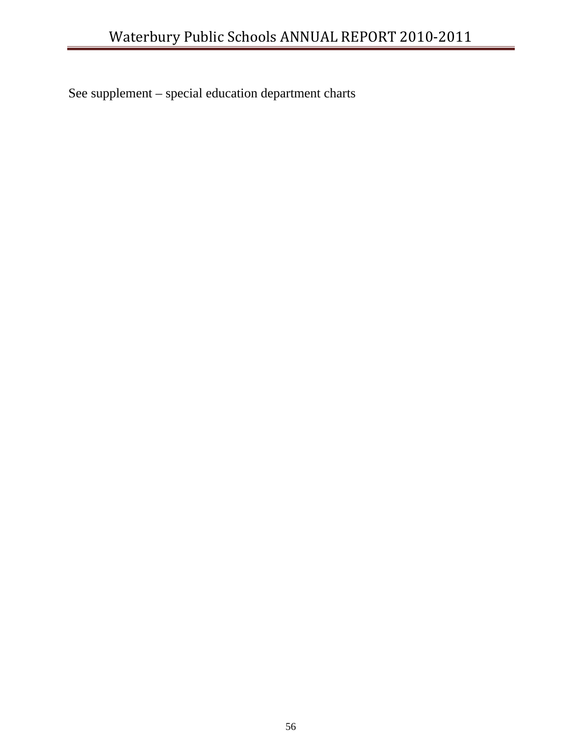See supplement – special education department charts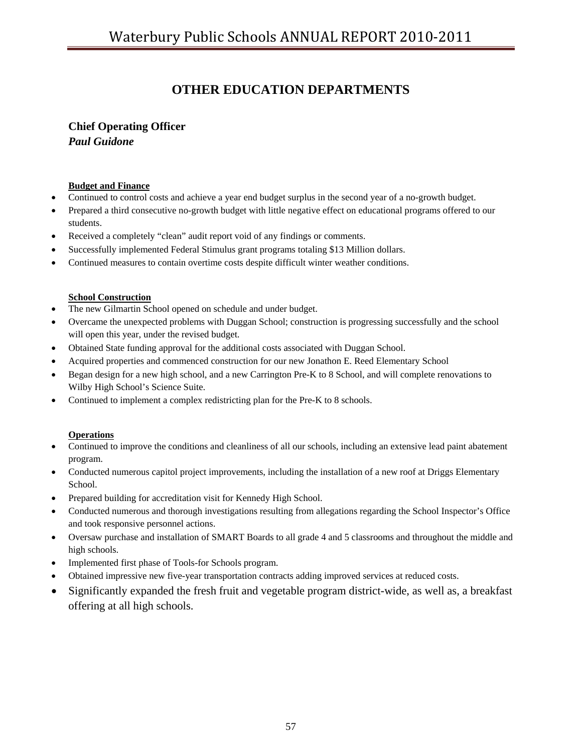# **OTHER EDUCATION DEPARTMENTS**

**Chief Operating Officer** 

*Paul Guidone* 

## **Budget and Finance**

- Continued to control costs and achieve a year end budget surplus in the second year of a no-growth budget.
- Prepared a third consecutive no-growth budget with little negative effect on educational programs offered to our students.
- Received a completely "clean" audit report void of any findings or comments.
- Successfully implemented Federal Stimulus grant programs totaling \$13 Million dollars.
- Continued measures to contain overtime costs despite difficult winter weather conditions.

## **School Construction**

- The new Gilmartin School opened on schedule and under budget.
- Overcame the unexpected problems with Duggan School; construction is progressing successfully and the school will open this year, under the revised budget.
- Obtained State funding approval for the additional costs associated with Duggan School.
- Acquired properties and commenced construction for our new Jonathon E. Reed Elementary School
- Began design for a new high school, and a new Carrington Pre-K to 8 School, and will complete renovations to Wilby High School's Science Suite.
- Continued to implement a complex redistricting plan for the Pre-K to 8 schools.

# **Operations**

- Continued to improve the conditions and cleanliness of all our schools, including an extensive lead paint abatement program.
- Conducted numerous capitol project improvements, including the installation of a new roof at Driggs Elementary School.
- Prepared building for accreditation visit for Kennedy High School.
- Conducted numerous and thorough investigations resulting from allegations regarding the School Inspector's Office and took responsive personnel actions.
- Oversaw purchase and installation of SMART Boards to all grade 4 and 5 classrooms and throughout the middle and high schools.
- Implemented first phase of Tools-for Schools program.
- Obtained impressive new five-year transportation contracts adding improved services at reduced costs.
- Significantly expanded the fresh fruit and vegetable program district-wide, as well as, a breakfast offering at all high schools.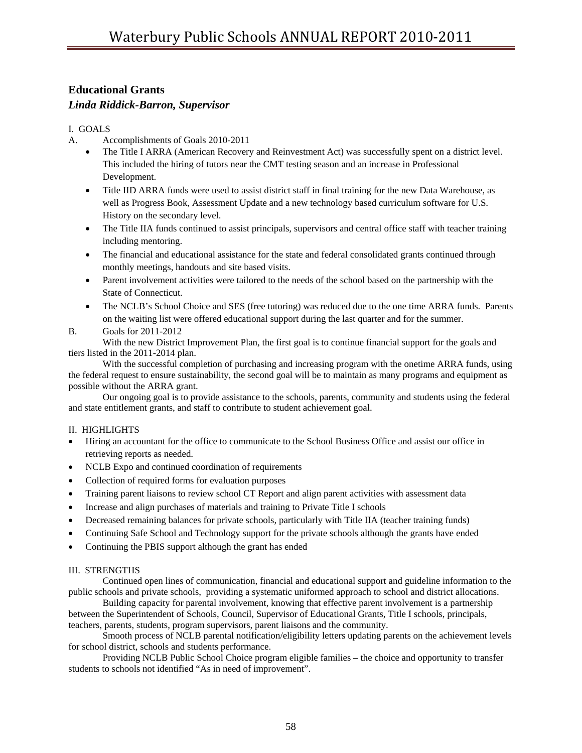# **Educational Grants**  *Linda Riddick-Barron, Supervisor*

### I. GOALS

- A. Accomplishments of Goals 2010-2011
	- The Title I ARRA (American Recovery and Reinvestment Act) was successfully spent on a district level. This included the hiring of tutors near the CMT testing season and an increase in Professional Development.
	- Title IID ARRA funds were used to assist district staff in final training for the new Data Warehouse, as well as Progress Book, Assessment Update and a new technology based curriculum software for U.S. History on the secondary level.
	- The Title IIA funds continued to assist principals, supervisors and central office staff with teacher training including mentoring.
	- The financial and educational assistance for the state and federal consolidated grants continued through monthly meetings, handouts and site based visits.
	- Parent involvement activities were tailored to the needs of the school based on the partnership with the State of Connecticut.
	- The NCLB's School Choice and SES (free tutoring) was reduced due to the one time ARRA funds. Parents on the waiting list were offered educational support during the last quarter and for the summer.

## B. Goals for 2011-2012

With the new District Improvement Plan, the first goal is to continue financial support for the goals and tiers listed in the 2011-2014 plan.

 With the successful completion of purchasing and increasing program with the onetime ARRA funds, using the federal request to ensure sustainability, the second goal will be to maintain as many programs and equipment as possible without the ARRA grant.

 Our ongoing goal is to provide assistance to the schools, parents, community and students using the federal and state entitlement grants, and staff to contribute to student achievement goal.

#### II. HIGHLIGHTS

- Hiring an accountant for the office to communicate to the School Business Office and assist our office in retrieving reports as needed.
- NCLB Expo and continued coordination of requirements
- Collection of required forms for evaluation purposes
- Training parent liaisons to review school CT Report and align parent activities with assessment data
- Increase and align purchases of materials and training to Private Title I schools
- Decreased remaining balances for private schools, particularly with Title IIA (teacher training funds)
- Continuing Safe School and Technology support for the private schools although the grants have ended
- Continuing the PBIS support although the grant has ended

#### III. STRENGTHS

 Continued open lines of communication, financial and educational support and guideline information to the public schools and private schools, providing a systematic uniformed approach to school and district allocations.

 Building capacity for parental involvement, knowing that effective parent involvement is a partnership between the Superintendent of Schools, Council, Supervisor of Educational Grants, Title I schools, principals, teachers, parents, students, program supervisors, parent liaisons and the community.

 Smooth process of NCLB parental notification/eligibility letters updating parents on the achievement levels for school district, schools and students performance.

 Providing NCLB Public School Choice program eligible families – the choice and opportunity to transfer students to schools not identified "As in need of improvement".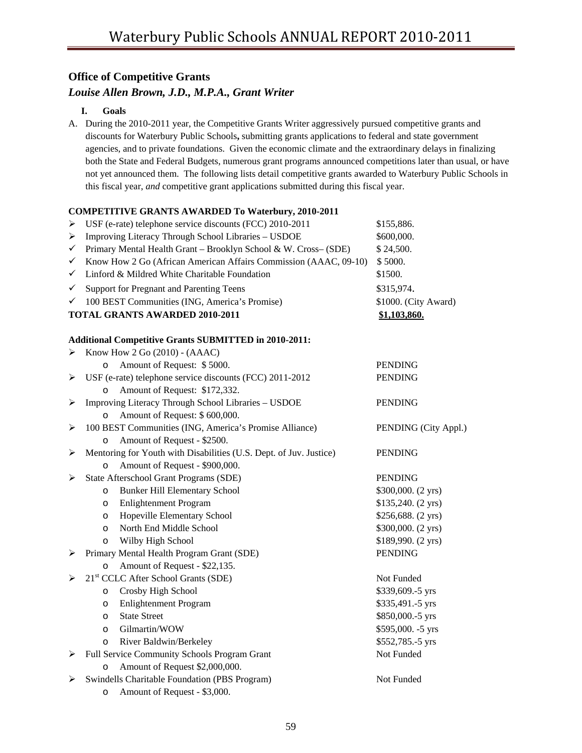# **Office of Competitive Grants**

# *Louise Allen Brown, J.D., M.P.A., Grant Writer*

## **I. Goals**

A. During the 2010-2011 year, the Competitive Grants Writer aggressively pursued competitive grants and discounts for Waterbury Public Schools**,** submitting grants applications to federal and state government agencies, and to private foundations. Given the economic climate and the extraordinary delays in finalizing both the State and Federal Budgets, numerous grant programs announced competitions later than usual, or have not yet announced them. The following lists detail competitive grants awarded to Waterbury Public Schools in this fiscal year, *and* competitive grant applications submitted during this fiscal year.

## **COMPETITIVE GRANTS AWARDED To Waterbury, 2010-2011**

| ➤            | USF (e-rate) telephone service discounts (FCC) 2010-2011                                      | \$155,886.                  |
|--------------|-----------------------------------------------------------------------------------------------|-----------------------------|
| ≻            | Improving Literacy Through School Libraries - USDOE                                           | \$600,000.                  |
| ✓            | Primary Mental Health Grant - Brooklyn School & W. Cross- (SDE)                               | \$24,500.                   |
| $\checkmark$ | Know How 2 Go (African American Affairs Commission (AAAC, 09-10)                              | \$5000.                     |
| ✓            | Linford & Mildred White Charitable Foundation                                                 | \$1500.                     |
| ✓            | Support for Pregnant and Parenting Teens                                                      | \$315,974.                  |
| ✓            | 100 BEST Communities (ING, America's Promise)                                                 | \$1000. (City Award)        |
|              | <b>TOTAL GRANTS AWARDED 2010-2011</b>                                                         | \$1,103,860.                |
|              |                                                                                               |                             |
| ⋗            | <b>Additional Competitive Grants SUBMITTED in 2010-2011:</b><br>Know How 2 Go (2010) - (AAAC) |                             |
|              | Amount of Request: \$5000.<br>$\circ$                                                         | PENDING                     |
|              | USF (e-rate) telephone service discounts (FCC) 2011-2012                                      | <b>PENDING</b>              |
| ➤            | Amount of Request: \$172,332.<br>$\circ$                                                      |                             |
| ➤            | Improving Literacy Through School Libraries - USDOE                                           | <b>PENDING</b>              |
|              | Amount of Request: \$600,000.<br>$\circ$                                                      |                             |
| ➤            | 100 BEST Communities (ING, America's Promise Alliance)                                        | PENDING (City Appl.)        |
|              | Amount of Request - \$2500.<br>$\circ$                                                        |                             |
| ➤            | Mentoring for Youth with Disabilities (U.S. Dept. of Juv. Justice)                            | <b>PENDING</b>              |
|              | Amount of Request - \$900,000.<br>$\circ$                                                     |                             |
| ➤            | State Afterschool Grant Programs (SDE)                                                        | PENDING                     |
|              | <b>Bunker Hill Elementary School</b><br>$\circ$                                               | \$300,000. (2 yrs)          |
|              | <b>Enlightenment Program</b><br>$\circ$                                                       | $$135,240. (2 \text{ yrs})$ |
|              | Hopeville Elementary School<br>O                                                              | \$256,688. (2 yrs)          |
|              | North End Middle School<br>$\circ$                                                            | \$300,000. (2 yrs)          |
|              | Wilby High School<br>$\circ$                                                                  | \$189,990. (2 yrs)          |
| ➤            | Primary Mental Health Program Grant (SDE)                                                     | <b>PENDING</b>              |
|              | Amount of Request - \$22,135.<br>$\circ$                                                      |                             |
|              | 21 <sup>st</sup> CCLC After School Grants (SDE)                                               | Not Funded                  |
|              | Crosby High School<br>O                                                                       | \$339,609.-5 yrs            |
|              | <b>Enlightenment Program</b><br>O                                                             | \$335,491.-5 yrs            |
|              | <b>State Street</b><br>O                                                                      | \$850,000 .- 5 yrs          |
|              | Gilmartin/WOW<br>$\circ$                                                                      | \$595,000. -5 yrs           |
|              | River Baldwin/Berkeley<br>$\circ$                                                             | \$552,785.-5 yrs            |
| ➤            | Full Service Community Schools Program Grant                                                  | Not Funded                  |
|              | Amount of Request \$2,000,000.<br>$\circ$                                                     |                             |
| ⋗            | Swindells Charitable Foundation (PBS Program)                                                 | Not Funded                  |
|              | Amount of Request - \$3,000.<br>$\circ$                                                       |                             |
|              |                                                                                               |                             |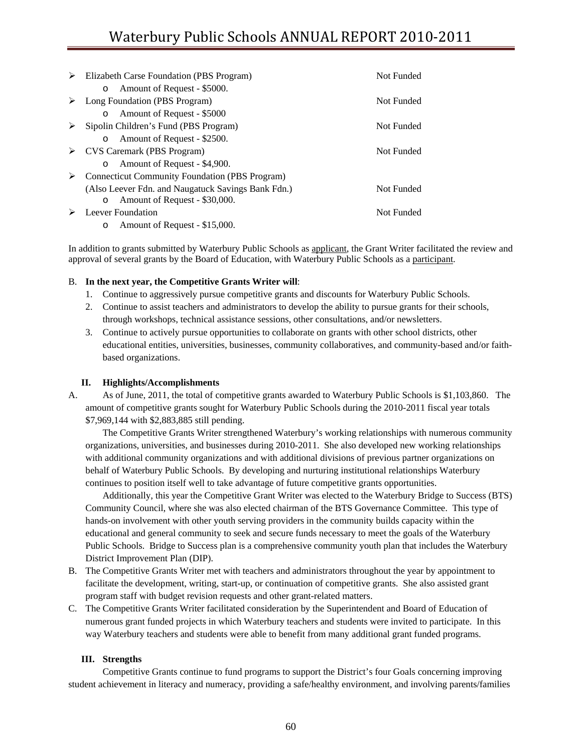|   | Elizabeth Carse Foundation (PBS Program)                                                        | Not Funded |
|---|-------------------------------------------------------------------------------------------------|------------|
|   | Amount of Request - \$5000.<br>$\circ$                                                          |            |
|   | Long Foundation (PBS Program)                                                                   | Not Funded |
|   | Amount of Request - \$5000<br>$\circ$                                                           |            |
|   | Sipolin Children's Fund (PBS Program)                                                           | Not Funded |
|   | Amount of Request - \$2500.<br>$\circ$                                                          |            |
|   | CVS Caremark (PBS Program)                                                                      | Not Funded |
|   | Amount of Request - \$4,900.<br>$\circ$                                                         |            |
| ➤ | <b>Connecticut Community Foundation (PBS Program)</b>                                           |            |
|   | (Also Leever Fdn. and Naugatuck Savings Bank Fdn.)<br>Amount of Request - \$30,000.<br>$\Omega$ | Not Funded |
|   | Leever Foundation                                                                               | Not Funded |
|   | Amount of Request - \$15,000.<br>$\circ$                                                        |            |

In addition to grants submitted by Waterbury Public Schools as applicant, the Grant Writer facilitated the review and approval of several grants by the Board of Education, with Waterbury Public Schools as a participant.

#### B. **In the next year, the Competitive Grants Writer will**:

- 1. Continue to aggressively pursue competitive grants and discounts for Waterbury Public Schools.
- 2. Continue to assist teachers and administrators to develop the ability to pursue grants for their schools, through workshops, technical assistance sessions, other consultations, and/or newsletters.
- 3. Continue to actively pursue opportunities to collaborate on grants with other school districts, other educational entities, universities, businesses, community collaboratives, and community-based and/or faithbased organizations.

#### **II. Highlights/Accomplishments**

A. As of June, 2011, the total of competitive grants awarded to Waterbury Public Schools is \$1,103,860. The amount of competitive grants sought for Waterbury Public Schools during the 2010-2011 fiscal year totals \$7,969,144 with \$2,883,885 still pending.

 The Competitive Grants Writer strengthened Waterbury's working relationships with numerous community organizations, universities, and businesses during 2010-2011. She also developed new working relationships with additional community organizations and with additional divisions of previous partner organizations on behalf of Waterbury Public Schools. By developing and nurturing institutional relationships Waterbury continues to position itself well to take advantage of future competitive grants opportunities.

 Additionally, this year the Competitive Grant Writer was elected to the Waterbury Bridge to Success (BTS) Community Council, where she was also elected chairman of the BTS Governance Committee. This type of hands-on involvement with other youth serving providers in the community builds capacity within the educational and general community to seek and secure funds necessary to meet the goals of the Waterbury Public Schools. Bridge to Success plan is a comprehensive community youth plan that includes the Waterbury District Improvement Plan (DIP).

- B. The Competitive Grants Writer met with teachers and administrators throughout the year by appointment to facilitate the development, writing, start-up, or continuation of competitive grants. She also assisted grant program staff with budget revision requests and other grant-related matters.
- C. The Competitive Grants Writer facilitated consideration by the Superintendent and Board of Education of numerous grant funded projects in which Waterbury teachers and students were invited to participate. In this way Waterbury teachers and students were able to benefit from many additional grant funded programs.

#### **III. Strengths**

 Competitive Grants continue to fund programs to support the District's four Goals concerning improving student achievement in literacy and numeracy, providing a safe/healthy environment, and involving parents/families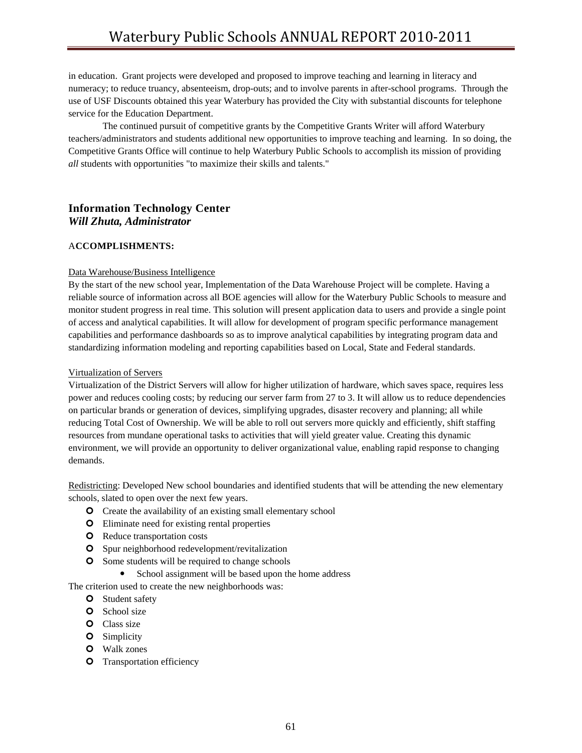in education. Grant projects were developed and proposed to improve teaching and learning in literacy and numeracy; to reduce truancy, absenteeism, drop-outs; and to involve parents in after-school programs. Through the use of USF Discounts obtained this year Waterbury has provided the City with substantial discounts for telephone service for the Education Department.

 The continued pursuit of competitive grants by the Competitive Grants Writer will afford Waterbury teachers/administrators and students additional new opportunities to improve teaching and learning. In so doing, the Competitive Grants Office will continue to help Waterbury Public Schools to accomplish its mission of providing *all* students with opportunities "to maximize their skills and talents."

# **Information Technology Center**  *Will Zhuta, Administrator*

#### A**CCOMPLISHMENTS:**

#### Data Warehouse/Business Intelligence

By the start of the new school year, Implementation of the Data Warehouse Project will be complete. Having a reliable source of information across all BOE agencies will allow for the Waterbury Public Schools to measure and monitor student progress in real time. This solution will present application data to users and provide a single point of access and analytical capabilities. It will allow for development of program specific performance management capabilities and performance dashboards so as to improve analytical capabilities by integrating program data and standardizing information modeling and reporting capabilities based on Local, State and Federal standards.

#### Virtualization of Servers

Virtualization of the District Servers will allow for higher utilization of hardware, which saves space, requires less power and reduces cooling costs; by reducing our server farm from 27 to 3. It will allow us to reduce dependencies on particular brands or generation of devices, simplifying upgrades, disaster recovery and planning; all while reducing Total Cost of Ownership. We will be able to roll out servers more quickly and efficiently, shift staffing resources from mundane operational tasks to activities that will yield greater value. Creating this dynamic environment, we will provide an opportunity to deliver organizational value, enabling rapid response to changing demands.

Redistricting: Developed New school boundaries and identified students that will be attending the new elementary schools, slated to open over the next few years.

- **O** Create the availability of an existing small elementary school
- | Eliminate need for existing rental properties
- | Reduce transportation costs
- | Spur neighborhood redevelopment/revitalization
- **O** Some students will be required to change schools
	- School assignment will be based upon the home address

The criterion used to create the new neighborhoods was:

- **O** Student safety
- **O** School size
- **O** Class size
- **O** Simplicity
- **O** Walk zones
- **O** Transportation efficiency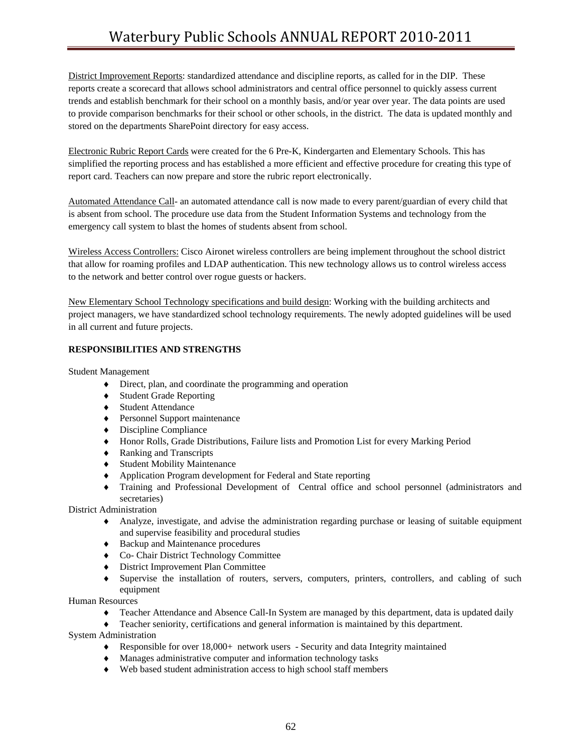District Improvement Reports: standardized attendance and discipline reports, as called for in the DIP. These reports create a scorecard that allows school administrators and central office personnel to quickly assess current trends and establish benchmark for their school on a monthly basis, and/or year over year. The data points are used to provide comparison benchmarks for their school or other schools, in the district. The data is updated monthly and stored on the departments SharePoint directory for easy access.

Electronic Rubric Report Cards were created for the 6 Pre-K, Kindergarten and Elementary Schools. This has simplified the reporting process and has established a more efficient and effective procedure for creating this type of report card. Teachers can now prepare and store the rubric report electronically.

Automated Attendance Call- an automated attendance call is now made to every parent/guardian of every child that is absent from school. The procedure use data from the Student Information Systems and technology from the emergency call system to blast the homes of students absent from school.

Wireless Access Controllers: Cisco Aironet wireless controllers are being implement throughout the school district that allow for roaming profiles and LDAP authentication. This new technology allows us to control wireless access to the network and better control over rogue guests or hackers.

New Elementary School Technology specifications and build design: Working with the building architects and project managers, we have standardized school technology requirements. The newly adopted guidelines will be used in all current and future projects.

#### **RESPONSIBILITIES AND STRENGTHS**

Student Management

- ♦ Direct, plan, and coordinate the programming and operation
- ♦ Student Grade Reporting
- ♦ Student Attendance
- ♦ Personnel Support maintenance
- $\bullet$  Discipline Compliance
- ♦ Honor Rolls, Grade Distributions, Failure lists and Promotion List for every Marking Period
- ♦ Ranking and Transcripts
- ♦ Student Mobility Maintenance
- ♦ Application Program development for Federal and State reporting
- ♦ Training and Professional Development of Central office and school personnel (administrators and secretaries)

District Administration

- ♦ Analyze, investigate, and advise the administration regarding purchase or leasing of suitable equipment and supervise feasibility and procedural studies
- ♦ Backup and Maintenance procedures
- ♦ Co- Chair District Technology Committee
- ♦ District Improvement Plan Committee
- ♦ Supervise the installation of routers, servers, computers, printers, controllers, and cabling of such equipment

Human Resources

- ♦ Teacher Attendance and Absence Call-In System are managed by this department, data is updated daily
- ♦ Teacher seniority, certifications and general information is maintained by this department.

System Administration

- ♦ Responsible for over 18,000+ network users Security and data Integrity maintained
- ♦ Manages administrative computer and information technology tasks
- ♦ Web based student administration access to high school staff members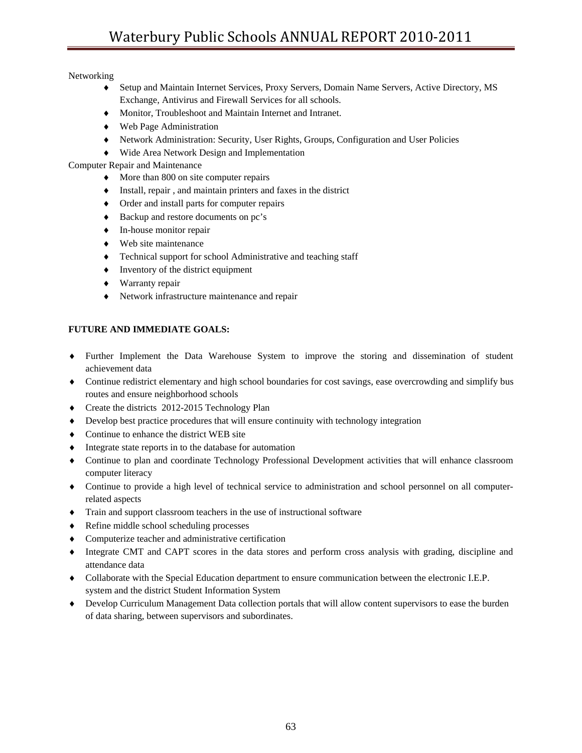Networking

- ♦ Setup and Maintain Internet Services, Proxy Servers, Domain Name Servers, Active Directory, MS Exchange, Antivirus and Firewall Services for all schools.
- ♦ Monitor, Troubleshoot and Maintain Internet and Intranet.
- ♦ Web Page Administration
- ♦ Network Administration: Security, User Rights, Groups, Configuration and User Policies
- ♦ Wide Area Network Design and Implementation

Computer Repair and Maintenance

- ♦ More than 800 on site computer repairs
- ♦ Install, repair , and maintain printers and faxes in the district
- ♦ Order and install parts for computer repairs
- ♦ Backup and restore documents on pc's
- ♦ In-house monitor repair
- $\leftrightarrow$  Web site maintenance
- ♦ Technical support for school Administrative and teaching staff
- ♦ Inventory of the district equipment
- ♦ Warranty repair
- ♦ Network infrastructure maintenance and repair

## **FUTURE AND IMMEDIATE GOALS:**

- ♦ Further Implement the Data Warehouse System to improve the storing and dissemination of student achievement data
- ♦ Continue redistrict elementary and high school boundaries for cost savings, ease overcrowding and simplify bus routes and ensure neighborhood schools
- ♦ Create the districts 2012-2015 Technology Plan
- ♦ Develop best practice procedures that will ensure continuity with technology integration
- ♦ Continue to enhance the district WEB site
- ♦ Integrate state reports in to the database for automation
- ♦ Continue to plan and coordinate Technology Professional Development activities that will enhance classroom computer literacy
- ♦ Continue to provide a high level of technical service to administration and school personnel on all computerrelated aspects
- ♦ Train and support classroom teachers in the use of instructional software
- ♦ Refine middle school scheduling processes
- ♦ Computerize teacher and administrative certification
- ♦ Integrate CMT and CAPT scores in the data stores and perform cross analysis with grading, discipline and attendance data
- ♦ Collaborate with the Special Education department to ensure communication between the electronic I.E.P. system and the district Student Information System
- ♦ Develop Curriculum Management Data collection portals that will allow content supervisors to ease the burden of data sharing, between supervisors and subordinates.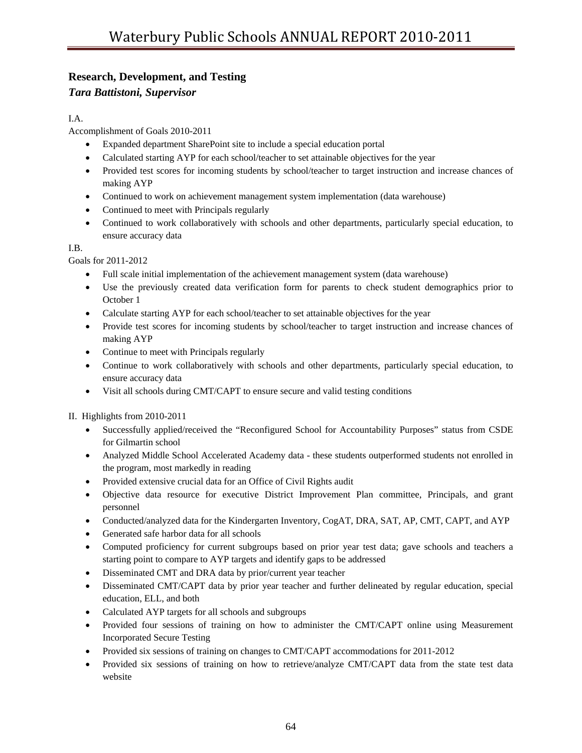# **Research, Development, and Testing**

# *Tara Battistoni, Supervisor*

# I.A.

Accomplishment of Goals 2010-2011

- Expanded department SharePoint site to include a special education portal
- Calculated starting AYP for each school/teacher to set attainable objectives for the year
- Provided test scores for incoming students by school/teacher to target instruction and increase chances of making AYP
- Continued to work on achievement management system implementation (data warehouse)
- Continued to meet with Principals regularly
- Continued to work collaboratively with schools and other departments, particularly special education, to ensure accuracy data

## I.B.

Goals for 2011-2012

- Full scale initial implementation of the achievement management system (data warehouse)
- Use the previously created data verification form for parents to check student demographics prior to October 1
- Calculate starting AYP for each school/teacher to set attainable objectives for the year
- Provide test scores for incoming students by school/teacher to target instruction and increase chances of making AYP
- Continue to meet with Principals regularly
- Continue to work collaboratively with schools and other departments, particularly special education, to ensure accuracy data
- Visit all schools during CMT/CAPT to ensure secure and valid testing conditions

# II. Highlights from 2010-2011

- Successfully applied/received the "Reconfigured School for Accountability Purposes" status from CSDE for Gilmartin school
- Analyzed Middle School Accelerated Academy data these students outperformed students not enrolled in the program, most markedly in reading
- Provided extensive crucial data for an Office of Civil Rights audit
- Objective data resource for executive District Improvement Plan committee, Principals, and grant personnel
- Conducted/analyzed data for the Kindergarten Inventory, CogAT, DRA, SAT, AP, CMT, CAPT, and AYP
- Generated safe harbor data for all schools
- Computed proficiency for current subgroups based on prior year test data; gave schools and teachers a starting point to compare to AYP targets and identify gaps to be addressed
- Disseminated CMT and DRA data by prior/current year teacher
- Disseminated CMT/CAPT data by prior year teacher and further delineated by regular education, special education, ELL, and both
- Calculated AYP targets for all schools and subgroups
- Provided four sessions of training on how to administer the CMT/CAPT online using Measurement Incorporated Secure Testing
- Provided six sessions of training on changes to CMT/CAPT accommodations for 2011-2012
- Provided six sessions of training on how to retrieve/analyze CMT/CAPT data from the state test data website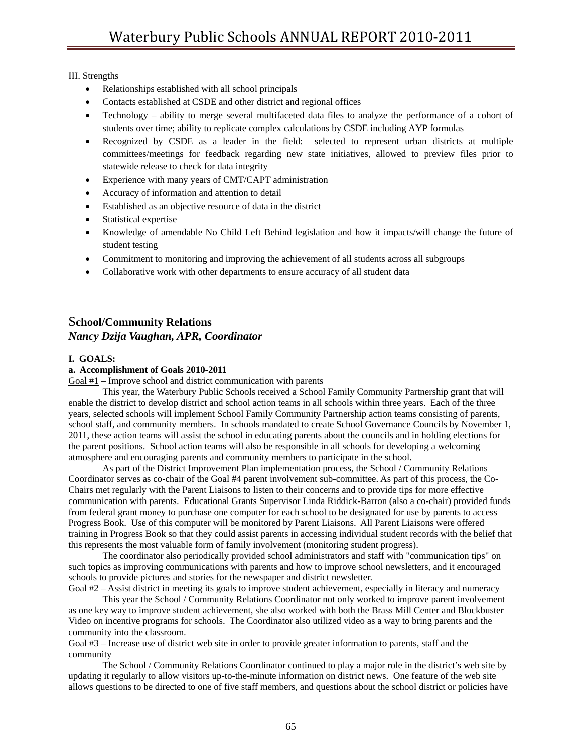III. Strengths

- Relationships established with all school principals
- Contacts established at CSDE and other district and regional offices
- Technology ability to merge several multifaceted data files to analyze the performance of a cohort of students over time; ability to replicate complex calculations by CSDE including AYP formulas
- Recognized by CSDE as a leader in the field: selected to represent urban districts at multiple committees/meetings for feedback regarding new state initiatives, allowed to preview files prior to statewide release to check for data integrity
- Experience with many years of CMT/CAPT administration
- Accuracy of information and attention to detail
- Established as an objective resource of data in the district
- Statistical expertise
- Knowledge of amendable No Child Left Behind legislation and how it impacts/will change the future of student testing
- Commitment to monitoring and improving the achievement of all students across all subgroups
- Collaborative work with other departments to ensure accuracy of all student data

# S**chool/Community Relations**

#### *Nancy Dzija Vaughan, APR, Coordinator*

#### **I. GOALS:**

#### **a. Accomplishment of Goals 2010-2011**

Goal  $#1$  – Improve school and district communication with parents

 This year, the Waterbury Public Schools received a School Family Community Partnership grant that will enable the district to develop district and school action teams in all schools within three years. Each of the three years, selected schools will implement School Family Community Partnership action teams consisting of parents, school staff, and community members. In schools mandated to create School Governance Councils by November 1, 2011, these action teams will assist the school in educating parents about the councils and in holding elections for the parent positions. School action teams will also be responsible in all schools for developing a welcoming atmosphere and encouraging parents and community members to participate in the school.

 As part of the District Improvement Plan implementation process, the School / Community Relations Coordinator serves as co-chair of the Goal #4 parent involvement sub-committee. As part of this process, the Co-Chairs met regularly with the Parent Liaisons to listen to their concerns and to provide tips for more effective communication with parents. Educational Grants Supervisor Linda Riddick-Barron (also a co-chair) provided funds from federal grant money to purchase one computer for each school to be designated for use by parents to access Progress Book. Use of this computer will be monitored by Parent Liaisons. All Parent Liaisons were offered training in Progress Book so that they could assist parents in accessing individual student records with the belief that this represents the most valuable form of family involvement (monitoring student progress).

 The coordinator also periodically provided school administrators and staff with "communication tips" on such topics as improving communications with parents and how to improve school newsletters, and it encouraged schools to provide pictures and stories for the newspaper and district newsletter.

Goal #2 – Assist district in meeting its goals to improve student achievement, especially in literacy and numeracy This year the School / Community Relations Coordinator not only worked to improve parent involvement as one key way to improve student achievement, she also worked with both the Brass Mill Center and Blockbuster Video on incentive programs for schools. The Coordinator also utilized video as a way to bring parents and the

community into the classroom. Goal #3 – Increase use of district web site in order to provide greater information to parents, staff and the community

 The School / Community Relations Coordinator continued to play a major role in the district's web site by updating it regularly to allow visitors up-to-the-minute information on district news. One feature of the web site allows questions to be directed to one of five staff members, and questions about the school district or policies have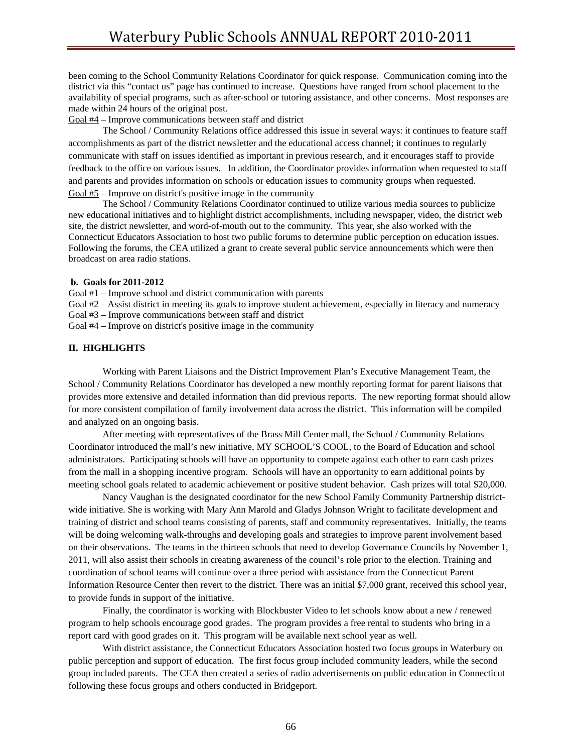been coming to the School Community Relations Coordinator for quick response. Communication coming into the district via this "contact us" page has continued to increase. Questions have ranged from school placement to the availability of special programs, such as after-school or tutoring assistance, and other concerns. Most responses are made within 24 hours of the original post.

Goal #4 – Improve communications between staff and district

 The School / Community Relations office addressed this issue in several ways: it continues to feature staff accomplishments as part of the district newsletter and the educational access channel; it continues to regularly communicate with staff on issues identified as important in previous research, and it encourages staff to provide feedback to the office on various issues. In addition, the Coordinator provides information when requested to staff and parents and provides information on schools or education issues to community groups when requested. Goal #5 – Improve on district's positive image in the community

 The School / Community Relations Coordinator continued to utilize various media sources to publicize new educational initiatives and to highlight district accomplishments, including newspaper, video, the district web site, the district newsletter, and word-of-mouth out to the community. This year, she also worked with the Connecticut Educators Association to host two public forums to determine public perception on education issues. Following the forums, the CEA utilized a grant to create several public service announcements which were then broadcast on area radio stations.

#### **b. Goals for 2011-2012**

Goal #1 – Improve school and district communication with parents

Goal #2 – Assist district in meeting its goals to improve student achievement, especially in literacy and numeracy

Goal #3 – Improve communications between staff and district

Goal #4 – Improve on district's positive image in the community

#### **II. HIGHLIGHTS**

 Working with Parent Liaisons and the District Improvement Plan's Executive Management Team, the School / Community Relations Coordinator has developed a new monthly reporting format for parent liaisons that provides more extensive and detailed information than did previous reports. The new reporting format should allow for more consistent compilation of family involvement data across the district. This information will be compiled and analyzed on an ongoing basis.

 After meeting with representatives of the Brass Mill Center mall, the School / Community Relations Coordinator introduced the mall's new initiative, MY SCHOOL'S COOL, to the Board of Education and school administrators. Participating schools will have an opportunity to compete against each other to earn cash prizes from the mall in a shopping incentive program. Schools will have an opportunity to earn additional points by meeting school goals related to academic achievement or positive student behavior. Cash prizes will total \$20,000.

 Nancy Vaughan is the designated coordinator for the new School Family Community Partnership districtwide initiative. She is working with Mary Ann Marold and Gladys Johnson Wright to facilitate development and training of district and school teams consisting of parents, staff and community representatives. Initially, the teams will be doing welcoming walk-throughs and developing goals and strategies to improve parent involvement based on their observations. The teams in the thirteen schools that need to develop Governance Councils by November 1, 2011, will also assist their schools in creating awareness of the council's role prior to the election. Training and coordination of school teams will continue over a three period with assistance from the Connecticut Parent Information Resource Center then revert to the district. There was an initial \$7,000 grant, received this school year, to provide funds in support of the initiative.

 Finally, the coordinator is working with Blockbuster Video to let schools know about a new / renewed program to help schools encourage good grades. The program provides a free rental to students who bring in a report card with good grades on it. This program will be available next school year as well.

 With district assistance, the Connecticut Educators Association hosted two focus groups in Waterbury on public perception and support of education. The first focus group included community leaders, while the second group included parents. The CEA then created a series of radio advertisements on public education in Connecticut following these focus groups and others conducted in Bridgeport.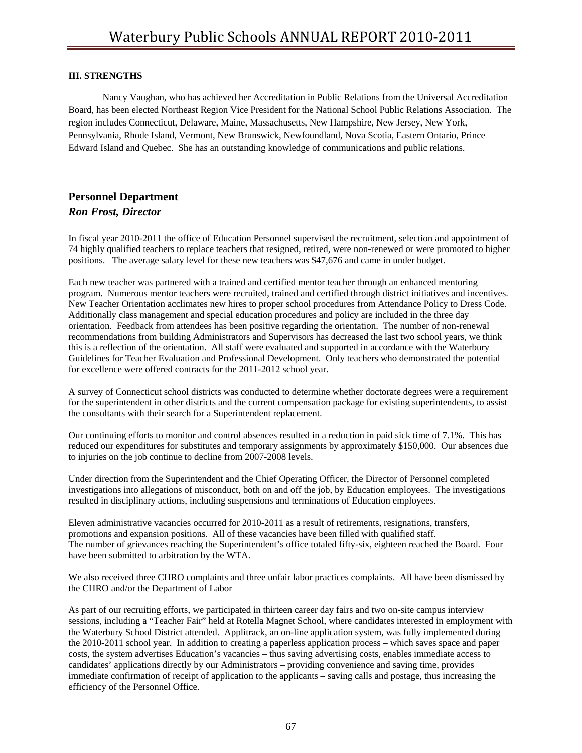#### **III. STRENGTHS**

 Nancy Vaughan, who has achieved her Accreditation in Public Relations from the Universal Accreditation Board, has been elected Northeast Region Vice President for the National School Public Relations Association. The region includes Connecticut, Delaware, Maine, Massachusetts, New Hampshire, New Jersey, New York, Pennsylvania, Rhode Island, Vermont, New Brunswick, Newfoundland, Nova Scotia, Eastern Ontario, Prince Edward Island and Quebec. She has an outstanding knowledge of communications and public relations.

# **Personnel Department**  *Ron Frost, Director*

In fiscal year 2010-2011 the office of Education Personnel supervised the recruitment, selection and appointment of 74 highly qualified teachers to replace teachers that resigned, retired, were non-renewed or were promoted to higher positions. The average salary level for these new teachers was \$47,676 and came in under budget.

Each new teacher was partnered with a trained and certified mentor teacher through an enhanced mentoring program. Numerous mentor teachers were recruited, trained and certified through district initiatives and incentives. New Teacher Orientation acclimates new hires to proper school procedures from Attendance Policy to Dress Code. Additionally class management and special education procedures and policy are included in the three day orientation. Feedback from attendees has been positive regarding the orientation. The number of non-renewal recommendations from building Administrators and Supervisors has decreased the last two school years, we think this is a reflection of the orientation. All staff were evaluated and supported in accordance with the Waterbury Guidelines for Teacher Evaluation and Professional Development. Only teachers who demonstrated the potential for excellence were offered contracts for the 2011-2012 school year.

A survey of Connecticut school districts was conducted to determine whether doctorate degrees were a requirement for the superintendent in other districts and the current compensation package for existing superintendents, to assist the consultants with their search for a Superintendent replacement.

Our continuing efforts to monitor and control absences resulted in a reduction in paid sick time of 7.1%. This has reduced our expenditures for substitutes and temporary assignments by approximately \$150,000. Our absences due to injuries on the job continue to decline from 2007-2008 levels.

Under direction from the Superintendent and the Chief Operating Officer, the Director of Personnel completed investigations into allegations of misconduct, both on and off the job, by Education employees. The investigations resulted in disciplinary actions, including suspensions and terminations of Education employees.

Eleven administrative vacancies occurred for 2010-2011 as a result of retirements, resignations, transfers, promotions and expansion positions. All of these vacancies have been filled with qualified staff. The number of grievances reaching the Superintendent's office totaled fifty-six, eighteen reached the Board. Four have been submitted to arbitration by the WTA.

We also received three CHRO complaints and three unfair labor practices complaints. All have been dismissed by the CHRO and/or the Department of Labor

As part of our recruiting efforts, we participated in thirteen career day fairs and two on-site campus interview sessions, including a "Teacher Fair" held at Rotella Magnet School, where candidates interested in employment with the Waterbury School District attended. Applitrack, an on-line application system, was fully implemented during the 2010-2011 school year. In addition to creating a paperless application process – which saves space and paper costs, the system advertises Education's vacancies – thus saving advertising costs, enables immediate access to candidates' applications directly by our Administrators – providing convenience and saving time, provides immediate confirmation of receipt of application to the applicants – saving calls and postage, thus increasing the efficiency of the Personnel Office.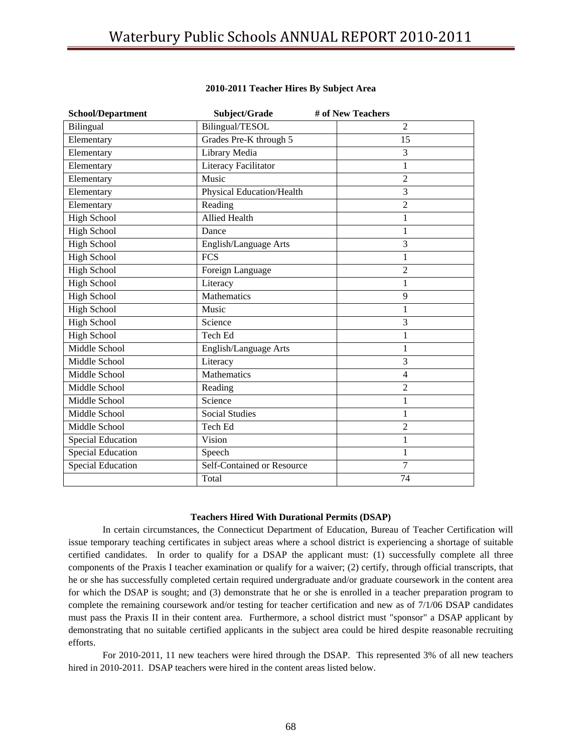| <b>School/Department</b> | Subject/Grade              | # of New Teachers        |
|--------------------------|----------------------------|--------------------------|
| Bilingual                | Bilingual/TESOL            | 2                        |
| Elementary               | Grades Pre-K through 5     | 15                       |
| Elementary               | <b>Library Media</b>       | 3                        |
| Elementary               | Literacy Facilitator       | $\mathbf{1}$             |
| Elementary               | Music                      | $\overline{2}$           |
| Elementary               | Physical Education/Health  | 3                        |
| Elementary               | Reading                    | $\overline{2}$           |
| <b>High School</b>       | <b>Allied Health</b>       | 1                        |
| <b>High School</b>       | Dance                      | $\mathbf{1}$             |
| <b>High School</b>       | English/Language Arts      | 3                        |
| <b>High School</b>       | <b>FCS</b>                 | 1                        |
| <b>High School</b>       | Foreign Language           | $\overline{2}$           |
| <b>High School</b>       | Literacy                   | $\mathbf{1}$             |
| <b>High School</b>       | Mathematics                | 9                        |
| <b>High School</b>       | Music                      | 1                        |
| <b>High School</b>       | Science                    | 3                        |
| <b>High School</b>       | Tech Ed                    | 1                        |
| Middle School            | English/Language Arts      | 1                        |
| Middle School            | Literacy                   | 3                        |
| Middle School            | Mathematics                | $\overline{\mathcal{L}}$ |
| Middle School            | Reading                    | $\overline{2}$           |
| Middle School            | Science                    | 1                        |
| Middle School            | <b>Social Studies</b>      | 1                        |
| Middle School            | Tech Ed                    | $\overline{2}$           |
| <b>Special Education</b> | Vision                     | $\mathbf{1}$             |
| <b>Special Education</b> | Speech                     | $\mathbf{1}$             |
| <b>Special Education</b> | Self-Contained or Resource | $\overline{7}$           |
|                          | Total                      | 74                       |
|                          |                            |                          |

#### **2010-2011 Teacher Hires By Subject Area**

#### **Teachers Hired With Durational Permits (DSAP)**

 In certain circumstances, the Connecticut Department of Education, Bureau of Teacher Certification will issue temporary teaching certificates in subject areas where a school district is experiencing a shortage of suitable certified candidates. In order to qualify for a DSAP the applicant must: (1) successfully complete all three components of the Praxis I teacher examination or qualify for a waiver; (2) certify, through official transcripts, that he or she has successfully completed certain required undergraduate and/or graduate coursework in the content area for which the DSAP is sought; and (3) demonstrate that he or she is enrolled in a teacher preparation program to complete the remaining coursework and/or testing for teacher certification and new as of 7/1/06 DSAP candidates must pass the Praxis II in their content area. Furthermore, a school district must "sponsor" a DSAP applicant by demonstrating that no suitable certified applicants in the subject area could be hired despite reasonable recruiting efforts.

 For 2010-2011, 11 new teachers were hired through the DSAP. This represented 3% of all new teachers hired in 2010-2011. DSAP teachers were hired in the content areas listed below.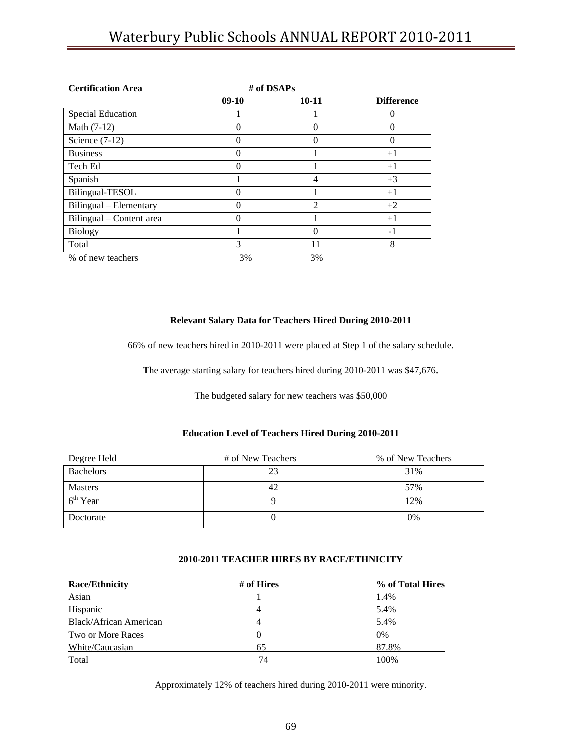# Waterbury Public Schools ANNUAL REPORT 2010‐2011

| <b>Certification Area</b> | # of DSAPs |                |                   |
|---------------------------|------------|----------------|-------------------|
|                           | $09-10$    | $10 - 11$      | <b>Difference</b> |
| Special Education         |            |                | 0                 |
| Math (7-12)               | 0          | O              | 0                 |
| Science $(7-12)$          | 0          | 0              | $\Omega$          |
| <b>Business</b>           | 0          |                | $+1$              |
| Tech Ed                   | $\Omega$   |                | $+1$              |
| Spanish                   |            | $\overline{4}$ | $+3$              |
| Bilingual-TESOL           | 0          |                | $+1$              |
| Bilingual – Elementary    | 0          | $\overline{2}$ | $+2$              |
| Bilingual – Content area  | 0          |                | $+1$              |
| <b>Biology</b>            |            | 0              | -1                |
| Total                     | 3          | 11             | 8                 |
| % of new teachers         | 3%         | 3%             |                   |

#### **Relevant Salary Data for Teachers Hired During 2010-2011**

66% of new teachers hired in 2010-2011 were placed at Step 1 of the salary schedule.

The average starting salary for teachers hired during 2010-2011 was \$47,676.

The budgeted salary for new teachers was \$50,000

#### **Education Level of Teachers Hired During 2010-2011**

| Degree Held          | # of New Teachers | % of New Teachers |
|----------------------|-------------------|-------------------|
| <b>Bachelors</b>     | 23                | 31%               |
| <b>Masters</b>       |                   | 57%               |
| 6 <sup>th</sup> Year |                   | 12%               |
| Doctorate            |                   | 0%                |

#### **2010-2011 TEACHER HIRES BY RACE/ETHNICITY**

| <b>Race/Ethnicity</b>         | # of Hires | % of Total Hires |
|-------------------------------|------------|------------------|
| Asian                         |            | 1.4%             |
| Hispanic                      | 4          | 5.4%             |
| <b>Black/African American</b> | 4          | 5.4%             |
| Two or More Races             |            | 0%               |
| White/Caucasian               | 65         | 87.8%            |
| Total                         | 74         | 100\%            |

Approximately 12% of teachers hired during 2010-2011 were minority.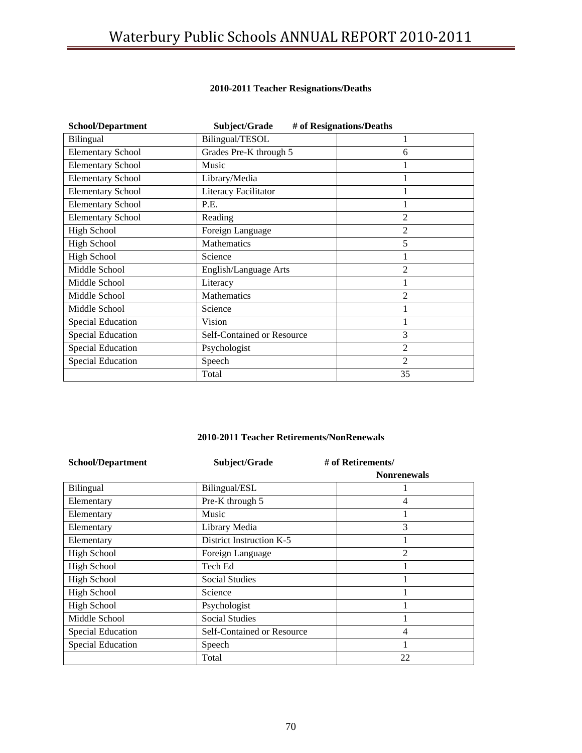## **2010-2011 Teacher Resignations/Deaths**

| <b>School/Department</b> | Subject/Grade              | # of Resignations/Deaths |
|--------------------------|----------------------------|--------------------------|
| Bilingual                | Bilingual/TESOL            | 1                        |
| <b>Elementary School</b> | Grades Pre-K through 5     | 6                        |
| <b>Elementary School</b> | Music                      |                          |
| <b>Elementary School</b> | Library/Media              |                          |
| <b>Elementary School</b> | Literacy Facilitator       |                          |
| <b>Elementary School</b> | P.E.                       |                          |
| <b>Elementary School</b> | Reading                    | $\overline{2}$           |
| <b>High School</b>       | Foreign Language           | $\overline{c}$           |
| <b>High School</b>       | Mathematics                | 5                        |
| <b>High School</b>       | Science                    |                          |
| Middle School            | English/Language Arts      | $\mathfrak{D}$           |
| Middle School            | Literacy                   |                          |
| Middle School            | <b>Mathematics</b>         | $\overline{2}$           |
| Middle School            | Science                    |                          |
| <b>Special Education</b> | Vision                     |                          |
| Special Education        | Self-Contained or Resource | 3                        |
| <b>Special Education</b> | Psychologist               | $\overline{2}$           |
| <b>Special Education</b> | Speech                     | $\overline{c}$           |
|                          | Total                      | 35                       |

#### **2010-2011 Teacher Retirements/NonRenewals**

| <b>School/Department</b> | Subject/Grade              | # of Retirements/  |
|--------------------------|----------------------------|--------------------|
|                          |                            | <b>Nonrenewals</b> |
| Bilingual                | Bilingual/ESL              |                    |
| Elementary               | Pre-K through 5            | 4                  |
| Elementary               | Music                      | 1                  |
| Elementary               | Library Media              | 3                  |
| Elementary               | District Instruction K-5   |                    |
| <b>High School</b>       | Foreign Language           | $\mathfrak{D}$     |
| <b>High School</b>       | Tech Ed                    |                    |
| <b>High School</b>       | <b>Social Studies</b>      |                    |
| <b>High School</b>       | Science                    |                    |
| <b>High School</b>       | Psychologist               |                    |
| Middle School            | <b>Social Studies</b>      |                    |
| <b>Special Education</b> | Self-Contained or Resource | 4                  |
| <b>Special Education</b> | Speech                     |                    |
|                          | Total                      | 22                 |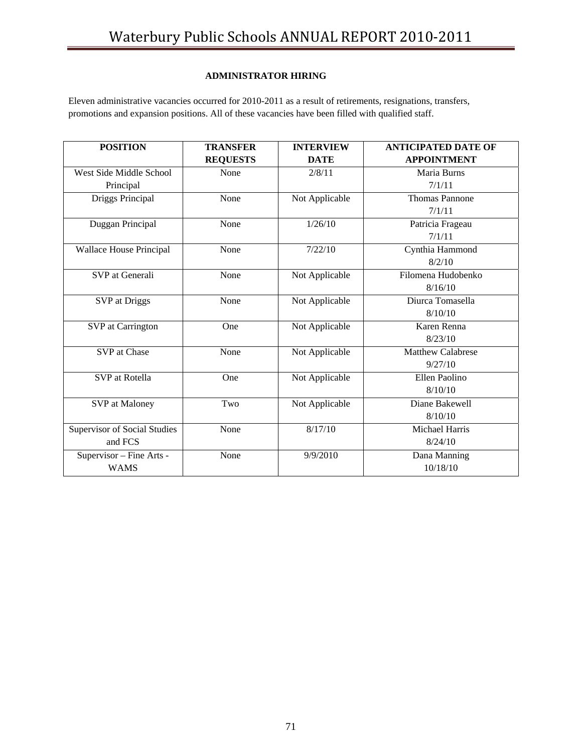## **ADMINISTRATOR HIRING**

Eleven administrative vacancies occurred for 2010-2011 as a result of retirements, resignations, transfers, promotions and expansion positions. All of these vacancies have been filled with qualified staff.

| <b>POSITION</b>                     | <b>TRANSFER</b> | <b>INTERVIEW</b> | <b>ANTICIPATED DATE OF</b> |
|-------------------------------------|-----------------|------------------|----------------------------|
|                                     | <b>REQUESTS</b> | <b>DATE</b>      | <b>APPOINTMENT</b>         |
| West Side Middle School             | None            | 2/8/11           | Maria Burns                |
| Principal                           |                 |                  | 7/1/11                     |
| Driggs Principal                    | None            | Not Applicable   | <b>Thomas Pannone</b>      |
|                                     |                 |                  | 7/1/11                     |
| Duggan Principal                    | None            | 1/26/10          | Patricia Frageau           |
|                                     |                 |                  | 7/1/11                     |
| Wallace House Principal             | None            | 7/22/10          | Cynthia Hammond            |
|                                     |                 |                  | 8/2/10                     |
| SVP at Generali                     | None            | Not Applicable   | Filomena Hudobenko         |
|                                     |                 |                  | 8/16/10                    |
| SVP at Driggs                       | None            | Not Applicable   | Diurca Tomasella           |
|                                     |                 |                  | 8/10/10                    |
| SVP at Carrington                   | One             | Not Applicable   | Karen Renna                |
|                                     |                 |                  | 8/23/10                    |
| SVP at Chase                        | None            | Not Applicable   | <b>Matthew Calabrese</b>   |
|                                     |                 |                  | 9/27/10                    |
| SVP at Rotella                      | One             | Not Applicable   | Ellen Paolino              |
|                                     |                 |                  | 8/10/10                    |
| <b>SVP</b> at Maloney               | Two             | Not Applicable   | Diane Bakewell             |
|                                     |                 |                  | 8/10/10                    |
| <b>Supervisor of Social Studies</b> | None            | 8/17/10          | Michael Harris             |
| and FCS                             |                 |                  | 8/24/10                    |
| Supervisor - Fine Arts -            | None            | 9/9/2010         | Dana Manning               |
| <b>WAMS</b>                         |                 |                  | 10/18/10                   |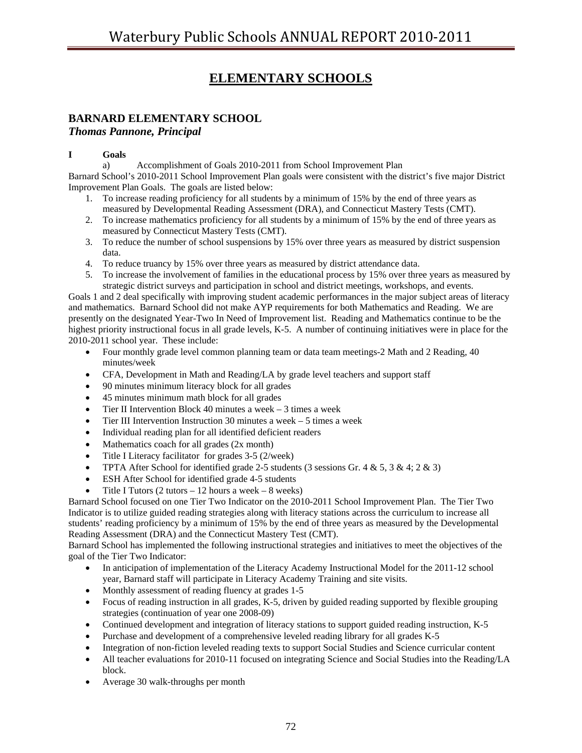# **ELEMENTARY SCHOOLS**

# **BARNARD ELEMENTARY SCHOOL**

*Thomas Pannone, Principal* 

### **I Goals**

a) Accomplishment of Goals 2010-2011 from School Improvement Plan

Barnard School's 2010-2011 School Improvement Plan goals were consistent with the district's five major District Improvement Plan Goals. The goals are listed below:

- 1. To increase reading proficiency for all students by a minimum of 15% by the end of three years as measured by Developmental Reading Assessment (DRA), and Connecticut Mastery Tests (CMT).
- 2. To increase mathematics proficiency for all students by a minimum of 15% by the end of three years as measured by Connecticut Mastery Tests (CMT).
- 3. To reduce the number of school suspensions by 15% over three years as measured by district suspension data.
- 4. To reduce truancy by 15% over three years as measured by district attendance data.
- 5. To increase the involvement of families in the educational process by 15% over three years as measured by strategic district surveys and participation in school and district meetings, workshops, and events.

Goals 1 and 2 deal specifically with improving student academic performances in the major subject areas of literacy and mathematics. Barnard School did not make AYP requirements for both Mathematics and Reading. We are presently on the designated Year-Two In Need of Improvement list. Reading and Mathematics continue to be the highest priority instructional focus in all grade levels, K-5. A number of continuing initiatives were in place for the 2010-2011 school year. These include:

- Four monthly grade level common planning team or data team meetings-2 Math and 2 Reading, 40 minutes/week
- CFA, Development in Math and Reading/LA by grade level teachers and support staff
- 90 minutes minimum literacy block for all grades
- 45 minutes minimum math block for all grades
- Tier II Intervention Block 40 minutes a week 3 times a week
- Tier III Intervention Instruction 30 minutes a week  $-5$  times a week
- Individual reading plan for all identified deficient readers
- Mathematics coach for all grades (2x month)
- Title I Literacy facilitator for grades 3-5 (2/week)
- TPTA After School for identified grade 2-5 students (3 sessions Gr. 4 & 5, 3 & 4; 2 & 3)
- ESH After School for identified grade 4-5 students
- Title I Tutors  $(2 \text{ tutors} 12 \text{ hours} \text{ a week} 8 \text{ weeks})$

Barnard School focused on one Tier Two Indicator on the 2010-2011 School Improvement Plan. The Tier Two Indicator is to utilize guided reading strategies along with literacy stations across the curriculum to increase all students' reading proficiency by a minimum of 15% by the end of three years as measured by the Developmental Reading Assessment (DRA) and the Connecticut Mastery Test (CMT).

Barnard School has implemented the following instructional strategies and initiatives to meet the objectives of the goal of the Tier Two Indicator:

- In anticipation of implementation of the Literacy Academy Instructional Model for the 2011-12 school year, Barnard staff will participate in Literacy Academy Training and site visits.
- Monthly assessment of reading fluency at grades 1-5
- Focus of reading instruction in all grades, K-5, driven by guided reading supported by flexible grouping strategies (continuation of year one 2008-09)
- Continued development and integration of literacy stations to support guided reading instruction, K-5
- Purchase and development of a comprehensive leveled reading library for all grades K-5
- Integration of non-fiction leveled reading texts to support Social Studies and Science curricular content
- All teacher evaluations for 2010-11 focused on integrating Science and Social Studies into the Reading/LA block.
- Average 30 walk-throughs per month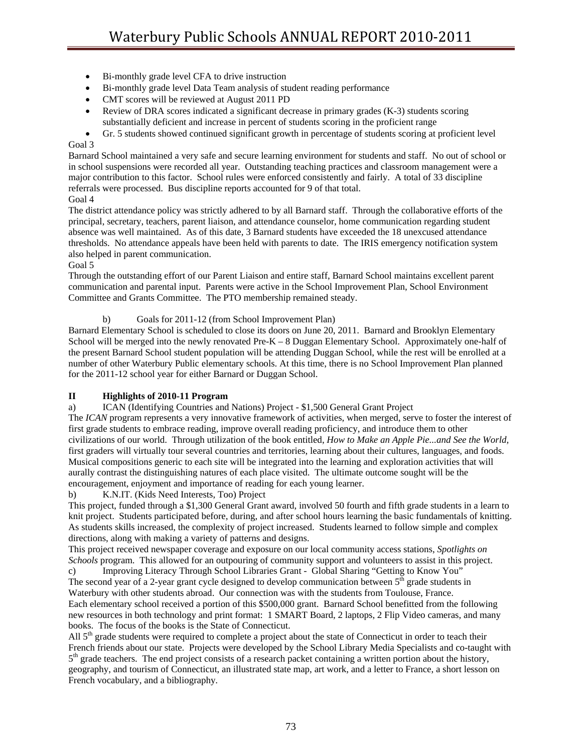- Bi-monthly grade level CFA to drive instruction
- Bi-monthly grade level Data Team analysis of student reading performance
- CMT scores will be reviewed at August 2011 PD
- Review of DRA scores indicated a significant decrease in primary grades (K-3) students scoring substantially deficient and increase in percent of students scoring in the proficient range
- Gr. 5 students showed continued significant growth in percentage of students scoring at proficient level Goal 3

Barnard School maintained a very safe and secure learning environment for students and staff. No out of school or in school suspensions were recorded all year. Outstanding teaching practices and classroom management were a major contribution to this factor. School rules were enforced consistently and fairly. A total of 33 discipline referrals were processed. Bus discipline reports accounted for 9 of that total.

Goal 4

The district attendance policy was strictly adhered to by all Barnard staff. Through the collaborative efforts of the principal, secretary, teachers, parent liaison, and attendance counselor, home communication regarding student absence was well maintained. As of this date, 3 Barnard students have exceeded the 18 unexcused attendance thresholds. No attendance appeals have been held with parents to date. The IRIS emergency notification system also helped in parent communication.

#### Goal 5

Through the outstanding effort of our Parent Liaison and entire staff, Barnard School maintains excellent parent communication and parental input. Parents were active in the School Improvement Plan, School Environment Committee and Grants Committee. The PTO membership remained steady.

b) Goals for 2011-12 (from School Improvement Plan)

Barnard Elementary School is scheduled to close its doors on June 20, 2011. Barnard and Brooklyn Elementary School will be merged into the newly renovated Pre-K – 8 Duggan Elementary School. Approximately one-half of the present Barnard School student population will be attending Duggan School, while the rest will be enrolled at a number of other Waterbury Public elementary schools. At this time, there is no School Improvement Plan planned for the 2011-12 school year for either Barnard or Duggan School.

#### **II Highlights of 2010-11 Program**

a) ICAN (Identifying Countries and Nations) Project - \$1,500 General Grant Project

The *ICAN* program represents a very innovative framework of activities, when merged, serve to foster the interest of first grade students to embrace reading, improve overall reading proficiency, and introduce them to other civilizations of our world. Through utilization of the book entitled, *How to Make an Apple Pie...and See the World,* first graders will virtually tour several countries and territories, learning about their cultures, languages, and foods. Musical compositions generic to each site will be integrated into the learning and exploration activities that will aurally contrast the distinguishing natures of each place visited. The ultimate outcome sought will be the encouragement, enjoyment and importance of reading for each young learner.

b) K.N.IT. (Kids Need Interests, Too) Project

This project, funded through a \$1,300 General Grant award, involved 50 fourth and fifth grade students in a learn to knit project. Students participated before, during, and after school hours learning the basic fundamentals of knitting. As students skills increased, the complexity of project increased. Students learned to follow simple and complex directions, along with making a variety of patterns and designs.

This project received newspaper coverage and exposure on our local community access stations, *Spotlights on Schools* program. This allowed for an outpouring of community support and volunteers to assist in this project.

c) Improving Literacy Through School Libraries Grant - Global Sharing "Getting to Know You" The second year of a 2-year grant cycle designed to develop communication between  $5<sup>th</sup>$  grade students in Waterbury with other students abroad. Our connection was with the students from Toulouse, France. Each elementary school received a portion of this \$500,000 grant. Barnard School benefitted from the following new resources in both technology and print format: 1 SMART Board, 2 laptops, 2 Flip Video cameras, and many books. The focus of the books is the State of Connecticut.

All 5<sup>th</sup> grade students were required to complete a project about the state of Connecticut in order to teach their French friends about our state. Projects were developed by the School Library Media Specialists and co-taught with 5<sup>th</sup> grade teachers. The end project consists of a research packet containing a written portion about the history, geography, and tourism of Connecticut, an illustrated state map, art work, and a letter to France, a short lesson on French vocabulary, and a bibliography.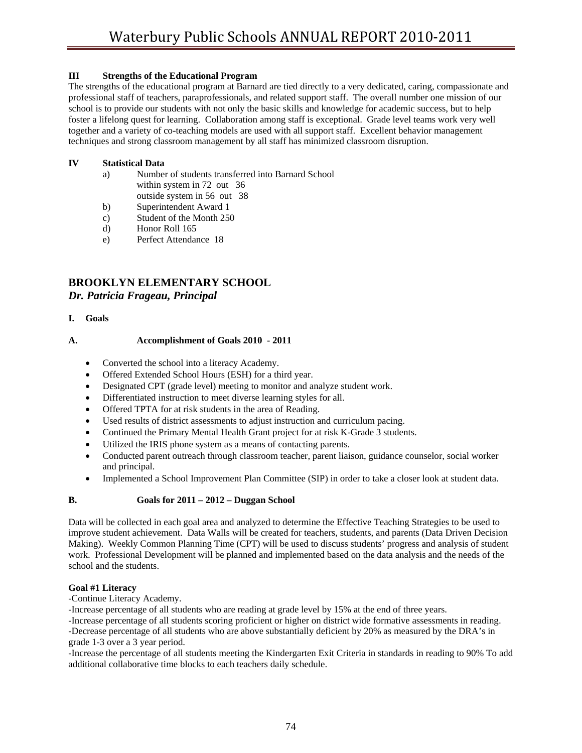### **III Strengths of the Educational Program**

The strengths of the educational program at Barnard are tied directly to a very dedicated, caring, compassionate and professional staff of teachers, paraprofessionals, and related support staff. The overall number one mission of our school is to provide our students with not only the basic skills and knowledge for academic success, but to help foster a lifelong quest for learning. Collaboration among staff is exceptional. Grade level teams work very well together and a variety of co-teaching models are used with all support staff. Excellent behavior management techniques and strong classroom management by all staff has minimized classroom disruption.

### **IV Statistical Data**

- a) Number of students transferred into Barnard School within system in 72 out 36 outside system in 56 out 38
- b) Superintendent Award 1
- c) Student of the Month 250
- d) Honor Roll 165
- e) Perfect Attendance 18

# **BROOKLYN ELEMENTARY SCHOOL**

*Dr. Patricia Frageau, Principal* 

**I. Goals** 

## **A. Accomplishment of Goals 2010 - 2011**

- Converted the school into a literacy Academy.
- Offered Extended School Hours (ESH) for a third year.
- Designated CPT (grade level) meeting to monitor and analyze student work.
- Differentiated instruction to meet diverse learning styles for all.
- Offered TPTA for at risk students in the area of Reading.
- Used results of district assessments to adjust instruction and curriculum pacing.
- Continued the Primary Mental Health Grant project for at risk K-Grade 3 students.
- Utilized the IRIS phone system as a means of contacting parents.
- Conducted parent outreach through classroom teacher, parent liaison, guidance counselor, social worker and principal.
- Implemented a School Improvement Plan Committee (SIP) in order to take a closer look at student data.

#### **B. Goals for 2011 – 2012 – Duggan School**

Data will be collected in each goal area and analyzed to determine the Effective Teaching Strategies to be used to improve student achievement. Data Walls will be created for teachers, students, and parents (Data Driven Decision Making). Weekly Common Planning Time (CPT) will be used to discuss students' progress and analysis of student work. Professional Development will be planned and implemented based on the data analysis and the needs of the school and the students.

#### **Goal #1 Literacy**

-Continue Literacy Academy.

-Increase percentage of all students who are reading at grade level by 15% at the end of three years.

-Increase percentage of all students scoring proficient or higher on district wide formative assessments in reading.

-Decrease percentage of all students who are above substantially deficient by 20% as measured by the DRA's in grade 1-3 over a 3 year period.

-Increase the percentage of all students meeting the Kindergarten Exit Criteria in standards in reading to 90% To add additional collaborative time blocks to each teachers daily schedule.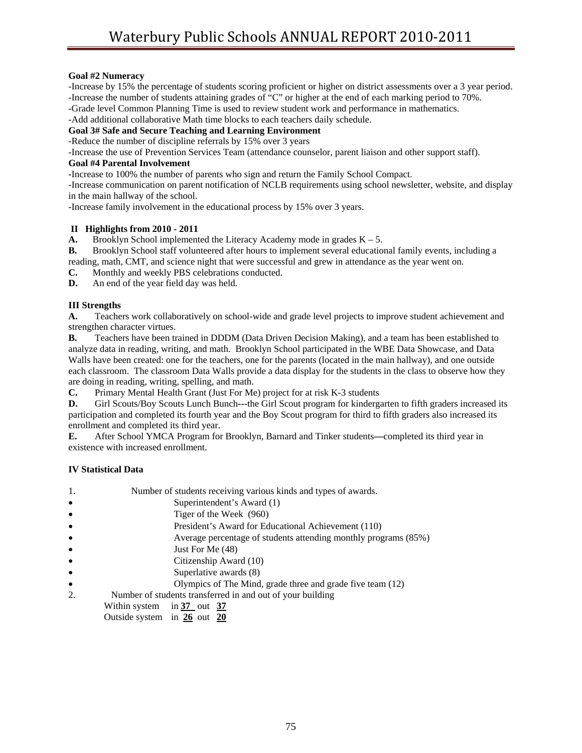#### **Goal #2 Numeracy**

-Increase by 15% the percentage of students scoring proficient or higher on district assessments over a 3 year period. -Increase the number of students attaining grades of "C" or higher at the end of each marking period to 70%.

-Grade level Common Planning Time is used to review student work and performance in mathematics.

-Add additional collaborative Math time blocks to each teachers daily schedule.

## **Goal 3# Safe and Secure Teaching and Learning Environment**

-Reduce the number of discipline referrals by 15% over 3 years

-Increase the use of Prevention Services Team (attendance counselor, parent liaison and other support staff).

#### **Goal #4 Parental Involvement**

-Increase to 100% the number of parents who sign and return the Family School Compact.

-Increase communication on parent notification of NCLB requirements using school newsletter, website, and display in the main hallway of the school.

-Increase family involvement in the educational process by 15% over 3 years.

#### **II Highlights from 2010 - 2011**

**A.** Brooklyn School implemented the Literacy Academy mode in grades  $K - 5$ .

**B.** Brooklyn School staff volunteered after hours to implement several educational family events, including a reading, math, CMT, and science night that were successful and grew in attendance as the year went on.

**C.** Monthly and weekly PBS celebrations conducted.

**D.** An end of the year field day was held.

#### **III Strengths**

**A.** Teachers work collaboratively on school-wide and grade level projects to improve student achievement and strengthen character virtues.

**B.** Teachers have been trained in DDDM (Data Driven Decision Making), and a team has been established to analyze data in reading, writing, and math. Brooklyn School participated in the WBE Data Showcase, and Data Walls have been created: one for the teachers, one for the parents (located in the main hallway), and one outside each classroom. The classroom Data Walls provide a data display for the students in the class to observe how they are doing in reading, writing, spelling, and math.

**C.** Primary Mental Health Grant (Just For Me) project for at risk K-3 students

**D.** Girl Scouts/Boy Scouts Lunch Bunch—-the Girl Scout program for kindergarten to fifth graders increased its participation and completed its fourth year and the Boy Scout program for third to fifth graders also increased its enrollment and completed its third year.

**E.** After School YMCA Program for Brooklyn, Barnard and Tinker students**—**completed its third year in existence with increased enrollment.

#### **IV Statistical Data**

- 1. Number of students receiving various kinds and types of awards. • Superintendent's Award (1) • Tiger of the Week (960) • President's Award for Educational Achievement (110) • **Average percentage of students attending monthly programs (85%)** Just For Me  $(48)$ • Citizenship Award (10) Superlative awards (8) • Olympics of The Mind, grade three and grade five team (12) 2. Number of students transferred in and out of your building Within system in **37** out **37**
	- Outside system in **26** out **20**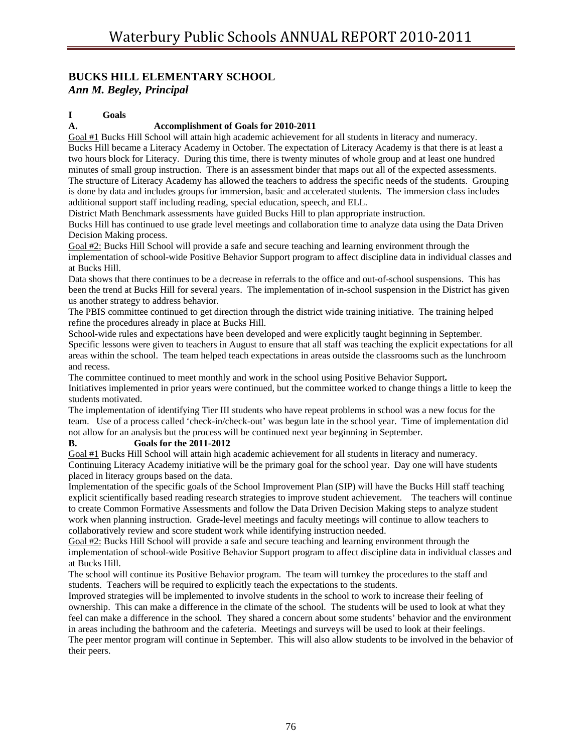# **BUCKS HILL ELEMENTARY SCHOOL**  *Ann M. Begley, Principal*

## **I Goals**

#### **A. Accomplishment of Goals for 2010-2011**

Goal #1 Bucks Hill School will attain high academic achievement for all students in literacy and numeracy. Bucks Hill became a Literacy Academy in October. The expectation of Literacy Academy is that there is at least a two hours block for Literacy. During this time, there is twenty minutes of whole group and at least one hundred minutes of small group instruction. There is an assessment binder that maps out all of the expected assessments. The structure of Literacy Academy has allowed the teachers to address the specific needs of the students. Grouping is done by data and includes groups for immersion, basic and accelerated students. The immersion class includes additional support staff including reading, special education, speech, and ELL.

District Math Benchmark assessments have guided Bucks Hill to plan appropriate instruction.

Bucks Hill has continued to use grade level meetings and collaboration time to analyze data using the Data Driven Decision Making process.

Goal #2: Bucks Hill School will provide a safe and secure teaching and learning environment through the implementation of school-wide Positive Behavior Support program to affect discipline data in individual classes and at Bucks Hill.

Data shows that there continues to be a decrease in referrals to the office and out-of-school suspensions. This has been the trend at Bucks Hill for several years. The implementation of in-school suspension in the District has given us another strategy to address behavior.

The PBIS committee continued to get direction through the district wide training initiative. The training helped refine the procedures already in place at Bucks Hill.

School-wide rules and expectations have been developed and were explicitly taught beginning in September. Specific lessons were given to teachers in August to ensure that all staff was teaching the explicit expectations for all areas within the school. The team helped teach expectations in areas outside the classrooms such as the lunchroom and recess.

The committee continued to meet monthly and work in the school using Positive Behavior Support**.**  Initiatives implemented in prior years were continued, but the committee worked to change things a little to keep the students motivated.

The implementation of identifying Tier III students who have repeat problems in school was a new focus for the team. Use of a process called 'check-in/check-out' was begun late in the school year. Time of implementation did not allow for an analysis but the process will be continued next year beginning in September.

#### **B. Goals for the 2011-2012**

Goal #1 Bucks Hill School will attain high academic achievement for all students in literacy and numeracy. Continuing Literacy Academy initiative will be the primary goal for the school year. Day one will have students placed in literacy groups based on the data.

Implementation of the specific goals of the School Improvement Plan (SIP) will have the Bucks Hill staff teaching explicit scientifically based reading research strategies to improve student achievement. The teachers will continue to create Common Formative Assessments and follow the Data Driven Decision Making steps to analyze student work when planning instruction. Grade-level meetings and faculty meetings will continue to allow teachers to collaboratively review and score student work while identifying instruction needed.

Goal #2: Bucks Hill School will provide a safe and secure teaching and learning environment through the implementation of school-wide Positive Behavior Support program to affect discipline data in individual classes and at Bucks Hill.

The school will continue its Positive Behavior program. The team will turnkey the procedures to the staff and students. Teachers will be required to explicitly teach the expectations to the students.

Improved strategies will be implemented to involve students in the school to work to increase their feeling of ownership. This can make a difference in the climate of the school. The students will be used to look at what they feel can make a difference in the school. They shared a concern about some students' behavior and the environment in areas including the bathroom and the cafeteria. Meetings and surveys will be used to look at their feelings. The peer mentor program will continue in September. This will also allow students to be involved in the behavior of their peers.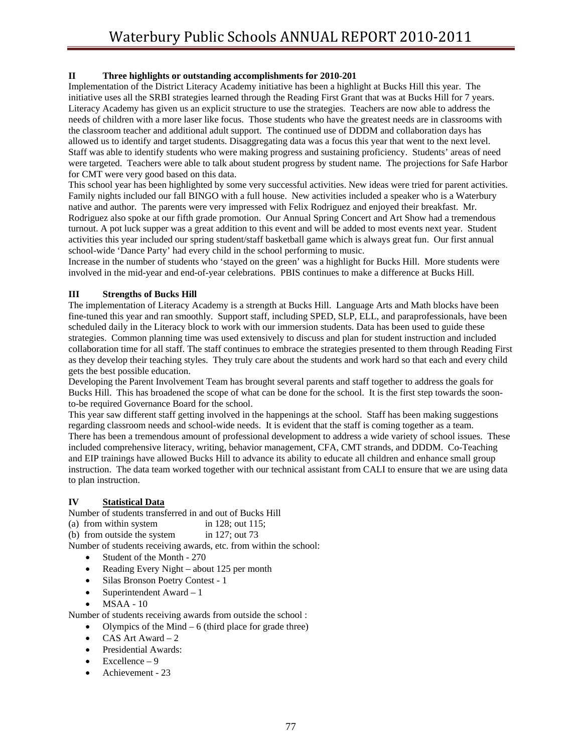## **II Three highlights or outstanding accomplishments for 2010-201**

Implementation of the District Literacy Academy initiative has been a highlight at Bucks Hill this year. The initiative uses all the SRBI strategies learned through the Reading First Grant that was at Bucks Hill for 7 years. Literacy Academy has given us an explicit structure to use the strategies. Teachers are now able to address the needs of children with a more laser like focus. Those students who have the greatest needs are in classrooms with the classroom teacher and additional adult support. The continued use of DDDM and collaboration days has allowed us to identify and target students. Disaggregating data was a focus this year that went to the next level. Staff was able to identify students who were making progress and sustaining proficiency. Students' areas of need were targeted. Teachers were able to talk about student progress by student name. The projections for Safe Harbor for CMT were very good based on this data.

This school year has been highlighted by some very successful activities. New ideas were tried for parent activities. Family nights included our fall BINGO with a full house. New activities included a speaker who is a Waterbury native and author. The parents were very impressed with Felix Rodriguez and enjoyed their breakfast. Mr. Rodriguez also spoke at our fifth grade promotion. Our Annual Spring Concert and Art Show had a tremendous turnout. A pot luck supper was a great addition to this event and will be added to most events next year. Student activities this year included our spring student/staff basketball game which is always great fun. Our first annual school-wide 'Dance Party' had every child in the school performing to music.

Increase in the number of students who 'stayed on the green' was a highlight for Bucks Hill. More students were involved in the mid-year and end-of-year celebrations. PBIS continues to make a difference at Bucks Hill.

#### **III Strengths of Bucks Hill**

The implementation of Literacy Academy is a strength at Bucks Hill. Language Arts and Math blocks have been fine-tuned this year and ran smoothly. Support staff, including SPED, SLP, ELL, and paraprofessionals, have been scheduled daily in the Literacy block to work with our immersion students. Data has been used to guide these strategies. Common planning time was used extensively to discuss and plan for student instruction and included collaboration time for all staff. The staff continues to embrace the strategies presented to them through Reading First as they develop their teaching styles. They truly care about the students and work hard so that each and every child gets the best possible education.

Developing the Parent Involvement Team has brought several parents and staff together to address the goals for Bucks Hill. This has broadened the scope of what can be done for the school. It is the first step towards the soonto-be required Governance Board for the school.

This year saw different staff getting involved in the happenings at the school. Staff has been making suggestions regarding classroom needs and school-wide needs. It is evident that the staff is coming together as a team. There has been a tremendous amount of professional development to address a wide variety of school issues. These included comprehensive literacy, writing, behavior management, CFA, CMT strands, and DDDM. Co-Teaching and EIP trainings have allowed Bucks Hill to advance its ability to educate all children and enhance small group instruction. The data team worked together with our technical assistant from CALI to ensure that we are using data to plan instruction.

#### **IV Statistical Data**

Number of students transferred in and out of Bucks Hill

(a) from within system in 128; out 115; (b) from outside the system in 127; out  $73$ 

Number of students receiving awards, etc. from within the school:

- Student of the Month 270
- Reading Every Night about 125 per month
- Silas Bronson Poetry Contest 1
- Superintendent Award  $-1$
- $MSAA 10$

Number of students receiving awards from outside the school :

- Olympics of the Mind  $-6$  (third place for grade three)
- CAS Art Award  $-2$
- Presidential Awards:
- Excellence  $-9$
- Achievement 23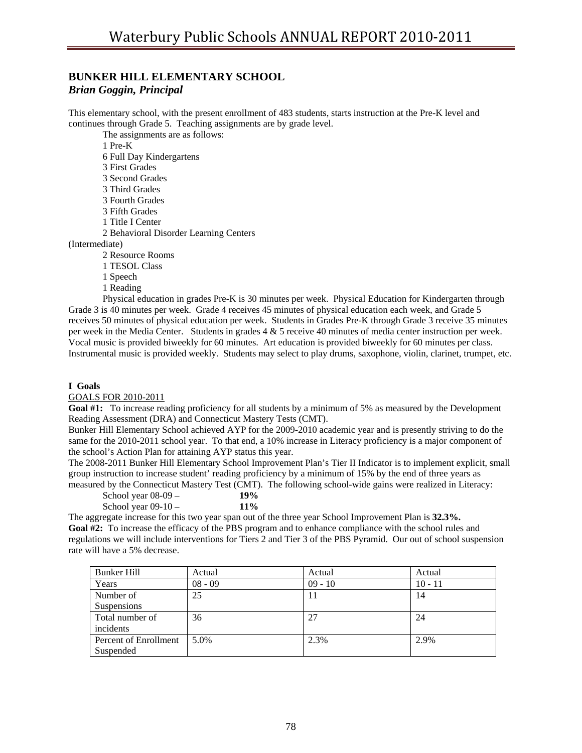# **BUNKER HILL ELEMENTARY SCHOOL**  *Brian Goggin, Principal*

This elementary school, with the present enrollment of 483 students, starts instruction at the Pre-K level and continues through Grade 5. Teaching assignments are by grade level.

 The assignments are as follows: 1 Pre-K 6 Full Day Kindergartens 3 First Grades 3 Second Grades 3 Third Grades 3 Fourth Grades 3 Fifth Grades 1 Title I Center 2 Behavioral Disorder Learning Centers (Intermediate) 2 Resource Rooms 1 TESOL Class

1 Speech

- 
- 1 Reading

 Physical education in grades Pre-K is 30 minutes per week. Physical Education for Kindergarten through Grade 3 is 40 minutes per week. Grade 4 receives 45 minutes of physical education each week, and Grade 5 receives 50 minutes of physical education per week. Students in Grades Pre-K through Grade 3 receive 35 minutes per week in the Media Center. Students in grades 4 & 5 receive 40 minutes of media center instruction per week. Vocal music is provided biweekly for 60 minutes. Art education is provided biweekly for 60 minutes per class. Instrumental music is provided weekly. Students may select to play drums, saxophone, violin, clarinet, trumpet, etc.

#### **I Goals**

GOALS FOR 2010-2011

Goal #1: To increase reading proficiency for all students by a minimum of 5% as measured by the Development Reading Assessment (DRA) and Connecticut Mastery Tests (CMT).

Bunker Hill Elementary School achieved AYP for the 2009-2010 academic year and is presently striving to do the same for the 2010-2011 school year. To that end, a 10% increase in Literacy proficiency is a major component of the school's Action Plan for attaining AYP status this year.

The 2008-2011 Bunker Hill Elementary School Improvement Plan's Tier II Indicator is to implement explicit, small group instruction to increase student' reading proficiency by a minimum of 15% by the end of three years as measured by the Connecticut Mastery Test (CMT). The following school-wide gains were realized in Literacy:

School year 08-09 – **19%** 

School year 09-10 – **11%**

The aggregate increase for this two year span out of the three year School Improvement Plan is **32.3%. Goal #2:** To increase the efficacy of the PBS program and to enhance compliance with the school rules and regulations we will include interventions for Tiers 2 and Tier 3 of the PBS Pyramid. Our out of school suspension rate will have a 5% decrease.

| <b>Bunker Hill</b>    | Actual    | Actual    | Actual    |
|-----------------------|-----------|-----------|-----------|
| Years                 | $08 - 09$ | $09 - 10$ | $10 - 11$ |
| Number of             | 25        | Ħ         | 14        |
| <b>Suspensions</b>    |           |           |           |
| Total number of       | 36        | 27        | 24        |
| incidents             |           |           |           |
| Percent of Enrollment | 5.0%      | 2.3%      | 2.9%      |
| Suspended             |           |           |           |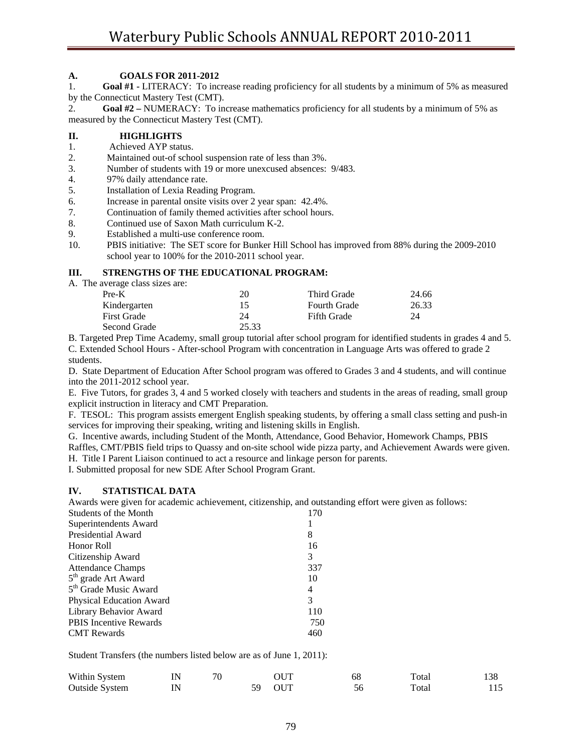#### **A. GOALS FOR 2011-2012**

1. **Goal #1 -** LITERACY: To increase reading proficiency for all students by a minimum of 5% as measured by the Connecticut Mastery Test (CMT).

2. **Goal #2 –** NUMERACY: To increase mathematics proficiency for all students by a minimum of 5% as measured by the Connecticut Mastery Test (CMT).

#### **II. HIGHLIGHTS**

- 1. Achieved AYP status.
- 2. Maintained out-of school suspension rate of less than 3%.
- 3. Number of students with 19 or more unexcused absences: 9/483.
- 4. 97% daily attendance rate.
- 5. Installation of Lexia Reading Program.
- 6. Increase in parental onsite visits over 2 year span: 42.4%.
- 7. Continuation of family themed activities after school hours.
- 8. Continued use of Saxon Math curriculum K-2.
- 9. Established a multi-use conference room.
- 10. PBIS initiative: The SET score for Bunker Hill School has improved from 88% during the 2009-2010 school year to 100% for the 2010-2011 school year.

#### **III. STRENGTHS OF THE EDUCATIONAL PROGRAM:**

A. The average class sizes are:

| $Pre-K$      | 20    | Third Grade         | 24.66 |
|--------------|-------|---------------------|-------|
| Kindergarten | 15    | <b>Fourth Grade</b> | 26.33 |
| First Grade  | 24    | Fifth Grade         | 24    |
| Second Grade | 25.33 |                     |       |

B. Targeted Prep Time Academy, small group tutorial after school program for identified students in grades 4 and 5. C. Extended School Hours - After-school Program with concentration in Language Arts was offered to grade 2 students.

D. State Department of Education After School program was offered to Grades 3 and 4 students, and will continue into the 2011-2012 school year.

E. Five Tutors, for grades 3, 4 and 5 worked closely with teachers and students in the areas of reading, small group explicit instruction in literacy and CMT Preparation.

F. TESOL: This program assists emergent English speaking students, by offering a small class setting and push-in services for improving their speaking, writing and listening skills in English.

G. Incentive awards, including Student of the Month, Attendance, Good Behavior, Homework Champs, PBIS Raffles, CMT/PBIS field trips to Quassy and on-site school wide pizza party, and Achievement Awards were given. H. Title I Parent Liaison continued to act a resource and linkage person for parents.

I. Submitted proposal for new SDE After School Program Grant.

#### **IV. STATISTICAL DATA**

Awards were given for academic achievement, citizenship, and outstanding effort were given as follows:

| Students of the Month                  |     |
|----------------------------------------|-----|
| Superintendents Award                  |     |
| Presidential Award<br>8                |     |
| 16<br>Honor Roll                       |     |
| 3<br>Citizenship Award                 |     |
| <b>Attendance Champs</b>               | 337 |
| 5 <sup>th</sup> grade Art Award<br>10  |     |
| 5 <sup>th</sup> Grade Music Award<br>4 |     |
| 3<br><b>Physical Education Award</b>   |     |
| Library Behavior Award                 | 110 |
| <b>PBIS</b> Incentive Rewards          | 750 |
| <b>CMT</b> Rewards<br>460              |     |

Student Transfers (the numbers listed below are as of June 1, 2011):

| Within System  | IN |  | <b>OUT</b> | 68 | Total | 138 |
|----------------|----|--|------------|----|-------|-----|
| Outside System | IN |  | 59 OUT     | 56 | Total | 115 |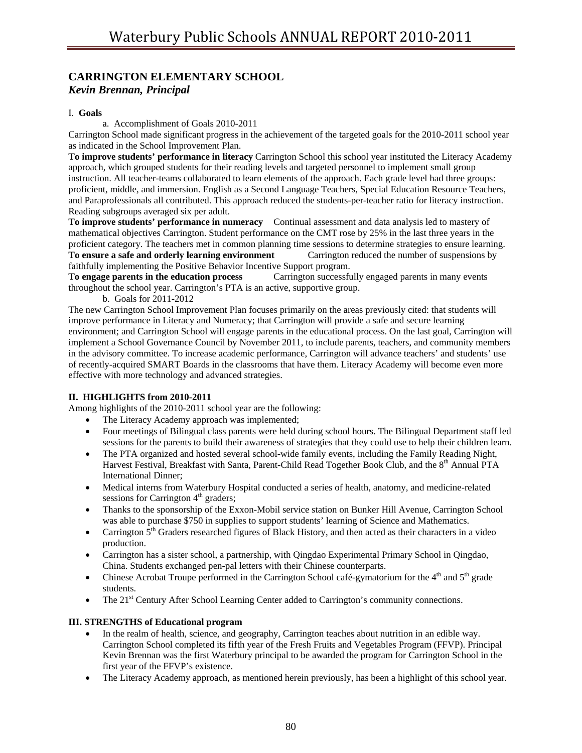# **CARRINGTON ELEMENTARY SCHOOL**  *Kevin Brennan, Principal*

#### I. **Goals**

a. Accomplishment of Goals 2010-2011

Carrington School made significant progress in the achievement of the targeted goals for the 2010-2011 school year as indicated in the School Improvement Plan.

**To improve students' performance in literacy** Carrington School this school year instituted the Literacy Academy approach, which grouped students for their reading levels and targeted personnel to implement small group instruction. All teacher-teams collaborated to learn elements of the approach. Each grade level had three groups: proficient, middle, and immersion. English as a Second Language Teachers, Special Education Resource Teachers, and Paraprofessionals all contributed. This approach reduced the students-per-teacher ratio for literacy instruction. Reading subgroups averaged six per adult.

**To improve students' performance in numeracy** Continual assessment and data analysis led to mastery of mathematical objectives Carrington. Student performance on the CMT rose by 25% in the last three years in the proficient category. The teachers met in common planning time sessions to determine strategies to ensure learning. **To ensure a safe and orderly learning environment** Carrington reduced the number of suspensions by faithfully implementing the Positive Behavior Incentive Support program.

**To engage parents in the education process** Carrington successfully engaged parents in many events throughout the school year. Carrington's PTA is an active, supportive group.

b. Goals for 2011-2012

The new Carrington School Improvement Plan focuses primarily on the areas previously cited: that students will improve performance in Literacy and Numeracy; that Carrington will provide a safe and secure learning environment; and Carrington School will engage parents in the educational process. On the last goal, Carrington will implement a School Governance Council by November 2011, to include parents, teachers, and community members in the advisory committee. To increase academic performance, Carrington will advance teachers' and students' use of recently-acquired SMART Boards in the classrooms that have them. Literacy Academy will become even more effective with more technology and advanced strategies.

#### **II. HIGHLIGHTS from 2010-2011**

Among highlights of the 2010-2011 school year are the following:

- The Literacy Academy approach was implemented;
- Four meetings of Bilingual class parents were held during school hours. The Bilingual Department staff led sessions for the parents to build their awareness of strategies that they could use to help their children learn.
- The PTA organized and hosted several school-wide family events, including the Family Reading Night, Harvest Festival, Breakfast with Santa, Parent-Child Read Together Book Club, and the 8<sup>th</sup> Annual PTA International Dinner;
- Medical interns from Waterbury Hospital conducted a series of health, anatomy, and medicine-related sessions for Carrington  $4<sup>th</sup>$  graders;
- Thanks to the sponsorship of the Exxon-Mobil service station on Bunker Hill Avenue, Carrington School was able to purchase \$750 in supplies to support students' learning of Science and Mathematics.
- Carrington  $5<sup>th</sup>$  Graders researched figures of Black History, and then acted as their characters in a video production.
- Carrington has a sister school, a partnership, with Qingdao Experimental Primary School in Qingdao, China. Students exchanged pen-pal letters with their Chinese counterparts.
- Chinese Acrobat Troupe performed in the Carrington School café-gymatorium for the  $4<sup>th</sup>$  and  $5<sup>th</sup>$  grade students.
- The 21<sup>st</sup> Century After School Learning Center added to Carrington's community connections.

#### **III. STRENGTHS of Educational program**

- In the realm of health, science, and geography, Carrington teaches about nutrition in an edible way. Carrington School completed its fifth year of the Fresh Fruits and Vegetables Program (FFVP). Principal Kevin Brennan was the first Waterbury principal to be awarded the program for Carrington School in the first year of the FFVP's existence.
- The Literacy Academy approach, as mentioned herein previously, has been a highlight of this school year.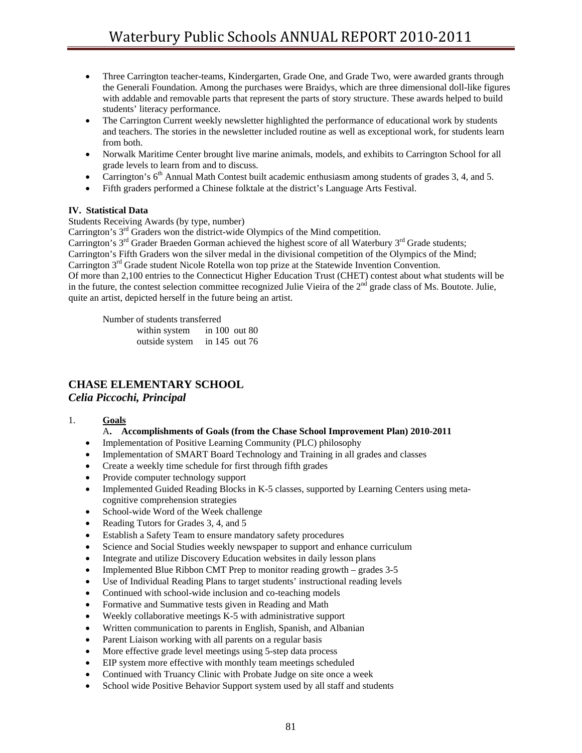- Three Carrington teacher-teams, Kindergarten, Grade One, and Grade Two, were awarded grants through the Generali Foundation. Among the purchases were Braidys, which are three dimensional doll-like figures with addable and removable parts that represent the parts of story structure. These awards helped to build students' literacy performance.
- The Carrington Current weekly newsletter highlighted the performance of educational work by students and teachers. The stories in the newsletter included routine as well as exceptional work, for students learn from both.
- Norwalk Maritime Center brought live marine animals, models, and exhibits to Carrington School for all grade levels to learn from and to discuss.
- Carrington's 6<sup>th</sup> Annual Math Contest built academic enthusiasm among students of grades 3, 4, and 5.
- Fifth graders performed a Chinese folktale at the district's Language Arts Festival.

#### **IV. Statistical Data**

Students Receiving Awards (by type, number)

Carrington's 3rd Graders won the district-wide Olympics of the Mind competition.

Carrington's  $3<sup>rd</sup>$  Grader Braeden Gorman achieved the highest score of all Waterbury  $3<sup>rd</sup>$  Grade students;

Carrington's Fifth Graders won the silver medal in the divisional competition of the Olympics of the Mind;

Carrington 3rd Grade student Nicole Rotella won top prize at the Statewide Invention Convention.

Of more than 2,100 entries to the Connecticut Higher Education Trust (CHET) contest about what students will be in the future, the contest selection committee recognized Julie Vieira of the  $2<sup>nd</sup>$  grade class of Ms. Boutote. Julie, quite an artist, depicted herself in the future being an artist.

 Number of students transferred within system in 100 out 80 outside system in 145 out 76

# **CHASE ELEMENTARY SCHOOL**

# *Celia Piccochi, Principal*

#### 1. **Goals**

#### A**. Accomplishments of Goals (from the Chase School Improvement Plan) 2010-2011**

- Implementation of Positive Learning Community (PLC) philosophy
- Implementation of SMART Board Technology and Training in all grades and classes
- Create a weekly time schedule for first through fifth grades
- Provide computer technology support
- Implemented Guided Reading Blocks in K-5 classes, supported by Learning Centers using metacognitive comprehension strategies
- School-wide Word of the Week challenge
- Reading Tutors for Grades 3, 4, and 5
- Establish a Safety Team to ensure mandatory safety procedures
- Science and Social Studies weekly newspaper to support and enhance curriculum
- Integrate and utilize Discovery Education websites in daily lesson plans
- Implemented Blue Ribbon CMT Prep to monitor reading growth grades 3-5
- Use of Individual Reading Plans to target students' instructional reading levels
- Continued with school-wide inclusion and co-teaching models
- Formative and Summative tests given in Reading and Math
- Weekly collaborative meetings K-5 with administrative support
- Written communication to parents in English, Spanish, and Albanian
- Parent Liaison working with all parents on a regular basis
- More effective grade level meetings using 5-step data process
- EIP system more effective with monthly team meetings scheduled
- Continued with Truancy Clinic with Probate Judge on site once a week
- School wide Positive Behavior Support system used by all staff and students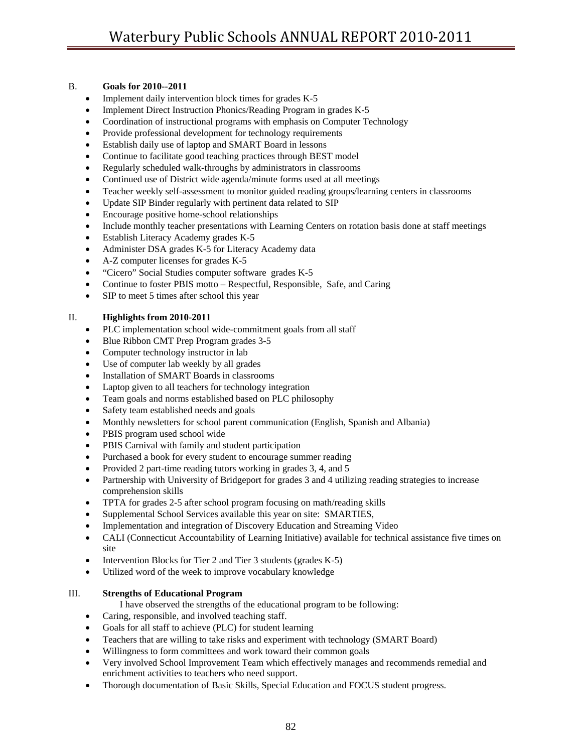#### B. **Goals for 2010--2011**

- Implement daily intervention block times for grades K-5
- Implement Direct Instruction Phonics/Reading Program in grades K-5
- Coordination of instructional programs with emphasis on Computer Technology
- Provide professional development for technology requirements
- Establish daily use of laptop and SMART Board in lessons
- Continue to facilitate good teaching practices through BEST model
- Regularly scheduled walk-throughs by administrators in classrooms
- Continued use of District wide agenda/minute forms used at all meetings
- Teacher weekly self-assessment to monitor guided reading groups/learning centers in classrooms
- Update SIP Binder regularly with pertinent data related to SIP
- Encourage positive home-school relationships
- Include monthly teacher presentations with Learning Centers on rotation basis done at staff meetings
- Establish Literacy Academy grades K-5
- Administer DSA grades K-5 for Literacy Academy data
- A-Z computer licenses for grades K-5
- "Cicero" Social Studies computer software grades K-5
- Continue to foster PBIS motto Respectful, Responsible, Safe, and Caring
- SIP to meet 5 times after school this year

## II. **Highlights from 2010-2011**

- PLC implementation school wide-commitment goals from all staff
- Blue Ribbon CMT Prep Program grades 3-5
- Computer technology instructor in lab
- Use of computer lab weekly by all grades
- Installation of SMART Boards in classrooms
- Laptop given to all teachers for technology integration
- Team goals and norms established based on PLC philosophy
- Safety team established needs and goals
- Monthly newsletters for school parent communication (English, Spanish and Albania)
- PBIS program used school wide
- PBIS Carnival with family and student participation
- Purchased a book for every student to encourage summer reading
- Provided 2 part-time reading tutors working in grades 3, 4, and 5
- Partnership with University of Bridgeport for grades 3 and 4 utilizing reading strategies to increase comprehension skills
- TPTA for grades 2-5 after school program focusing on math/reading skills
- Supplemental School Services available this year on site: SMARTIES,
- Implementation and integration of Discovery Education and Streaming Video
- CALI (Connecticut Accountability of Learning Initiative) available for technical assistance five times on site
- Intervention Blocks for Tier 2 and Tier 3 students (grades K-5)
- Utilized word of the week to improve vocabulary knowledge

# III. **Strengths of Educational Program**

- I have observed the strengths of the educational program to be following:
- Caring, responsible, and involved teaching staff.
- Goals for all staff to achieve (PLC) for student learning
- Teachers that are willing to take risks and experiment with technology (SMART Board)
- Willingness to form committees and work toward their common goals
- Very involved School Improvement Team which effectively manages and recommends remedial and enrichment activities to teachers who need support.
- Thorough documentation of Basic Skills, Special Education and FOCUS student progress.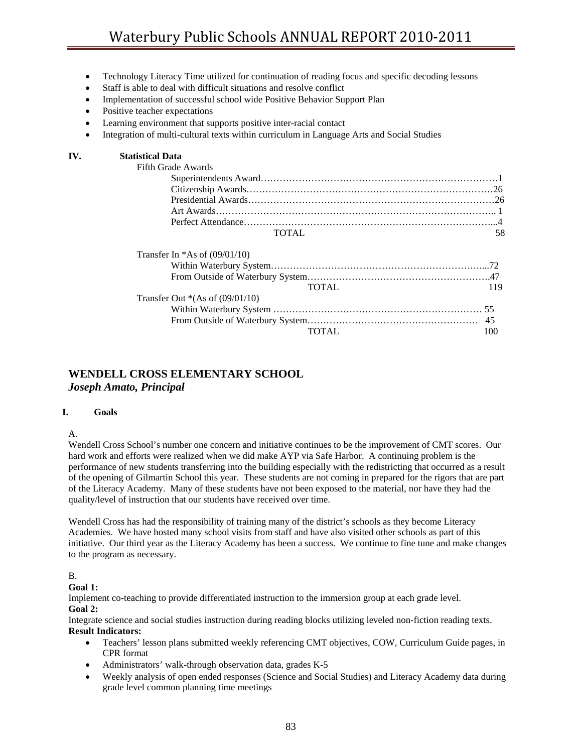- Technology Literacy Time utilized for continuation of reading focus and specific decoding lessons
- Staff is able to deal with difficult situations and resolve conflict
- Implementation of successful school wide Positive Behavior Support Plan
- Positive teacher expectations
- Learning environment that supports positive inter-racial contact
- Integration of multi-cultural texts within curriculum in Language Arts and Social Studies

#### **IV. Statistical Data**

| Fifth Grade Awards |  |
|--------------------|--|
|                    |  |
|                    |  |
|                    |  |
|                    |  |
|                    |  |
| <b>TOTAL</b>       |  |

| Transfer In $*As$ of (09/01/10)    |     |
|------------------------------------|-----|
|                                    |     |
|                                    |     |
| TOTAL.                             | 119 |
| Transfer Out $*(As of (09/01/10))$ |     |
|                                    |     |
|                                    |     |
| TOTAL.                             | 100 |
|                                    |     |

# **WENDELL CROSS ELEMENTARY SCHOOL**  *Joseph Amato, Principal*

#### **I. Goals**

A.

Wendell Cross School's number one concern and initiative continues to be the improvement of CMT scores. Our hard work and efforts were realized when we did make AYP via Safe Harbor. A continuing problem is the performance of new students transferring into the building especially with the redistricting that occurred as a result of the opening of Gilmartin School this year. These students are not coming in prepared for the rigors that are part of the Literacy Academy. Many of these students have not been exposed to the material, nor have they had the quality/level of instruction that our students have received over time.

Wendell Cross has had the responsibility of training many of the district's schools as they become Literacy Academies. We have hosted many school visits from staff and have also visited other schools as part of this initiative. Our third year as the Literacy Academy has been a success. We continue to fine tune and make changes to the program as necessary.

B.

**Goal 1:** 

Implement co-teaching to provide differentiated instruction to the immersion group at each grade level. **Goal 2:** 

Integrate science and social studies instruction during reading blocks utilizing leveled non-fiction reading texts. **Result Indicators:** 

- Teachers' lesson plans submitted weekly referencing CMT objectives, COW, Curriculum Guide pages, in CPR format
- Administrators' walk-through observation data, grades K-5
- Weekly analysis of open ended responses (Science and Social Studies) and Literacy Academy data during grade level common planning time meetings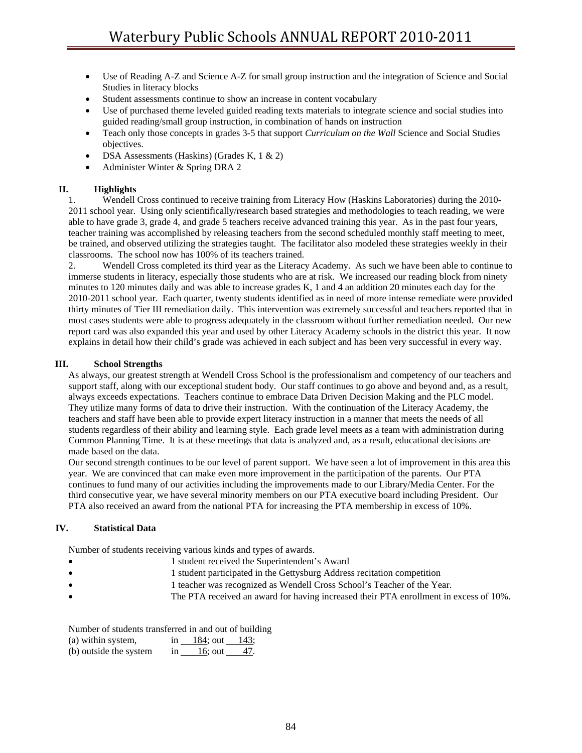- Use of Reading A-Z and Science A-Z for small group instruction and the integration of Science and Social Studies in literacy blocks
- Student assessments continue to show an increase in content vocabulary
- Use of purchased theme leveled guided reading texts materials to integrate science and social studies into guided reading/small group instruction, in combination of hands on instruction
- Teach only those concepts in grades 3-5 that support *Curriculum on the Wall* Science and Social Studies objectives.
- DSA Assessments (Haskins) (Grades K, 1 & 2)
- Administer Winter & Spring DRA 2

#### **II. Highlights**

1. Wendell Cross continued to receive training from Literacy How (Haskins Laboratories) during the 2010- 2011 school year. Using only scientifically/research based strategies and methodologies to teach reading, we were able to have grade 3, grade 4, and grade 5 teachers receive advanced training this year. As in the past four years, teacher training was accomplished by releasing teachers from the second scheduled monthly staff meeting to meet, be trained, and observed utilizing the strategies taught. The facilitator also modeled these strategies weekly in their classrooms. The school now has 100% of its teachers trained.

2. Wendell Cross completed its third year as the Literacy Academy. As such we have been able to continue to immerse students in literacy, especially those students who are at risk. We increased our reading block from ninety minutes to 120 minutes daily and was able to increase grades K, 1 and 4 an addition 20 minutes each day for the 2010-2011 school year. Each quarter, twenty students identified as in need of more intense remediate were provided thirty minutes of Tier III remediation daily. This intervention was extremely successful and teachers reported that in most cases students were able to progress adequately in the classroom without further remediation needed. Our new report card was also expanded this year and used by other Literacy Academy schools in the district this year. It now explains in detail how their child's grade was achieved in each subject and has been very successful in every way.

#### **III. School Strengths**

As always, our greatest strength at Wendell Cross School is the professionalism and competency of our teachers and support staff, along with our exceptional student body. Our staff continues to go above and beyond and, as a result, always exceeds expectations. Teachers continue to embrace Data Driven Decision Making and the PLC model. They utilize many forms of data to drive their instruction. With the continuation of the Literacy Academy, the teachers and staff have been able to provide expert literacy instruction in a manner that meets the needs of all students regardless of their ability and learning style. Each grade level meets as a team with administration during Common Planning Time. It is at these meetings that data is analyzed and, as a result, educational decisions are made based on the data.

Our second strength continues to be our level of parent support. We have seen a lot of improvement in this area this year. We are convinced that can make even more improvement in the participation of the parents. Our PTA continues to fund many of our activities including the improvements made to our Library/Media Center. For the third consecutive year, we have several minority members on our PTA executive board including President. Our PTA also received an award from the national PTA for increasing the PTA membership in excess of 10%.

#### **IV. Statistical Data**

Number of students receiving various kinds and types of awards.

- 1 student received the Superintendent's Award
- 1 student participated in the Gettysburg Address recitation competition
	- 1 teacher was recognized as Wendell Cross School's Teacher of the Year.
- The PTA received an award for having increased their PTA enrollment in excess of 10%.

Number of students transferred in and out of building

| (a) within system,     | 1n | 184; out  | 143: |
|------------------------|----|-----------|------|
| (b) outside the system | ın | 16: $out$ | 47.  |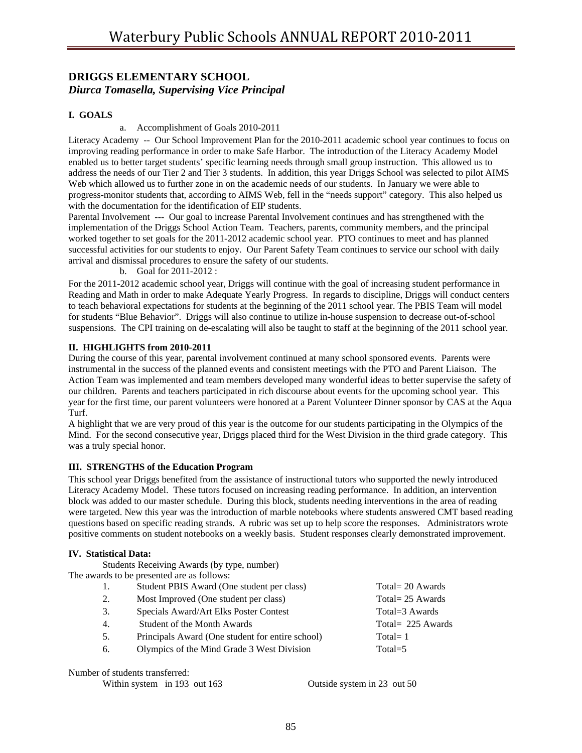# **DRIGGS ELEMENTARY SCHOOL**  *Diurca Tomasella, Supervising Vice Principal*

### **I. GOALS**

#### a. Accomplishment of Goals 2010-2011

Literacy Academy -- Our School Improvement Plan for the 2010-2011 academic school year continues to focus on improving reading performance in order to make Safe Harbor. The introduction of the Literacy Academy Model enabled us to better target students' specific learning needs through small group instruction. This allowed us to address the needs of our Tier 2 and Tier 3 students. In addition, this year Driggs School was selected to pilot AIMS Web which allowed us to further zone in on the academic needs of our students. In January we were able to progress-monitor students that, according to AIMS Web, fell in the "needs support" category. This also helped us with the documentation for the identification of EIP students.

Parental Involvement --- Our goal to increase Parental Involvement continues and has strengthened with the implementation of the Driggs School Action Team. Teachers, parents, community members, and the principal worked together to set goals for the 2011-2012 academic school year. PTO continues to meet and has planned successful activities for our students to enjoy. Our Parent Safety Team continues to service our school with daily arrival and dismissal procedures to ensure the safety of our students.

b. Goal for 2011-2012 :

For the 2011-2012 academic school year, Driggs will continue with the goal of increasing student performance in Reading and Math in order to make Adequate Yearly Progress. In regards to discipline, Driggs will conduct centers to teach behavioral expectations for students at the beginning of the 2011 school year. The PBIS Team will model for students "Blue Behavior". Driggs will also continue to utilize in-house suspension to decrease out-of-school suspensions. The CPI training on de-escalating will also be taught to staff at the beginning of the 2011 school year.

#### **II. HIGHLIGHTS from 2010-2011**

During the course of this year, parental involvement continued at many school sponsored events. Parents were instrumental in the success of the planned events and consistent meetings with the PTO and Parent Liaison. The Action Team was implemented and team members developed many wonderful ideas to better supervise the safety of our children. Parents and teachers participated in rich discourse about events for the upcoming school year. This year for the first time, our parent volunteers were honored at a Parent Volunteer Dinner sponsor by CAS at the Aqua Turf.

A highlight that we are very proud of this year is the outcome for our students participating in the Olympics of the Mind. For the second consecutive year, Driggs placed third for the West Division in the third grade category. This was a truly special honor.

#### **III. STRENGTHS of the Education Program**

This school year Driggs benefited from the assistance of instructional tutors who supported the newly introduced Literacy Academy Model. These tutors focused on increasing reading performance. In addition, an intervention block was added to our master schedule. During this block, students needing interventions in the area of reading were targeted. New this year was the introduction of marble notebooks where students answered CMT based reading questions based on specific reading strands. A rubric was set up to help score the responses. Administrators wrote positive comments on student notebooks on a weekly basis. Student responses clearly demonstrated improvement.

#### **IV. Statistical Data:**

Students Receiving Awards (by type, number)

The awards to be presented are as follows:

| 1. | Student PBIS Award (One student per class)       | Total = 20 Awards   |
|----|--------------------------------------------------|---------------------|
| 2. | Most Improved (One student per class)            | Total = $25$ Awards |
| 3. | Specials Award/Art Elks Poster Contest           | Total=3 Awards      |
| 4. | Student of the Month Awards                      | Total = 225 Awards  |
| 5. | Principals Award (One student for entire school) | Total= $1$          |
| 6. | Olympics of the Mind Grade 3 West Division       | $Total = 5$         |
|    |                                                  |                     |

Number of students transferred:

Within system in 193 out 163 Outside system in 23 out 50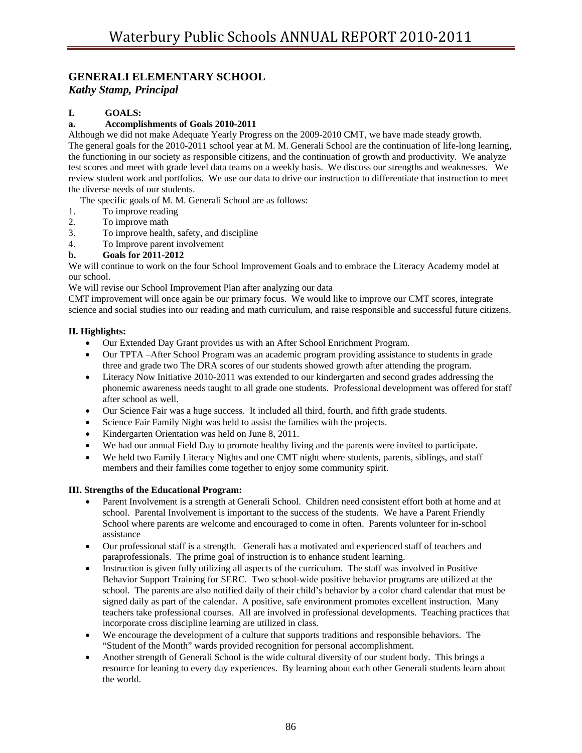# **GENERALI ELEMENTARY SCHOOL**

*Kathy Stamp, Principal* 

## **I. GOALS:**

#### **a. Accomplishments of Goals 2010-2011**

Although we did not make Adequate Yearly Progress on the 2009-2010 CMT, we have made steady growth. The general goals for the 2010-2011 school year at M. M. Generali School are the continuation of life-long learning, the functioning in our society as responsible citizens, and the continuation of growth and productivity. We analyze test scores and meet with grade level data teams on a weekly basis. We discuss our strengths and weaknesses. We review student work and portfolios. We use our data to drive our instruction to differentiate that instruction to meet the diverse needs of our students.

The specific goals of M. M. Generali School are as follows:

- 1. To improve reading
- 2. To improve math
- 3. To improve health, safety, and discipline
- 4. To Improve parent involvement

#### **b. Goals for 2011-2012**

We will continue to work on the four School Improvement Goals and to embrace the Literacy Academy model at our school.

We will revise our School Improvement Plan after analyzing our data

CMT improvement will once again be our primary focus. We would like to improve our CMT scores, integrate science and social studies into our reading and math curriculum, and raise responsible and successful future citizens.

#### **II. Highlights:**

- Our Extended Day Grant provides us with an After School Enrichment Program.
- Our TPTA –After School Program was an academic program providing assistance to students in grade three and grade two The DRA scores of our students showed growth after attending the program.
- Literacy Now Initiative 2010-2011 was extended to our kindergarten and second grades addressing the phonemic awareness needs taught to all grade one students. Professional development was offered for staff after school as well.
- Our Science Fair was a huge success. It included all third, fourth, and fifth grade students.
- Science Fair Family Night was held to assist the families with the projects.
- Kindergarten Orientation was held on June 8, 2011.
- We had our annual Field Day to promote healthy living and the parents were invited to participate.
- We held two Family Literacy Nights and one CMT night where students, parents, siblings, and staff members and their families come together to enjoy some community spirit.

#### **III. Strengths of the Educational Program:**

- Parent Involvement is a strength at Generali School. Children need consistent effort both at home and at school. Parental Involvement is important to the success of the students. We have a Parent Friendly School where parents are welcome and encouraged to come in often. Parents volunteer for in-school assistance
- Our professional staff is a strength. Generali has a motivated and experienced staff of teachers and paraprofessionals. The prime goal of instruction is to enhance student learning.
- Instruction is given fully utilizing all aspects of the curriculum. The staff was involved in Positive Behavior Support Training for SERC. Two school-wide positive behavior programs are utilized at the school. The parents are also notified daily of their child's behavior by a color chard calendar that must be signed daily as part of the calendar. A positive, safe environment promotes excellent instruction. Many teachers take professional courses. All are involved in professional developments. Teaching practices that incorporate cross discipline learning are utilized in class.
- We encourage the development of a culture that supports traditions and responsible behaviors. The "Student of the Month" wards provided recognition for personal accomplishment.
- Another strength of Generali School is the wide cultural diversity of our student body. This brings a resource for leaning to every day experiences. By learning about each other Generali students learn about the world.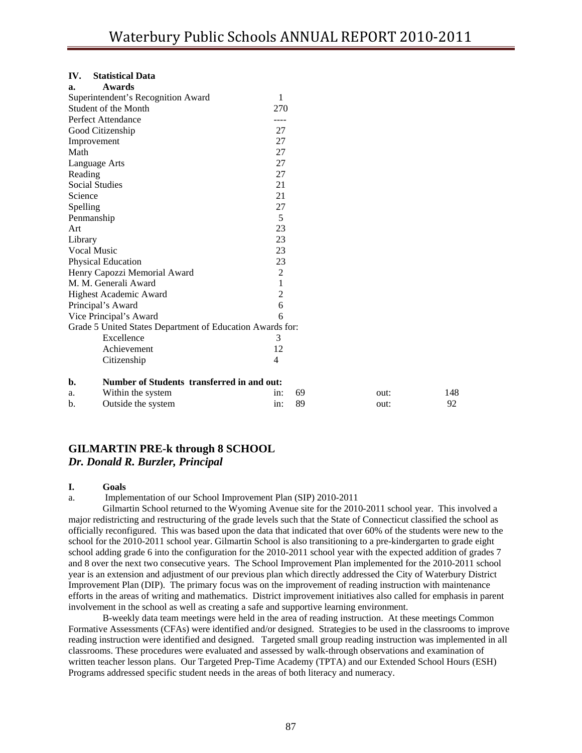#### **IV. Statistical Data**

| a.                            | <b>Awards</b>                                             |                |    |      |     |
|-------------------------------|-----------------------------------------------------------|----------------|----|------|-----|
|                               | Superintendent's Recognition Award                        | 1              |    |      |     |
|                               | Student of the Month                                      | 270            |    |      |     |
|                               | Perfect Attendance                                        |                |    |      |     |
|                               | Good Citizenship                                          | 27             |    |      |     |
| Improvement                   |                                                           | 27             |    |      |     |
| Math                          |                                                           | 27             |    |      |     |
|                               | Language Arts                                             | 27             |    |      |     |
| Reading                       |                                                           | 27             |    |      |     |
|                               | <b>Social Studies</b>                                     | 21             |    |      |     |
| Science                       |                                                           | 21             |    |      |     |
| Spelling                      |                                                           | 27             |    |      |     |
| Penmanship                    |                                                           | 5              |    |      |     |
| Art                           |                                                           | 23             |    |      |     |
| Library                       |                                                           | 23             |    |      |     |
| <b>Vocal Music</b>            |                                                           | 23             |    |      |     |
| Physical Education            |                                                           | 23             |    |      |     |
| Henry Capozzi Memorial Award  |                                                           | $\overline{2}$ |    |      |     |
| M. M. Generali Award          |                                                           | 1              |    |      |     |
| <b>Highest Academic Award</b> |                                                           | 2              |    |      |     |
| Principal's Award             |                                                           | 6              |    |      |     |
|                               | Vice Principal's Award                                    | 6              |    |      |     |
|                               | Grade 5 United States Department of Education Awards for: |                |    |      |     |
|                               | Excellence                                                | 3              |    |      |     |
|                               | Achievement                                               | 12             |    |      |     |
|                               | Citizenship                                               | 4              |    |      |     |
| b.                            | Number of Students transferred in and out:                |                |    |      |     |
| a.                            | Within the system                                         | in:            | 69 | out: | 148 |
| b.                            | Outside the system                                        | in:            | 89 | out: | 92  |

# **GILMARTIN PRE-k through 8 SCHOOL**  *Dr. Donald R. Burzler, Principal*

#### **I. Goals**

a. Implementation of our School Improvement Plan (SIP) 2010-2011

 Gilmartin School returned to the Wyoming Avenue site for the 2010-2011 school year. This involved a major redistricting and restructuring of the grade levels such that the State of Connecticut classified the school as officially reconfigured. This was based upon the data that indicated that over 60% of the students were new to the school for the 2010-2011 school year. Gilmartin School is also transitioning to a pre-kindergarten to grade eight school adding grade 6 into the configuration for the 2010-2011 school year with the expected addition of grades 7 and 8 over the next two consecutive years. The School Improvement Plan implemented for the 2010-2011 school year is an extension and adjustment of our previous plan which directly addressed the City of Waterbury District Improvement Plan (DIP). The primary focus was on the improvement of reading instruction with maintenance efforts in the areas of writing and mathematics. District improvement initiatives also called for emphasis in parent involvement in the school as well as creating a safe and supportive learning environment.

 B-weekly data team meetings were held in the area of reading instruction. At these meetings Common Formative Assessments (CFAs) were identified and/or designed. Strategies to be used in the classrooms to improve reading instruction were identified and designed. Targeted small group reading instruction was implemented in all classrooms. These procedures were evaluated and assessed by walk-through observations and examination of written teacher lesson plans. Our Targeted Prep-Time Academy (TPTA) and our Extended School Hours (ESH) Programs addressed specific student needs in the areas of both literacy and numeracy.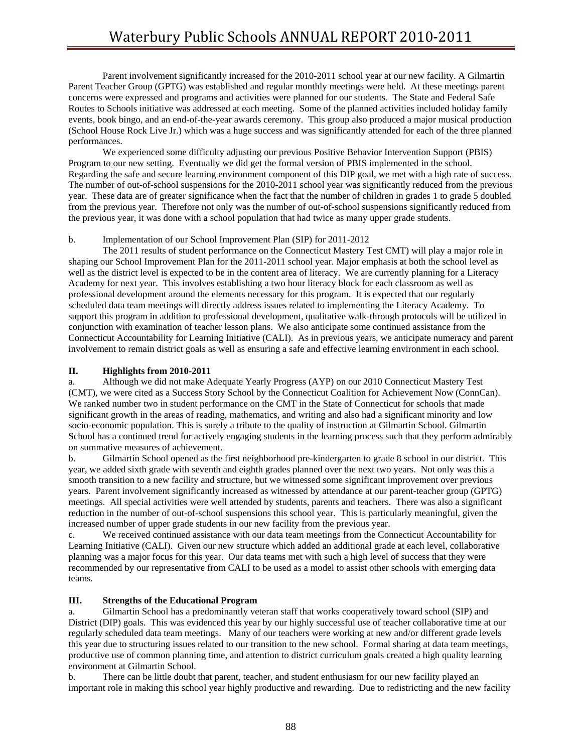Parent involvement significantly increased for the 2010-2011 school year at our new facility. A Gilmartin Parent Teacher Group (GPTG) was established and regular monthly meetings were held. At these meetings parent concerns were expressed and programs and activities were planned for our students. The State and Federal Safe Routes to Schools initiative was addressed at each meeting. Some of the planned activities included holiday family events, book bingo, and an end-of-the-year awards ceremony. This group also produced a major musical production (School House Rock Live Jr.) which was a huge success and was significantly attended for each of the three planned performances.

 We experienced some difficulty adjusting our previous Positive Behavior Intervention Support (PBIS) Program to our new setting. Eventually we did get the formal version of PBIS implemented in the school. Regarding the safe and secure learning environment component of this DIP goal, we met with a high rate of success. The number of out-of-school suspensions for the 2010-2011 school year was significantly reduced from the previous year. These data are of greater significance when the fact that the number of children in grades 1 to grade 5 doubled from the previous year. Therefore not only was the number of out-of-school suspensions significantly reduced from the previous year, it was done with a school population that had twice as many upper grade students.

#### b. Implementation of our School Improvement Plan (SIP) for 2011-2012

 The 2011 results of student performance on the Connecticut Mastery Test CMT) will play a major role in shaping our School Improvement Plan for the 2011-2011 school year. Major emphasis at both the school level as well as the district level is expected to be in the content area of literacy. We are currently planning for a Literacy Academy for next year. This involves establishing a two hour literacy block for each classroom as well as professional development around the elements necessary for this program. It is expected that our regularly scheduled data team meetings will directly address issues related to implementing the Literacy Academy. To support this program in addition to professional development, qualitative walk-through protocols will be utilized in conjunction with examination of teacher lesson plans. We also anticipate some continued assistance from the Connecticut Accountability for Learning Initiative (CALI). As in previous years, we anticipate numeracy and parent involvement to remain district goals as well as ensuring a safe and effective learning environment in each school.

#### **II. Highlights from 2010-2011**

a. Although we did not make Adequate Yearly Progress (AYP) on our 2010 Connecticut Mastery Test (CMT), we were cited as a Success Story School by the Connecticut Coalition for Achievement Now (ConnCan). We ranked number two in student performance on the CMT in the State of Connecticut for schools that made significant growth in the areas of reading, mathematics, and writing and also had a significant minority and low socio-economic population. This is surely a tribute to the quality of instruction at Gilmartin School. Gilmartin School has a continued trend for actively engaging students in the learning process such that they perform admirably on summative measures of achievement.

b. Gilmartin School opened as the first neighborhood pre-kindergarten to grade 8 school in our district. This year, we added sixth grade with seventh and eighth grades planned over the next two years. Not only was this a smooth transition to a new facility and structure, but we witnessed some significant improvement over previous years. Parent involvement significantly increased as witnessed by attendance at our parent-teacher group (GPTG) meetings. All special activities were well attended by students, parents and teachers. There was also a significant reduction in the number of out-of-school suspensions this school year. This is particularly meaningful, given the increased number of upper grade students in our new facility from the previous year.

c. We received continued assistance with our data team meetings from the Connecticut Accountability for Learning Initiative (CALI). Given our new structure which added an additional grade at each level, collaborative planning was a major focus for this year. Our data teams met with such a high level of success that they were recommended by our representative from CALI to be used as a model to assist other schools with emerging data teams.

#### **III. Strengths of the Educational Program**

Gilmartin School has a predominantly veteran staff that works cooperatively toward school (SIP) and District (DIP) goals. This was evidenced this year by our highly successful use of teacher collaborative time at our regularly scheduled data team meetings. Many of our teachers were working at new and/or different grade levels this year due to structuring issues related to our transition to the new school. Formal sharing at data team meetings, productive use of common planning time, and attention to district curriculum goals created a high quality learning environment at Gilmartin School.

b. There can be little doubt that parent, teacher, and student enthusiasm for our new facility played an important role in making this school year highly productive and rewarding. Due to redistricting and the new facility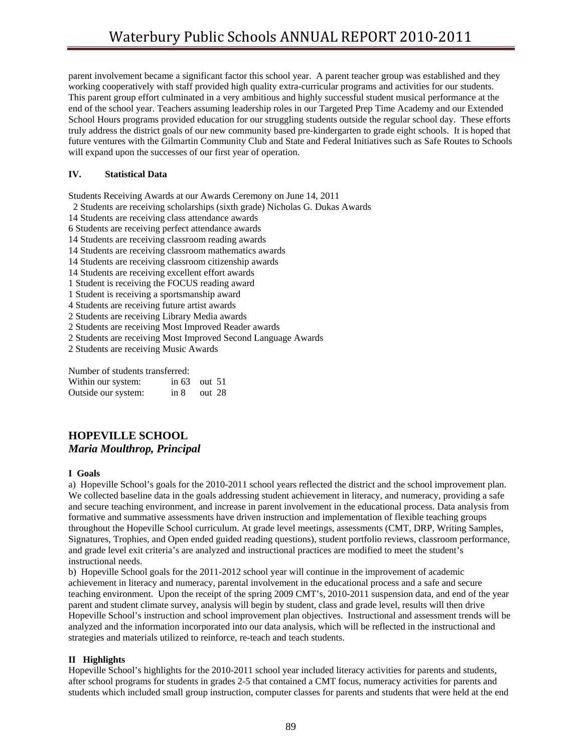parent involvement became a significant factor this school year. A parent teacher group was established and they working cooperatively with staff provided high quality extra-curricular programs and activities for our students. This parent group effort culminated in a very ambitious and highly successful student musical performance at the end of the school year. Teachers assuming leadership roles in our Targeted Prep Time Academy and our Extended School Hours programs provided education for our struggling students outside the regular school day. These efforts truly address the district goals of our new community based pre-kindergarten to grade eight schools. It is hoped that future ventures with the Gilmartin Community Club and State and Federal Initiatives such as Safe Routes to Schools will expand upon the successes of our first year of operation.

#### **IV. Statistical Data**

Students Receiving Awards at our Awards Ceremony on June 14, 2011

- 2 Students are receiving scholarships (sixth grade) Nicholas G. Dukas Awards
- 14 Students are receiving class attendance awards
- 6 Students are receiving perfect attendance awards
- 14 Students are receiving classroom reading awards
- 14 Students are receiving classroom mathematics awards
- 14 Students are receiving classroom citizenship awards
- 14 Students are receiving excellent effort awards
- 1 Student is receiving the FOCUS reading award
- 1 Student is receiving a sportsmanship award
- 4 Students are receiving future artist awards
- 2 Students are receiving Library Media awards
- 2 Students are receiving Most Improved Reader awards
- 2 Students are receiving Most Improved Second Language Awards
- 2 Students are receiving Music Awards

Number of students transferred:

| Within our system:  |        | in $63$ out $51$ |
|---------------------|--------|------------------|
| Outside our system: | in $8$ | out 28           |

# **HOPEVILLE SCHOOL**  *Maria Moulthrop, Principal*

#### **I Goals**

a) Hopeville School's goals for the 2010-2011 school years reflected the district and the school improvement plan. We collected baseline data in the goals addressing student achievement in literacy, and numeracy, providing a safe and secure teaching environment, and increase in parent involvement in the educational process. Data analysis from formative and summative assessments have driven instruction and implementation of flexible teaching groups throughout the Hopeville School curriculum. At grade level meetings, assessments (CMT, DRP, Writing Samples, Signatures, Trophies, and Open ended guided reading questions), student portfolio reviews, classroom performance, and grade level exit criteria's are analyzed and instructional practices are modified to meet the student's instructional needs.

b) Hopeville School goals for the 2011-2012 school year will continue in the improvement of academic achievement in literacy and numeracy, parental involvement in the educational process and a safe and secure teaching environment. Upon the receipt of the spring 2009 CMT's, 2010-2011 suspension data, and end of the year parent and student climate survey, analysis will begin by student, class and grade level, results will then drive Hopeville School's instruction and school improvement plan objectives. Instructional and assessment trends will be analyzed and the information incorporated into our data analysis, which will be reflected in the instructional and strategies and materials utilized to reinforce, re-teach and teach students.

#### **II Highlights**

Hopeville School's highlights for the 2010-2011 school year included literacy activities for parents and students, after school programs for students in grades 2-5 that contained a CMT focus, numeracy activities for parents and students which included small group instruction, computer classes for parents and students that were held at the end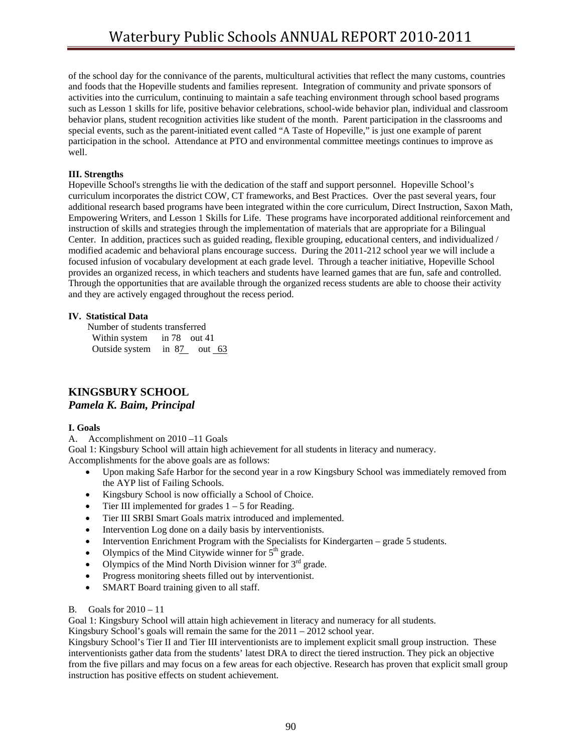of the school day for the connivance of the parents, multicultural activities that reflect the many customs, countries and foods that the Hopeville students and families represent. Integration of community and private sponsors of activities into the curriculum, continuing to maintain a safe teaching environment through school based programs such as Lesson 1 skills for life, positive behavior celebrations, school-wide behavior plan, individual and classroom behavior plans, student recognition activities like student of the month. Parent participation in the classrooms and special events, such as the parent-initiated event called "A Taste of Hopeville," is just one example of parent participation in the school. Attendance at PTO and environmental committee meetings continues to improve as well.

### **III. Strengths**

Hopeville School's strengths lie with the dedication of the staff and support personnel. Hopeville School's curriculum incorporates the district COW, CT frameworks, and Best Practices. Over the past several years, four additional research based programs have been integrated within the core curriculum, Direct Instruction, Saxon Math, Empowering Writers, and Lesson 1 Skills for Life. These programs have incorporated additional reinforcement and instruction of skills and strategies through the implementation of materials that are appropriate for a Bilingual Center. In addition, practices such as guided reading, flexible grouping, educational centers, and individualized / modified academic and behavioral plans encourage success. During the 2011-212 school year we will include a focused infusion of vocabulary development at each grade level. Through a teacher initiative, Hopeville School provides an organized recess, in which teachers and students have learned games that are fun, safe and controlled. Through the opportunities that are available through the organized recess students are able to choose their activity and they are actively engaged throughout the recess period.

## **IV. Statistical Data**

 Number of students transferred Within system in 78 out 41 Outside system in 87 out 63

# **KINGSBURY SCHOOL**  *Pamela K. Baim, Principal*

#### **I. Goals**

A. Accomplishment on 2010 –11 Goals

Goal 1: Kingsbury School will attain high achievement for all students in literacy and numeracy. Accomplishments for the above goals are as follows:

- Upon making Safe Harbor for the second year in a row Kingsbury School was immediately removed from the AYP list of Failing Schools.
- Kingsbury School is now officially a School of Choice.
- Tier III implemented for grades  $1 5$  for Reading.
- Tier III SRBI Smart Goals matrix introduced and implemented.
- Intervention Log done on a daily basis by interventionists.
- Intervention Enrichment Program with the Specialists for Kindergarten grade 5 students.
- Olympics of the Mind Citywide winner for  $5<sup>th</sup>$  grade.
- Olympics of the Mind North Division winner for  $3<sup>rd</sup>$  grade.
- Progress monitoring sheets filled out by interventionist.
- SMART Board training given to all staff.
- B. Goals for 2010 11

Goal 1: Kingsbury School will attain high achievement in literacy and numeracy for all students.

Kingsbury School's goals will remain the same for the  $2011 - 2012$  school year.

Kingsbury School's Tier II and Tier III interventionists are to implement explicit small group instruction. These interventionists gather data from the students' latest DRA to direct the tiered instruction. They pick an objective from the five pillars and may focus on a few areas for each objective. Research has proven that explicit small group instruction has positive effects on student achievement.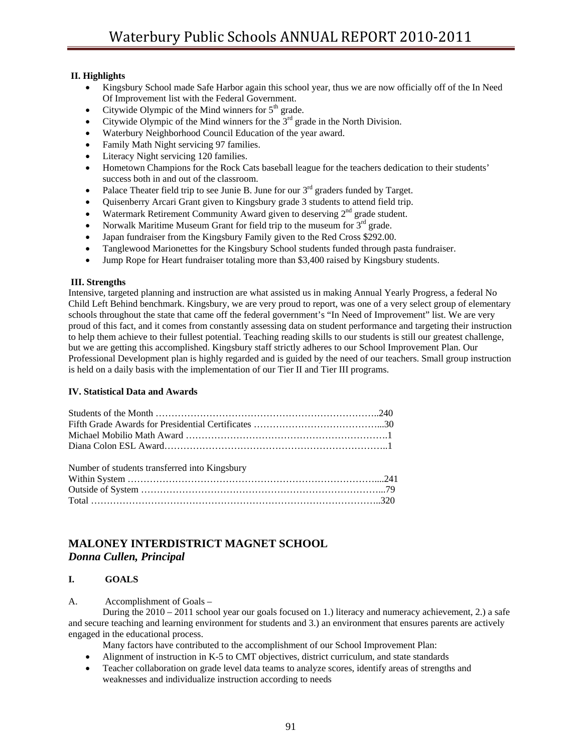### **II. Highlights**

- Kingsbury School made Safe Harbor again this school year, thus we are now officially off of the In Need Of Improvement list with the Federal Government.
- Citywide Olympic of the Mind winners for  $5<sup>th</sup>$  grade.
- Citywide Olympic of the Mind winners for the  $3<sup>rd</sup>$  grade in the North Division.
- Waterbury Neighborhood Council Education of the year award.
- Family Math Night servicing 97 families.
- Literacy Night servicing 120 families.
- Hometown Champions for the Rock Cats baseball league for the teachers dedication to their students' success both in and out of the classroom.
- Palace Theater field trip to see Junie B. June for our  $3<sup>rd</sup>$  graders funded by Target.
- Quisenberry Arcari Grant given to Kingsbury grade 3 students to attend field trip.
- Watermark Retirement Community Award given to deserving  $2<sup>nd</sup>$  grade student.
- Norwalk Maritime Museum Grant for field trip to the museum for  $3<sup>rd</sup>$  grade.
- Japan fundraiser from the Kingsbury Family given to the Red Cross \$292.00.
- Tanglewood Marionettes for the Kingsbury School students funded through pasta fundraiser.
- Jump Rope for Heart fundraiser totaling more than \$3,400 raised by Kingsbury students.

#### **III. Strengths**

Intensive, targeted planning and instruction are what assisted us in making Annual Yearly Progress, a federal No Child Left Behind benchmark. Kingsbury, we are very proud to report, was one of a very select group of elementary schools throughout the state that came off the federal government's "In Need of Improvement" list. We are very proud of this fact, and it comes from constantly assessing data on student performance and targeting their instruction to help them achieve to their fullest potential. Teaching reading skills to our students is still our greatest challenge, but we are getting this accomplished. Kingsbury staff strictly adheres to our School Improvement Plan. Our Professional Development plan is highly regarded and is guided by the need of our teachers. Small group instruction is held on a daily basis with the implementation of our Tier II and Tier III programs.

#### **IV. Statistical Data and Awards**

| Number of students transferred into Kingsbury |  |
|-----------------------------------------------|--|
|                                               |  |
|                                               |  |
|                                               |  |

# **MALONEY INTERDISTRICT MAGNET SCHOOL**  *Donna Cullen, Principal*

#### **I. GOALS**

A. Accomplishment of Goals –

 During the 2010 – 2011 school year our goals focused on 1.) literacy and numeracy achievement, 2.) a safe and secure teaching and learning environment for students and 3.) an environment that ensures parents are actively engaged in the educational process.

Many factors have contributed to the accomplishment of our School Improvement Plan:

- Alignment of instruction in K-5 to CMT objectives, district curriculum, and state standards
- Teacher collaboration on grade level data teams to analyze scores, identify areas of strengths and weaknesses and individualize instruction according to needs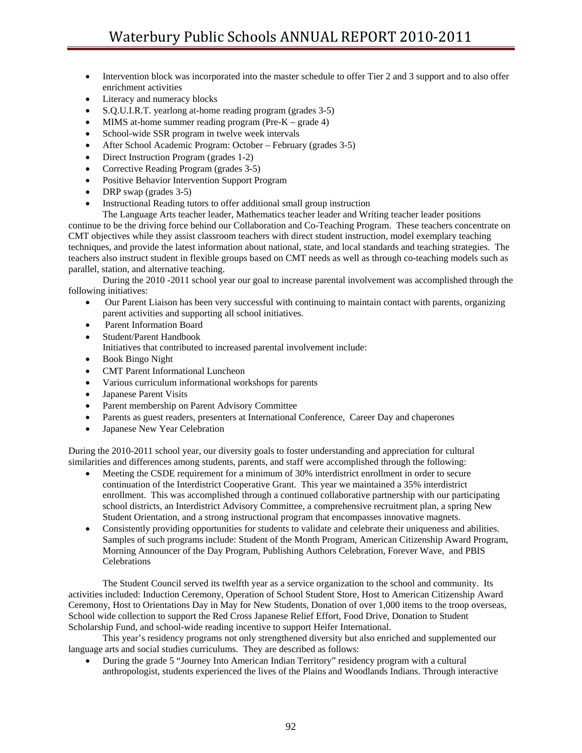- Intervention block was incorporated into the master schedule to offer Tier 2 and 3 support and to also offer enrichment activities
- Literacy and numeracy blocks
- S.Q.U.I.R.T. yearlong at-home reading program (grades 3-5)
- MIMS at-home summer reading program (Pre-K grade 4)
- School-wide SSR program in twelve week intervals
- After School Academic Program: October February (grades 3-5)
- Direct Instruction Program (grades 1-2)
- Corrective Reading Program (grades 3-5)
- Positive Behavior Intervention Support Program
- DRP swap (grades 3-5)
- Instructional Reading tutors to offer additional small group instruction

 The Language Arts teacher leader, Mathematics teacher leader and Writing teacher leader positions continue to be the driving force behind our Collaboration and Co-Teaching Program. These teachers concentrate on CMT objectives while they assist classroom teachers with direct student instruction, model exemplary teaching techniques, and provide the latest information about national, state, and local standards and teaching strategies. The teachers also instruct student in flexible groups based on CMT needs as well as through co-teaching models such as parallel, station, and alternative teaching.

 During the 2010 -2011 school year our goal to increase parental involvement was accomplished through the following initiatives:

- Our Parent Liaison has been very successful with continuing to maintain contact with parents, organizing parent activities and supporting all school initiatives.
- Parent Information Board
- Student/Parent Handbook Initiatives that contributed to increased parental involvement include:
- Book Bingo Night
- CMT Parent Informational Luncheon
- Various curriculum informational workshops for parents
- Japanese Parent Visits
- Parent membership on Parent Advisory Committee
- Parents as guest readers, presenters at International Conference, Career Day and chaperones
- Japanese New Year Celebration

During the 2010-2011 school year, our diversity goals to foster understanding and appreciation for cultural similarities and differences among students, parents, and staff were accomplished through the following:

- Meeting the CSDE requirement for a minimum of 30% interdistrict enrollment in order to secure continuation of the Interdistrict Cooperative Grant. This year we maintained a 35% interdistrict enrollment. This was accomplished through a continued collaborative partnership with our participating school districts, an Interdistrict Advisory Committee, a comprehensive recruitment plan, a spring New Student Orientation, and a strong instructional program that encompasses innovative magnets.
- Consistently providing opportunities for students to validate and celebrate their uniqueness and abilities. Samples of such programs include: Student of the Month Program, American Citizenship Award Program, Morning Announcer of the Day Program, Publishing Authors Celebration, Forever Wave, and PBIS **Celebrations**

 The Student Council served its twelfth year as a service organization to the school and community. Its activities included: Induction Ceremony, Operation of School Student Store, Host to American Citizenship Award Ceremony, Host to Orientations Day in May for New Students, Donation of over 1,000 items to the troop overseas, School wide collection to support the Red Cross Japanese Relief Effort, Food Drive, Donation to Student Scholarship Fund, and school-wide reading incentive to support Heifer International.

 This year's residency programs not only strengthened diversity but also enriched and supplemented our language arts and social studies curriculums. They are described as follows:

• During the grade 5 "Journey Into American Indian Territory" residency program with a cultural anthropologist, students experienced the lives of the Plains and Woodlands Indians. Through interactive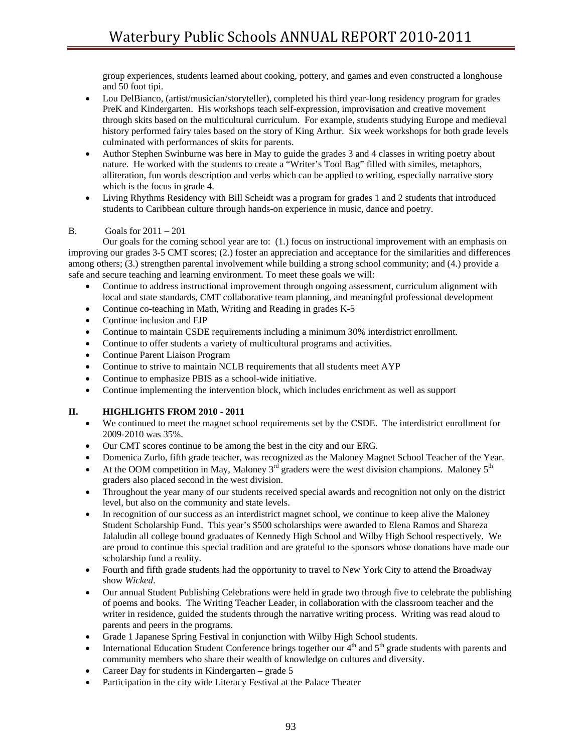group experiences, students learned about cooking, pottery, and games and even constructed a longhouse and 50 foot tipi.

- Lou DelBianco, (artist/musician/storyteller), completed his third year-long residency program for grades PreK and Kindergarten. His workshops teach self-expression, improvisation and creative movement through skits based on the multicultural curriculum. For example, students studying Europe and medieval history performed fairy tales based on the story of King Arthur. Six week workshops for both grade levels culminated with performances of skits for parents.
- Author Stephen Swinburne was here in May to guide the grades 3 and 4 classes in writing poetry about nature. He worked with the students to create a "Writer's Tool Bag" filled with similes, metaphors, alliteration, fun words description and verbs which can be applied to writing, especially narrative story which is the focus in grade 4.
- Living Rhythms Residency with Bill Scheidt was a program for grades 1 and 2 students that introduced students to Caribbean culture through hands-on experience in music, dance and poetry.

#### B. Goals for 2011 – 201

 Our goals for the coming school year are to: (1.) focus on instructional improvement with an emphasis on improving our grades 3-5 CMT scores; (2.) foster an appreciation and acceptance for the similarities and differences among others; (3.) strengthen parental involvement while building a strong school community; and (4.) provide a safe and secure teaching and learning environment. To meet these goals we will:

- Continue to address instructional improvement through ongoing assessment, curriculum alignment with local and state standards, CMT collaborative team planning, and meaningful professional development
- Continue co-teaching in Math, Writing and Reading in grades K-5
- Continue inclusion and EIP
- Continue to maintain CSDE requirements including a minimum 30% interdistrict enrollment.
- Continue to offer students a variety of multicultural programs and activities.
- Continue Parent Liaison Program
- Continue to strive to maintain NCLB requirements that all students meet AYP
- Continue to emphasize PBIS as a school-wide initiative.
- Continue implementing the intervention block, which includes enrichment as well as support

# **II. HIGHLIGHTS FROM 2010 - 2011**

- We continued to meet the magnet school requirements set by the CSDE. The interdistrict enrollment for 2009-2010 was 35%.
- Our CMT scores continue to be among the best in the city and our ERG.
- Domenica Zurlo, fifth grade teacher, was recognized as the Maloney Magnet School Teacher of the Year.
- At the OOM competition in May, Maloney  $3<sup>rd</sup>$  graders were the west division champions. Maloney  $5<sup>th</sup>$ graders also placed second in the west division.
- Throughout the year many of our students received special awards and recognition not only on the district level, but also on the community and state levels.
- In recognition of our success as an interdistrict magnet school, we continue to keep alive the Maloney Student Scholarship Fund. This year's \$500 scholarships were awarded to Elena Ramos and Shareza Jalaludin all college bound graduates of Kennedy High School and Wilby High School respectively. We are proud to continue this special tradition and are grateful to the sponsors whose donations have made our scholarship fund a reality.
- Fourth and fifth grade students had the opportunity to travel to New York City to attend the Broadway show *Wicked*.
- Our annual Student Publishing Celebrations were held in grade two through five to celebrate the publishing of poems and books. The Writing Teacher Leader, in collaboration with the classroom teacher and the writer in residence, guided the students through the narrative writing process. Writing was read aloud to parents and peers in the programs.
- Grade 1 Japanese Spring Festival in conjunction with Wilby High School students.
- International Education Student Conference brings together our 4<sup>th</sup> and 5<sup>th</sup> grade students with parents and community members who share their wealth of knowledge on cultures and diversity.
- Career Day for students in Kindergarten grade 5
- Participation in the city wide Literacy Festival at the Palace Theater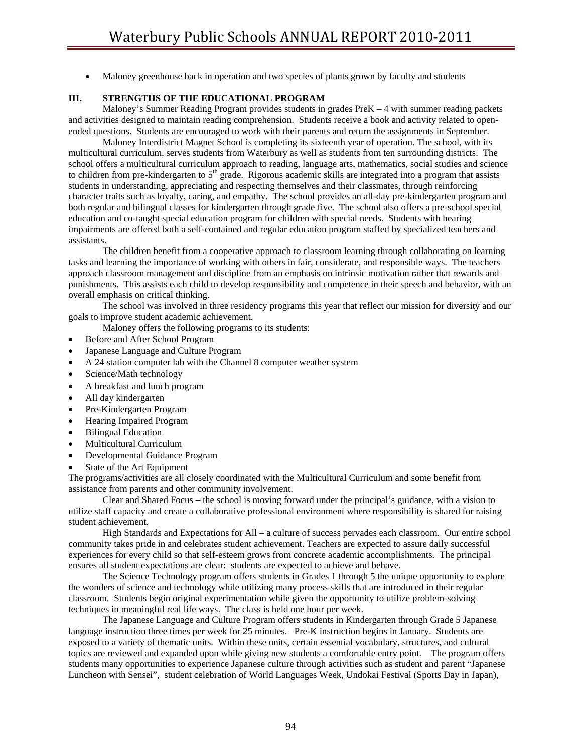• Maloney greenhouse back in operation and two species of plants grown by faculty and students

#### **III. STRENGTHS OF THE EDUCATIONAL PROGRAM**

 Maloney's Summer Reading Program provides students in grades PreK – 4 with summer reading packets and activities designed to maintain reading comprehension. Students receive a book and activity related to openended questions. Students are encouraged to work with their parents and return the assignments in September.

 Maloney Interdistrict Magnet School is completing its sixteenth year of operation. The school, with its multicultural curriculum, serves students from Waterbury as well as students from ten surrounding districts. The school offers a multicultural curriculum approach to reading, language arts, mathematics, social studies and science to children from pre-kindergarten to  $5<sup>th</sup>$  grade. Rigorous academic skills are integrated into a program that assists students in understanding, appreciating and respecting themselves and their classmates, through reinforcing character traits such as loyalty, caring, and empathy. The school provides an all-day pre-kindergarten program and both regular and bilingual classes for kindergarten through grade five. The school also offers a pre-school special education and co-taught special education program for children with special needs. Students with hearing impairments are offered both a self-contained and regular education program staffed by specialized teachers and assistants.

 The children benefit from a cooperative approach to classroom learning through collaborating on learning tasks and learning the importance of working with others in fair, considerate, and responsible ways. The teachers approach classroom management and discipline from an emphasis on intrinsic motivation rather that rewards and punishments. This assists each child to develop responsibility and competence in their speech and behavior, with an overall emphasis on critical thinking.

 The school was involved in three residency programs this year that reflect our mission for diversity and our goals to improve student academic achievement.

Maloney offers the following programs to its students:

- Before and After School Program
- Japanese Language and Culture Program
- A 24 station computer lab with the Channel 8 computer weather system
- Science/Math technology
- A breakfast and lunch program
- All day kindergarten
- Pre-Kindergarten Program
- Hearing Impaired Program
- Bilingual Education
- Multicultural Curriculum
- Developmental Guidance Program
- State of the Art Equipment

The programs/activities are all closely coordinated with the Multicultural Curriculum and some benefit from assistance from parents and other community involvement.

 Clear and Shared Focus – the school is moving forward under the principal's guidance, with a vision to utilize staff capacity and create a collaborative professional environment where responsibility is shared for raising student achievement.

 High Standards and Expectations for All – a culture of success pervades each classroom. Our entire school community takes pride in and celebrates student achievement. Teachers are expected to assure daily successful experiences for every child so that self-esteem grows from concrete academic accomplishments. The principal ensures all student expectations are clear: students are expected to achieve and behave.

 The Science Technology program offers students in Grades 1 through 5 the unique opportunity to explore the wonders of science and technology while utilizing many process skills that are introduced in their regular classroom. Students begin original experimentation while given the opportunity to utilize problem-solving techniques in meaningful real life ways. The class is held one hour per week.

 The Japanese Language and Culture Program offers students in Kindergarten through Grade 5 Japanese language instruction three times per week for 25 minutes. Pre-K instruction begins in January. Students are exposed to a variety of thematic units. Within these units, certain essential vocabulary, structures, and cultural topics are reviewed and expanded upon while giving new students a comfortable entry point. The program offers students many opportunities to experience Japanese culture through activities such as student and parent "Japanese Luncheon with Sensei", student celebration of World Languages Week, Undokai Festival (Sports Day in Japan),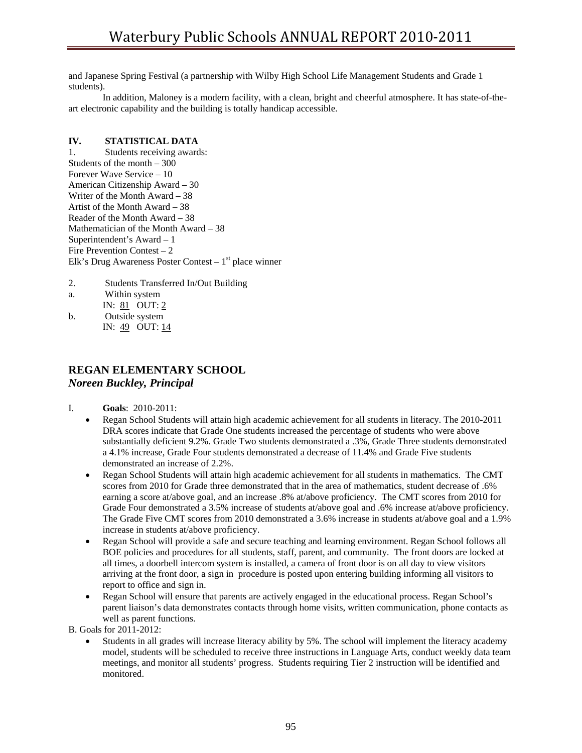and Japanese Spring Festival (a partnership with Wilby High School Life Management Students and Grade 1 students).

 In addition, Maloney is a modern facility, with a clean, bright and cheerful atmosphere. It has state-of-theart electronic capability and the building is totally handicap accessible.

### **IV. STATISTICAL DATA**

1. Students receiving awards: Students of the month – 300 Forever Wave Service – 10 American Citizenship Award – 30 Writer of the Month Award – 38 Artist of the Month Award – 38 Reader of the Month Award – 38 Mathematician of the Month Award – 38 Superintendent's Award – 1 Fire Prevention Contest – 2 Elk's Drug Awareness Poster Contest –  $1<sup>st</sup>$  place winner

- 2. Students Transferred In/Out Building
- a. Within system
- IN: 81 OUT: 2
- b. Outside system IN: 49 OUT: 14

# **REGAN ELEMENTARY SCHOOL**  *Noreen Buckley, Principal*

- I. **Goals**: 2010-2011:
	- Regan School Students will attain high academic achievement for all students in literacy. The 2010-2011 DRA scores indicate that Grade One students increased the percentage of students who were above substantially deficient 9.2%. Grade Two students demonstrated a .3%, Grade Three students demonstrated a 4.1% increase, Grade Four students demonstrated a decrease of 11.4% and Grade Five students demonstrated an increase of 2.2%.
	- Regan School Students will attain high academic achievement for all students in mathematics. The CMT scores from 2010 for Grade three demonstrated that in the area of mathematics, student decrease of .6% earning a score at/above goal, and an increase .8% at/above proficiency. The CMT scores from 2010 for Grade Four demonstrated a 3.5% increase of students at/above goal and .6% increase at/above proficiency. The Grade Five CMT scores from 2010 demonstrated a 3.6% increase in students at/above goal and a 1.9% increase in students at/above proficiency.
	- Regan School will provide a safe and secure teaching and learning environment. Regan School follows all BOE policies and procedures for all students, staff, parent, and community. The front doors are locked at all times, a doorbell intercom system is installed, a camera of front door is on all day to view visitors arriving at the front door, a sign in procedure is posted upon entering building informing all visitors to report to office and sign in.
	- Regan School will ensure that parents are actively engaged in the educational process. Regan School's parent liaison's data demonstrates contacts through home visits, written communication, phone contacts as well as parent functions.

B. Goals for 2011-2012:

• Students in all grades will increase literacy ability by 5%. The school will implement the literacy academy model, students will be scheduled to receive three instructions in Language Arts, conduct weekly data team meetings, and monitor all students' progress. Students requiring Tier 2 instruction will be identified and monitored.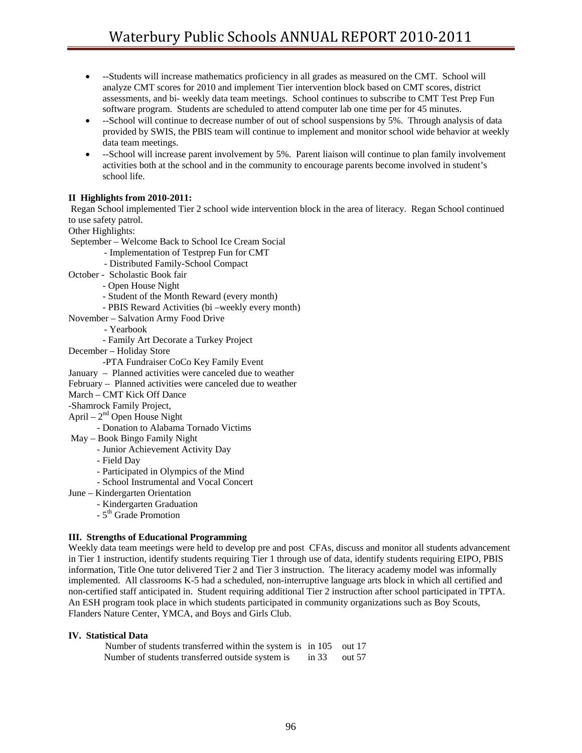- --Students will increase mathematics proficiency in all grades as measured on the CMT. School will analyze CMT scores for 2010 and implement Tier intervention block based on CMT scores, district assessments, and bi- weekly data team meetings. School continues to subscribe to CMT Test Prep Fun software program. Students are scheduled to attend computer lab one time per for 45 minutes.
- --School will continue to decrease number of out of school suspensions by 5%. Through analysis of data provided by SWIS, the PBIS team will continue to implement and monitor school wide behavior at weekly data team meetings.
- --School will increase parent involvement by 5%. Parent liaison will continue to plan family involvement activities both at the school and in the community to encourage parents become involved in student's school life.

#### **II Highlights from 2010-2011:**

 Regan School implemented Tier 2 school wide intervention block in the area of literacy. Regan School continued to use safety patrol.

Other Highlights:

September – Welcome Back to School Ice Cream Social

- Implementation of Testprep Fun for CMT
- Distributed Family-School Compact
- October Scholastic Book fair
	- Open House Night
	- Student of the Month Reward (every month)
	- PBIS Reward Activities (bi –weekly every month)
- November Salvation Army Food Drive
	- Yearbook
	- Family Art Decorate a Turkey Project
- December Holiday Store
	- -PTA Fundraiser CoCo Key Family Event
- January Planned activities were canceled due to weather
- February Planned activities were canceled due to weather
- March CMT Kick Off Dance
- -Shamrock Family Project,
- April  $2<sup>nd</sup>$  Open House Night
	- Donation to Alabama Tornado Victims
- May Book Bingo Family Night
	- Junior Achievement Activity Day
	- Field Day
	- Participated in Olympics of the Mind
	- School Instrumental and Vocal Concert

June – Kindergarten Orientation

- Kindergarten Graduation
- 5<sup>th</sup> Grade Promotion

#### **III. Strengths of Educational Programming**

Weekly data team meetings were held to develop pre and post CFAs, discuss and monitor all students advancement in Tier 1 instruction, identify students requiring Tier 1 through use of data, identify students requiring EIPO, PBIS information, Title One tutor delivered Tier 2 and Tier 3 instruction. The literacy academy model was informally implemented. All classrooms K-5 had a scheduled, non-interruptive language arts block in which all certified and non-certified staff anticipated in. Student requiring additional Tier 2 instruction after school participated in TPTA. An ESH program took place in which students participated in community organizations such as Boy Scouts, Flanders Nature Center, YMCA, and Boys and Girls Club.

#### **IV. Statistical Data**

| Number of students transferred within the system is in 105 out 17 |         |        |
|-------------------------------------------------------------------|---------|--------|
| Number of students transferred outside system is                  | in $33$ | out 57 |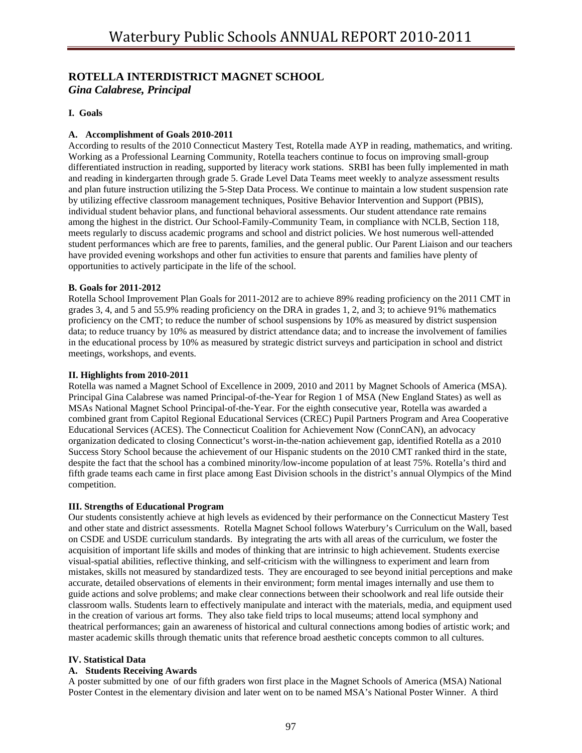# **ROTELLA INTERDISTRICT MAGNET SCHOOL**  *Gina Calabrese, Principal*

#### **I. Goals**

#### **A. Accomplishment of Goals 2010-2011**

According to results of the 2010 Connecticut Mastery Test, Rotella made AYP in reading, mathematics, and writing. Working as a Professional Learning Community, Rotella teachers continue to focus on improving small-group differentiated instruction in reading, supported by literacy work stations. SRBI has been fully implemented in math and reading in kindergarten through grade 5. Grade Level Data Teams meet weekly to analyze assessment results and plan future instruction utilizing the 5-Step Data Process. We continue to maintain a low student suspension rate by utilizing effective classroom management techniques, Positive Behavior Intervention and Support (PBIS), individual student behavior plans, and functional behavioral assessments. Our student attendance rate remains among the highest in the district. Our School-Family-Community Team, in compliance with NCLB, Section 118, meets regularly to discuss academic programs and school and district policies. We host numerous well-attended student performances which are free to parents, families, and the general public. Our Parent Liaison and our teachers have provided evening workshops and other fun activities to ensure that parents and families have plenty of opportunities to actively participate in the life of the school.

#### **B. Goals for 2011-2012**

Rotella School Improvement Plan Goals for 2011-2012 are to achieve 89% reading proficiency on the 2011 CMT in grades 3, 4, and 5 and 55.9% reading proficiency on the DRA in grades 1, 2, and 3; to achieve 91% mathematics proficiency on the CMT; to reduce the number of school suspensions by 10% as measured by district suspension data; to reduce truancy by 10% as measured by district attendance data; and to increase the involvement of families in the educational process by 10% as measured by strategic district surveys and participation in school and district meetings, workshops, and events.

#### **II. Highlights from 2010-2011**

Rotella was named a Magnet School of Excellence in 2009, 2010 and 2011 by Magnet Schools of America (MSA). Principal Gina Calabrese was named Principal-of-the-Year for Region 1 of MSA (New England States) as well as MSAs National Magnet School Principal-of-the-Year. For the eighth consecutive year, Rotella was awarded a combined grant from Capitol Regional Educational Services (CREC) Pupil Partners Program and Area Cooperative Educational Services (ACES). The Connecticut Coalition for Achievement Now (ConnCAN), an advocacy organization dedicated to closing Connecticut's worst-in-the-nation achievement gap, identified Rotella as a 2010 Success Story School because the achievement of our Hispanic students on the 2010 CMT ranked third in the state, despite the fact that the school has a combined minority/low-income population of at least 75%. Rotella's third and fifth grade teams each came in first place among East Division schools in the district's annual Olympics of the Mind competition.

#### **III. Strengths of Educational Program**

Our students consistently achieve at high levels as evidenced by their performance on the Connecticut Mastery Test and other state and district assessments. Rotella Magnet School follows Waterbury's Curriculum on the Wall, based on CSDE and USDE curriculum standards. By integrating the arts with all areas of the curriculum, we foster the acquisition of important life skills and modes of thinking that are intrinsic to high achievement. Students exercise visual-spatial abilities, reflective thinking, and self-criticism with the willingness to experiment and learn from mistakes, skills not measured by standardized tests. They are encouraged to see beyond initial perceptions and make accurate, detailed observations of elements in their environment; form mental images internally and use them to guide actions and solve problems; and make clear connections between their schoolwork and real life outside their classroom walls. Students learn to effectively manipulate and interact with the materials, media, and equipment used in the creation of various art forms. They also take field trips to local museums; attend local symphony and theatrical performances; gain an awareness of historical and cultural connections among bodies of artistic work; and master academic skills through thematic units that reference broad aesthetic concepts common to all cultures.

#### **IV. Statistical Data**

#### **A. Students Receiving Awards**

A poster submitted by one of our fifth graders won first place in the Magnet Schools of America (MSA) National Poster Contest in the elementary division and later went on to be named MSA's National Poster Winner. A third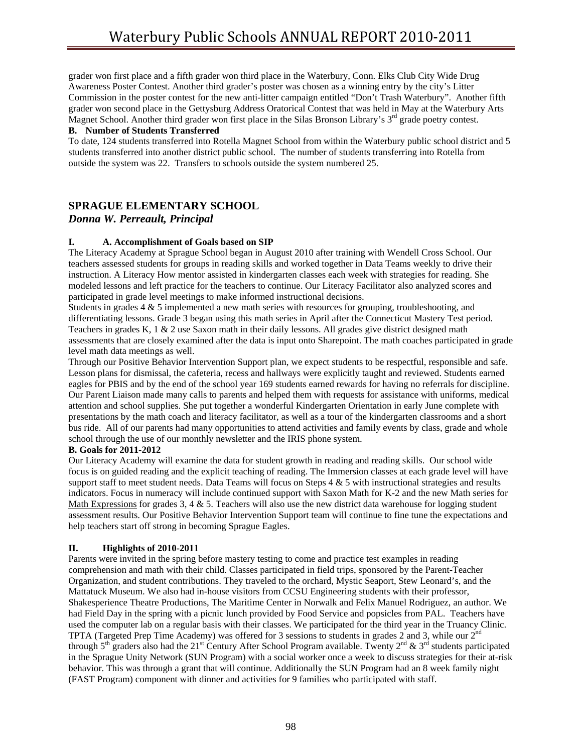grader won first place and a fifth grader won third place in the Waterbury, Conn. Elks Club City Wide Drug Awareness Poster Contest. Another third grader's poster was chosen as a winning entry by the city's Litter Commission in the poster contest for the new anti-litter campaign entitled "Don't Trash Waterbury". Another fifth grader won second place in the Gettysburg Address Oratorical Contest that was held in May at the Waterbury Arts Magnet School. Another third grader won first place in the Silas Bronson Library's 3<sup>rd</sup> grade poetry contest.

#### **B. Number of Students Transferred**

To date, 124 students transferred into Rotella Magnet School from within the Waterbury public school district and 5 students transferred into another district public school. The number of students transferring into Rotella from outside the system was 22. Transfers to schools outside the system numbered 25.

# **SPRAGUE ELEMENTARY SCHOOL**

# *Donna W. Perreault, Principal*

# **I. A. Accomplishment of Goals based on SIP**

The Literacy Academy at Sprague School began in August 2010 after training with Wendell Cross School. Our teachers assessed students for groups in reading skills and worked together in Data Teams weekly to drive their instruction. A Literacy How mentor assisted in kindergarten classes each week with strategies for reading. She modeled lessons and left practice for the teachers to continue. Our Literacy Facilitator also analyzed scores and participated in grade level meetings to make informed instructional decisions.

Students in grades 4 & 5 implemented a new math series with resources for grouping, troubleshooting, and differentiating lessons. Grade 3 began using this math series in April after the Connecticut Mastery Test period. Teachers in grades K, 1 & 2 use Saxon math in their daily lessons. All grades give district designed math assessments that are closely examined after the data is input onto Sharepoint. The math coaches participated in grade level math data meetings as well.

Through our Positive Behavior Intervention Support plan, we expect students to be respectful, responsible and safe. Lesson plans for dismissal, the cafeteria, recess and hallways were explicitly taught and reviewed. Students earned eagles for PBIS and by the end of the school year 169 students earned rewards for having no referrals for discipline. Our Parent Liaison made many calls to parents and helped them with requests for assistance with uniforms, medical attention and school supplies. She put together a wonderful Kindergarten Orientation in early June complete with presentations by the math coach and literacy facilitator, as well as a tour of the kindergarten classrooms and a short bus ride. All of our parents had many opportunities to attend activities and family events by class, grade and whole school through the use of our monthly newsletter and the IRIS phone system.

# **B. Goals for 2011-2012**

Our Literacy Academy will examine the data for student growth in reading and reading skills. Our school wide focus is on guided reading and the explicit teaching of reading. The Immersion classes at each grade level will have support staff to meet student needs. Data Teams will focus on Steps  $4 \& 5$  with instructional strategies and results indicators. Focus in numeracy will include continued support with Saxon Math for K-2 and the new Math series for Math Expressions for grades  $3, 4 \& 5$ . Teachers will also use the new district data warehouse for logging student assessment results. Our Positive Behavior Intervention Support team will continue to fine tune the expectations and help teachers start off strong in becoming Sprague Eagles.

# **II. Highlights of 2010-2011**

Parents were invited in the spring before mastery testing to come and practice test examples in reading comprehension and math with their child. Classes participated in field trips, sponsored by the Parent-Teacher Organization, and student contributions. They traveled to the orchard, Mystic Seaport, Stew Leonard's, and the Mattatuck Museum. We also had in-house visitors from CCSU Engineering students with their professor, Shakesperience Theatre Productions, The Maritime Center in Norwalk and Felix Manuel Rodriguez, an author. We had Field Day in the spring with a picnic lunch provided by Food Service and popsicles from PAL. Teachers have used the computer lab on a regular basis with their classes. We participated for the third year in the Truancy Clinic. TPTA (Targeted Prep Time Academy) was offered for 3 sessions to students in grades 2 and 3, while our  $2<sup>nd</sup>$ through  $5<sup>th</sup>$  graders also had the 21<sup>st</sup> Century After School Program available. Twenty  $2<sup>nd</sup>$  & 3<sup>rd</sup> students participated in the Sprague Unity Network (SUN Program) with a social worker once a week to discuss strategies for their at-risk behavior. This was through a grant that will continue. Additionally the SUN Program had an 8 week family night (FAST Program) component with dinner and activities for 9 families who participated with staff.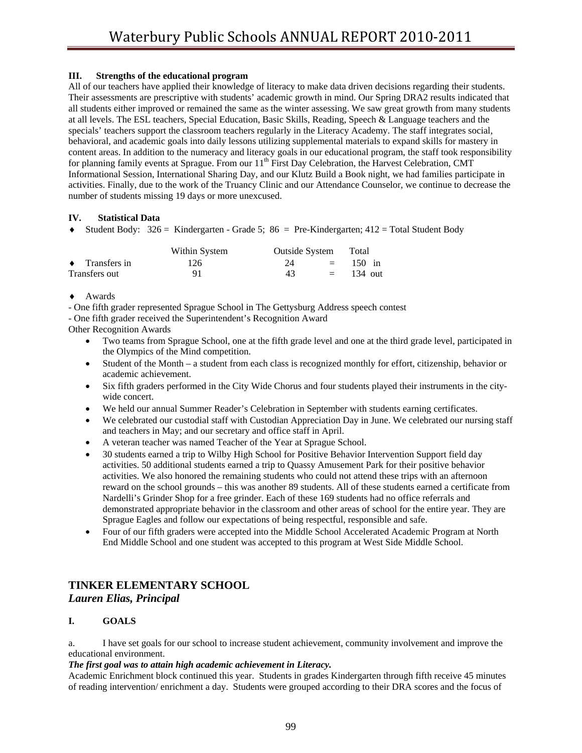# **III. Strengths of the educational program**

All of our teachers have applied their knowledge of literacy to make data driven decisions regarding their students. Their assessments are prescriptive with students' academic growth in mind. Our Spring DRA2 results indicated that all students either improved or remained the same as the winter assessing. We saw great growth from many students at all levels. The ESL teachers, Special Education, Basic Skills, Reading, Speech & Language teachers and the specials' teachers support the classroom teachers regularly in the Literacy Academy. The staff integrates social, behavioral, and academic goals into daily lessons utilizing supplemental materials to expand skills for mastery in content areas. In addition to the numeracy and literacy goals in our educational program, the staff took responsibility for planning family events at Sprague. From our  $11<sup>th</sup>$  First Day Celebration, the Harvest Celebration, CMT Informational Session, International Sharing Day, and our Klutz Build a Book night, we had families participate in activities. Finally, due to the work of the Truancy Clinic and our Attendance Counselor, we continue to decrease the number of students missing 19 days or more unexcused.

# **IV. Statistical Data**

 $\bullet$  Student Body: 326 = Kindergarten - Grade 5; 86 = Pre-Kindergarten; 412 = Total Student Body

|                        | Within System | Outside System Total |             |
|------------------------|---------------|----------------------|-------------|
| $\bullet$ Transfers in | 126           | 24                   | $=$ 150 in  |
| Transfers out          | 91            | 43                   | $=$ 134 out |

♦ Awards

- One fifth grader represented Sprague School in The Gettysburg Address speech contest

- One fifth grader received the Superintendent's Recognition Award

Other Recognition Awards

- Two teams from Sprague School, one at the fifth grade level and one at the third grade level, participated in the Olympics of the Mind competition.
- Student of the Month a student from each class is recognized monthly for effort, citizenship, behavior or academic achievement.
- Six fifth graders performed in the City Wide Chorus and four students played their instruments in the citywide concert.
- We held our annual Summer Reader's Celebration in September with students earning certificates.
- We celebrated our custodial staff with Custodian Appreciation Day in June. We celebrated our nursing staff and teachers in May; and our secretary and office staff in April.
- A veteran teacher was named Teacher of the Year at Sprague School.
- 30 students earned a trip to Wilby High School for Positive Behavior Intervention Support field day activities. 50 additional students earned a trip to Quassy Amusement Park for their positive behavior activities. We also honored the remaining students who could not attend these trips with an afternoon reward on the school grounds – this was another 89 students. All of these students earned a certificate from Nardelli's Grinder Shop for a free grinder. Each of these 169 students had no office referrals and demonstrated appropriate behavior in the classroom and other areas of school for the entire year. They are Sprague Eagles and follow our expectations of being respectful, responsible and safe.
- Four of our fifth graders were accepted into the Middle School Accelerated Academic Program at North End Middle School and one student was accepted to this program at West Side Middle School.

# **TINKER ELEMENTARY SCHOOL**  *Lauren Elias, Principal*

# **I. GOALS**

a. I have set goals for our school to increase student achievement, community involvement and improve the educational environment.

# *The first goal was to attain high academic achievement in Literacy.*

Academic Enrichment block continued this year. Students in grades Kindergarten through fifth receive 45 minutes of reading intervention/ enrichment a day. Students were grouped according to their DRA scores and the focus of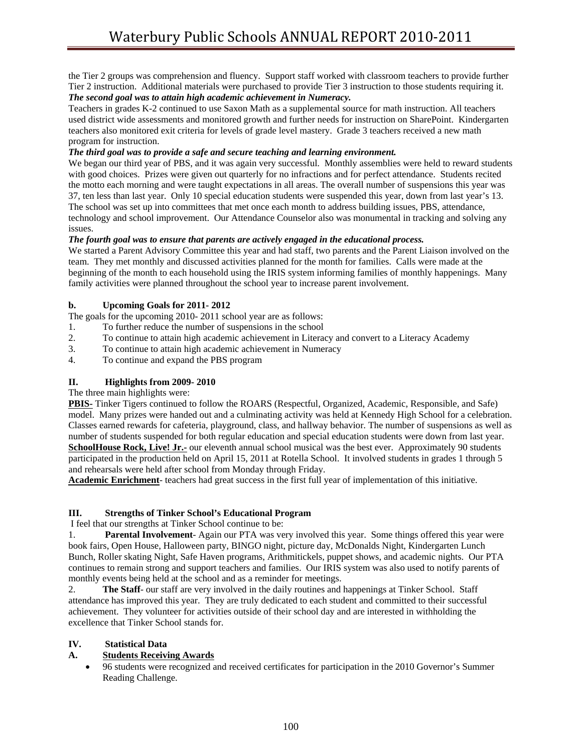the Tier 2 groups was comprehension and fluency. Support staff worked with classroom teachers to provide further Tier 2 instruction. Additional materials were purchased to provide Tier 3 instruction to those students requiring it. *The second goal was to attain high academic achievement in Numeracy.* 

Teachers in grades K-2 continued to use Saxon Math as a supplemental source for math instruction. All teachers used district wide assessments and monitored growth and further needs for instruction on SharePoint. Kindergarten teachers also monitored exit criteria for levels of grade level mastery. Grade 3 teachers received a new math program for instruction.

#### *The third goal was to provide a safe and secure teaching and learning environment.*

We began our third year of PBS, and it was again very successful. Monthly assemblies were held to reward students with good choices. Prizes were given out quarterly for no infractions and for perfect attendance. Students recited the motto each morning and were taught expectations in all areas. The overall number of suspensions this year was 37, ten less than last year. Only 10 special education students were suspended this year, down from last year's 13. The school was set up into committees that met once each month to address building issues, PBS, attendance, technology and school improvement. Our Attendance Counselor also was monumental in tracking and solving any issues.

#### *The fourth goal was to ensure that parents are actively engaged in the educational process.*

We started a Parent Advisory Committee this year and had staff, two parents and the Parent Liaison involved on the team. They met monthly and discussed activities planned for the month for families. Calls were made at the beginning of the month to each household using the IRIS system informing families of monthly happenings. Many family activities were planned throughout the school year to increase parent involvement.

#### **b. Upcoming Goals for 2011- 2012**

The goals for the upcoming 2010- 2011 school year are as follows:

- 1. To further reduce the number of suspensions in the school
- 2. To continue to attain high academic achievement in Literacy and convert to a Literacy Academy
- 3. To continue to attain high academic achievement in Numeracy
- 4. To continue and expand the PBS program

# **II. Highlights from 2009- 2010**

The three main highlights were:

**PBIS-** Tinker Tigers continued to follow the ROARS (Respectful, Organized, Academic, Responsible, and Safe) model. Many prizes were handed out and a culminating activity was held at Kennedy High School for a celebration. Classes earned rewards for cafeteria, playground, class, and hallway behavior. The number of suspensions as well as number of students suspended for both regular education and special education students were down from last year. **SchoolHouse Rock, Live! Jr.-** our eleventh annual school musical was the best ever. Approximately 90 students participated in the production held on April 15, 2011 at Rotella School. It involved students in grades 1 through 5 and rehearsals were held after school from Monday through Friday.

**Academic Enrichment**- teachers had great success in the first full year of implementation of this initiative.

# **III. Strengths of Tinker School's Educational Program**

I feel that our strengths at Tinker School continue to be:

1. **Parental Involvement**- Again our PTA was very involved this year. Some things offered this year were book fairs, Open House, Halloween party, BINGO night, picture day, McDonalds Night, Kindergarten Lunch Bunch, Roller skating Night, Safe Haven programs, Arithmitickels, puppet shows, and academic nights. Our PTA continues to remain strong and support teachers and families. Our IRIS system was also used to notify parents of monthly events being held at the school and as a reminder for meetings.

2. **The Staff**- our staff are very involved in the daily routines and happenings at Tinker School. Staff attendance has improved this year. They are truly dedicated to each student and committed to their successful achievement. They volunteer for activities outside of their school day and are interested in withholding the excellence that Tinker School stands for.

# **IV. Statistical Data**

# **A. Students Receiving Awards**

• 96 students were recognized and received certificates for participation in the 2010 Governor's Summer Reading Challenge.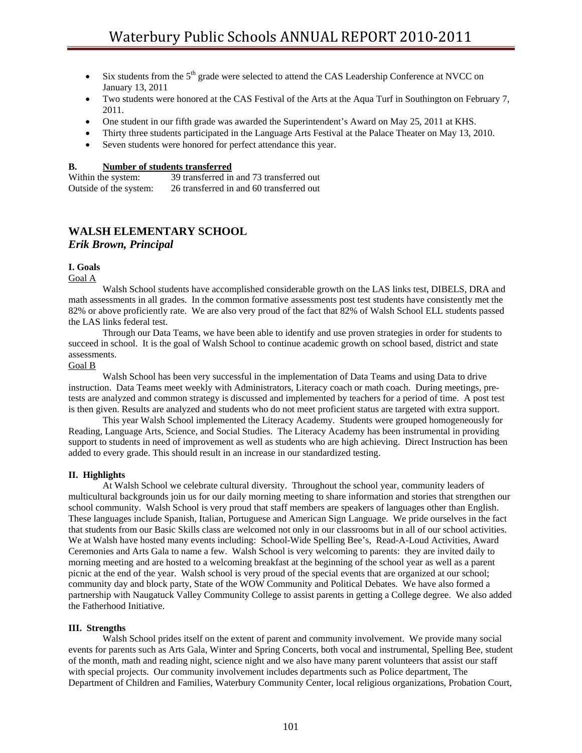- Six students from the  $5<sup>th</sup>$  grade were selected to attend the CAS Leadership Conference at NVCC on January 13, 2011
- Two students were honored at the CAS Festival of the Arts at the Aqua Turf in Southington on February 7, 2011.
- One student in our fifth grade was awarded the Superintendent's Award on May 25, 2011 at KHS.
- Thirty three students participated in the Language Arts Festival at the Palace Theater on May 13, 2010.
- Seven students were honored for perfect attendance this year.

#### **B. Number of students transferred**

Within the system: 39 transferred in and 73 transferred out Outside of the system: 26 transferred in and 60 transferred out

# **WALSH ELEMENTARY SCHOOL**

#### *Erik Brown, Principal*

# **I. Goals**

#### Goal A

 Walsh School students have accomplished considerable growth on the LAS links test, DIBELS, DRA and math assessments in all grades. In the common formative assessments post test students have consistently met the 82% or above proficiently rate. We are also very proud of the fact that 82% of Walsh School ELL students passed the LAS links federal test.

 Through our Data Teams, we have been able to identify and use proven strategies in order for students to succeed in school. It is the goal of Walsh School to continue academic growth on school based, district and state assessments.

#### Goal B

 Walsh School has been very successful in the implementation of Data Teams and using Data to drive instruction. Data Teams meet weekly with Administrators, Literacy coach or math coach. During meetings, pretests are analyzed and common strategy is discussed and implemented by teachers for a period of time. A post test is then given. Results are analyzed and students who do not meet proficient status are targeted with extra support.

 This year Walsh School implemented the Literacy Academy. Students were grouped homogeneously for Reading, Language Arts, Science, and Social Studies. The Literacy Academy has been instrumental in providing support to students in need of improvement as well as students who are high achieving. Direct Instruction has been added to every grade. This should result in an increase in our standardized testing.

#### **II. Highlights**

 At Walsh School we celebrate cultural diversity. Throughout the school year, community leaders of multicultural backgrounds join us for our daily morning meeting to share information and stories that strengthen our school community. Walsh School is very proud that staff members are speakers of languages other than English. These languages include Spanish, Italian, Portuguese and American Sign Language. We pride ourselves in the fact that students from our Basic Skills class are welcomed not only in our classrooms but in all of our school activities. We at Walsh have hosted many events including: School-Wide Spelling Bee's, Read-A-Loud Activities, Award Ceremonies and Arts Gala to name a few. Walsh School is very welcoming to parents: they are invited daily to morning meeting and are hosted to a welcoming breakfast at the beginning of the school year as well as a parent picnic at the end of the year. Walsh school is very proud of the special events that are organized at our school; community day and block party, State of the WOW Community and Political Debates. We have also formed a partnership with Naugatuck Valley Community College to assist parents in getting a College degree. We also added the Fatherhood Initiative.

#### **III. Strengths**

 Walsh School prides itself on the extent of parent and community involvement. We provide many social events for parents such as Arts Gala, Winter and Spring Concerts, both vocal and instrumental, Spelling Bee, student of the month, math and reading night, science night and we also have many parent volunteers that assist our staff with special projects. Our community involvement includes departments such as Police department, The Department of Children and Families, Waterbury Community Center, local religious organizations, Probation Court,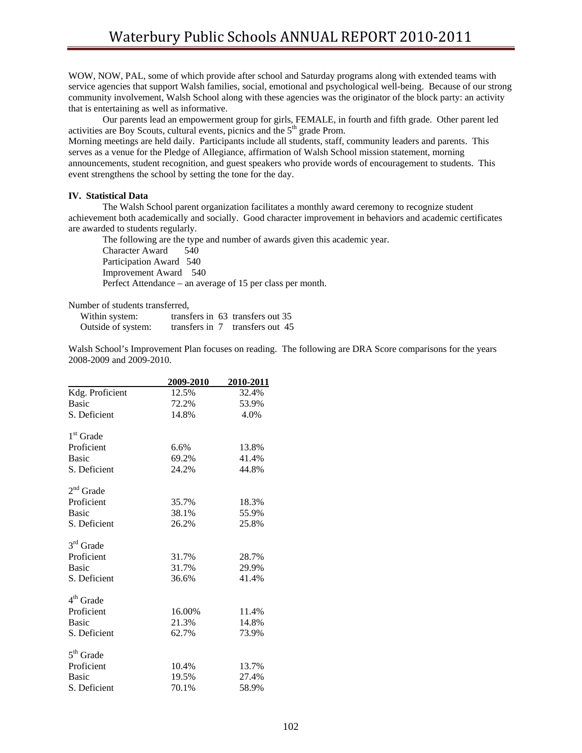WOW, NOW, PAL, some of which provide after school and Saturday programs along with extended teams with service agencies that support Walsh families, social, emotional and psychological well-being. Because of our strong community involvement, Walsh School along with these agencies was the originator of the block party: an activity that is entertaining as well as informative.

 Our parents lead an empowerment group for girls, FEMALE, in fourth and fifth grade. Other parent led activities are Boy Scouts, cultural events, picnics and the  $5<sup>th</sup>$  grade Prom.

Morning meetings are held daily. Participants include all students, staff, community leaders and parents. This serves as a venue for the Pledge of Allegiance, affirmation of Walsh School mission statement, morning announcements, student recognition, and guest speakers who provide words of encouragement to students. This event strengthens the school by setting the tone for the day.

#### **IV. Statistical Data**

 The Walsh School parent organization facilitates a monthly award ceremony to recognize student achievement both academically and socially. Good character improvement in behaviors and academic certificates are awarded to students regularly.

 The following are the type and number of awards given this academic year. Character Award 540 Participation Award 540 Improvement Award 540 Perfect Attendance – an average of 15 per class per month.

Number of students transferred,

| Within system:     |                | transfers in 63 transfers out 35 |
|--------------------|----------------|----------------------------------|
| Outside of system: | transfers in 7 | transfers out 45                 |

Walsh School's Improvement Plan focuses on reading. The following are DRA Score comparisons for the years 2008-2009 and 2009-2010.

|                       | 2009-2010 | 2010-2011 |
|-----------------------|-----------|-----------|
| Kdg. Proficient       | 12.5%     | 32.4%     |
| <b>Basic</b>          | 72.2%     | 53.9%     |
| S. Deficient          | 14.8%     | 4.0%      |
| 1 <sup>st</sup> Grade |           |           |
| Proficient            | 6.6%      | 13.8%     |
| <b>Basic</b>          | 69.2%     | 41.4%     |
| S. Deficient          | 24.2%     | 44.8%     |
| $2nd$ Grade           |           |           |
| Proficient            | 35.7%     | 18.3%     |
| <b>Basic</b>          | 38.1%     | 55.9%     |
| S. Deficient          | 26.2%     | 25.8%     |
| 3 <sup>rd</sup> Grade |           |           |
| Proficient            | 31.7%     | 28.7%     |
| <b>Basic</b>          | 31.7%     | 29.9%     |
| S. Deficient          | 36.6%     | 41.4%     |
| 4 <sup>th</sup> Grade |           |           |
| Proficient            | 16.00%    | 11.4%     |
| <b>Basic</b>          | 21.3%     | 14.8%     |
| S. Deficient          | 62.7%     | 73.9%     |
| $5th$ Grade           |           |           |
| Proficient            | 10.4%     | 13.7%     |
| <b>Basic</b>          | 19.5%     | 27.4%     |
| S. Deficient          | 70.1%     | 58.9%     |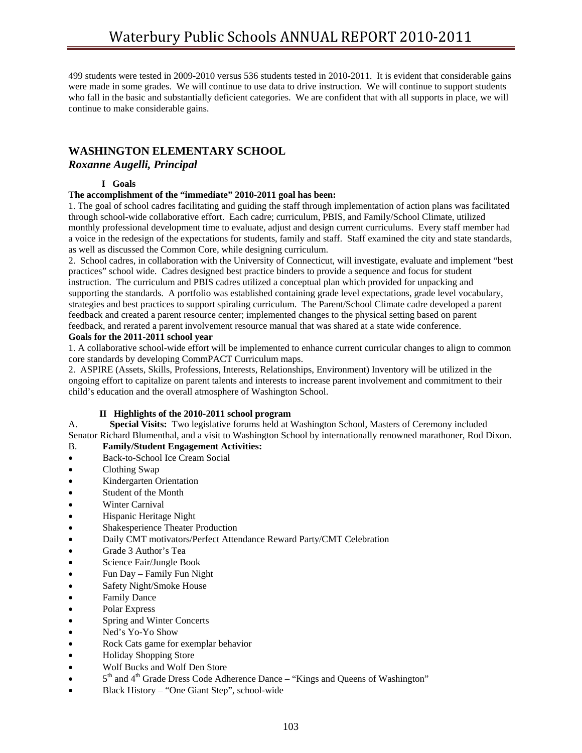499 students were tested in 2009-2010 versus 536 students tested in 2010-2011. It is evident that considerable gains were made in some grades. We will continue to use data to drive instruction. We will continue to support students who fall in the basic and substantially deficient categories. We are confident that with all supports in place, we will continue to make considerable gains.

# **WASHINGTON ELEMENTARY SCHOOL**

# *Roxanne Augelli, Principal*

### **I Goals**

#### **The accomplishment of the "immediate" 2010-2011 goal has been:**

1. The goal of school cadres facilitating and guiding the staff through implementation of action plans was facilitated through school-wide collaborative effort. Each cadre; curriculum, PBIS, and Family/School Climate, utilized monthly professional development time to evaluate, adjust and design current curriculums. Every staff member had a voice in the redesign of the expectations for students, family and staff. Staff examined the city and state standards, as well as discussed the Common Core, while designing curriculum.

2. School cadres, in collaboration with the University of Connecticut, will investigate, evaluate and implement "best practices" school wide. Cadres designed best practice binders to provide a sequence and focus for student instruction. The curriculum and PBIS cadres utilized a conceptual plan which provided for unpacking and supporting the standards. A portfolio was established containing grade level expectations, grade level vocabulary, strategies and best practices to support spiraling curriculum. The Parent/School Climate cadre developed a parent feedback and created a parent resource center; implemented changes to the physical setting based on parent feedback, and rerated a parent involvement resource manual that was shared at a state wide conference.

#### **Goals for the 2011-2011 school year**

1. A collaborative school-wide effort will be implemented to enhance current curricular changes to align to common core standards by developing CommPACT Curriculum maps.

2. ASPIRE (Assets, Skills, Professions, Interests, Relationships, Environment) Inventory will be utilized in the ongoing effort to capitalize on parent talents and interests to increase parent involvement and commitment to their child's education and the overall atmosphere of Washington School.

# **II Highlights of the 2010-2011 school program**

A. **Special Visits:** Two legislative forums held at Washington School, Masters of Ceremony included Senator Richard Blumenthal, and a visit to Washington School by internationally renowned marathoner, Rod Dixon.

#### B. **Family/Student Engagement Activities:**

- Back-to-School Ice Cream Social
- Clothing Swap
- Kindergarten Orientation
- Student of the Month
- **Winter Carnival**
- Hispanic Heritage Night
- Shakesperience Theater Production
- Daily CMT motivators/Perfect Attendance Reward Party/CMT Celebration
- Grade 3 Author's Tea
- Science Fair/Jungle Book
- Fun Day Family Fun Night
- Safety Night/Smoke House
- Family Dance
- Polar Express
- Spring and Winter Concerts
- Ned's Yo-Yo Show
- Rock Cats game for exemplar behavior
- Holiday Shopping Store
- Wolf Bucks and Wolf Den Store
- $\bullet$  5<sup>th</sup> and 4<sup>th</sup> Grade Dress Code Adherence Dance "Kings and Queens of Washington"
- Black History "One Giant Step", school-wide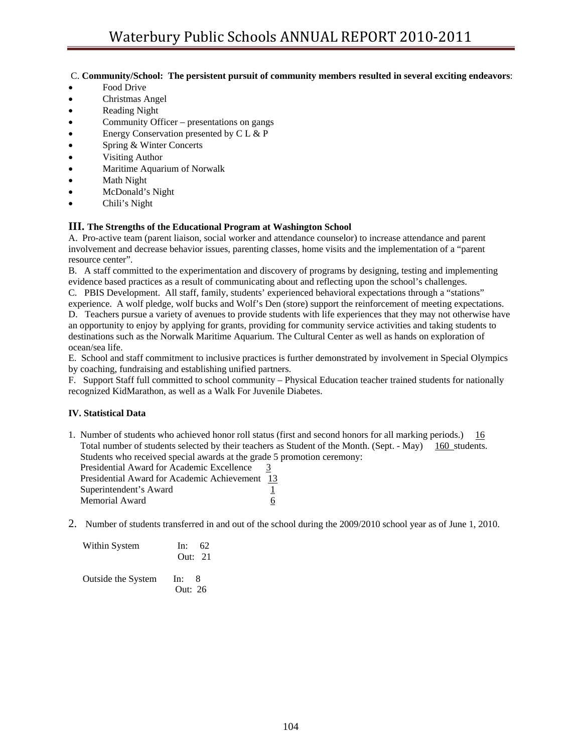# C. **Community/School: The persistent pursuit of community members resulted in several exciting endeavors**:

- Food Drive
- Christmas Angel
- Reading Night
- Community Officer presentations on gangs
- Energy Conservation presented by C L & P
- Spring & Winter Concerts
- Visiting Author
- Maritime Aquarium of Norwalk
- Math Night
- McDonald's Night
- Chili's Night

# **III. The Strengths of the Educational Program at Washington School**

A. Pro-active team (parent liaison, social worker and attendance counselor) to increase attendance and parent involvement and decrease behavior issues, parenting classes, home visits and the implementation of a "parent resource center".

B. A staff committed to the experimentation and discovery of programs by designing, testing and implementing evidence based practices as a result of communicating about and reflecting upon the school's challenges.

C. PBIS Development. All staff, family, students' experienced behavioral expectations through a "stations" experience. A wolf pledge, wolf bucks and Wolf's Den (store) support the reinforcement of meeting expectations.

D. Teachers pursue a variety of avenues to provide students with life experiences that they may not otherwise have an opportunity to enjoy by applying for grants, providing for community service activities and taking students to destinations such as the Norwalk Maritime Aquarium. The Cultural Center as well as hands on exploration of ocean/sea life.

E. School and staff commitment to inclusive practices is further demonstrated by involvement in Special Olympics by coaching, fundraising and establishing unified partners.

F. Support Staff full committed to school community – Physical Education teacher trained students for nationally recognized KidMarathon, as well as a Walk For Juvenile Diabetes.

# **IV. Statistical Data**

1. Number of students who achieved honor roll status (first and second honors for all marking periods.) 16 Total number of students selected by their teachers as Student of the Month. (Sept. - May) 160 students. Students who received special awards at the grade 5 promotion ceremony:

Presidential Award for Academic Excellence 3 Presidential Award for Academic Achievement 13 Superintendent's Award  $\frac{1}{1}$ Memorial Award 6

2. Number of students transferred in and out of the school during the 2009/2010 school year as of June 1, 2010.

| Within System      | - 62<br>In: |
|--------------------|-------------|
|                    | Out: $21$   |
|                    |             |
| Outside the System | -8<br>In:   |
|                    | Out: $26$   |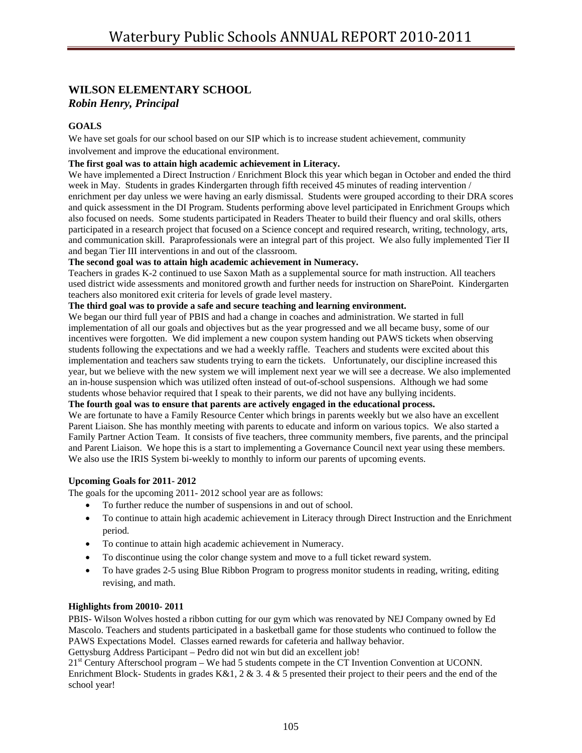# **WILSON ELEMENTARY SCHOOL**  *Robin Henry, Principal*

# **GOALS**

We have set goals for our school based on our SIP which is to increase student achievement, community involvement and improve the educational environment.

#### **The first goal was to attain high academic achievement in Literacy.**

We have implemented a Direct Instruction / Enrichment Block this year which began in October and ended the third week in May. Students in grades Kindergarten through fifth received 45 minutes of reading intervention / enrichment per day unless we were having an early dismissal. Students were grouped according to their DRA scores and quick assessment in the DI Program. Students performing above level participated in Enrichment Groups which also focused on needs. Some students participated in Readers Theater to build their fluency and oral skills, others participated in a research project that focused on a Science concept and required research, writing, technology, arts, and communication skill. Paraprofessionals were an integral part of this project. We also fully implemented Tier II and began Tier III interventions in and out of the classroom.

#### **The second goal was to attain high academic achievement in Numeracy.**

Teachers in grades K-2 continued to use Saxon Math as a supplemental source for math instruction. All teachers used district wide assessments and monitored growth and further needs for instruction on SharePoint. Kindergarten teachers also monitored exit criteria for levels of grade level mastery.

#### **The third goal was to provide a safe and secure teaching and learning environment.**

We began our third full year of PBIS and had a change in coaches and administration. We started in full implementation of all our goals and objectives but as the year progressed and we all became busy, some of our incentives were forgotten. We did implement a new coupon system handing out PAWS tickets when observing students following the expectations and we had a weekly raffle. Teachers and students were excited about this implementation and teachers saw students trying to earn the tickets. Unfortunately, our discipline increased this year, but we believe with the new system we will implement next year we will see a decrease. We also implemented an in-house suspension which was utilized often instead of out-of-school suspensions. Although we had some students whose behavior required that I speak to their parents, we did not have any bullying incidents.

#### **The fourth goal was to ensure that parents are actively engaged in the educational process.**

We are fortunate to have a Family Resource Center which brings in parents weekly but we also have an excellent Parent Liaison. She has monthly meeting with parents to educate and inform on various topics. We also started a Family Partner Action Team. It consists of five teachers, three community members, five parents, and the principal and Parent Liaison. We hope this is a start to implementing a Governance Council next year using these members. We also use the IRIS System bi-weekly to monthly to inform our parents of upcoming events.

# **Upcoming Goals for 2011- 2012**

The goals for the upcoming 2011- 2012 school year are as follows:

- To further reduce the number of suspensions in and out of school.
- To continue to attain high academic achievement in Literacy through Direct Instruction and the Enrichment period.
- To continue to attain high academic achievement in Numeracy.
- To discontinue using the color change system and move to a full ticket reward system.
- To have grades 2-5 using Blue Ribbon Program to progress monitor students in reading, writing, editing revising, and math.

#### **Highlights from 20010- 2011**

PBIS- Wilson Wolves hosted a ribbon cutting for our gym which was renovated by NEJ Company owned by Ed Mascolo. Teachers and students participated in a basketball game for those students who continued to follow the PAWS Expectations Model. Classes earned rewards for cafeteria and hallway behavior.

Gettysburg Address Participant – Pedro did not win but did an excellent job!

 $21<sup>st</sup>$  Century Afterschool program – We had 5 students compete in the CT Invention Convention at UCONN. Enrichment Block- Students in grades K&1, 2 & 3.4 & 5 presented their project to their peers and the end of the school year!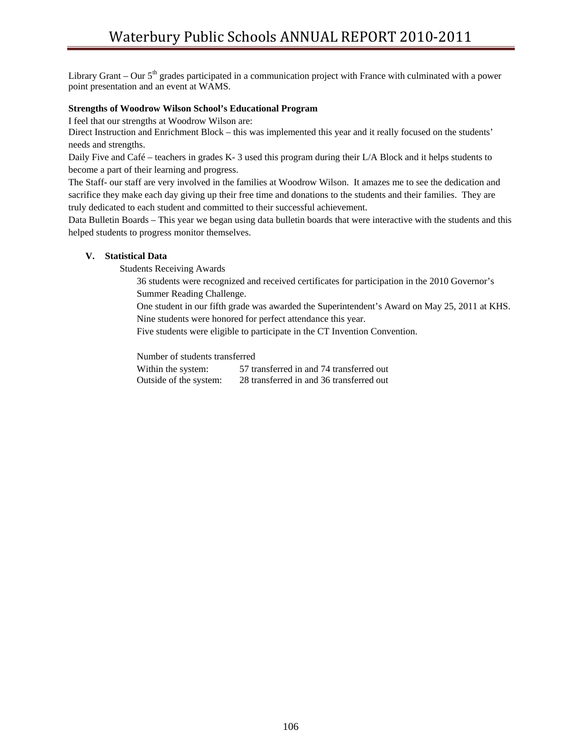Library Grant – Our 5<sup>th</sup> grades participated in a communication project with France with culminated with a power point presentation and an event at WAMS.

#### **Strengths of Woodrow Wilson School's Educational Program**

I feel that our strengths at Woodrow Wilson are:

Direct Instruction and Enrichment Block – this was implemented this year and it really focused on the students' needs and strengths.

Daily Five and Café – teachers in grades K- 3 used this program during their L/A Block and it helps students to become a part of their learning and progress.

The Staff- our staff are very involved in the families at Woodrow Wilson. It amazes me to see the dedication and sacrifice they make each day giving up their free time and donations to the students and their families. They are truly dedicated to each student and committed to their successful achievement.

Data Bulletin Boards – This year we began using data bulletin boards that were interactive with the students and this helped students to progress monitor themselves.

#### **V. Statistical Data**

Students Receiving Awards

- 36 students were recognized and received certificates for participation in the 2010 Governor's Summer Reading Challenge.
- One student in our fifth grade was awarded the Superintendent's Award on May 25, 2011 at KHS. Nine students were honored for perfect attendance this year.

Five students were eligible to participate in the CT Invention Convention.

Number of students transferred Within the system: 57 transferred in and 74 transferred out Outside of the system: 28 transferred in and 36 transferred out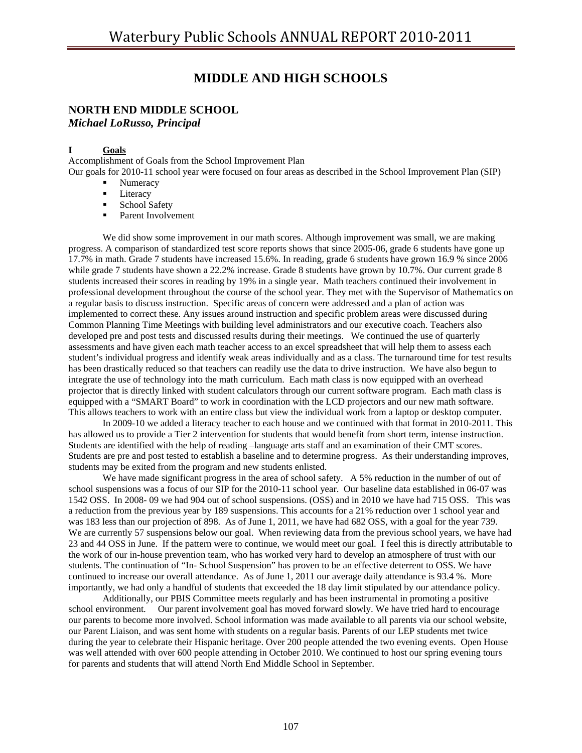# **MIDDLE AND HIGH SCHOOLS**

# **NORTH END MIDDLE SCHOOL**

*Michael LoRusso, Principal* 

#### **I Goals**

Accomplishment of Goals from the School Improvement Plan Our goals for 2010-11 school year were focused on four areas as described in the School Improvement Plan (SIP)

- Numeracy
	- **Literacy**
	-
	- School Safety<br>• Parent Involve Parent Involvement

We did show some improvement in our math scores. Although improvement was small, we are making progress. A comparison of standardized test score reports shows that since 2005-06, grade 6 students have gone up 17.7% in math. Grade 7 students have increased 15.6%. In reading, grade 6 students have grown 16.9 % since 2006 while grade 7 students have shown a 22.2% increase. Grade 8 students have grown by 10.7%. Our current grade 8 students increased their scores in reading by 19% in a single year. Math teachers continued their involvement in professional development throughout the course of the school year. They met with the Supervisor of Mathematics on a regular basis to discuss instruction. Specific areas of concern were addressed and a plan of action was implemented to correct these. Any issues around instruction and specific problem areas were discussed during Common Planning Time Meetings with building level administrators and our executive coach. Teachers also developed pre and post tests and discussed results during their meetings. We continued the use of quarterly assessments and have given each math teacher access to an excel spreadsheet that will help them to assess each student's individual progress and identify weak areas individually and as a class. The turnaround time for test results has been drastically reduced so that teachers can readily use the data to drive instruction. We have also begun to integrate the use of technology into the math curriculum. Each math class is now equipped with an overhead projector that is directly linked with student calculators through our current software program. Each math class is equipped with a "SMART Board" to work in coordination with the LCD projectors and our new math software. This allows teachers to work with an entire class but view the individual work from a laptop or desktop computer.

 In 2009-10 we added a literacy teacher to each house and we continued with that format in 2010-2011. This has allowed us to provide a Tier 2 intervention for students that would benefit from short term, intense instruction. Students are identified with the help of reading –language arts staff and an examination of their CMT scores. Students are pre and post tested to establish a baseline and to determine progress. As their understanding improves, students may be exited from the program and new students enlisted.

We have made significant progress in the area of school safety. A 5% reduction in the number of out of school suspensions was a focus of our SIP for the 2010-11 school year. Our baseline data established in 06-07 was 1542 OSS. In 2008- 09 we had 904 out of school suspensions. (OSS) and in 2010 we have had 715 OSS. This was a reduction from the previous year by 189 suspensions. This accounts for a 21% reduction over 1 school year and was 183 less than our projection of 898. As of June 1, 2011, we have had 682 OSS, with a goal for the year 739. We are currently 57 suspensions below our goal. When reviewing data from the previous school years, we have had 23 and 44 OSS in June. If the pattern were to continue, we would meet our goal. I feel this is directly attributable to the work of our in-house prevention team, who has worked very hard to develop an atmosphere of trust with our students. The continuation of "In- School Suspension" has proven to be an effective deterrent to OSS. We have continued to increase our overall attendance. As of June 1, 2011 our average daily attendance is 93.4 %. More importantly, we had only a handful of students that exceeded the 18 day limit stipulated by our attendance policy.

 Additionally, our PBIS Committee meets regularly and has been instrumental in promoting a positive school environment. Our parent involvement goal has moved forward slowly. We have tried hard to encourage our parents to become more involved. School information was made available to all parents via our school website, our Parent Liaison, and was sent home with students on a regular basis. Parents of our LEP students met twice during the year to celebrate their Hispanic heritage. Over 200 people attended the two evening events. Open House was well attended with over 600 people attending in October 2010. We continued to host our spring evening tours for parents and students that will attend North End Middle School in September.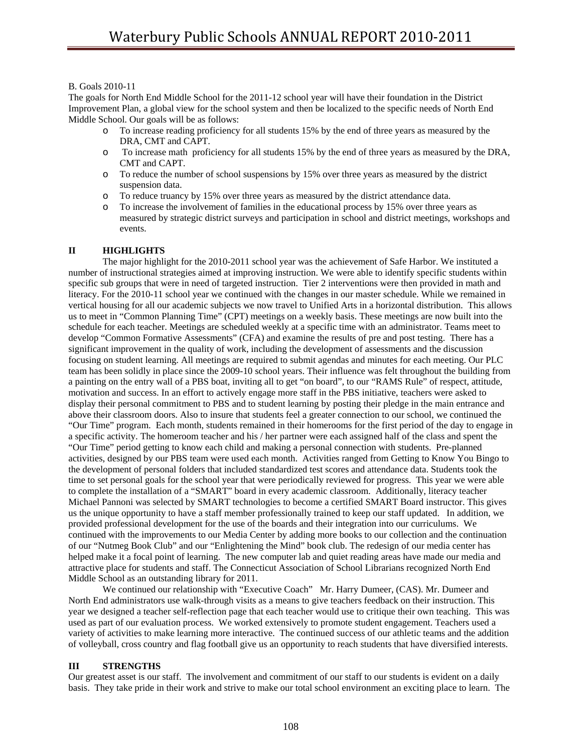B. Goals 2010-11

The goals for North End Middle School for the 2011-12 school year will have their foundation in the District Improvement Plan, a global view for the school system and then be localized to the specific needs of North End Middle School. Our goals will be as follows:

- o To increase reading proficiency for all students 15% by the end of three years as measured by the DRA, CMT and CAPT.
- o To increase math proficiency for all students 15% by the end of three years as measured by the DRA, CMT and CAPT.
- o To reduce the number of school suspensions by 15% over three years as measured by the district suspension data.
- o To reduce truancy by 15% over three years as measured by the district attendance data.
- o To increase the involvement of families in the educational process by 15% over three years as measured by strategic district surveys and participation in school and district meetings, workshops and events.

# **II HIGHLIGHTS**

 The major highlight for the 2010-2011 school year was the achievement of Safe Harbor. We instituted a number of instructional strategies aimed at improving instruction. We were able to identify specific students within specific sub groups that were in need of targeted instruction. Tier 2 interventions were then provided in math and literacy. For the 2010-11 school year we continued with the changes in our master schedule. While we remained in vertical housing for all our academic subjects we now travel to Unified Arts in a horizontal distribution. This allows us to meet in "Common Planning Time" (CPT) meetings on a weekly basis. These meetings are now built into the schedule for each teacher. Meetings are scheduled weekly at a specific time with an administrator. Teams meet to develop "Common Formative Assessments" (CFA) and examine the results of pre and post testing. There has a significant improvement in the quality of work, including the development of assessments and the discussion focusing on student learning. All meetings are required to submit agendas and minutes for each meeting. Our PLC team has been solidly in place since the 2009-10 school years. Their influence was felt throughout the building from a painting on the entry wall of a PBS boat, inviting all to get "on board", to our "RAMS Rule" of respect, attitude, motivation and success. In an effort to actively engage more staff in the PBS initiative, teachers were asked to display their personal commitment to PBS and to student learning by posting their pledge in the main entrance and above their classroom doors. Also to insure that students feel a greater connection to our school, we continued the "Our Time" program. Each month, students remained in their homerooms for the first period of the day to engage in a specific activity. The homeroom teacher and his / her partner were each assigned half of the class and spent the "Our Time" period getting to know each child and making a personal connection with students. Pre-planned activities, designed by our PBS team were used each month. Activities ranged from Getting to Know You Bingo to the development of personal folders that included standardized test scores and attendance data. Students took the time to set personal goals for the school year that were periodically reviewed for progress. This year we were able to complete the installation of a "SMART" board in every academic classroom. Additionally, literacy teacher Michael Pannoni was selected by SMART technologies to become a certified SMART Board instructor. This gives us the unique opportunity to have a staff member professionally trained to keep our staff updated. In addition, we provided professional development for the use of the boards and their integration into our curriculums. We continued with the improvements to our Media Center by adding more books to our collection and the continuation of our "Nutmeg Book Club" and our "Enlightening the Mind" book club. The redesign of our media center has helped make it a focal point of learning. The new computer lab and quiet reading areas have made our media and attractive place for students and staff. The Connecticut Association of School Librarians recognized North End Middle School as an outstanding library for 2011.

 We continued our relationship with "Executive Coach" Mr. Harry Dumeer, (CAS). Mr. Dumeer and North End administrators use walk-through visits as a means to give teachers feedback on their instruction. This year we designed a teacher self-reflection page that each teacher would use to critique their own teaching. This was used as part of our evaluation process. We worked extensively to promote student engagement. Teachers used a variety of activities to make learning more interactive. The continued success of our athletic teams and the addition of volleyball, cross country and flag football give us an opportunity to reach students that have diversified interests.

#### **III STRENGTHS**

Our greatest asset is our staff. The involvement and commitment of our staff to our students is evident on a daily basis. They take pride in their work and strive to make our total school environment an exciting place to learn. The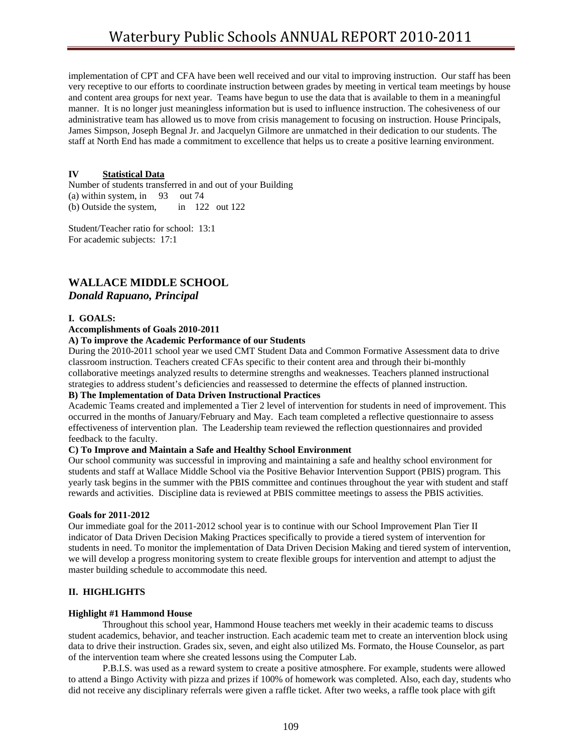implementation of CPT and CFA have been well received and our vital to improving instruction. Our staff has been very receptive to our efforts to coordinate instruction between grades by meeting in vertical team meetings by house and content area groups for next year. Teams have begun to use the data that is available to them in a meaningful manner. It is no longer just meaningless information but is used to influence instruction. The cohesiveness of our administrative team has allowed us to move from crisis management to focusing on instruction. House Principals, James Simpson, Joseph Begnal Jr. and Jacquelyn Gilmore are unmatched in their dedication to our students. The staff at North End has made a commitment to excellence that helps us to create a positive learning environment.

#### **IV Statistical Data**

Number of students transferred in and out of your Building (a) within system, in 93 out 74 (b) Outside the system, in 122 out 122

Student/Teacher ratio for school: 13:1 For academic subjects: 17:1

# **WALLACE MIDDLE SCHOOL**

#### *Donald Rapuano, Principal*

#### **I. GOALS:**

#### **Accomplishments of Goals 2010-2011**

#### **A) To improve the Academic Performance of our Students**

During the 2010-2011 school year we used CMT Student Data and Common Formative Assessment data to drive classroom instruction. Teachers created CFAs specific to their content area and through their bi-monthly collaborative meetings analyzed results to determine strengths and weaknesses. Teachers planned instructional strategies to address student's deficiencies and reassessed to determine the effects of planned instruction.

#### **B) The Implementation of Data Driven Instructional Practices**

Academic Teams created and implemented a Tier 2 level of intervention for students in need of improvement. This occurred in the months of January/February and May. Each team completed a reflective questionnaire to assess effectiveness of intervention plan. The Leadership team reviewed the reflection questionnaires and provided feedback to the faculty.

#### **C) To Improve and Maintain a Safe and Healthy School Environment**

Our school community was successful in improving and maintaining a safe and healthy school environment for students and staff at Wallace Middle School via the Positive Behavior Intervention Support (PBIS) program. This yearly task begins in the summer with the PBIS committee and continues throughout the year with student and staff rewards and activities. Discipline data is reviewed at PBIS committee meetings to assess the PBIS activities.

#### **Goals for 2011-2012**

Our immediate goal for the 2011-2012 school year is to continue with our School Improvement Plan Tier II indicator of Data Driven Decision Making Practices specifically to provide a tiered system of intervention for students in need. To monitor the implementation of Data Driven Decision Making and tiered system of intervention, we will develop a progress monitoring system to create flexible groups for intervention and attempt to adjust the master building schedule to accommodate this need.

#### **II. HIGHLIGHTS**

#### **Highlight #1 Hammond House**

 Throughout this school year, Hammond House teachers met weekly in their academic teams to discuss student academics, behavior, and teacher instruction. Each academic team met to create an intervention block using data to drive their instruction. Grades six, seven, and eight also utilized Ms. Formato, the House Counselor, as part of the intervention team where she created lessons using the Computer Lab.

 P.B.I.S. was used as a reward system to create a positive atmosphere. For example, students were allowed to attend a Bingo Activity with pizza and prizes if 100% of homework was completed. Also, each day, students who did not receive any disciplinary referrals were given a raffle ticket. After two weeks, a raffle took place with gift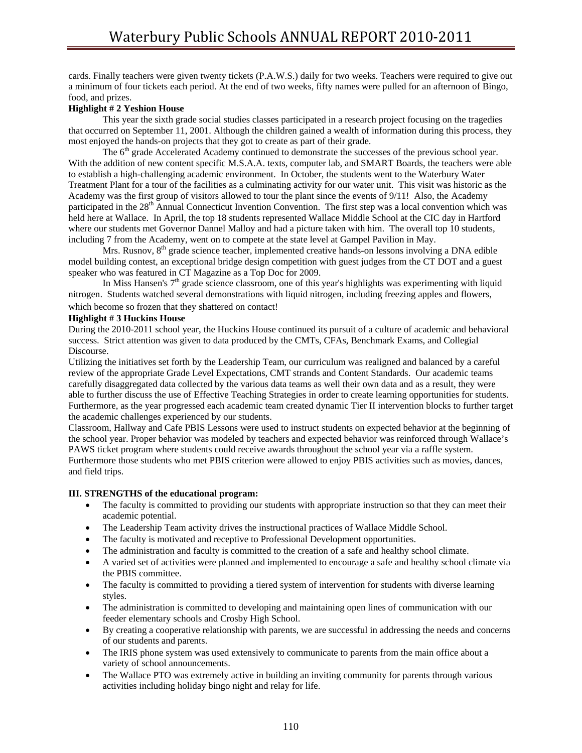cards. Finally teachers were given twenty tickets (P.A.W.S.) daily for two weeks. Teachers were required to give out a minimum of four tickets each period. At the end of two weeks, fifty names were pulled for an afternoon of Bingo, food, and prizes.

#### **Highlight # 2 Yeshion House**

 This year the sixth grade social studies classes participated in a research project focusing on the tragedies that occurred on September 11, 2001. Although the children gained a wealth of information during this process, they most enjoyed the hands-on projects that they got to create as part of their grade.

The 6<sup>th</sup> grade Accelerated Academy continued to demonstrate the successes of the previous school year. With the addition of new content specific M.S.A.A. texts, computer lab, and SMART Boards, the teachers were able to establish a high-challenging academic environment. In October, the students went to the Waterbury Water Treatment Plant for a tour of the facilities as a culminating activity for our water unit. This visit was historic as the Academy was the first group of visitors allowed to tour the plant since the events of 9/11! Also, the Academy participated in the 28<sup>th</sup> Annual Connecticut Invention Convention. The first step was a local convention which was held here at Wallace. In April, the top 18 students represented Wallace Middle School at the CIC day in Hartford where our students met Governor Dannel Malloy and had a picture taken with him. The overall top 10 students, including 7 from the Academy, went on to compete at the state level at Gampel Pavilion in May.

Mrs. Rusnov, 8<sup>th</sup> grade science teacher, implemented creative hands-on lessons involving a DNA edible model building contest, an exceptional bridge design competition with guest judges from the CT DOT and a guest speaker who was featured in CT Magazine as a Top Doc for 2009.

In Miss Hansen's  $7<sup>th</sup>$  grade science classroom, one of this year's highlights was experimenting with liquid nitrogen. Students watched several demonstrations with liquid nitrogen, including freezing apples and flowers, which become so frozen that they shattered on contact!

#### **Highlight # 3 Huckins House**

During the 2010-2011 school year, the Huckins House continued its pursuit of a culture of academic and behavioral success. Strict attention was given to data produced by the CMTs, CFAs, Benchmark Exams, and Collegial Discourse.

Utilizing the initiatives set forth by the Leadership Team, our curriculum was realigned and balanced by a careful review of the appropriate Grade Level Expectations, CMT strands and Content Standards. Our academic teams carefully disaggregated data collected by the various data teams as well their own data and as a result, they were able to further discuss the use of Effective Teaching Strategies in order to create learning opportunities for students. Furthermore, as the year progressed each academic team created dynamic Tier II intervention blocks to further target the academic challenges experienced by our students.

Classroom, Hallway and Cafe PBIS Lessons were used to instruct students on expected behavior at the beginning of the school year. Proper behavior was modeled by teachers and expected behavior was reinforced through Wallace's PAWS ticket program where students could receive awards throughout the school year via a raffle system. Furthermore those students who met PBIS criterion were allowed to enjoy PBIS activities such as movies, dances, and field trips.

# **III. STRENGTHS of the educational program:**

- The faculty is committed to providing our students with appropriate instruction so that they can meet their academic potential.
- The Leadership Team activity drives the instructional practices of Wallace Middle School.
- The faculty is motivated and receptive to Professional Development opportunities.
- The administration and faculty is committed to the creation of a safe and healthy school climate.
- A varied set of activities were planned and implemented to encourage a safe and healthy school climate via the PBIS committee.
- The faculty is committed to providing a tiered system of intervention for students with diverse learning styles.
- The administration is committed to developing and maintaining open lines of communication with our feeder elementary schools and Crosby High School.
- By creating a cooperative relationship with parents, we are successful in addressing the needs and concerns of our students and parents.
- The IRIS phone system was used extensively to communicate to parents from the main office about a variety of school announcements.
- The Wallace PTO was extremely active in building an inviting community for parents through various activities including holiday bingo night and relay for life.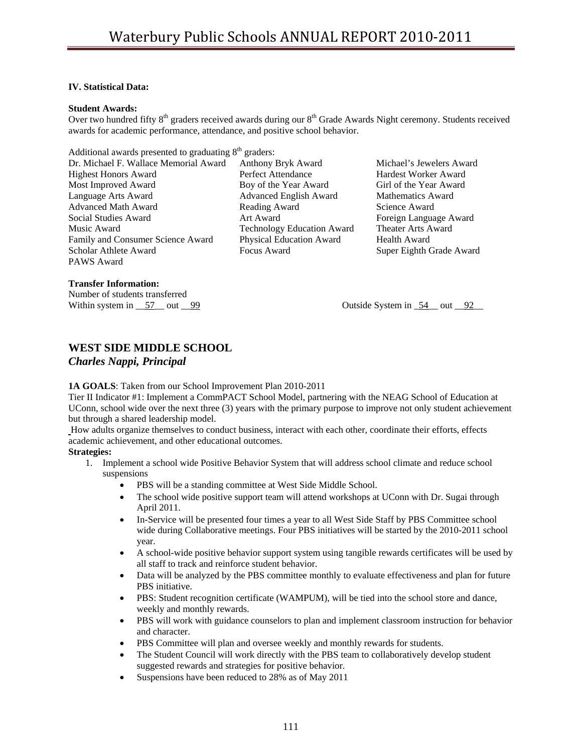### **IV. Statistical Data:**

#### **Student Awards:**

Over two hundred fifty  $8<sup>th</sup>$  graders received awards during our  $8<sup>th</sup>$  Grade Awards Night ceremony. Students received awards for academic performance, attendance, and positive school behavior.

Additional awards presented to graduating  $8<sup>th</sup>$  graders:

Dr. Michael F. Wallace Memorial Award Anthony Bryk Award Michael's Jewelers Award Highest Honors Award **Perfect Attendance** Hardest Worker Award Most Improved Award Boy of the Year Award Girl of the Year Award Language Arts Award Advanced English Award Mathematics Award Advanced Math Award Reading Award Science Award Social Studies Award **Art Award Art Award Foreign Language Award** Music Award Technology Education Award Theater Arts Award Family and Consumer Science Award Physical Education Award Health Award Scholar Athlete Award Focus Award Super Eighth Grade Award PAWS Award

#### **Transfer Information:**

Number of students transferred

Within system in \_\_57\_\_ out \_\_99 Outside System in \_54\_\_ out \_\_92\_\_

# **WEST SIDE MIDDLE SCHOOL**

*Charles Nappi, Principal* 

#### **1A GOALS**: Taken from our School Improvement Plan 2010-2011

Tier II Indicator #1: Implement a CommPACT School Model, partnering with the NEAG School of Education at UConn, school wide over the next three (3) years with the primary purpose to improve not only student achievement but through a shared leadership model.

How adults organize themselves to conduct business, interact with each other, coordinate their efforts, effects academic achievement, and other educational outcomes.

# **Strategies:**

- 1. Implement a school wide Positive Behavior System that will address school climate and reduce school suspensions
	- PBS will be a standing committee at West Side Middle School.
	- The school wide positive support team will attend workshops at UConn with Dr. Sugai through April 2011.
	- In-Service will be presented four times a year to all West Side Staff by PBS Committee school wide during Collaborative meetings. Four PBS initiatives will be started by the 2010-2011 school year.
	- A school-wide positive behavior support system using tangible rewards certificates will be used by all staff to track and reinforce student behavior.
	- Data will be analyzed by the PBS committee monthly to evaluate effectiveness and plan for future PBS initiative.
	- PBS: Student recognition certificate (WAMPUM), will be tied into the school store and dance, weekly and monthly rewards.
	- PBS will work with guidance counselors to plan and implement classroom instruction for behavior and character.
	- PBS Committee will plan and oversee weekly and monthly rewards for students.
	- The Student Council will work directly with the PBS team to collaboratively develop student suggested rewards and strategies for positive behavior.
	- Suspensions have been reduced to 28% as of May 2011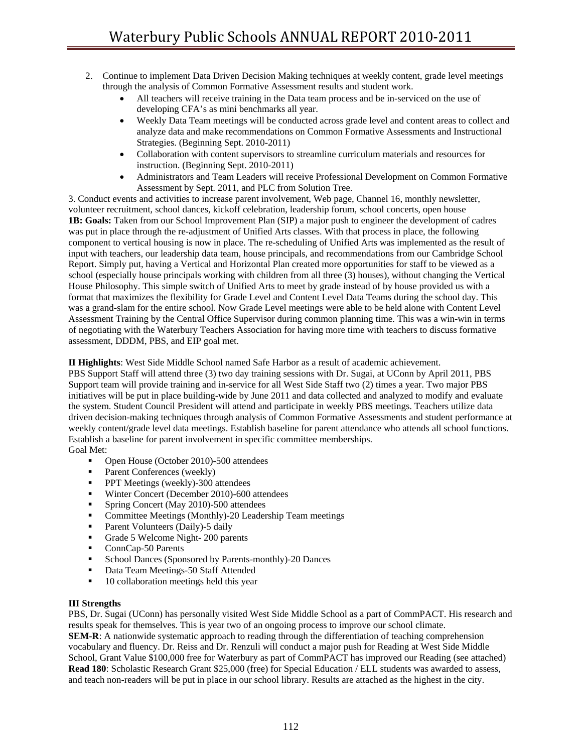- 2. Continue to implement Data Driven Decision Making techniques at weekly content, grade level meetings through the analysis of Common Formative Assessment results and student work.
	- All teachers will receive training in the Data team process and be in-serviced on the use of developing CFA's as mini benchmarks all year.
	- Weekly Data Team meetings will be conducted across grade level and content areas to collect and analyze data and make recommendations on Common Formative Assessments and Instructional Strategies. (Beginning Sept. 2010-2011)
	- Collaboration with content supervisors to streamline curriculum materials and resources for instruction. (Beginning Sept. 2010-2011)
	- Administrators and Team Leaders will receive Professional Development on Common Formative Assessment by Sept. 2011, and PLC from Solution Tree.

3. Conduct events and activities to increase parent involvement, Web page, Channel 16, monthly newsletter, volunteer recruitment, school dances, kickoff celebration, leadership forum, school concerts, open house **1B: Goals:** Taken from our School Improvement Plan (SIP) a major push to engineer the development of cadres was put in place through the re-adjustment of Unified Arts classes. With that process in place, the following component to vertical housing is now in place. The re-scheduling of Unified Arts was implemented as the result of input with teachers, our leadership data team, house principals, and recommendations from our Cambridge School Report. Simply put, having a Vertical and Horizontal Plan created more opportunities for staff to be viewed as a school (especially house principals working with children from all three (3) houses), without changing the Vertical House Philosophy. This simple switch of Unified Arts to meet by grade instead of by house provided us with a format that maximizes the flexibility for Grade Level and Content Level Data Teams during the school day. This was a grand-slam for the entire school. Now Grade Level meetings were able to be held alone with Content Level Assessment Training by the Central Office Supervisor during common planning time. This was a win-win in terms of negotiating with the Waterbury Teachers Association for having more time with teachers to discuss formative assessment, DDDM, PBS, and EIP goal met.

**II Highlights**: West Side Middle School named Safe Harbor as a result of academic achievement.

PBS Support Staff will attend three (3) two day training sessions with Dr. Sugai, at UConn by April 2011, PBS Support team will provide training and in-service for all West Side Staff two (2) times a year. Two major PBS initiatives will be put in place building-wide by June 2011 and data collected and analyzed to modify and evaluate the system. Student Council President will attend and participate in weekly PBS meetings. Teachers utilize data driven decision-making techniques through analysis of Common Formative Assessments and student performance at weekly content/grade level data meetings. Establish baseline for parent attendance who attends all school functions. Establish a baseline for parent involvement in specific committee memberships.

Goal Met:

- Open House (October 2010)-500 attendees
- Parent Conferences (weekly)
- **PPT** Meetings (weekly)-300 attendees
- Winter Concert (December 2010)-600 attendees
- Spring Concert (May 2010)-500 attendees
- Committee Meetings (Monthly)-20 Leadership Team meetings
- Parent Volunteers (Daily)-5 daily
- Grade 5 Welcome Night- 200 parents
- ConnCap-50 Parents
- School Dances (Sponsored by Parents-monthly)-20 Dances
- Data Team Meetings-50 Staff Attended
- 10 collaboration meetings held this year

#### **III Strengths**

PBS, Dr. Sugai (UConn) has personally visited West Side Middle School as a part of CommPACT. His research and results speak for themselves. This is year two of an ongoing process to improve our school climate. **SEM-R**: A nationwide systematic approach to reading through the differentiation of teaching comprehension vocabulary and fluency. Dr. Reiss and Dr. Renzuli will conduct a major push for Reading at West Side Middle School, Grant Value \$100,000 free for Waterbury as part of CommPACT has improved our Reading (see attached) **Read 180**: Scholastic Research Grant \$25,000 (free) for Special Education / ELL students was awarded to assess, and teach non-readers will be put in place in our school library. Results are attached as the highest in the city.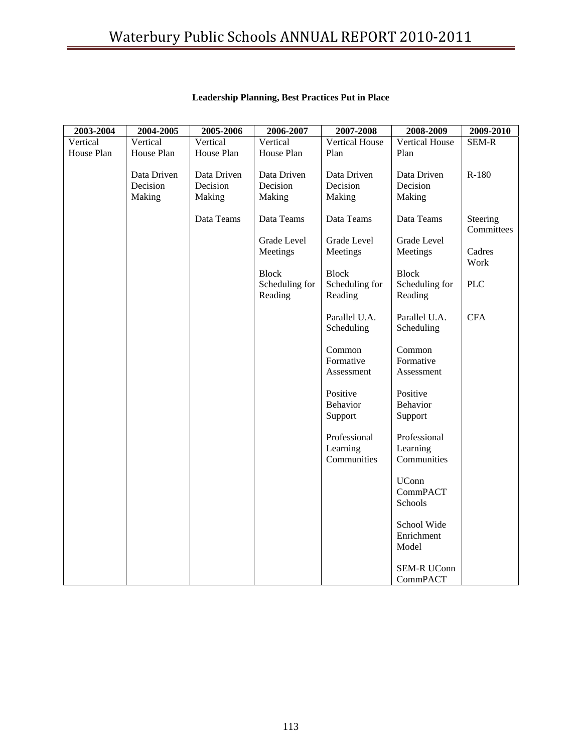| 2003-2004  | 2004-2005   | 2005-2006   | 2006-2007      | 2007-2008                   | 2008-2009                      | 2009-2010              |
|------------|-------------|-------------|----------------|-----------------------------|--------------------------------|------------------------|
| Vertical   | Vertical    | Vertical    | Vertical       | <b>Vertical House</b>       | <b>Vertical House</b>          | <b>SEM-R</b>           |
| House Plan | House Plan  | House Plan  | House Plan     | Plan                        | Plan                           |                        |
|            |             |             |                |                             |                                |                        |
|            | Data Driven | Data Driven | Data Driven    | Data Driven                 | Data Driven                    | $R-180$                |
|            | Decision    | Decision    | Decision       | Decision                    | Decision                       |                        |
|            | Making      | Making      | Making         | Making                      | Making                         |                        |
|            |             | Data Teams  | Data Teams     | Data Teams                  | Data Teams                     | Steering<br>Committees |
|            |             |             | Grade Level    | Grade Level                 | Grade Level                    |                        |
|            |             |             | Meetings       | Meetings                    | Meetings                       | Cadres                 |
|            |             |             |                |                             |                                | Work                   |
|            |             |             | <b>Block</b>   | <b>Block</b>                | <b>Block</b>                   |                        |
|            |             |             | Scheduling for | Scheduling for              | Scheduling for                 | <b>PLC</b>             |
|            |             |             | Reading        | Reading                     | Reading                        |                        |
|            |             |             |                | Parallel U.A.<br>Scheduling | Parallel U.A.<br>Scheduling    | <b>CFA</b>             |
|            |             |             |                |                             |                                |                        |
|            |             |             |                | Common                      | Common                         |                        |
|            |             |             |                | Formative                   | Formative                      |                        |
|            |             |             |                | Assessment                  | Assessment                     |                        |
|            |             |             |                |                             |                                |                        |
|            |             |             |                | Positive                    | Positive                       |                        |
|            |             |             |                | Behavior                    | Behavior                       |                        |
|            |             |             |                | Support                     | Support                        |                        |
|            |             |             |                | Professional                | Professional                   |                        |
|            |             |             |                | Learning                    | Learning                       |                        |
|            |             |             |                | Communities                 | Communities                    |                        |
|            |             |             |                |                             | <b>UConn</b>                   |                        |
|            |             |             |                |                             | CommPACT<br>Schools            |                        |
|            |             |             |                |                             | School Wide                    |                        |
|            |             |             |                |                             | Enrichment                     |                        |
|            |             |             |                |                             | Model                          |                        |
|            |             |             |                |                             | <b>SEM-R UConn</b><br>CommPACT |                        |

# **Leadership Planning, Best Practices Put in Place**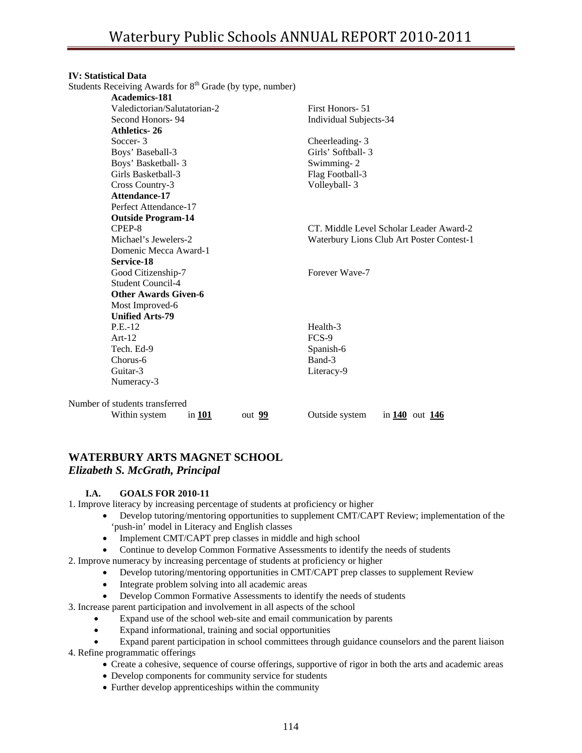#### **IV: Statistical Data**

Students Receiving Awards for  $8<sup>th</sup>$  Grade (by type, number)

| <b>Academics-181</b>           |        |                        |                                           |  |
|--------------------------------|--------|------------------------|-------------------------------------------|--|
| Valedictorian/Salutatorian-2   |        | First Honors- 51       |                                           |  |
| Second Honors-94               |        | Individual Subjects-34 |                                           |  |
| <b>Athletics-26</b>            |        |                        |                                           |  |
| Soccer-3                       |        | Cheerleading-3         |                                           |  |
| Boys' Baseball-3               |        | Girls' Softball-3      |                                           |  |
| Boys' Basketball- 3            |        | Swimming-2             |                                           |  |
| Girls Basketball-3             |        | Flag Football-3        |                                           |  |
| Cross Country-3                |        | Volleyball-3           |                                           |  |
| Attendance-17                  |        |                        |                                           |  |
| Perfect Attendance-17          |        |                        |                                           |  |
| <b>Outside Program-14</b>      |        |                        |                                           |  |
| CPEP-8                         |        |                        | CT. Middle Level Scholar Leader Award-2   |  |
| Michael's Jewelers-2           |        |                        | Waterbury Lions Club Art Poster Contest-1 |  |
| Domenic Mecca Award-1          |        |                        |                                           |  |
| Service-18                     |        |                        |                                           |  |
| Good Citizenship-7             |        | Forever Wave-7         |                                           |  |
| <b>Student Council-4</b>       |        |                        |                                           |  |
| <b>Other Awards Given-6</b>    |        |                        |                                           |  |
| Most Improved-6                |        |                        |                                           |  |
| <b>Unified Arts-79</b>         |        |                        |                                           |  |
| $P.E.-12$                      |        | Health-3               |                                           |  |
| $Art-12$                       |        | FCS-9                  |                                           |  |
| Tech. Ed-9                     |        | Spanish-6              |                                           |  |
| Chorus-6                       |        | Band-3                 |                                           |  |
| Guitar-3                       |        | Literacy-9             |                                           |  |
| Numeracy-3                     |        |                        |                                           |  |
| Number of students transferred |        |                        |                                           |  |
| Within system<br>in 101        | out 99 | Outside system         | in $140$ out $146$                        |  |

# **WATERBURY ARTS MAGNET SCHOOL**  *Elizabeth S. McGrath, Principal*

#### **I.A. GOALS FOR 2010-11**

1. Improve literacy by increasing percentage of students at proficiency or higher

- Develop tutoring/mentoring opportunities to supplement CMT/CAPT Review; implementation of the 'push-in' model in Literacy and English classes
- Implement CMT/CAPT prep classes in middle and high school
- Continue to develop Common Formative Assessments to identify the needs of students
- 2. Improve numeracy by increasing percentage of students at proficiency or higher
	- Develop tutoring/mentoring opportunities in CMT/CAPT prep classes to supplement Review
	- Integrate problem solving into all academic areas
	- Develop Common Formative Assessments to identify the needs of students
- 3. Increase parent participation and involvement in all aspects of the school
	- Expand use of the school web-site and email communication by parents
	- Expand informational, training and social opportunities
	- Expand parent participation in school committees through guidance counselors and the parent liaison
- 4. Refine programmatic offerings
	- Create a cohesive, sequence of course offerings, supportive of rigor in both the arts and academic areas
	- Develop components for community service for students
	- Further develop apprenticeships within the community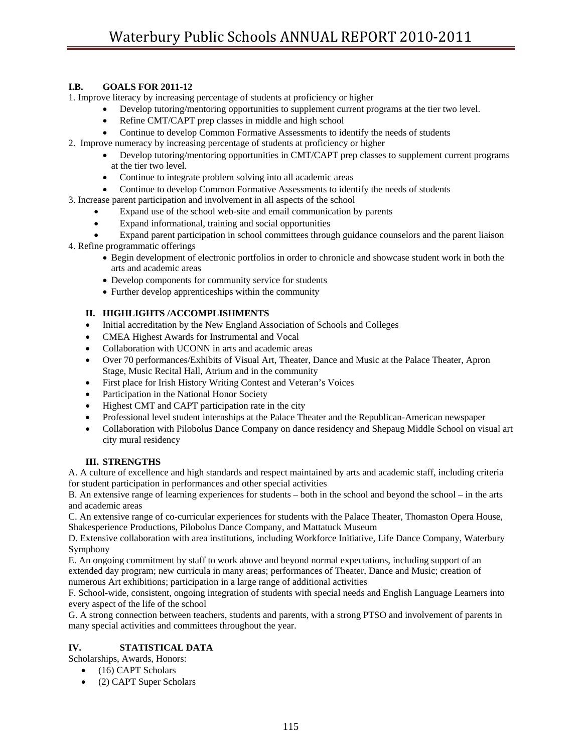# **I.B. GOALS FOR 2011-12**

1. Improve literacy by increasing percentage of students at proficiency or higher

- Develop tutoring/mentoring opportunities to supplement current programs at the tier two level.
- Refine CMT/CAPT prep classes in middle and high school
- Continue to develop Common Formative Assessments to identify the needs of students
- 2. Improve numeracy by increasing percentage of students at proficiency or higher
	- Develop tutoring/mentoring opportunities in CMT/CAPT prep classes to supplement current programs at the tier two level.
	- Continue to integrate problem solving into all academic areas
	- Continue to develop Common Formative Assessments to identify the needs of students
- 3. Increase parent participation and involvement in all aspects of the school
	- Expand use of the school web-site and email communication by parents
	- Expand informational, training and social opportunities
	- Expand parent participation in school committees through guidance counselors and the parent liaison
- 4. Refine programmatic offerings
	- Begin development of electronic portfolios in order to chronicle and showcase student work in both the arts and academic areas
	- Develop components for community service for students
	- Further develop apprenticeships within the community

# **II. HIGHLIGHTS /ACCOMPLISHMENTS**

- Initial accreditation by the New England Association of Schools and Colleges
- CMEA Highest Awards for Instrumental and Vocal
- Collaboration with UCONN in arts and academic areas
- Over 70 performances/Exhibits of Visual Art, Theater, Dance and Music at the Palace Theater, Apron Stage, Music Recital Hall, Atrium and in the community
- First place for Irish History Writing Contest and Veteran's Voices
- Participation in the National Honor Society
- Highest CMT and CAPT participation rate in the city
- Professional level student internships at the Palace Theater and the Republican-American newspaper
- Collaboration with Pilobolus Dance Company on dance residency and Shepaug Middle School on visual art city mural residency

# **III. STRENGTHS**

A. A culture of excellence and high standards and respect maintained by arts and academic staff, including criteria for student participation in performances and other special activities

B. An extensive range of learning experiences for students – both in the school and beyond the school – in the arts and academic areas

C. An extensive range of co-curricular experiences for students with the Palace Theater, Thomaston Opera House, Shakesperience Productions, Pilobolus Dance Company, and Mattatuck Museum

D. Extensive collaboration with area institutions, including Workforce Initiative, Life Dance Company, Waterbury Symphony

E. An ongoing commitment by staff to work above and beyond normal expectations, including support of an extended day program; new curricula in many areas; performances of Theater, Dance and Music; creation of numerous Art exhibitions; participation in a large range of additional activities

F. School-wide, consistent, ongoing integration of students with special needs and English Language Learners into every aspect of the life of the school

G. A strong connection between teachers, students and parents, with a strong PTSO and involvement of parents in many special activities and committees throughout the year.

# **IV. STATISTICAL DATA**

- Scholarships, Awards, Honors:
	- (16) CAPT Scholars
	- (2) CAPT Super Scholars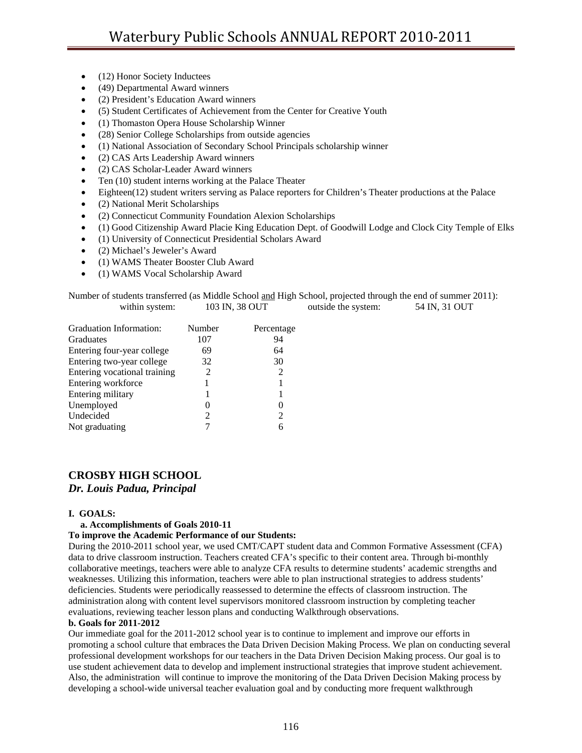- (12) Honor Society Inductees
- (49) Departmental Award winners
- (2) President's Education Award winners
- (5) Student Certificates of Achievement from the Center for Creative Youth
- (1) Thomaston Opera House Scholarship Winner
- (28) Senior College Scholarships from outside agencies
- (1) National Association of Secondary School Principals scholarship winner
- (2) CAS Arts Leadership Award winners
- (2) CAS Scholar-Leader Award winners
- Ten (10) student interns working at the Palace Theater
- Eighteen(12) student writers serving as Palace reporters for Children's Theater productions at the Palace
- (2) National Merit Scholarships
- (2) Connecticut Community Foundation Alexion Scholarships
- (1) Good Citizenship Award Placie King Education Dept. of Goodwill Lodge and Clock City Temple of Elks
- (1) University of Connecticut Presidential Scholars Award
- (2) Michael's Jeweler's Award
- (1) WAMS Theater Booster Club Award
- (1) WAMS Vocal Scholarship Award

Number of students transferred (as Middle School and High School, projected through the end of summer 2011): within system: 103 IN, 38 OUT outside the system: 54 IN, 31 OUT

| Graduation Information:      | Number | Percentage |
|------------------------------|--------|------------|
| Graduates                    | 107    | 94         |
| Entering four-year college   | 69     | 64         |
| Entering two-year college    | 32     | 30         |
| Entering vocational training | 2      | 2          |
| Entering workforce           |        |            |
| Entering military            |        |            |
| Unemployed                   |        |            |
| Undecided                    | 2      | 2          |
| Not graduating               |        |            |

# **CROSBY HIGH SCHOOL**

*Dr. Louis Padua, Principal* 

#### **I. GOALS:**

#### **a. Accomplishments of Goals 2010-11**

#### **To improve the Academic Performance of our Students:**

During the 2010-2011 school year, we used CMT/CAPT student data and Common Formative Assessment (CFA) data to drive classroom instruction. Teachers created CFA's specific to their content area. Through bi-monthly collaborative meetings, teachers were able to analyze CFA results to determine students' academic strengths and weaknesses. Utilizing this information, teachers were able to plan instructional strategies to address students' deficiencies. Students were periodically reassessed to determine the effects of classroom instruction. The administration along with content level supervisors monitored classroom instruction by completing teacher evaluations, reviewing teacher lesson plans and conducting Walkthrough observations.

#### **b. Goals for 2011-2012**

Our immediate goal for the 2011-2012 school year is to continue to implement and improve our efforts in promoting a school culture that embraces the Data Driven Decision Making Process. We plan on conducting several professional development workshops for our teachers in the Data Driven Decision Making process. Our goal is to use student achievement data to develop and implement instructional strategies that improve student achievement. Also, the administration will continue to improve the monitoring of the Data Driven Decision Making process by developing a school-wide universal teacher evaluation goal and by conducting more frequent walkthrough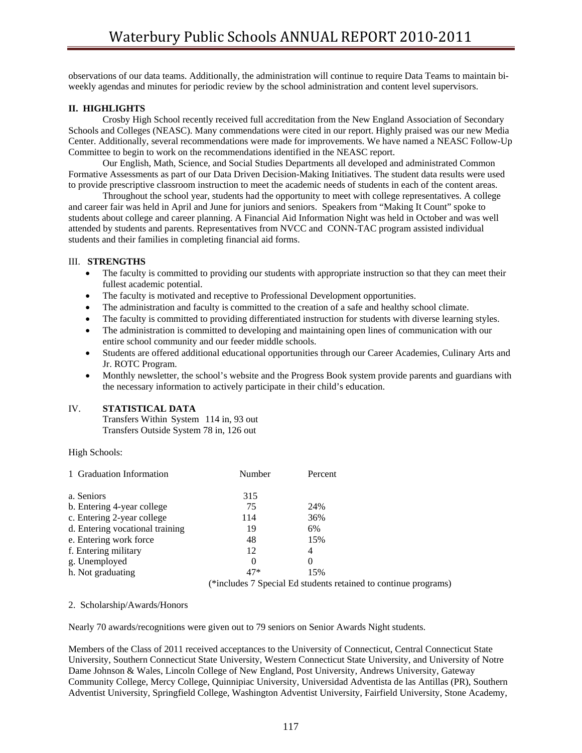observations of our data teams. Additionally, the administration will continue to require Data Teams to maintain biweekly agendas and minutes for periodic review by the school administration and content level supervisors.

#### **II. HIGHLIGHTS**

Crosby High School recently received full accreditation from the New England Association of Secondary Schools and Colleges (NEASC). Many commendations were cited in our report. Highly praised was our new Media Center. Additionally, several recommendations were made for improvements. We have named a NEASC Follow-Up Committee to begin to work on the recommendations identified in the NEASC report.

 Our English, Math, Science, and Social Studies Departments all developed and administrated Common Formative Assessments as part of our Data Driven Decision-Making Initiatives. The student data results were used to provide prescriptive classroom instruction to meet the academic needs of students in each of the content areas.

 Throughout the school year, students had the opportunity to meet with college representatives. A college and career fair was held in April and June for juniors and seniors. Speakers from "Making It Count" spoke to students about college and career planning. A Financial Aid Information Night was held in October and was well attended by students and parents. Representatives from NVCC and CONN-TAC program assisted individual students and their families in completing financial aid forms.

#### III. **STRENGTHS**

- The faculty is committed to providing our students with appropriate instruction so that they can meet their fullest academic potential.
- The faculty is motivated and receptive to Professional Development opportunities.
- The administration and faculty is committed to the creation of a safe and healthy school climate.
- The faculty is committed to providing differentiated instruction for students with diverse learning styles.
- The administration is committed to developing and maintaining open lines of communication with our entire school community and our feeder middle schools.
- Students are offered additional educational opportunities through our Career Academies, Culinary Arts and Jr. ROTC Program.
- Monthly newsletter, the school's website and the Progress Book system provide parents and guardians with the necessary information to actively participate in their child's education.

#### IV. **STATISTICAL DATA**

 Transfers Within System 114 in, 93 out Transfers Outside System 78 in, 126 out

High Schools:

| 1 Graduation Information        | Number   | Percent  |  |
|---------------------------------|----------|----------|--|
| a. Seniors                      | 315      |          |  |
| b. Entering 4-year college      | 75       | 24%      |  |
| c. Entering 2-year college      | 114      | 36%      |  |
| d. Entering vocational training | 19       | 6%       |  |
| e. Entering work force          | 48       | 15%      |  |
| f. Entering military            | 12       | 4        |  |
| g. Unemployed                   | $\theta$ | $\Omega$ |  |
| h. Not graduating               | 47*      | 15%      |  |
|                                 |          |          |  |

(\*includes 7 Special Ed students retained to continue programs)

2. Scholarship/Awards/Honors

Nearly 70 awards/recognitions were given out to 79 seniors on Senior Awards Night students.

Members of the Class of 2011 received acceptances to the University of Connecticut, Central Connecticut State University, Southern Connecticut State University, Western Connecticut State University, and University of Notre Dame Johnson & Wales, Lincoln College of New England, Post University, Andrews University, Gateway Community College, Mercy College, Quinnipiac University, Universidad Adventista de las Antillas (PR), Southern Adventist University, Springfield College, Washington Adventist University, Fairfield University, Stone Academy,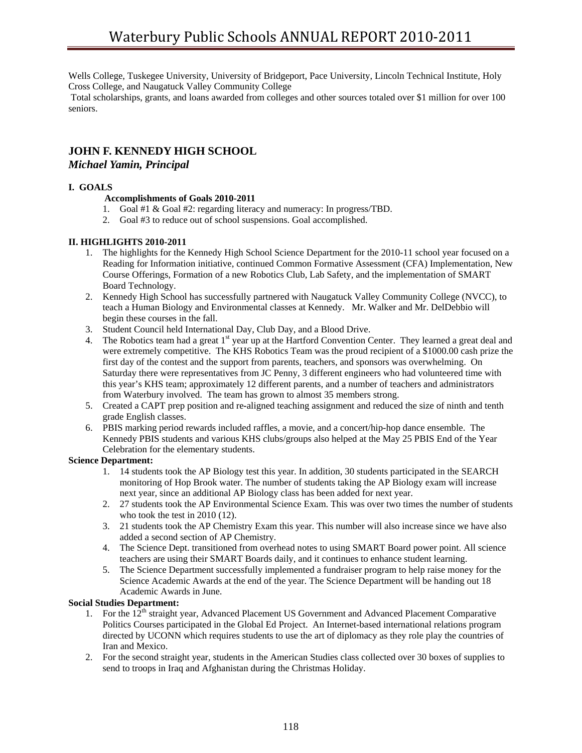Wells College, Tuskegee University, University of Bridgeport, Pace University, Lincoln Technical Institute, Holy Cross College, and Naugatuck Valley Community College

 Total scholarships, grants, and loans awarded from colleges and other sources totaled over \$1 million for over 100 seniors.

# **JOHN F. KENNEDY HIGH SCHOOL**

# *Michael Yamin, Principal*

# **I. GOALS**

#### **Accomplishments of Goals 2010-2011**

- 1. Goal #1 & Goal #2: regarding literacy and numeracy: In progress/TBD.
- 2. Goal #3 to reduce out of school suspensions. Goal accomplished.

# **II. HIGHLIGHTS 2010-2011**

- 1. The highlights for the Kennedy High School Science Department for the 2010-11 school year focused on a Reading for Information initiative, continued Common Formative Assessment (CFA) Implementation, New Course Offerings, Formation of a new Robotics Club, Lab Safety, and the implementation of SMART Board Technology.
- 2. Kennedy High School has successfully partnered with Naugatuck Valley Community College (NVCC), to teach a Human Biology and Environmental classes at Kennedy. Mr. Walker and Mr. DelDebbio will begin these courses in the fall.
- 3. Student Council held International Day, Club Day, and a Blood Drive.
- 4. The Robotics team had a great  $1<sup>st</sup>$  year up at the Hartford Convention Center. They learned a great deal and were extremely competitive. The KHS Robotics Team was the proud recipient of a \$1000.00 cash prize the first day of the contest and the support from parents, teachers, and sponsors was overwhelming. On Saturday there were representatives from JC Penny, 3 different engineers who had volunteered time with this year's KHS team; approximately 12 different parents, and a number of teachers and administrators from Waterbury involved. The team has grown to almost 35 members strong.
- 5. Created a CAPT prep position and re**-**aligned teaching assignment and reduced the size of ninth and tenth grade English classes.
- 6. PBIS marking period rewards included raffles, a movie, and a concert/hip-hop dance ensemble. The Kennedy PBIS students and various KHS clubs/groups also helped at the May 25 PBIS End of the Year Celebration for the elementary students.

# **Science Department:**

- 1. 14 students took the AP Biology test this year. In addition, 30 students participated in the SEARCH monitoring of Hop Brook water. The number of students taking the AP Biology exam will increase next year, since an additional AP Biology class has been added for next year.
- 2. 27 students took the AP Environmental Science Exam. This was over two times the number of students who took the test in 2010 (12).
- 3. 21 students took the AP Chemistry Exam this year. This number will also increase since we have also added a second section of AP Chemistry.
- 4. The Science Dept. transitioned from overhead notes to using SMART Board power point. All science teachers are using their SMART Boards daily, and it continues to enhance student learning.
- 5. The Science Department successfully implemented a fundraiser program to help raise money for the Science Academic Awards at the end of the year. The Science Department will be handing out 18 Academic Awards in June.

# **Social Studies Department:**

- 1. For the  $12<sup>th</sup>$  straight year, Advanced Placement US Government and Advanced Placement Comparative Politics Courses participated in the Global Ed Project. An Internet-based international relations program directed by UCONN which requires students to use the art of diplomacy as they role play the countries of Iran and Mexico.
- 2. For the second straight year, students in the American Studies class collected over 30 boxes of supplies to send to troops in Iraq and Afghanistan during the Christmas Holiday.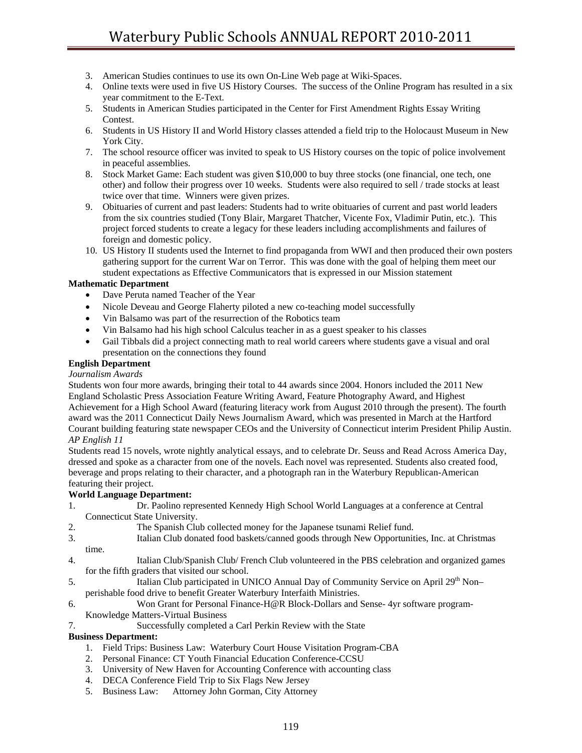- 3. American Studies continues to use its own On-Line Web page at Wiki-Spaces.
- 4. Online texts were used in five US History Courses. The success of the Online Program has resulted in a six year commitment to the E-Text.
- 5. Students in American Studies participated in the Center for First Amendment Rights Essay Writing Contest.
- 6. Students in US History II and World History classes attended a field trip to the Holocaust Museum in New York City.
- 7. The school resource officer was invited to speak to US History courses on the topic of police involvement in peaceful assemblies.
- 8. Stock Market Game: Each student was given \$10,000 to buy three stocks (one financial, one tech, one other) and follow their progress over 10 weeks. Students were also required to sell / trade stocks at least twice over that time. Winners were given prizes.
- 9. Obituaries of current and past leaders: Students had to write obituaries of current and past world leaders from the six countries studied (Tony Blair, Margaret Thatcher, Vicente Fox, Vladimir Putin, etc.). This project forced students to create a legacy for these leaders including accomplishments and failures of foreign and domestic policy.
- 10. US History II students used the Internet to find propaganda from WWI and then produced their own posters gathering support for the current War on Terror. This was done with the goal of helping them meet our student expectations as Effective Communicators that is expressed in our Mission statement

#### **Mathematic Department**

- Dave Peruta named Teacher of the Year
- Nicole Deveau and George Flaherty piloted a new co-teaching model successfully
- Vin Balsamo was part of the resurrection of the Robotics team
- Vin Balsamo had his high school Calculus teacher in as a guest speaker to his classes
- Gail Tibbals did a project connecting math to real world careers where students gave a visual and oral presentation on the connections they found

#### **English Department**

#### *Journalism Awards*

Students won four more awards, bringing their total to 44 awards since 2004. Honors included the 2011 New England Scholastic Press Association Feature Writing Award, Feature Photography Award, and Highest Achievement for a High School Award (featuring literacy work from August 2010 through the present). The fourth award was the 2011 Connecticut Daily News Journalism Award, which was presented in March at the Hartford Courant building featuring state newspaper CEOs and the University of Connecticut interim President Philip Austin. *AP English 11* 

Students read 15 novels, wrote nightly analytical essays, and to celebrate Dr. Seuss and Read Across America Day, dressed and spoke as a character from one of the novels. Each novel was represented. Students also created food, beverage and props relating to their character, and a photograph ran in the Waterbury Republican-American featuring their project.

#### **World Language Department:**

- 1. Dr. Paolino represented Kennedy High School World Languages at a conference at Central Connecticut State University.
- 2. The Spanish Club collected money for the Japanese tsunami Relief fund.
- 3. Italian Club donated food baskets/canned goods through New Opportunities, Inc. at Christmas time.
- 4. Italian Club/Spanish Club/ French Club volunteered in the PBS celebration and organized games for the fifth graders that visited our school.
- 5. Italian Club participated in UNICO Annual Day of Community Service on April 29<sup>th</sup> Non– perishable food drive to benefit Greater Waterbury Interfaith Ministries.
- 6. Won Grant for Personal Finance-H@R Block-Dollars and Sense- 4yr software program-
- Knowledge Matters-Virtual Business
- 7. Successfully completed a Carl Perkin Review with the State

#### **Business Department:**

- 1. Field Trips: Business Law: Waterbury Court House Visitation Program-CBA
- 2. Personal Finance: CT Youth Financial Education Conference-CCSU
- 3. University of New Haven for Accounting Conference with accounting class
- 4. DECA Conference Field Trip to Six Flags New Jersey
- 5. Business Law: Attorney John Gorman, City Attorney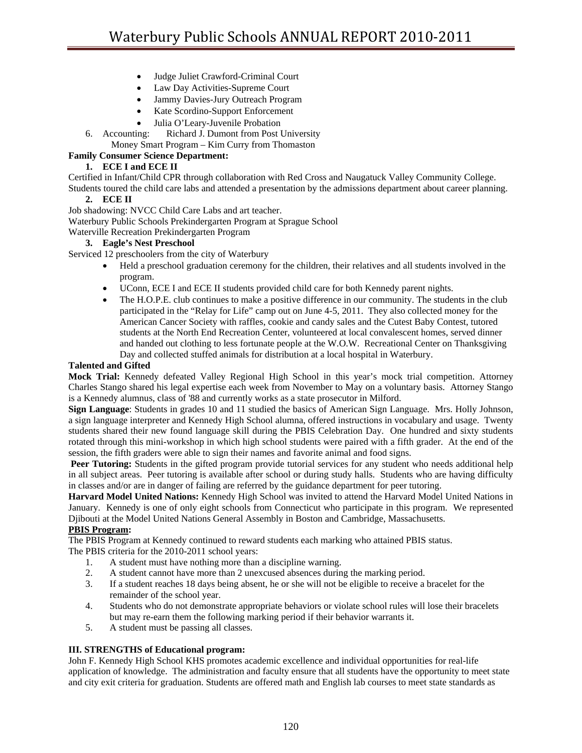- Judge Juliet Crawford-Criminal Court
- Law Day Activities-Supreme Court
- Jammy Davies-Jury Outreach Program
- Kate Scordino-Support Enforcement
- Julia O'Leary-Juvenile Probation
- 6. Accounting: Richard J. Dumont from Post University

Money Smart Program – Kim Curry from Thomaston

#### **Family Consumer Science Department:**

#### **1. ECE I and ECE II**

Certified in Infant/Child CPR through collaboration with Red Cross and Naugatuck Valley Community College.

Students toured the child care labs and attended a presentation by the admissions department about career planning. **2. ECE II** 

Job shadowing: NVCC Child Care Labs and art teacher.

Waterbury Public Schools Prekindergarten Program at Sprague School

Waterville Recreation Prekindergarten Program

#### **3. Eagle's Nest Preschool**

Serviced 12 preschoolers from the city of Waterbury

- Held a preschool graduation ceremony for the children, their relatives and all students involved in the program.
- UConn, ECE I and ECE II students provided child care for both Kennedy parent nights.
- The H.O.P.E. club continues to make a positive difference in our community. The students in the club participated in the "Relay for Life" camp out on June 4-5, 2011. They also collected money for the American Cancer Society with raffles, cookie and candy sales and the Cutest Baby Contest, tutored students at the North End Recreation Center, volunteered at local convalescent homes, served dinner and handed out clothing to less fortunate people at the W.O.W. Recreational Center on Thanksgiving Day and collected stuffed animals for distribution at a local hospital in Waterbury.

#### **Talented and Gifted**

**Mock Trial:** Kennedy defeated Valley Regional High School in this year's mock trial competition. Attorney Charles Stango shared his legal expertise each week from November to May on a voluntary basis. Attorney Stango is a Kennedy alumnus, class of '88 and currently works as a state prosecutor in Milford.

**Sign Language**: Students in grades 10 and 11 studied the basics of American Sign Language. Mrs. Holly Johnson, a sign language interpreter and Kennedy High School alumna, offered instructions in vocabulary and usage. Twenty students shared their new found language skill during the PBIS Celebration Day. One hundred and sixty students rotated through this mini-workshop in which high school students were paired with a fifth grader. At the end of the session, the fifth graders were able to sign their names and favorite animal and food signs.

**Peer Tutoring:** Students in the gifted program provide tutorial services for any student who needs additional help in all subject areas. Peer tutoring is available after school or during study halls. Students who are having difficulty in classes and/or are in danger of failing are referred by the guidance department for peer tutoring.

**Harvard Model United Nations:** Kennedy High School was invited to attend the Harvard Model United Nations in January. Kennedy is one of only eight schools from Connecticut who participate in this program. We represented Djibouti at the Model United Nations General Assembly in Boston and Cambridge, Massachusetts.

# **PBIS Program:**

The PBIS Program at Kennedy continued to reward students each marking who attained PBIS status.

The PBIS criteria for the 2010-2011 school years:

- 1. A student must have nothing more than a discipline warning.
- 2. A student cannot have more than 2 unexcused absences during the marking period.
- 3. If a student reaches 18 days being absent, he or she will not be eligible to receive a bracelet for the remainder of the school year.
- 4. Students who do not demonstrate appropriate behaviors or violate school rules will lose their bracelets but may re-earn them the following marking period if their behavior warrants it.
- 5. A student must be passing all classes.

#### **III. STRENGTHS of Educational program:**

John F. Kennedy High School KHS promotes academic excellence and individual opportunities for real-life application of knowledge. The administration and faculty ensure that all students have the opportunity to meet state and city exit criteria for graduation. Students are offered math and English lab courses to meet state standards as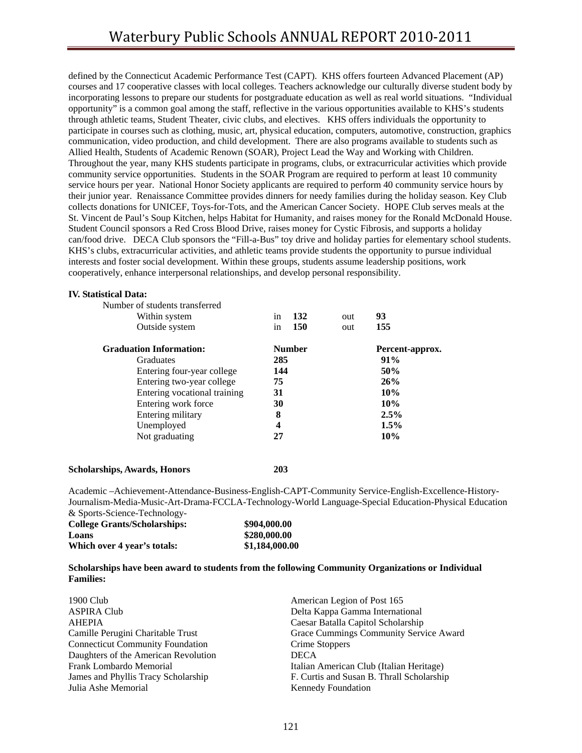defined by the Connecticut Academic Performance Test (CAPT). KHS offers fourteen Advanced Placement (AP) courses and 17 cooperative classes with local colleges. Teachers acknowledge our culturally diverse student body by incorporating lessons to prepare our students for postgraduate education as well as real world situations. "Individual opportunity" is a common goal among the staff, reflective in the various opportunities available to KHS's students through athletic teams, Student Theater, civic clubs, and electives. KHS offers individuals the opportunity to participate in courses such as clothing, music, art, physical education, computers, automotive, construction, graphics communication, video production, and child development. There are also programs available to students such as Allied Health, Students of Academic Renown (SOAR), Project Lead the Way and Working with Children. Throughout the year, many KHS students participate in programs, clubs, or extracurricular activities which provide community service opportunities. Students in the SOAR Program are required to perform at least 10 community service hours per year. National Honor Society applicants are required to perform 40 community service hours by their junior year. Renaissance Committee provides dinners for needy families during the holiday season. Key Club collects donations for UNICEF, Toys-for-Tots, and the American Cancer Society. HOPE Club serves meals at the St. Vincent de Paul's Soup Kitchen, helps Habitat for Humanity, and raises money for the Ronald McDonald House. Student Council sponsors a Red Cross Blood Drive, raises money for Cystic Fibrosis, and supports a holiday can/food drive. DECA Club sponsors the "Fill-a-Bus" toy drive and holiday parties for elementary school students. KHS's clubs, extracurricular activities, and athletic teams provide students the opportunity to pursue individual interests and foster social development. Within these groups, students assume leadership positions, work cooperatively, enhance interpersonal relationships, and develop personal responsibility.

#### **IV. Statistical Data:**

| 1n  | out | 93                                 |
|-----|-----|------------------------------------|
| in  | out | 155                                |
|     |     | Percent-approx.                    |
| 285 |     | 91%                                |
| 144 |     | 50%                                |
| 75  |     | 26%                                |
| 31  |     | 10%                                |
| 30  |     | 10%                                |
| 8   |     | 2.5%                               |
| 4   |     | 1.5%                               |
| 27  |     | 10%                                |
|     |     | 132<br><b>150</b><br><b>Number</b> |

#### **Scholarships, Awards, Honors 203**

Academic –Achievement-Attendance-Business-English-CAPT-Community Service-English-Excellence-History-Journalism-Media-Music-Art-Drama-FCCLA-Technology-World Language-Special Education-Physical Education & Sports-Science-Technology-

| $\alpha$ bords belonge reconsider<br><b>College Grants/Scholarships:</b> | \$904,000.00   |  |
|--------------------------------------------------------------------------|----------------|--|
| Loans                                                                    | \$280,000.00   |  |
| Which over 4 year's totals:                                              | \$1,184,000.00 |  |

#### **Scholarships have been award to students from the following Community Organizations or Individual Families:**

| 1900 Club                               | American Legion of Post 165               |
|-----------------------------------------|-------------------------------------------|
| <b>ASPIRA Club</b>                      | Delta Kappa Gamma International           |
| <b>AHEPIA</b>                           | Caesar Batalla Capitol Scholarship        |
| Camille Perugini Charitable Trust       | Grace Cummings Community Service Award    |
| <b>Connecticut Community Foundation</b> | Crime Stoppers                            |
| Daughters of the American Revolution    | <b>DECA</b>                               |
| Frank Lombardo Memorial                 | Italian American Club (Italian Heritage)  |
| James and Phyllis Tracy Scholarship     | F. Curtis and Susan B. Thrall Scholarship |
| Julia Ashe Memorial                     | <b>Kennedy Foundation</b>                 |
|                                         |                                           |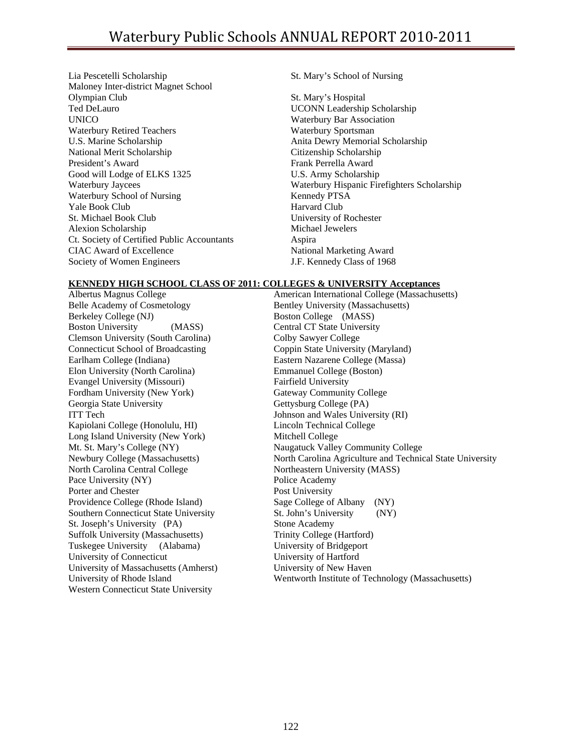Lia Pescetelli Scholarship St. Mary's School of Nursing Maloney Inter-district Magnet School Olympian Club St. Mary's Hospital Ted DeLauro UCONN Leadership Scholarship UNICO Waterbury Bar Association Waterbury Retired Teachers Waterbury Sportsman U.S. Marine Scholarship Anita Dewry Memorial Scholarship National Merit Scholarship Citizenship Scholarship President's Award Frank Perrella Award Good will Lodge of ELKS 1325 U.S. Army Scholarship Waterbury School of Nursing Kennedy PTSA Yale Book Club Harvard Club St. Michael Book Club University of Rochester Alexion Scholarship Michael Jewelers Ct. Society of Certified Public Accountants Aspira CIAC Award of Excellence National Marketing Award Society of Women Engineers J.F. Kennedy Class of 1968

Waterbury Jaycees **Waterbury Hispanic Firefighters Scholarship** 

#### **KENNEDY HIGH SCHOOL CLASS OF 2011: COLLEGES & UNIVERSITY Acceptances**

Belle Academy of Cosmetology Bentley University (Massachusetts) Berkeley College (NJ) Boston College (MASS) Boston University (MASS) Central CT State University Clemson University (South Carolina) Colby Sawyer College Connecticut School of Broadcasting Coppin State University (Maryland) Earlham College (Indiana) Eastern Nazarene College (Massa) Elon University (North Carolina) Emmanuel College (Boston) Evangel University (Missouri) Fairfield University Fordham University (New York) Gateway Community College Georgia State University Gettysburg College (PA) ITT Tech Johnson and Wales University (RI) Kapiolani College (Honolulu, HI) Lincoln Technical College Long Island University (New York) Mitchell College North Carolina Central College Northeastern University (MASS) Pace University (NY) Police Academy Porter and Chester Post University Providence College (Rhode Island) Sage College of Albany (NY) Southern Connecticut State University St. John's University (NY) St. Joseph's University (PA) Stone Academy Suffolk University (Massachusetts) Trinity College (Hartford) Tuskegee University (Alabama) University of Bridgeport University of Connecticut University of Hartford University of Massachusetts (Amherst) University of New Haven Western Connecticut State University

Albertus Magnus College American International College (Massachusetts) Mt. St. Mary's College (NY) Naugatuck Valley Community College Newbury College (Massachusetts) North Carolina Agriculture and Technical State University University of Rhode Island Wentworth Institute of Technology (Massachusetts)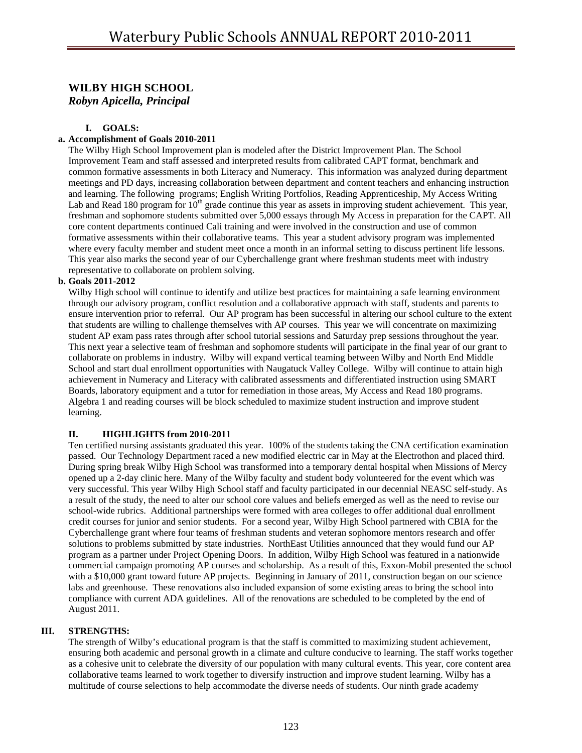# **WILBY HIGH SCHOOL**  *Robyn Apicella, Principal*

### **I. GOALS:**

#### **a. Accomplishment of Goals 2010-2011**

The Wilby High School Improvement plan is modeled after the District Improvement Plan. The School Improvement Team and staff assessed and interpreted results from calibrated CAPT format, benchmark and common formative assessments in both Literacy and Numeracy. This information was analyzed during department meetings and PD days, increasing collaboration between department and content teachers and enhancing instruction and learning. The following programs; English Writing Portfolios, Reading Apprenticeship, My Access Writing Lab and Read 180 program for  $10<sup>th</sup>$  grade continue this year as assets in improving student achievement. This year, freshman and sophomore students submitted over 5,000 essays through My Access in preparation for the CAPT. All core content departments continued Cali training and were involved in the construction and use of common formative assessments within their collaborative teams. This year a student advisory program was implemented where every faculty member and student meet once a month in an informal setting to discuss pertinent life lessons. This year also marks the second year of our Cyberchallenge grant where freshman students meet with industry representative to collaborate on problem solving.

#### **b. Goals 2011-2012**

Wilby High school will continue to identify and utilize best practices for maintaining a safe learning environment through our advisory program, conflict resolution and a collaborative approach with staff, students and parents to ensure intervention prior to referral. Our AP program has been successful in altering our school culture to the extent that students are willing to challenge themselves with AP courses. This year we will concentrate on maximizing student AP exam pass rates through after school tutorial sessions and Saturday prep sessions throughout the year. This next year a selective team of freshman and sophomore students will participate in the final year of our grant to collaborate on problems in industry. Wilby will expand vertical teaming between Wilby and North End Middle School and start dual enrollment opportunities with Naugatuck Valley College. Wilby will continue to attain high achievement in Numeracy and Literacy with calibrated assessments and differentiated instruction using SMART Boards, laboratory equipment and a tutor for remediation in those areas, My Access and Read 180 programs. Algebra 1 and reading courses will be block scheduled to maximize student instruction and improve student learning.

#### **II. HIGHLIGHTS from 2010-2011**

Ten certified nursing assistants graduated this year. 100% of the students taking the CNA certification examination passed. Our Technology Department raced a new modified electric car in May at the Electrothon and placed third. During spring break Wilby High School was transformed into a temporary dental hospital when Missions of Mercy opened up a 2-day clinic here. Many of the Wilby faculty and student body volunteered for the event which was very successful. This year Wilby High School staff and faculty participated in our decennial NEASC self-study. As a result of the study, the need to alter our school core values and beliefs emerged as well as the need to revise our school-wide rubrics. Additional partnerships were formed with area colleges to offer additional dual enrollment credit courses for junior and senior students. For a second year, Wilby High School partnered with CBIA for the Cyberchallenge grant where four teams of freshman students and veteran sophomore mentors research and offer solutions to problems submitted by state industries. NorthEast Utilities announced that they would fund our AP program as a partner under Project Opening Doors. In addition, Wilby High School was featured in a nationwide commercial campaign promoting AP courses and scholarship. As a result of this, Exxon-Mobil presented the school with a \$10,000 grant toward future AP projects. Beginning in January of 2011, construction began on our science labs and greenhouse. These renovations also included expansion of some existing areas to bring the school into compliance with current ADA guidelines. All of the renovations are scheduled to be completed by the end of August 2011.

#### **III. STRENGTHS:**

The strength of Wilby's educational program is that the staff is committed to maximizing student achievement, ensuring both academic and personal growth in a climate and culture conducive to learning. The staff works together as a cohesive unit to celebrate the diversity of our population with many cultural events. This year, core content area collaborative teams learned to work together to diversify instruction and improve student learning. Wilby has a multitude of course selections to help accommodate the diverse needs of students. Our ninth grade academy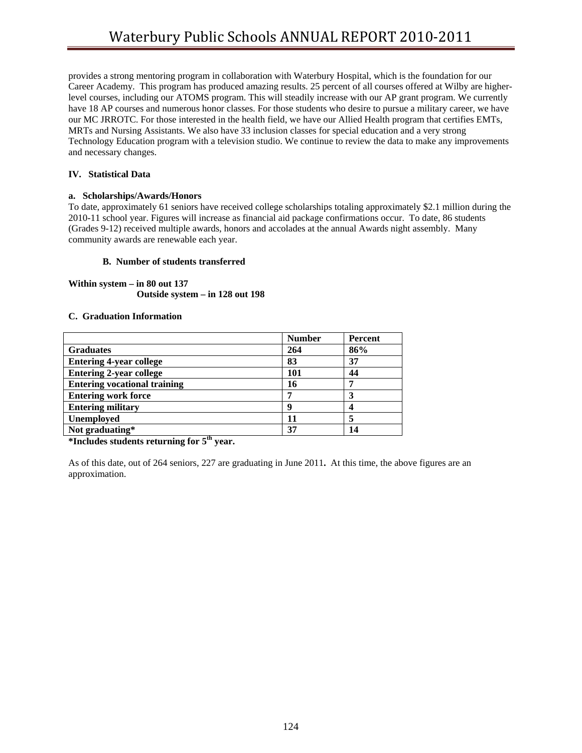provides a strong mentoring program in collaboration with Waterbury Hospital, which is the foundation for our Career Academy. This program has produced amazing results. 25 percent of all courses offered at Wilby are higherlevel courses, including our ATOMS program. This will steadily increase with our AP grant program. We currently have 18 AP courses and numerous honor classes. For those students who desire to pursue a military career, we have our MC JRROTC. For those interested in the health field, we have our Allied Health program that certifies EMTs, MRTs and Nursing Assistants. We also have 33 inclusion classes for special education and a very strong Technology Education program with a television studio. We continue to review the data to make any improvements and necessary changes.

### **IV. Statistical Data**

#### **a. Scholarships/Awards/Honors**

To date, approximately 61 seniors have received college scholarships totaling approximately \$2.1 million during the 2010-11 school year. Figures will increase as financial aid package confirmations occur. To date, 86 students (Grades 9-12) received multiple awards, honors and accolades at the annual Awards night assembly. Many community awards are renewable each year.

#### **B. Number of students transferred**

#### **Within system – in 80 out 137 Outside system – in 128 out 198**

#### **C. Graduation Information**

|                                     | <b>Number</b> | Percent |
|-------------------------------------|---------------|---------|
| <b>Graduates</b>                    | 264           | 86%     |
| <b>Entering 4-year college</b>      | 83            | 37      |
| <b>Entering 2-year college</b>      | 101           | 44      |
| <b>Entering vocational training</b> | 16            |         |
| <b>Entering work force</b>          |               |         |
| <b>Entering military</b>            | o             |         |
| Unemployed                          | 11            |         |
| Not graduating*                     | 37            | 14      |

**\*Includes students returning for 5th year.** 

As of this date, out of 264 seniors, 227 are graduating in June 2011**.** At this time, the above figures are an approximation.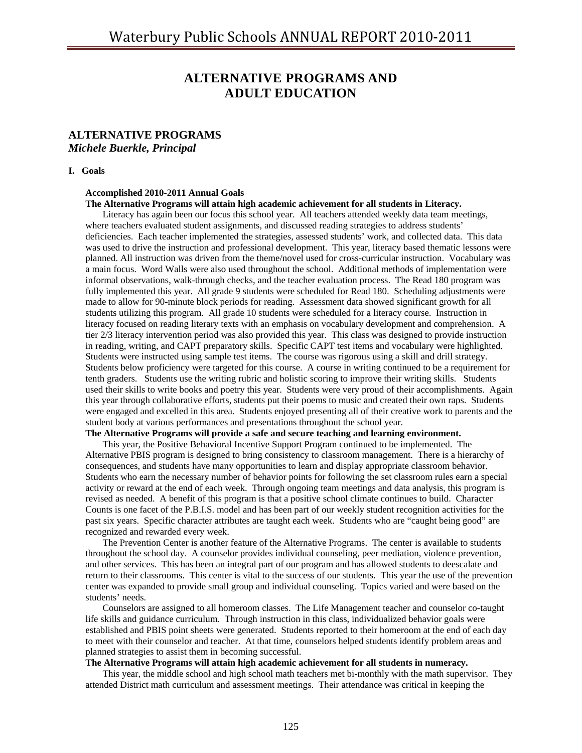# **ALTERNATIVE PROGRAMS AND ADULT EDUCATION**

# **ALTERNATIVE PROGRAMS**

*Michele Buerkle, Principal* 

#### **I. Goals**

#### **Accomplished 2010-2011 Annual Goals**

**The Alternative Programs will attain high academic achievement for all students in Literacy.** 

 Literacy has again been our focus this school year. All teachers attended weekly data team meetings, where teachers evaluated student assignments, and discussed reading strategies to address students' deficiencies. Each teacher implemented the strategies, assessed students' work, and collected data. This data was used to drive the instruction and professional development. This year, literacy based thematic lessons were planned. All instruction was driven from the theme/novel used for cross-curricular instruction. Vocabulary was a main focus. Word Walls were also used throughout the school. Additional methods of implementation were informal observations, walk-through checks, and the teacher evaluation process. The Read 180 program was fully implemented this year. All grade 9 students were scheduled for Read 180. Scheduling adjustments were made to allow for 90-minute block periods for reading. Assessment data showed significant growth for all students utilizing this program. All grade 10 students were scheduled for a literacy course. Instruction in literacy focused on reading literary texts with an emphasis on vocabulary development and comprehension. A tier 2/3 literacy intervention period was also provided this year. This class was designed to provide instruction in reading, writing, and CAPT preparatory skills. Specific CAPT test items and vocabulary were highlighted. Students were instructed using sample test items. The course was rigorous using a skill and drill strategy. Students below proficiency were targeted for this course. A course in writing continued to be a requirement for tenth graders. Students use the writing rubric and holistic scoring to improve their writing skills. Students used their skills to write books and poetry this year. Students were very proud of their accomplishments. Again this year through collaborative efforts, students put their poems to music and created their own raps. Students were engaged and excelled in this area. Students enjoyed presenting all of their creative work to parents and the student body at various performances and presentations throughout the school year.

#### **The Alternative Programs will provide a safe and secure teaching and learning environment.**

 This year, the Positive Behavioral Incentive Support Program continued to be implemented. The Alternative PBIS program is designed to bring consistency to classroom management. There is a hierarchy of consequences, and students have many opportunities to learn and display appropriate classroom behavior. Students who earn the necessary number of behavior points for following the set classroom rules earn a special activity or reward at the end of each week. Through ongoing team meetings and data analysis, this program is revised as needed. A benefit of this program is that a positive school climate continues to build. Character Counts is one facet of the P.B.I.S. model and has been part of our weekly student recognition activities for the past six years. Specific character attributes are taught each week. Students who are "caught being good" are recognized and rewarded every week.

 The Prevention Center is another feature of the Alternative Programs. The center is available to students throughout the school day. A counselor provides individual counseling, peer mediation, violence prevention, and other services. This has been an integral part of our program and has allowed students to deescalate and return to their classrooms. This center is vital to the success of our students. This year the use of the prevention center was expanded to provide small group and individual counseling. Topics varied and were based on the students' needs.

Counselors are assigned to all homeroom classes. The Life Management teacher and counselor co-taught life skills and guidance curriculum. Through instruction in this class, individualized behavior goals were established and PBIS point sheets were generated. Students reported to their homeroom at the end of each day to meet with their counselor and teacher. At that time, counselors helped students identify problem areas and planned strategies to assist them in becoming successful.

#### **The Alternative Programs will attain high academic achievement for all students in numeracy.**

 This year, the middle school and high school math teachers met bi-monthly with the math supervisor. They attended District math curriculum and assessment meetings. Their attendance was critical in keeping the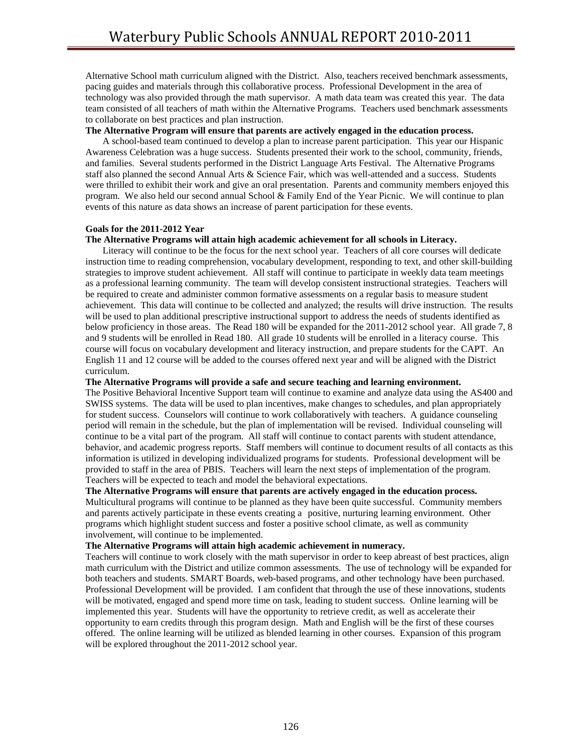Alternative School math curriculum aligned with the District. Also, teachers received benchmark assessments, pacing guides and materials through this collaborative process. Professional Development in the area of technology was also provided through the math supervisor. A math data team was created this year. The data team consisted of all teachers of math within the Alternative Programs. Teachers used benchmark assessments to collaborate on best practices and plan instruction.

#### **The Alternative Program will ensure that parents are actively engaged in the education process.**

 A school-based team continued to develop a plan to increase parent participation. This year our Hispanic Awareness Celebration was a huge success. Students presented their work to the school, community, friends, and families. Several students performed in the District Language Arts Festival. The Alternative Programs staff also planned the second Annual Arts & Science Fair, which was well-attended and a success. Students were thrilled to exhibit their work and give an oral presentation. Parents and community members enjoyed this program. We also held our second annual School & Family End of the Year Picnic. We will continue to plan events of this nature as data shows an increase of parent participation for these events.

#### **Goals for the 2011-2012 Year**

#### **The Alternative Programs will attain high academic achievement for all schools in Literacy.**

 Literacy will continue to be the focus for the next school year. Teachers of all core courses will dedicate instruction time to reading comprehension, vocabulary development, responding to text, and other skill-building strategies to improve student achievement. All staff will continue to participate in weekly data team meetings as a professional learning community. The team will develop consistent instructional strategies. Teachers will be required to create and administer common formative assessments on a regular basis to measure student achievement. This data will continue to be collected and analyzed; the results will drive instruction. The results will be used to plan additional prescriptive instructional support to address the needs of students identified as below proficiency in those areas. The Read 180 will be expanded for the 2011-2012 school year. All grade 7, 8 and 9 students will be enrolled in Read 180. All grade 10 students will be enrolled in a literacy course. This course will focus on vocabulary development and literacy instruction, and prepare students for the CAPT. An English 11 and 12 course will be added to the courses offered next year and will be aligned with the District curriculum.

#### **The Alternative Programs will provide a safe and secure teaching and learning environment.**

The Positive Behavioral Incentive Support team will continue to examine and analyze data using the AS400 and SWISS systems. The data will be used to plan incentives, make changes to schedules, and plan appropriately for student success. Counselors will continue to work collaboratively with teachers. A guidance counseling period will remain in the schedule, but the plan of implementation will be revised. Individual counseling will continue to be a vital part of the program. All staff will continue to contact parents with student attendance, behavior, and academic progress reports. Staff members will continue to document results of all contacts as this information is utilized in developing individualized programs for students. Professional development will be provided to staff in the area of PBIS. Teachers will learn the next steps of implementation of the program. Teachers will be expected to teach and model the behavioral expectations.

#### **The Alternative Programs will ensure that parents are actively engaged in the education process.**  Multicultural programs will continue to be planned as they have been quite successful. Community members and parents actively participate in these events creating a positive, nurturing learning environment. Other programs which highlight student success and foster a positive school climate, as well as community involvement, will continue to be implemented.

#### **The Alternative Programs will attain high academic achievement in numeracy.**

 Teachers will continue to work closely with the math supervisor in order to keep abreast of best practices, align math curriculum with the District and utilize common assessments. The use of technology will be expanded for both teachers and students. SMART Boards, web-based programs, and other technology have been purchased. Professional Development will be provided. I am confident that through the use of these innovations, students will be motivated, engaged and spend more time on task, leading to student success. Online learning will be implemented this year. Students will have the opportunity to retrieve credit, as well as accelerate their opportunity to earn credits through this program design. Math and English will be the first of these courses offered. The online learning will be utilized as blended learning in other courses. Expansion of this program will be explored throughout the 2011-2012 school year.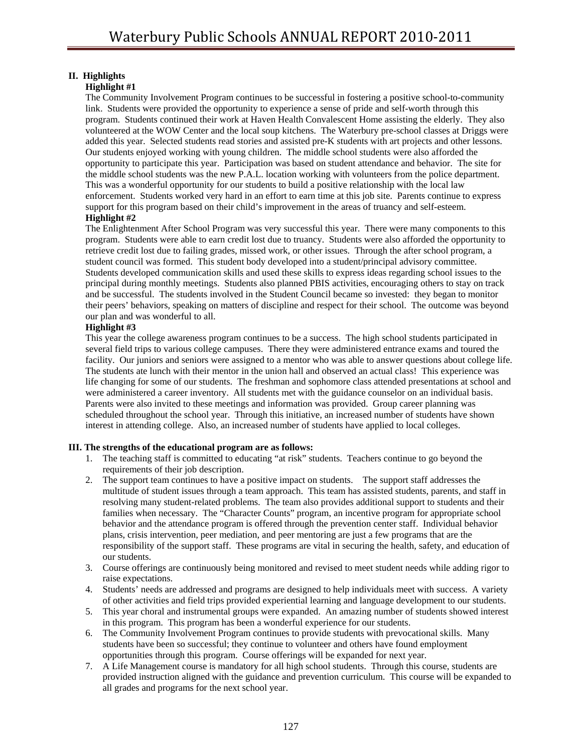# **II. Highlights**

# **Highlight #1**

The Community Involvement Program continues to be successful in fostering a positive school-to-community link. Students were provided the opportunity to experience a sense of pride and self-worth through this program. Students continued their work at Haven Health Convalescent Home assisting the elderly. They also volunteered at the WOW Center and the local soup kitchens. The Waterbury pre-school classes at Driggs were added this year. Selected students read stories and assisted pre-K students with art projects and other lessons. Our students enjoyed working with young children. The middle school students were also afforded the opportunity to participate this year. Participation was based on student attendance and behavior. The site for the middle school students was the new P.A.L. location working with volunteers from the police department. This was a wonderful opportunity for our students to build a positive relationship with the local law enforcement. Students worked very hard in an effort to earn time at this job site. Parents continue to express support for this program based on their child's improvement in the areas of truancy and self-esteem. **Highlight #2** 

 The Enlightenment After School Program was very successful this year. There were many components to this program. Students were able to earn credit lost due to truancy. Students were also afforded the opportunity to retrieve credit lost due to failing grades, missed work, or other issues. Through the after school program, a student council was formed. This student body developed into a student/principal advisory committee. Students developed communication skills and used these skills to express ideas regarding school issues to the principal during monthly meetings. Students also planned PBIS activities, encouraging others to stay on track and be successful. The students involved in the Student Council became so invested: they began to monitor their peers' behaviors, speaking on matters of discipline and respect for their school. The outcome was beyond our plan and was wonderful to all.

### **Highlight #3**

This year the college awareness program continues to be a success. The high school students participated in several field trips to various college campuses. There they were administered entrance exams and toured the facility. Our juniors and seniors were assigned to a mentor who was able to answer questions about college life. The students ate lunch with their mentor in the union hall and observed an actual class! This experience was life changing for some of our students. The freshman and sophomore class attended presentations at school and were administered a career inventory. All students met with the guidance counselor on an individual basis. Parents were also invited to these meetings and information was provided. Group career planning was scheduled throughout the school year. Through this initiative, an increased number of students have shown interest in attending college. Also, an increased number of students have applied to local colleges.

### **III. The strengths of the educational program are as follows:**

- 1. The teaching staff is committed to educating "at risk" students. Teachers continue to go beyond the requirements of their job description.
- 2. The support team continues to have a positive impact on students. The support staff addresses the multitude of student issues through a team approach. This team has assisted students, parents, and staff in resolving many student-related problems. The team also provides additional support to students and their families when necessary. The "Character Counts" program, an incentive program for appropriate school behavior and the attendance program is offered through the prevention center staff. Individual behavior plans, crisis intervention, peer mediation, and peer mentoring are just a few programs that are the responsibility of the support staff. These programs are vital in securing the health, safety, and education of our students.
- 3. Course offerings are continuously being monitored and revised to meet student needs while adding rigor to raise expectations.
- 4. Students' needs are addressed and programs are designed to help individuals meet with success. A variety of other activities and field trips provided experiential learning and language development to our students.
- 5. This year choral and instrumental groups were expanded. An amazing number of students showed interest in this program. This program has been a wonderful experience for our students.
- 6. The Community Involvement Program continues to provide students with prevocational skills. Many students have been so successful; they continue to volunteer and others have found employment opportunities through this program. Course offerings will be expanded for next year.
- 7. A Life Management course is mandatory for all high school students. Through this course, students are provided instruction aligned with the guidance and prevention curriculum. This course will be expanded to all grades and programs for the next school year.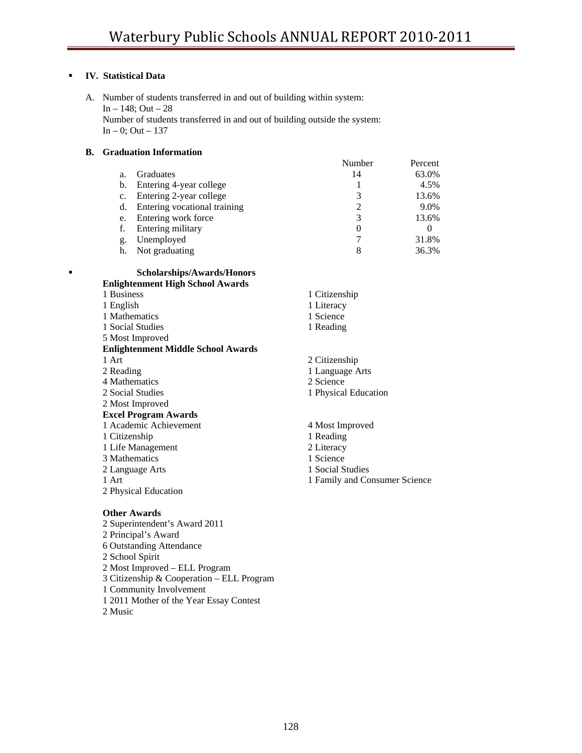# **IV. Statistical Data**

A. Number of students transferred in and out of building within system: In – 148; Out – 28 Number of students transferred in and out of building outside the system: In  $-0$ ; Out  $-137$ 

#### **B. Graduation Information**

|    |                              | Number | Percent |
|----|------------------------------|--------|---------|
| a. | Graduates                    | 14     | 63.0%   |
| b. | Entering 4-year college      |        | 4.5%    |
|    | Entering 2-year college      | 3      | 13.6%   |
| d. | Entering vocational training |        | 9.0%    |
| e. | Entering work force          |        | 13.6%   |
|    | Entering military            |        |         |
| g. | Unemployed                   |        | 31.8%   |
| h. | Not graduating               | 8      | 36.3%   |

# **Scholarships/Awards/Honors**

### **Enlightenment High School Awards**  1 Business 1 Citizenship 1 English 1 Literacy 1 Mathematics 1 Science 1 Social Studies 1 Reading 5 Most Improved **Enlightenment Middle School Awards**  1 Art 2 Citizenship 2 Reading 2 2 Reading 2 2 Reading 2 2 Reading 2 2 Reading 2 2 Reading 2 2 Reading 2 2 Reading 2 2 Reading 2 2 Reading 2 2 Reading 2 2 Reading 2 2 Reading 2 2 Reading 2 2 Reading 2 2 Reading 2 2 Reading 2 2 Reading 2 2 Read 4 Mathematics 2 Science 2 Social Studies 1 Physical Education 2 Most Improved **Excel Program Awards**  1 Academic Achievement 4 Most Improved 1 Citizenship 1 Reading 1 Life Management 2 Literacy 3 Mathematics 1 Science 2 Language Arts 1 Social Studies 1 Art 1 Family and Consumer Science 2 Physical Education

- **Other Awards**
- 2 Superintendent's Award 2011 2 Principal's Award 6 Outstanding Attendance 2 School Spirit 2 Most Improved – ELL Program 3 Citizenship & Cooperation – ELL Program 1 Community Involvement 1 2011 Mother of the Year Essay Contest 2 Music
- 
- 
- 
- 
- 
- 
- 
- 

- 
- 
- 
- 
-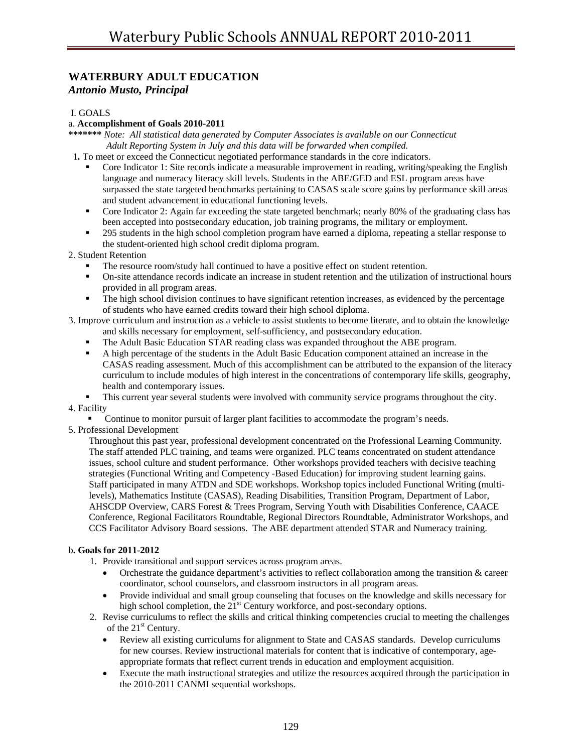# **WATERBURY ADULT EDUCATION**

# *Antonio Musto, Principal*

# I. GOALS

# a. **Accomplishment of Goals 2010-2011**

**\*\*\*\*\*\*\*** *Note: All statistical data generated by Computer Associates is available on our Connecticut Adult Reporting System in July and this data will be forwarded when compiled.* 

1*.* To meet or exceed the Connecticut negotiated performance standards in the core indicators.

- Core Indicator 1: Site records indicate a measurable improvement in reading, writing/speaking the English language and numeracy literacy skill levels. Students in the ABE/GED and ESL program areas have surpassed the state targeted benchmarks pertaining to CASAS scale score gains by performance skill areas and student advancement in educational functioning levels.
- Core Indicator 2: Again far exceeding the state targeted benchmark; nearly 80% of the graduating class has been accepted into postsecondary education, job training programs, the military or employment.
- <sup>295</sup> students in the high school completion program have earned a diploma, repeating a stellar response to the student-oriented high school credit diploma program.

# 2. Student Retention

- The resource room/study hall continued to have a positive effect on student retention.
- On-site attendance records indicate an increase in student retention and the utilization of instructional hours provided in all program areas.
- The high school division continues to have significant retention increases, as evidenced by the percentage of students who have earned credits toward their high school diploma.
- 3. Improve curriculum and instruction as a vehicle to assist students to become literate, and to obtain the knowledge and skills necessary for employment, self-sufficiency, and postsecondary education.
	- The Adult Basic Education STAR reading class was expanded throughout the ABE program.
	- A high percentage of the students in the Adult Basic Education component attained an increase in the CASAS reading assessment. Much of this accomplishment can be attributed to the expansion of the literacy curriculum to include modules of high interest in the concentrations of contemporary life skills, geography, health and contemporary issues.
	- This current year several students were involved with community service programs throughout the city.

### 4. Facility

Continue to monitor pursuit of larger plant facilities to accommodate the program's needs.

### 5. Professional Development

Throughout this past year, professional development concentrated on the Professional Learning Community. The staff attended PLC training, and teams were organized. PLC teams concentrated on student attendance issues, school culture and student performance. Other workshops provided teachers with decisive teaching strategies (Functional Writing and Competency -Based Education) for improving student learning gains. Staff participated in many ATDN and SDE workshops. Workshop topics included Functional Writing (multilevels), Mathematics Institute (CASAS), Reading Disabilities, Transition Program, Department of Labor, AHSCDP Overview, CARS Forest & Trees Program, Serving Youth with Disabilities Conference, CAACE Conference, Regional Facilitators Roundtable, Regional Directors Roundtable, Administrator Workshops, and CCS Facilitator Advisory Board sessions. The ABE department attended STAR and Numeracy training.

### b**. Goals for 2011-2012**

1. Provide transitional and support services across program areas.

- Orchestrate the guidance department's activities to reflect collaboration among the transition  $\&$  career coordinator, school counselors, and classroom instructors in all program areas.
- Provide individual and small group counseling that focuses on the knowledge and skills necessary for high school completion, the 21<sup>st</sup> Century workforce, and post-secondary options.
- 2. Revise curriculums to reflect the skills and critical thinking competencies crucial to meeting the challenges of the 21<sup>st</sup> Century.
	- Review all existing curriculums for alignment to State and CASAS standards. Develop curriculums for new courses. Review instructional materials for content that is indicative of contemporary, ageappropriate formats that reflect current trends in education and employment acquisition.
	- Execute the math instructional strategies and utilize the resources acquired through the participation in the 2010-2011 CANMI sequential workshops.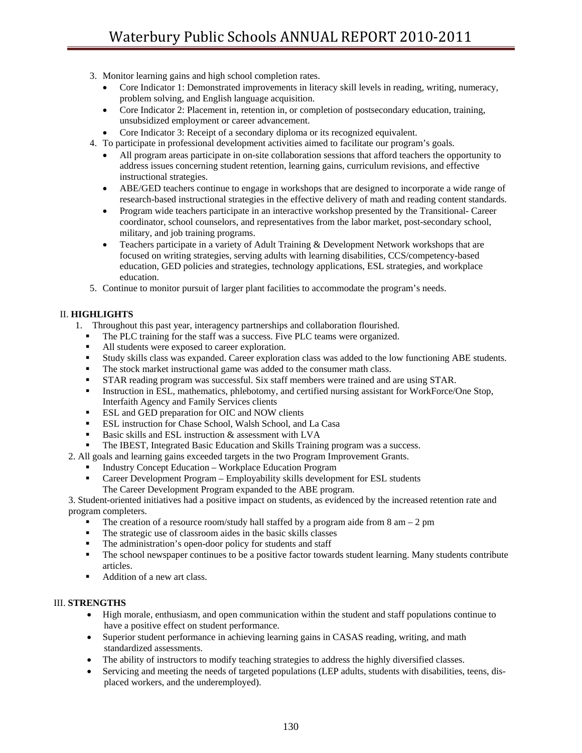- 3. Monitor learning gains and high school completion rates.
	- Core Indicator 1: Demonstrated improvements in literacy skill levels in reading, writing, numeracy, problem solving, and English language acquisition.
	- Core Indicator 2: Placement in, retention in, or completion of postsecondary education, training, unsubsidized employment or career advancement.
	- Core Indicator 3: Receipt of a secondary diploma or its recognized equivalent.
- 4. To participate in professional development activities aimed to facilitate our program's goals.
	- All program areas participate in on-site collaboration sessions that afford teachers the opportunity to address issues concerning student retention, learning gains, curriculum revisions, and effective instructional strategies.
	- ABE/GED teachers continue to engage in workshops that are designed to incorporate a wide range of research-based instructional strategies in the effective delivery of math and reading content standards.
	- Program wide teachers participate in an interactive workshop presented by the Transitional-Career coordinator, school counselors, and representatives from the labor market, post-secondary school, military, and job training programs.
	- Teachers participate in a variety of Adult Training & Development Network workshops that are focused on writing strategies, serving adults with learning disabilities, CCS/competency-based education, GED policies and strategies, technology applications, ESL strategies, and workplace education.
- 5. Continue to monitor pursuit of larger plant facilities to accommodate the program's needs.

# II. **HIGHLIGHTS**

- 1. Throughout this past year, interagency partnerships and collaboration flourished.
	- The PLC training for the staff was a success. Five PLC teams were organized.
	- All students were exposed to career exploration.
	- Study skills class was expanded. Career exploration class was added to the low functioning ABE students.
	- The stock market instructional game was added to the consumer math class.
	- STAR reading program was successful. Six staff members were trained and are using STAR.
	- **Instruction in ESL, mathematics, phlebotomy, and certified nursing assistant for WorkForce/One Stop,** Interfaith Agency and Family Services clients
	- **ESL** and GED preparation for OIC and NOW clients
	- **ESL** instruction for Chase School, Walsh School, and La Casa
	- Basic skills and ESL instruction & assessment with LVA
	- The IBEST, Integrated Basic Education and Skills Training program was a success.
- 2. All goals and learning gains exceeded targets in the two Program Improvement Grants.
	- Industry Concept Education Workplace Education Program
	- Career Development Program Employability skills development for ESL students The Career Development Program expanded to the ABE program.

3. Student-oriented initiatives had a positive impact on students, as evidenced by the increased retention rate and program completers.

- The creation of a resource room/study hall staffed by a program aide from  $8 \text{ am} 2 \text{ pm}$
- The strategic use of classroom aides in the basic skills classes
- The administration's open-door policy for students and staff
- The school newspaper continues to be a positive factor towards student learning. Many students contribute articles.
- Addition of a new art class.

### III. **STRENGTHS**

- High morale, enthusiasm, and open communication within the student and staff populations continue to have a positive effect on student performance.
- Superior student performance in achieving learning gains in CASAS reading, writing, and math standardized assessments.
- The ability of instructors to modify teaching strategies to address the highly diversified classes.
- Servicing and meeting the needs of targeted populations (LEP adults, students with disabilities, teens, displaced workers, and the underemployed).